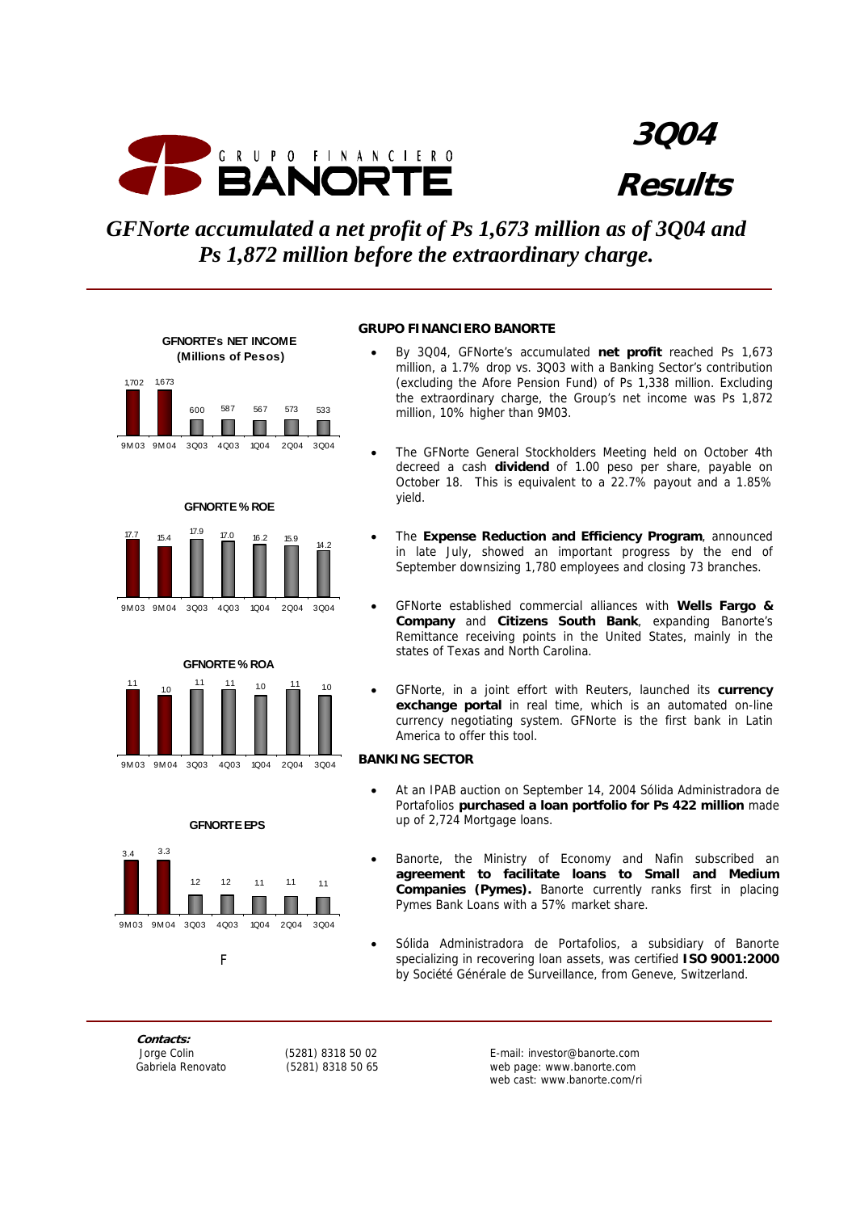

**3Q04 Results**

*GFNorte accumulated a net profit of Ps 1,673 million as of 3Q04 and Ps 1,872 million before the extraordinary charge.*



**GFNORTE % ROE** 







#### **GRUPO FINANCIERO BANORTE**

- By 3Q04, GFNorte's accumulated **net profit** reached Ps 1,673 million, a 1.7% drop vs. 3Q03 with a Banking Sector's contribution (excluding the Afore Pension Fund) of Ps 1,338 million. Excluding the extraordinary charge, the Group's net income was Ps 1,872 million, 10% higher than 9M03.
- The GFNorte General Stockholders Meeting held on October 4th decreed a cash **dividend** of 1.00 peso per share, payable on October 18. This is equivalent to a 22.7% payout and a 1.85% yield.
- The **Expense Reduction and Efficiency Program**, announced in late July, showed an important progress by the end of September downsizing 1,780 employees and closing 73 branches.
- GFNorte established commercial alliances with **Wells Fargo & Company** and **Citizens South Bank**, expanding Banorte's Remittance receiving points in the United States, mainly in the states of Texas and North Carolina.
- GFNorte, in a joint effort with Reuters, launched its **currency exchange portal** in real time, which is an automated on-line currency negotiating system. GFNorte is the first bank in Latin America to offer this tool.

#### **BANKING SECTOR**

- At an IPAB auction on September 14, 2004 Sólida Administradora de Portafolios **purchased a loan portfolio for Ps 422 million** made up of 2,724 Mortgage loans.
- Banorte, the Ministry of Economy and Nafin subscribed an **agreement to facilitate loans to Small and Medium Companies (Pymes).** Banorte currently ranks first in placing Pymes Bank Loans with a 57% market share.
- Sólida Administradora de Portafolios, a subsidiary of Banorte specializing in recovering loan assets, was certified **ISO 9001:2000** by Société Générale de Surveillance, from Geneve, Switzerland.

**Contacts:** 

 Jorge Colin (5281) 8318 50 02 E-mail: investor@banorte.com web page: www.banorte.com web cast: www.banorte.com/ri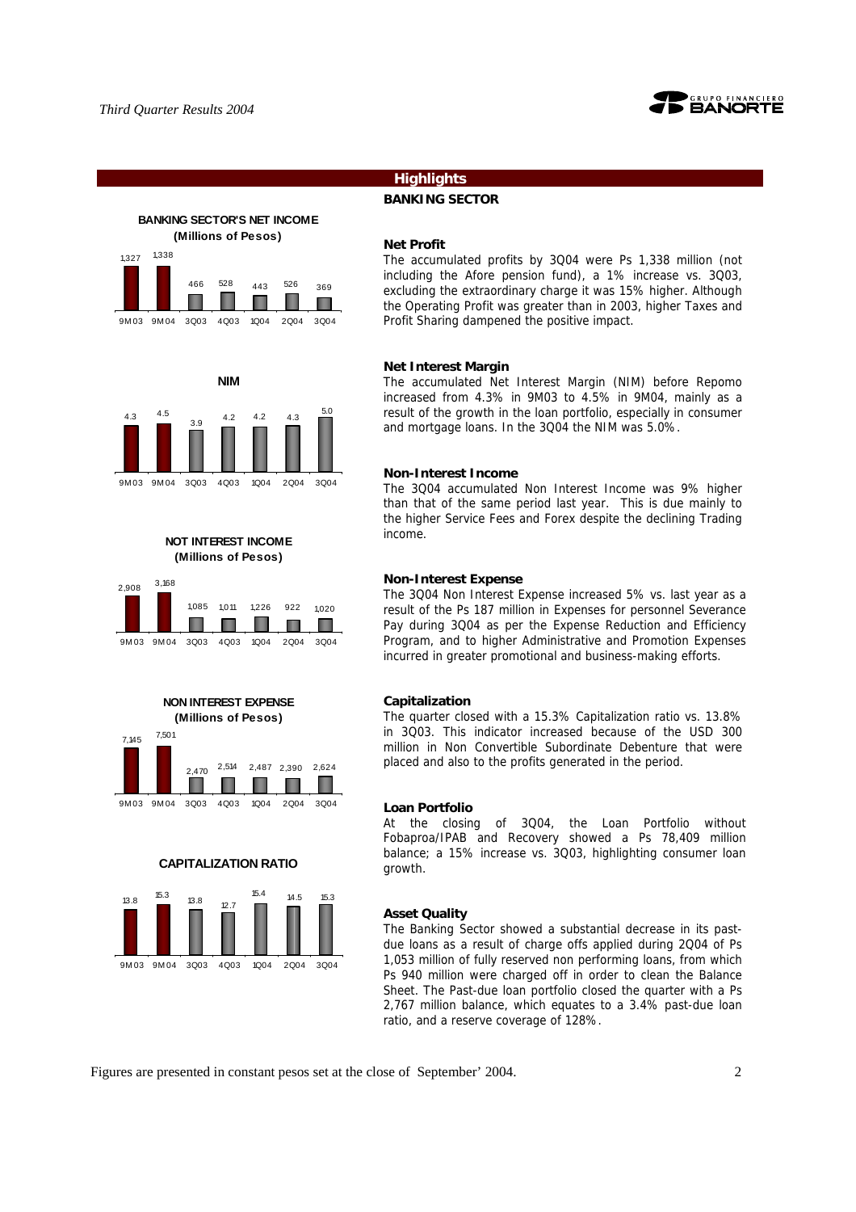

# **Highlights**

#### **BANKING SECTOR**

#### **BANKING SECTOR'S NET INCOME (Millions of Pesos)**













#### **CAPITALIZATION RATIO**



#### **Net Profit**

The accumulated profits by 3Q04 were Ps 1,338 million (not including the Afore pension fund), a 1% increase vs. 3Q03, excluding the extraordinary charge it was 15% higher. Although the Operating Profit was greater than in 2003, higher Taxes and Profit Sharing dampened the positive impact.

#### **Net Interest Margin**

The accumulated Net Interest Margin (NIM) before Repomo increased from 4.3% in 9M03 to 4.5% in 9M04, mainly as a result of the growth in the loan portfolio, especially in consumer and mortgage loans. In the 3Q04 the NIM was 5.0%.

#### **Non-Interest Income**

The 3Q04 accumulated Non Interest Income was 9% higher than that of the same period last year. This is due mainly to the higher Service Fees and Forex despite the declining Trading income.

#### **Non-Interest Expense**

The 3Q04 Non Interest Expense increased 5% vs. last year as a result of the Ps 187 million in Expenses for personnel Severance Pay during 3Q04 as per the Expense Reduction and Efficiency Program, and to higher Administrative and Promotion Expenses incurred in greater promotional and business-making efforts.

#### **Capitalization**

The quarter closed with a 15.3% Capitalization ratio vs. 13.8% in 3Q03. This indicator increased because of the USD 300 million in Non Convertible Subordinate Debenture that were placed and also to the profits generated in the period.

#### **Loan Portfolio**

At the closing of 3Q04, the Loan Portfolio without Fobaproa/IPAB and Recovery showed a Ps 78,409 million balance; a 15% increase vs. 3Q03, highlighting consumer loan growth.

#### **Asset Quality**

The Banking Sector showed a substantial decrease in its pastdue loans as a result of charge offs applied during 2Q04 of Ps 1,053 million of fully reserved non performing loans, from which Ps 940 million were charged off in order to clean the Balance Sheet. The Past-due loan portfolio closed the quarter with a Ps 2,767 million balance, which equates to a 3.4% past-due loan ratio, and a reserve coverage of 128%.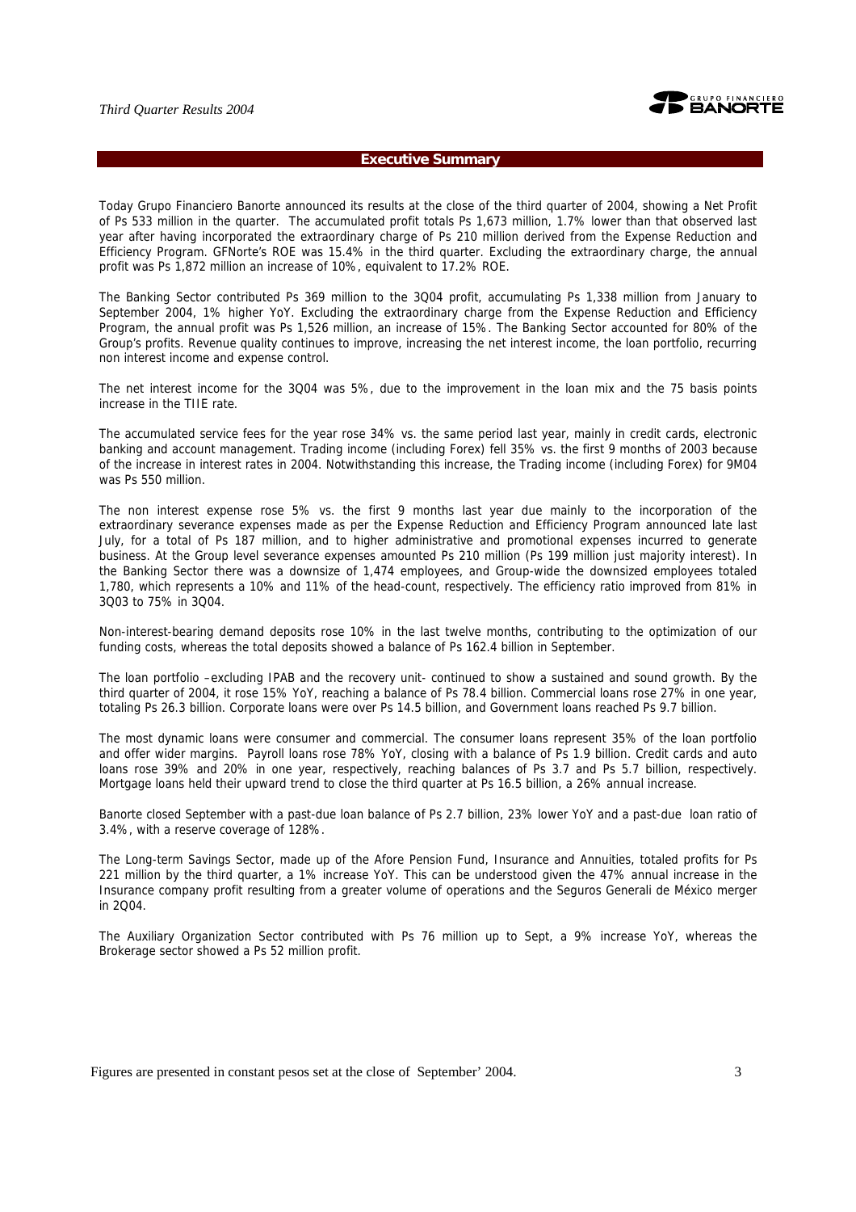

#### **Executive Summary**

Today Grupo Financiero Banorte announced its results at the close of the third quarter of 2004, showing a Net Profit of Ps 533 million in the quarter. The accumulated profit totals Ps 1,673 million, 1.7% lower than that observed last year after having incorporated the extraordinary charge of Ps 210 million derived from the Expense Reduction and Efficiency Program. GFNorte's ROE was 15.4% in the third quarter. Excluding the extraordinary charge, the annual profit was Ps 1,872 million an increase of 10%, equivalent to 17.2% ROE.

The Banking Sector contributed Ps 369 million to the 3Q04 profit, accumulating Ps 1,338 million from January to September 2004, 1% higher YoY. Excluding the extraordinary charge from the Expense Reduction and Efficiency Program, the annual profit was Ps 1,526 million, an increase of 15%. The Banking Sector accounted for 80% of the Group's profits. Revenue quality continues to improve, increasing the net interest income, the loan portfolio, recurring non interest income and expense control.

The net interest income for the 3Q04 was 5%, due to the improvement in the loan mix and the 75 basis points increase in the TIIE rate.

The accumulated service fees for the year rose 34% vs. the same period last year, mainly in credit cards, electronic banking and account management. Trading income (including Forex) fell 35% vs. the first 9 months of 2003 because of the increase in interest rates in 2004. Notwithstanding this increase, the Trading income (including Forex) for 9M04 was Ps 550 million.

The non interest expense rose 5% vs. the first 9 months last year due mainly to the incorporation of the extraordinary severance expenses made as per the Expense Reduction and Efficiency Program announced late last July, for a total of Ps 187 million, and to higher administrative and promotional expenses incurred to generate business. At the Group level severance expenses amounted Ps 210 million (Ps 199 million just majority interest). In the Banking Sector there was a downsize of 1,474 employees, and Group-wide the downsized employees totaled 1,780, which represents a 10% and 11% of the head-count, respectively. The efficiency ratio improved from 81% in 3Q03 to 75% in 3Q04.

Non-interest-bearing demand deposits rose 10% in the last twelve months, contributing to the optimization of our funding costs, whereas the total deposits showed a balance of Ps 162.4 billion in September.

The loan portfolio –excluding IPAB and the recovery unit- continued to show a sustained and sound growth. By the third quarter of 2004, it rose 15% YoY, reaching a balance of Ps 78.4 billion. Commercial loans rose 27% in one year, totaling Ps 26.3 billion. Corporate loans were over Ps 14.5 billion, and Government loans reached Ps 9.7 billion.

The most dynamic loans were consumer and commercial. The consumer loans represent 35% of the loan portfolio and offer wider margins. Payroll loans rose 78% YoY, closing with a balance of Ps 1.9 billion. Credit cards and auto loans rose 39% and 20% in one year, respectively, reaching balances of Ps 3.7 and Ps 5.7 billion, respectively. Mortgage loans held their upward trend to close the third quarter at Ps 16.5 billion, a 26% annual increase.

Banorte closed September with a past-due loan balance of Ps 2.7 billion, 23% lower YoY and a past-due loan ratio of 3.4%, with a reserve coverage of 128%.

The Long-term Savings Sector, made up of the Afore Pension Fund, Insurance and Annuities, totaled profits for Ps 221 million by the third quarter, a 1% increase YoY. This can be understood given the 47% annual increase in the Insurance company profit resulting from a greater volume of operations and the Seguros Generali de México merger in 2Q04.

The Auxiliary Organization Sector contributed with Ps 76 million up to Sept, a 9% increase YoY, whereas the Brokerage sector showed a Ps 52 million profit.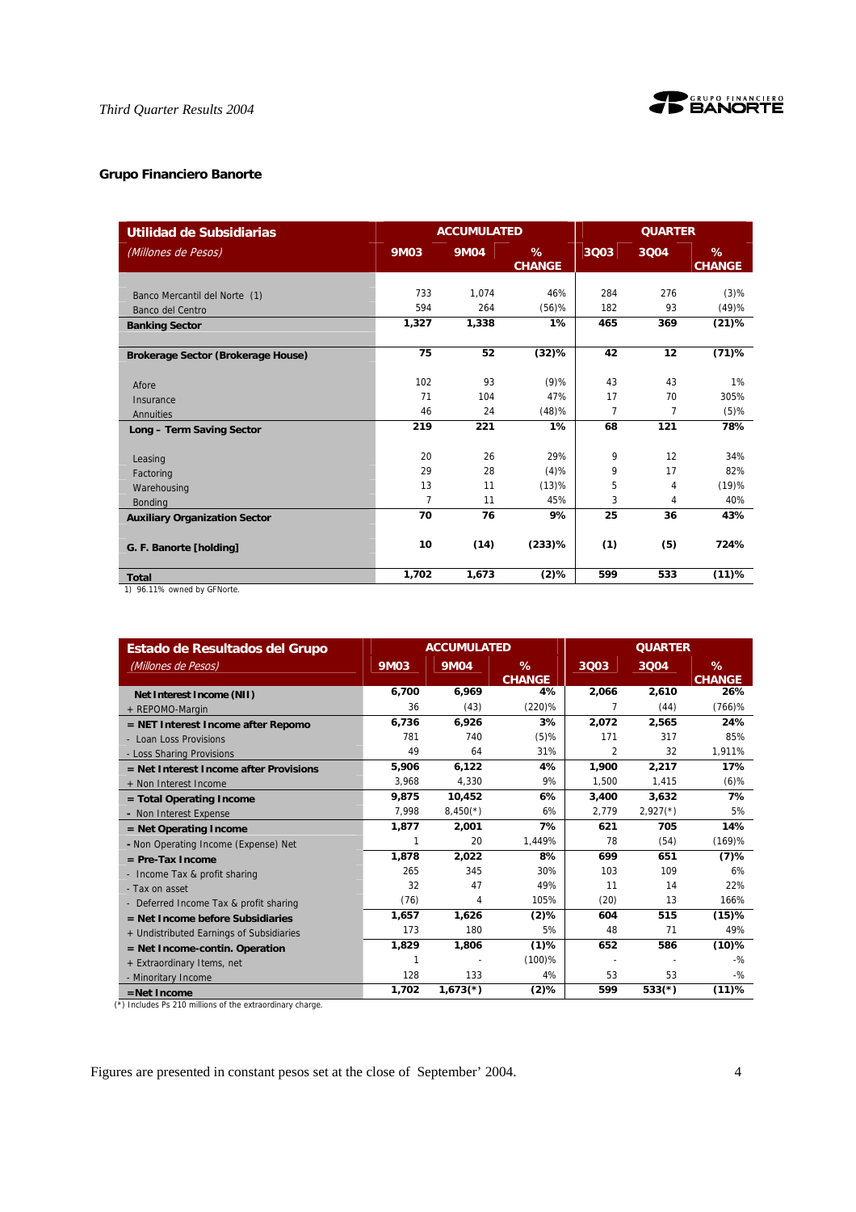

# **Grupo Financiero Banorte**

| Utilidad de Subsidiarias                                    |                                  | <b>ACCUMULATED</b>    |                             |                   | <b>QUARTER</b>     |                            |  |
|-------------------------------------------------------------|----------------------------------|-----------------------|-----------------------------|-------------------|--------------------|----------------------------|--|
| (Millones de Pesos)                                         | <b>9M03</b>                      | <b>9M04</b>           | %<br><b>CHANGE</b>          | 3Q03              | 3004               | %<br><b>CHANGE</b>         |  |
| Banco Mercantil del Norte (1)<br>Banco del Centro           | 733<br>594<br>1,327              | 1.074<br>264<br>1,338 | 46%<br>$(56)$ %<br>1%       | 284<br>182<br>465 | 276<br>93<br>369   | $(3)$ %<br>(49)%<br>(21)%  |  |
| <b>Banking Sector</b>                                       |                                  |                       |                             |                   |                    |                            |  |
| Brokerage Sector (Brokerage House)                          | 75                               | 52                    | (32)%                       | 42                | 12                 | $(71)$ %                   |  |
| Afore<br>Insurance<br>Annuities                             | 102<br>71<br>46                  | 93<br>104<br>24       | $(9)$ %<br>47%<br>(48)%     | 43<br>17<br>7     | 43<br>70<br>7      | 1%<br>305%<br>$(5)$ %      |  |
| Long - Term Saving Sector                                   | 219                              | 221                   | 1%                          | 68                | 121                | 78%                        |  |
| Leasing<br>Factoring<br>Warehousing<br><b>Bonding</b>       | 20<br>29<br>13<br>$\overline{7}$ | 26<br>28<br>11<br>11  | 29%<br>(4)%<br>(13)%<br>45% | 9<br>9<br>5<br>3  | 12<br>17<br>4<br>4 | 34%<br>82%<br>(19)%<br>40% |  |
| <b>Auxiliary Organization Sector</b>                        | 70                               | 76                    | 9%                          | 25                | 36                 | 43%                        |  |
| G. F. Banorte [holding]                                     | 10                               | (14)                  | $(233)$ %                   | (1)               | (5)                | 724%                       |  |
| <b>Total</b><br>$Q$ and $Q$ is a set of the contract of $Q$ | 1,702                            | 1,673                 | $(2)$ %                     | 599               | 533                | (11)%                      |  |

1) 96.11% owned by GFNorte.

| Estado de Resultados del Grupo           |             | <b>ACCUMULATED</b> |                       |       | <b>QUARTER</b> |                    |  |
|------------------------------------------|-------------|--------------------|-----------------------|-------|----------------|--------------------|--|
| (Millones de Pesos)                      | <b>9M03</b> | <b>9M04</b>        | $\%$<br><b>CHANGE</b> | 3Q03  | 3004           | %<br><b>CHANGE</b> |  |
| Net Interest Income (NII)                | 6,700       | 6,969              | 4%                    | 2,066 | 2,610          | 26%                |  |
| + REPOMO-Margin                          | 36          | (43)               | $(220)\%$             | 7     | (44)           | $(766)$ %          |  |
| = NET Interest Income after Repomo       | 6,736       | 6,926              | 3%                    | 2,072 | 2,565          | 24%                |  |
| - Loan Loss Provisions                   | 781         | 740                | $(5)$ %               | 171   | 317            | 85%                |  |
| - Loss Sharing Provisions                | 49          | 64                 | 31%                   | 2     | 32             | 1,911%             |  |
| $=$ Net Interest Income after Provisions | 5,906       | 6,122              | 4%                    | 1,900 | 2,217          | 17%                |  |
| + Non Interest Income                    | 3,968       | 4,330              | 9%                    | 1,500 | 1,415          | $(6)$ %            |  |
| = Total Operating Income                 | 9.875       | 10,452             | 6%                    | 3,400 | 3.632          | 7%                 |  |
| - Non Interest Expense                   | 7,998       | $8,450(*)$         | 6%                    | 2,779 | $2,927(*)$     | 5%                 |  |
| = Net Operating Income                   | 1,877       | 2,001              | 7%                    | 621   | 705            | 14%                |  |
| - Non Operating Income (Expense) Net     | 1           | 20                 | 1.449%                | 78    | (54)           | (169)%             |  |
| $=$ Pre-Tax Income                       | 1,878       | 2,022              | 8%                    | 699   | 651            | (7)%               |  |
| - Income Tax & profit sharing            | 265         | 345                | 30%                   | 103   | 109            | 6%                 |  |
| - Tax on asset                           | 32          | 47                 | 49%                   | 11    | 14             | 22%                |  |
| - Deferred Income Tax & profit sharing   | (76)        | 4                  | 105%                  | (20)  | 13             | 166%               |  |
| $=$ Net Income before Subsidiaries       | 1,657       | 1,626              | $(2)$ %               | 604   | 515            | (15)%              |  |
| + Undistributed Earnings of Subsidiaries | 173         | 180                | 5%                    | 48    | 71             | 49%                |  |
| $=$ Net Income-contin. Operation         | 1,829       | 1,806              | $(1)$ %               | 652   | 586            | $(10)\%$           |  |
| + Extraordinary Items, net               | 1           |                    | $(100)$ %             |       |                | $-9/2$             |  |
| - Minoritary Income                      | 128         | 133                | 4%                    | 53    | 53             | $-9/2$             |  |
| $=$ Net Income                           | 1,702       | $1,673(*)$         | $(2)$ %               | 599   | $533(*)$       | (11)%              |  |

(\*) Includes Ps 210 millions of the extraordinary charge.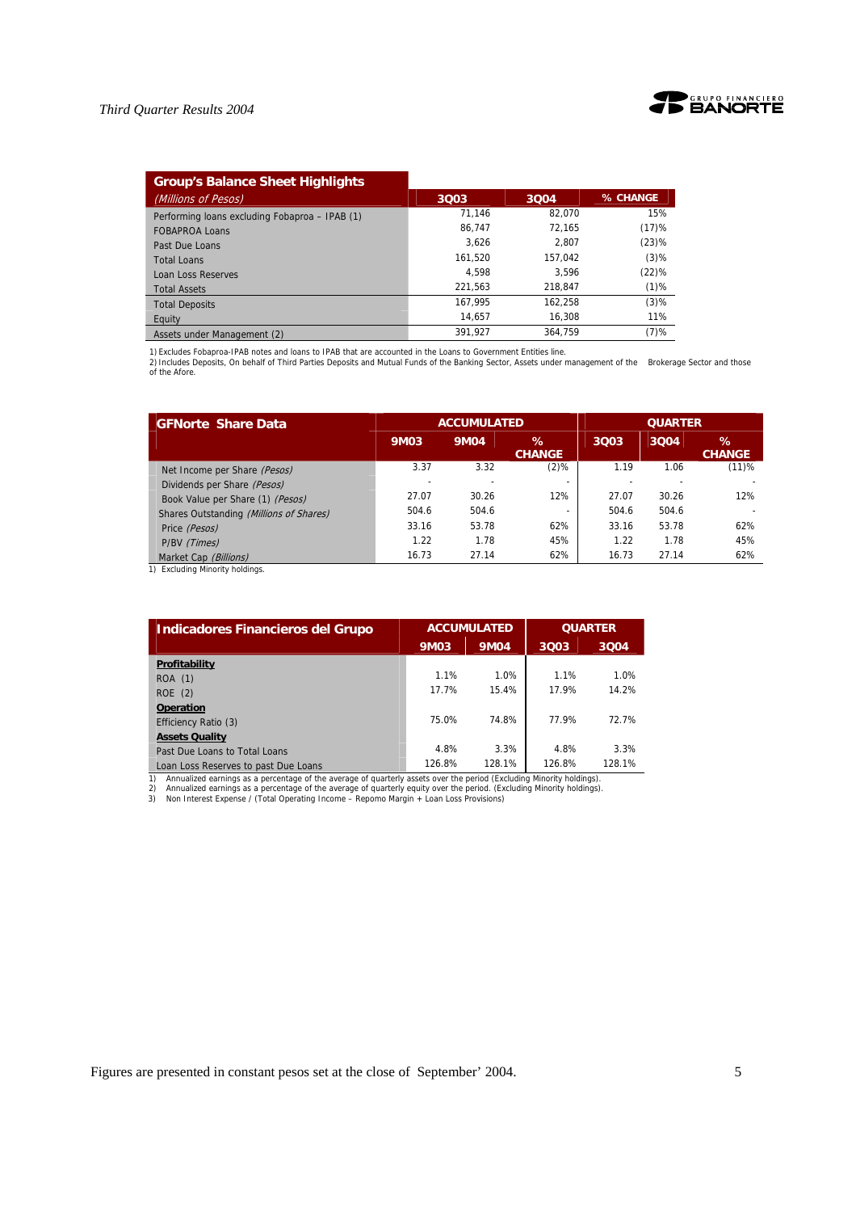

| <b>Group's Balance Sheet Highlights</b>        |         |         |          |
|------------------------------------------------|---------|---------|----------|
| (Millions of Pesos)                            | 3Q03    | 3004    | % CHANGE |
| Performing loans excluding Fobaproa - IPAB (1) | 71.146  | 82.070  | 15%      |
| <b>FOBAPROA Loans</b>                          | 86.747  | 72.165  | (17)%    |
| Past Due Loans                                 | 3.626   | 2.807   | (23)%    |
| <b>Total Loans</b>                             | 161.520 | 157.042 | $(3)$ %  |
| Loan Loss Reserves                             | 4.598   | 3.596   | (22)%    |
| <b>Total Assets</b>                            | 221.563 | 218.847 | $(1)$ %  |
| <b>Total Deposits</b>                          | 167,995 | 162.258 | $(3)$ %  |
| Equity                                         | 14.657  | 16.308  | 11%      |
| Assets under Management (2)                    | 391.927 | 364.759 | $(7)$ %  |

1) Excludes Fobaproa-IPAB notes and loans to IPAB that are accounted in the Loans to Government Entities line.<br>2) Includes Deposits, On behalf of Third Parties Deposits and Mutual Funds of the Banking Sector, Assets under

| <b>GFNorte Share Data</b>               |       | <b>ACCUMULATED</b> |                    | <b>QUARTER</b> |       |                    |  |
|-----------------------------------------|-------|--------------------|--------------------|----------------|-------|--------------------|--|
|                                         | 9M03  | <b>9M04</b>        | ℅<br><b>CHANGE</b> | 3Q03           | 3004  | ℅<br><b>CHANGE</b> |  |
| Net Income per Share (Pesos)            | 3.37  | 3.32               | $(2)$ %            | 1.19           | 1.06  | (11)%              |  |
| Dividends per Share (Pesos)             |       |                    |                    |                |       |                    |  |
| Book Value per Share (1) (Pesos)        | 27.07 | 30.26              | 12%                | 27.07          | 30.26 | 12%                |  |
| Shares Outstanding (Millions of Shares) | 504.6 | 504.6              |                    | 504.6          | 504.6 |                    |  |
| Price (Pesos)                           | 33.16 | 53.78              | 62%                | 33.16          | 53.78 | 62%                |  |
| P/BV (Times)                            | 1.22  | 1.78               | 45%                | 1.22           | 1.78  | 45%                |  |
| Market Cap (Billions)                   | 16.73 | 27.14              | 62%                | 16.73          | 27.14 | 62%                |  |

1) Excluding Minority holdings.

| <b>Indicadores Financieros del Grupo</b>                                                                                                                                                                                                                                                                                                                    |             | <b>ACCUMULATED</b> | <b>QUARTER</b> |        |  |
|-------------------------------------------------------------------------------------------------------------------------------------------------------------------------------------------------------------------------------------------------------------------------------------------------------------------------------------------------------------|-------------|--------------------|----------------|--------|--|
|                                                                                                                                                                                                                                                                                                                                                             | <b>9M03</b> | <b>9M04</b>        | 3003           | 3004   |  |
| Profitability                                                                                                                                                                                                                                                                                                                                               |             |                    |                |        |  |
| <b>ROA</b> (1)                                                                                                                                                                                                                                                                                                                                              | 1.1%        | 1.0%               | 1.1%           | 1.0%   |  |
| ROE(2)                                                                                                                                                                                                                                                                                                                                                      | 17.7%       | 15.4%              | 17.9%          | 14.2%  |  |
| <b>Operation</b>                                                                                                                                                                                                                                                                                                                                            |             |                    |                |        |  |
| Efficiency Ratio (3)                                                                                                                                                                                                                                                                                                                                        | 75.0%       | 74.8%              | 77.9%          | 72.7%  |  |
| <b>Assets Quality</b>                                                                                                                                                                                                                                                                                                                                       |             |                    |                |        |  |
| Past Due Loans to Total Loans                                                                                                                                                                                                                                                                                                                               | 4.8%        | 3.3%               | 4.8%           | 3.3%   |  |
| Loan Loss Reserves to past Due Loans                                                                                                                                                                                                                                                                                                                        | 126.8%      | 128.1%             | 126.8%         | 128.1% |  |
| Annualized earnings as a percentage of the average of quarterly assets over the period (Excluding Minority holdings).<br>1)<br>Annualized earnings as a percentage of the average of guarterly equity over the period. (Excluding Minority holdings).<br>2)<br>Non Interest Expense / (Total Operating Income - Repomo Margin + Loan Loss Provisions)<br>3) |             |                    |                |        |  |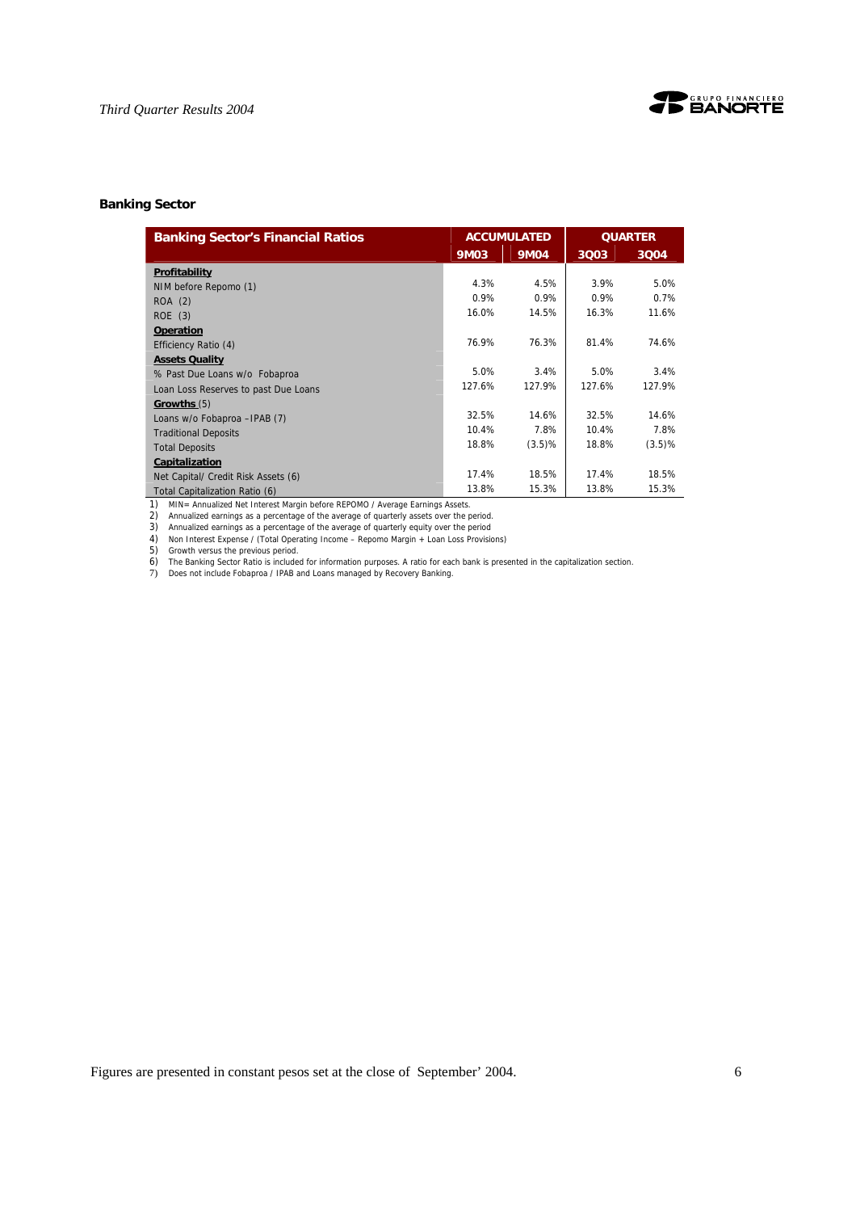

### **Banking Sector**

| <b>Banking Sector's Financial Ratios</b> |             | <b>ACCUMULATED</b> |        | <b>QUARTER</b> |
|------------------------------------------|-------------|--------------------|--------|----------------|
|                                          | <b>9M03</b> | 9M04               | 3Q03   | 3004           |
| Profitability                            |             |                    |        |                |
| NIM before Repomo (1)                    | 4.3%        | 4.5%               | 3.9%   | 5.0%           |
| ROA (2)                                  | 0.9%        | 0.9%               | 0.9%   | 0.7%           |
| ROE(3)                                   | 16.0%       | 14.5%              | 16.3%  | 11.6%          |
| <b>Operation</b>                         |             |                    |        |                |
| Efficiency Ratio (4)                     | 76.9%       | 76.3%              | 81.4%  | 74.6%          |
| <b>Assets Quality</b>                    |             |                    |        |                |
| % Past Due Loans w/o Fobaproa            | 5.0%        | 3.4%               | 5.0%   | 3.4%           |
| Loan Loss Reserves to past Due Loans     | 127.6%      | 127.9%             | 127.6% | 127.9%         |
| Growths (5)                              |             |                    |        |                |
| Loans w/o Fobaproa - IPAB (7)            | 32.5%       | 14.6%              | 32.5%  | 14.6%          |
| <b>Traditional Deposits</b>              | 10.4%       | 7.8%               | 10.4%  | 7.8%           |
| <b>Total Deposits</b>                    | 18.8%       | (3.5)%             | 18.8%  | (3.5)%         |
| Capitalization                           |             |                    |        |                |
| Net Capital/ Credit Risk Assets (6)      | 17.4%       | 18.5%              | 17.4%  | 18.5%          |
| Total Capitalization Ratio (6)           | 13.8%       | 15.3%              | 13.8%  | 15.3%          |

1) MIN= Annualized Net Interest Margin before REPOMO / Average Earnings Assets. 2) Annualized earnings as a percentage of the average of quarterly assets over the period.

3) Annualized earnings as a percentage of the average of quarterly equity over the period

4) Non Interest Expense / (Total Operating Income – Repomo Margin + Loan Loss Provisions)

5) Growth versus the previous period.

6) The Banking Sector Ratio is included for information purposes. A ratio for each bank is presented in the capitalization section. 7) Does not include Fobaproa / IPAB and Loans managed by Recovery Banking.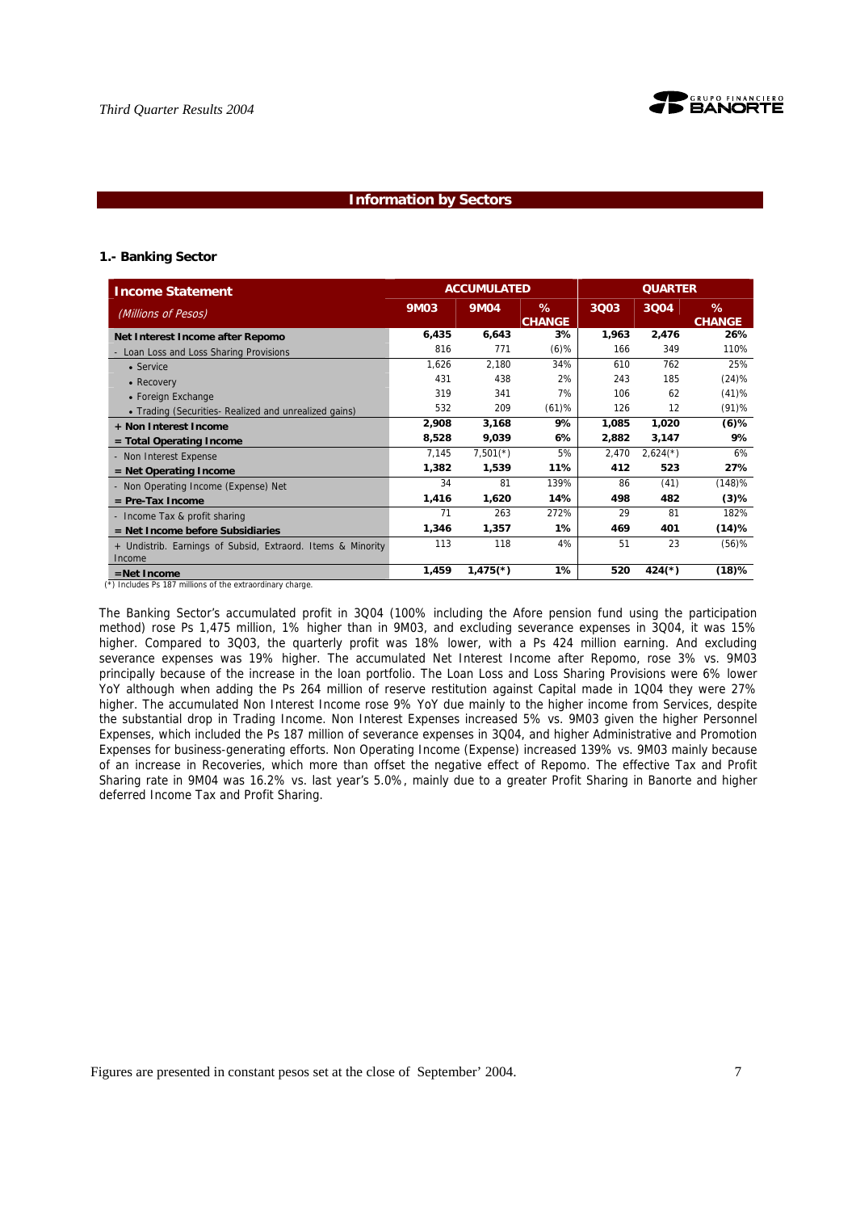

#### **Information by Sectors**

#### **1.- Banking Sector**

| <b>Income Statement</b>                                               |             | <b>ACCUMULATED</b>     |                    |       | <b>QUARTER</b> |                    |
|-----------------------------------------------------------------------|-------------|------------------------|--------------------|-------|----------------|--------------------|
| (Millions of Pesos)                                                   | <b>9M03</b> | <b>9M04</b>            | %<br><b>CHANGE</b> | 3Q03  | 3004           | %<br><b>CHANGE</b> |
| Net Interest Income after Repomo                                      | 6,435       | 6,643                  | 3%                 | 1,963 | 2,476          | 26%                |
| Loan Loss and Loss Sharing Provisions                                 | 816         | 771                    | $(6)$ %            | 166   | 349            | 110%               |
| • Service                                                             | 1,626       | 2.180                  | 34%                | 610   | 762            | 25%                |
| • Recovery                                                            | 431         | 438                    | 2%                 | 243   | 185            | (24)%              |
| • Foreign Exchange                                                    | 319         | 341                    | 7%                 | 106   | 62             | (41)%              |
| • Trading (Securities- Realized and unrealized gains)                 | 532         | 209                    | (61)%              | 126   | 12             | (91)%              |
| + Non Interest Income                                                 | 2,908       | 3,168                  | 9%                 | 1,085 | 1,020          | $(6)$ %            |
| $=$ Total Operating Income                                            | 8,528       | 9,039                  | 6%                 | 2,882 | 3,147          | 9%                 |
| - Non Interest Expense                                                | 7,145       | $7,501$ <sup>(*)</sup> | 5%                 | 2,470 | $2,624(*)$     | 6%                 |
| $=$ Net Operating Income                                              | 1,382       | 1,539                  | 11%                | 412   | 523            | 27%                |
| - Non Operating Income (Expense) Net                                  | 34          | 81                     | 139%               | 86    | (41)           | (148)%             |
| $=$ Pre-Tax Income                                                    | 1,416       | 1,620                  | 14%                | 498   | 482            | $(3)$ %            |
| - Income Tax & profit sharing                                         | 71          | 263                    | 272%               | 29    | 81             | 182%               |
| = Net Income before Subsidiaries                                      | 1,346       | 1,357                  | $1\%$              | 469   | 401            | (14)%              |
| + Undistrib. Earnings of Subsid, Extraord. Items & Minority<br>Income | 113         | 118                    | 4%                 | 51    | 23             | $(56)$ %           |
| $=$ Net Income                                                        | 1,459       | $1,475$ <sup>(*)</sup> | $1\%$              | 520   | $424(*)$       | $(18)$ %           |

 $(\bar{\cdot})$  Includes Ps 187 millions of the extraordinary charge.

The Banking Sector's accumulated profit in 3Q04 (100% including the Afore pension fund using the participation method) rose Ps 1,475 million, 1% higher than in 9M03, and excluding severance expenses in 3Q04, it was 15% higher. Compared to 3Q03, the quarterly profit was 18% lower, with a Ps 424 million earning. And excluding severance expenses was 19% higher. The accumulated Net Interest Income after Repomo, rose 3% vs. 9M03 principally because of the increase in the loan portfolio. The Loan Loss and Loss Sharing Provisions were 6% lower YoY although when adding the Ps 264 million of reserve restitution against Capital made in 1Q04 they were 27% higher. The accumulated Non Interest Income rose 9% YoY due mainly to the higher income from Services, despite the substantial drop in Trading Income. Non Interest Expenses increased 5% vs. 9M03 given the higher Personnel Expenses, which included the Ps 187 million of severance expenses in 3Q04, and higher Administrative and Promotion Expenses for business-generating efforts. Non Operating Income (Expense) increased 139% vs. 9M03 mainly because of an increase in Recoveries, which more than offset the negative effect of Repomo. The effective Tax and Profit Sharing rate in 9M04 was 16.2% vs. last year's 5.0%, mainly due to a greater Profit Sharing in Banorte and higher deferred Income Tax and Profit Sharing.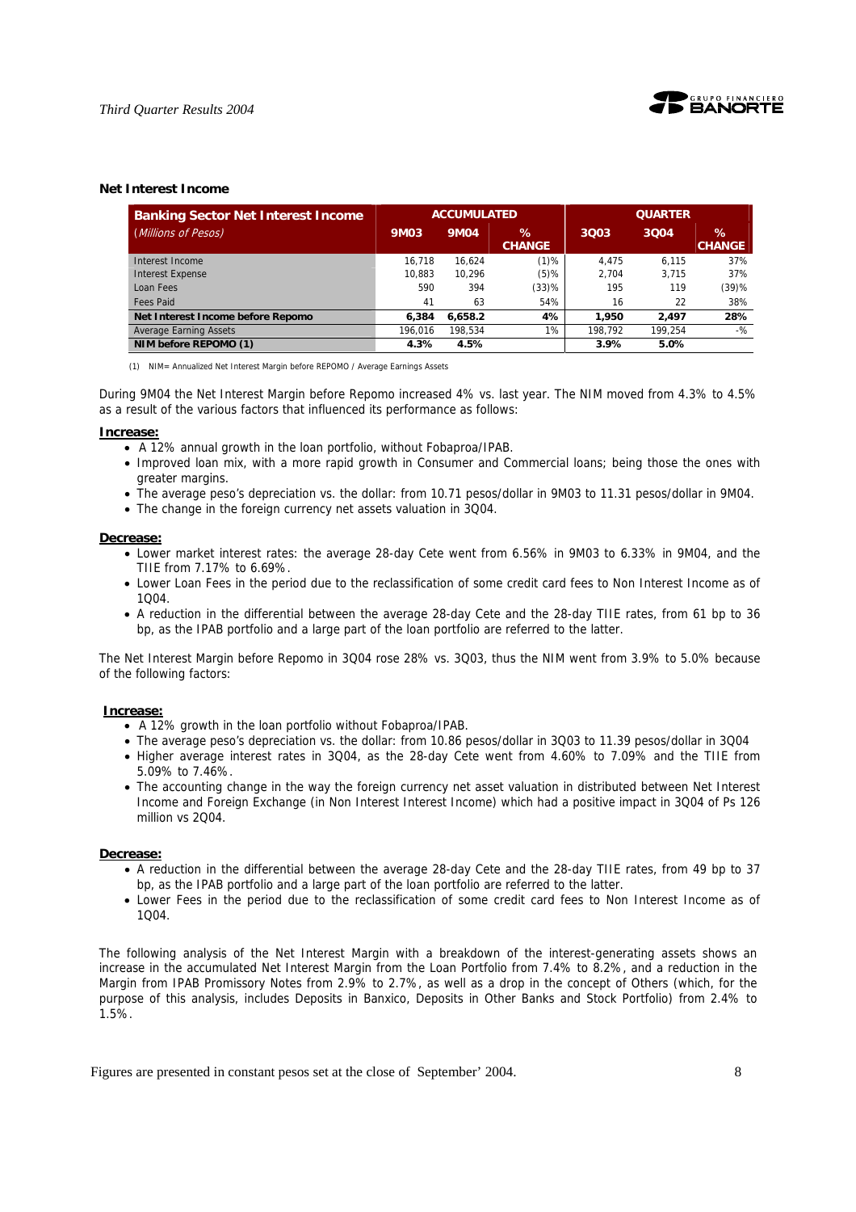

#### **Net Interest Income**

| <b>Banking Sector Net Interest Income</b> |         | <b>ACCUMULATED</b> |                    |         | <b>QUARTER</b> |                       |
|-------------------------------------------|---------|--------------------|--------------------|---------|----------------|-----------------------|
| (Millions of Pesos)                       | 9M03    | <b>9M04</b>        | ℅<br><b>CHANGE</b> | 3Q03    | 3004           | $\%$<br><b>CHANGE</b> |
| Interest Income                           | 16.718  | 16.624             | $(1)$ %            | 4.475   | 6.115          | 37%                   |
| <b>Interest Expense</b>                   | 10.883  | 10.296             | $(5)\%$            | 2.704   | 3.715          | 37%                   |
| Loan Fees                                 | 590     | 394                | (33)%              | 195     | 119            | (39)%                 |
| <b>Fees Paid</b>                          | 41      | 63                 | 54%                | 16      | 22             | 38%                   |
| Net Interest Income before Repomo         | 6.384   | 6.658.2            | 4%                 | 1.950   | 2.497          | 28%                   |
| <b>Average Earning Assets</b>             | 196.016 | 198.534            | $1\%$              | 198.792 | 199.254        | $-9/2$                |
| NIM before REPOMO (1)                     | 4.3%    | 4.5%               |                    | 3.9%    | 5.0%           |                       |

(1) NIM= Annualized Net Interest Margin before REPOMO / Average Earnings Assets

During 9M04 the Net Interest Margin before Repomo increased 4% vs. last year. The NIM moved from 4.3% to 4.5% as a result of the various factors that influenced its performance as follows:

#### **Increase:**

- A 12% annual growth in the loan portfolio, without Fobaproa/IPAB.
- Improved loan mix, with a more rapid growth in Consumer and Commercial loans; being those the ones with greater margins.
- The average peso's depreciation vs. the dollar: from 10.71 pesos/dollar in 9M03 to 11.31 pesos/dollar in 9M04.
- The change in the foreign currency net assets valuation in 3Q04.

#### **Decrease:**

- Lower market interest rates: the average 28-day Cete went from 6.56% in 9M03 to 6.33% in 9M04, and the TIIE from 7.17% to 6.69%.
- Lower Loan Fees in the period due to the reclassification of some credit card fees to Non Interest Income as of 1Q04.
- A reduction in the differential between the average 28-day Cete and the 28-day TIIE rates, from 61 bp to 36 bp, as the IPAB portfolio and a large part of the loan portfolio are referred to the latter.

The Net Interest Margin before Repomo in 3Q04 rose 28% vs. 3Q03, thus the NIM went from 3.9% to 5.0% because of the following factors:

#### **Increase:**

- A 12% growth in the loan portfolio without Fobaproa/IPAB.
- The average peso's depreciation vs. the dollar: from 10.86 pesos/dollar in 3Q03 to 11.39 pesos/dollar in 3Q04
- Higher average interest rates in 3Q04, as the 28-day Cete went from 4.60% to 7.09% and the TIIE from 5.09% to 7.46%.
- The accounting change in the way the foreign currency net asset valuation in distributed between Net Interest Income and Foreign Exchange (in Non Interest Interest Income) which had a positive impact in 3Q04 of Ps 126 million vs 2004.

#### **Decrease:**

- A reduction in the differential between the average 28-day Cete and the 28-day TIIE rates, from 49 bp to 37 bp, as the IPAB portfolio and a large part of the loan portfolio are referred to the latter.
- Lower Fees in the period due to the reclassification of some credit card fees to Non Interest Income as of 1Q04.

The following analysis of the Net Interest Margin with a breakdown of the interest-generating assets shows an increase in the accumulated Net Interest Margin from the Loan Portfolio from 7.4% to 8.2%, and a reduction in the Margin from IPAB Promissory Notes from 2.9% to 2.7%, as well as a drop in the concept of Others (which, for the purpose of this analysis, includes Deposits in Banxico, Deposits in Other Banks and Stock Portfolio) from 2.4% to 1.5%.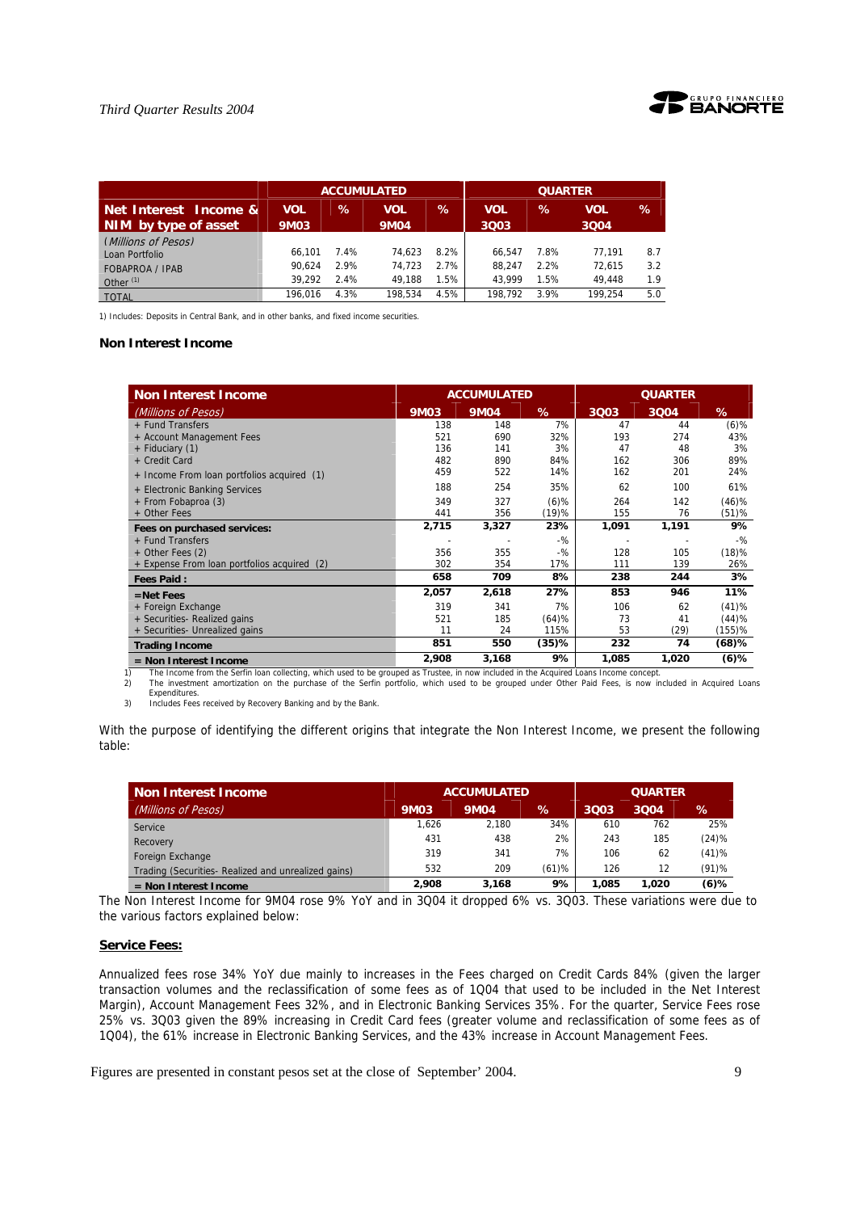

|                        |             |      | <b>ACCUMULATED</b> |      |            | <b>QUARTER</b> |         |     |
|------------------------|-------------|------|--------------------|------|------------|----------------|---------|-----|
| Net Interest Income &  | <b>VOL</b>  | $\%$ | VOL                | ℅    | <b>VOL</b> | $\%$           | VOL     | %   |
| NIM by type of asset   | <b>9M03</b> |      | <b>9M04</b>        |      | 3003       |                | 3004    |     |
| (Millions of Pesos)    |             |      |                    |      |            |                |         |     |
| Loan Portfolio         | 66.101      | 7.4% | 74.623             | 8.2% | 66.547     | 7.8%           | 77.191  | 8.7 |
| <b>FOBAPROA / IPAB</b> | 90.624      | 2.9% | 74.723             | 2.7% | 88.247     | 2.2%           | 72.615  | 3.2 |
| Other $(1)$            | 39.292      | 2.4% | 49.188             | 1.5% | 43.999     | 1.5%           | 49.448  | 1.9 |
| <b>TOTAL</b>           | 196.016     | 4.3% | 198.534            | 4.5% | 198.792    | 3.9%           | 199.254 | 5.0 |

1) Includes: Deposits in Central Bank, and in other banks, and fixed income securities.

#### **Non Interest Income**

| <b>Non Interest Income</b>                  |       | <b>ACCUMULATED</b> |          |       |       |         |
|---------------------------------------------|-------|--------------------|----------|-------|-------|---------|
| (Millions of Pesos)                         | 9M03  | <b>9M04</b>        | %        | 3Q03  | 3Q04  | %       |
| + Fund Transfers                            | 138   | 148                | 7%       | 47    | 44    | $(6)$ % |
| + Account Management Fees                   | 521   | 690                | 32%      | 193   | 274   | 43%     |
| + Fiduciary (1)                             | 136   | 141                | 3%       | 47    | 48    | 3%      |
| + Credit Card                               | 482   | 890                | 84%      | 162   | 306   | 89%     |
| + Income From loan portfolios acquired (1)  | 459   | 522                | 14%      | 162   | 201   | 24%     |
| + Electronic Banking Services               | 188   | 254                | 35%      | 62    | 100   | 61%     |
| + From Fobaproa (3)                         | 349   | 327                | $(6)$ %  | 264   | 142   | (46)%   |
| + Other Fees                                | 441   | 356                | (19)%    | 155   | 76    | (51)%   |
| Fees on purchased services:                 | 2,715 | 3,327              | 23%      | 1,091 | 1,191 | 9%      |
| + Fund Transfers                            |       |                    | $-$ %    |       |       | $-$ %   |
| $+$ Other Fees (2)                          | 356   | 355                | $-$ %    | 128   | 105   | (18)%   |
| + Expense From loan portfolios acquired (2) | 302   | 354                | 17%      | 111   | 139   | 26%     |
| <b>Fees Paid:</b>                           | 658   | 709                | 8%       | 238   | 244   | 3%      |
| $=$ Net Fees                                | 2,057 | 2,618              | 27%      | 853   | 946   | 11%     |
| + Foreign Exchange                          | 319   | 341                | 7%       | 106   | 62    | (41)%   |
| + Securities- Realized gains                | 521   | 185                | (64)%    | 73    | 41    | (44)%   |
| + Securities- Unrealized gains              | 11    | 24                 | 115%     | 53    | (29)  | (155)%  |
| <b>Trading Income</b>                       | 851   | 550                | $(35)$ % | 232   | 74    | (68)%   |
|                                             | 2,908 | 3,168              | 9%       | 1,085 | 1,020 | $(6)$ % |

Expenditures.

3) Includes Fees received by Recovery Banking and by the Bank.

With the purpose of identifying the different origins that integrate the Non Interest Income, we present the following table:

| <b>Non Interest Income</b>                         | <b>QUARTER</b><br><b>ACCUMULATED</b> |             |       |       |       |          |
|----------------------------------------------------|--------------------------------------|-------------|-------|-------|-------|----------|
| (Millions of Pesos)                                | <b>9M03</b>                          | <b>9M04</b> | %     | 3003  | 3004  | %        |
| Service                                            | 1,626                                | 2.180       | 34%   | 610   | 762   | 25%      |
| Recovery                                           | 431                                  | 438         | 2%    | 243   | 185   | (24)%    |
| Foreign Exchange                                   | 319                                  | 341         | 7%    | 106   | 62    | (41)%    |
| Trading (Securities-Realized and unrealized gains) | 532                                  | 209         | (61)% | 126   | 12    | $(91)$ % |
| $=$ Non Interest Income                            | 2.908                                | 3.168       | 9%    | 1.085 | 1.020 | $(6)$ %  |

The Non Interest Income for 9M04 rose 9% YoY and in 3Q04 it dropped 6% vs. 3Q03. These variations were due to the various factors explained below:

#### **Service Fees:**

Annualized fees rose 34% YoY due mainly to increases in the Fees charged on Credit Cards 84% (given the larger transaction volumes and the reclassification of some fees as of 1Q04 that used to be included in the Net Interest Margin), Account Management Fees 32%, and in Electronic Banking Services 35%. For the quarter, Service Fees rose 25% vs. 3Q03 given the 89% increasing in Credit Card fees (greater volume and reclassification of some fees as of 1Q04), the 61% increase in Electronic Banking Services, and the 43% increase in Account Management Fees.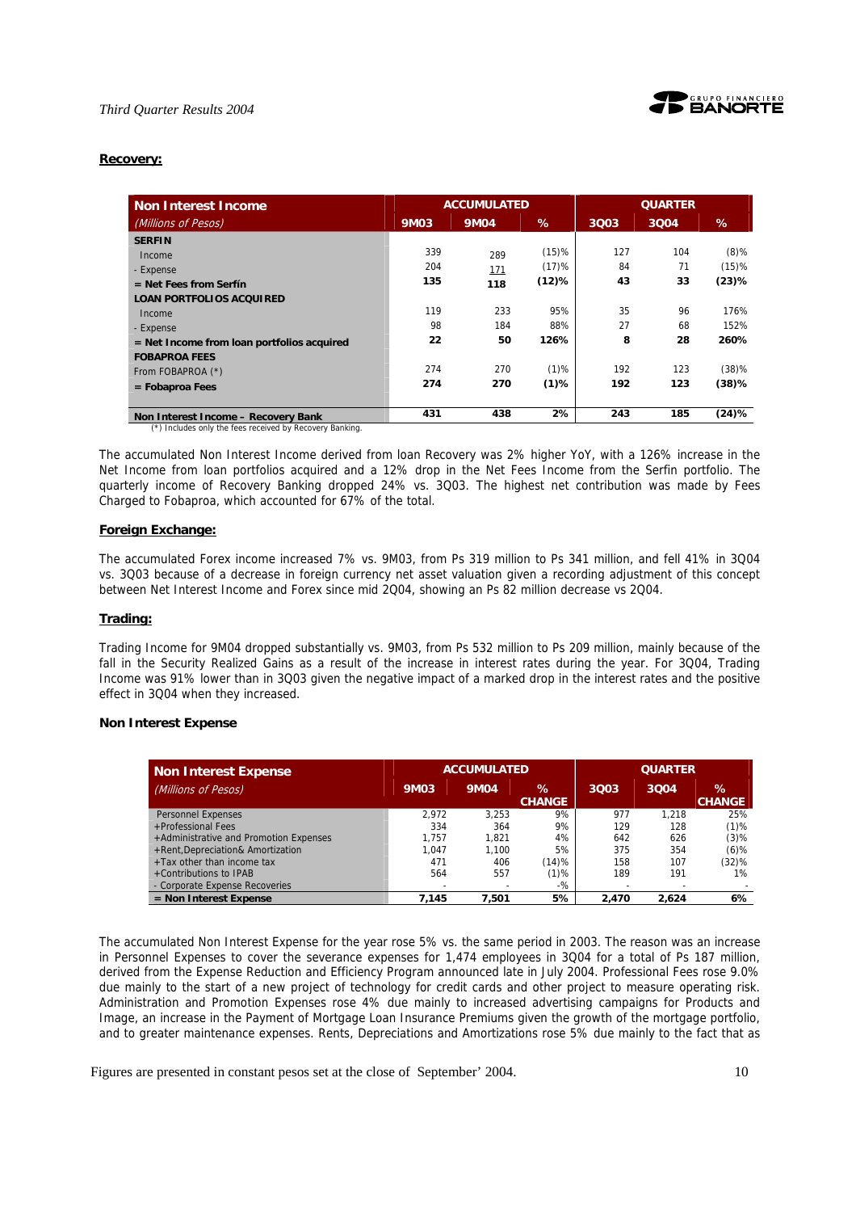

#### **Recovery:**

| <b>Non Interest Income</b>                   |             | <b>ACCUMULATED</b> |         |      | <b>QUARTER</b> |         |
|----------------------------------------------|-------------|--------------------|---------|------|----------------|---------|
| (Millions of Pesos)                          | <b>9M03</b> | <b>9M04</b>        | %       | 3Q03 | 3Q04           | %       |
| <b>SERFIN</b>                                |             |                    |         |      |                |         |
| Income                                       | 339         | 289                | (15)%   | 127  | 104            | $(8)$ % |
| - Expense                                    | 204         | 171                | (17)%   | 84   | 71             | (15)%   |
| $=$ Net Fees from Serfín                     | 135         | 118                | (12)%   | 43   | 33             | (23)%   |
| <b>LOAN PORTFOLIOS ACQUIRED</b>              |             |                    |         |      |                |         |
| Income                                       | 119         | 233                | 95%     | 35   | 96             | 176%    |
| - Expense                                    | 98          | 184                | 88%     | 27   | 68             | 152%    |
| $=$ Net Income from loan portfolios acquired | 22          | 50                 | 126%    | 8    | 28             | 260%    |
| <b>FOBAPROA FEES</b>                         |             |                    |         |      |                |         |
| From FOBAPROA (*)                            | 274         | 270                | $(1)$ % | 192  | 123            | (38)%   |
| $=$ Fobaproa Fees                            | 274         | 270                | $(1)$ % | 192  | 123            | (38)%   |
| Non Interest Income - Recovery Bank          | 431         | 438                | 2%      | 243  | 185            | (24)%   |

(\*) Includes only the fees received by Recovery Banking.

The accumulated Non Interest Income derived from loan Recovery was 2% higher YoY, with a 126% increase in the Net Income from loan portfolios acquired and a 12% drop in the Net Fees Income from the Serfin portfolio. The quarterly income of Recovery Banking dropped 24% vs. 3Q03. The highest net contribution was made by Fees Charged to Fobaproa, which accounted for 67% of the total.

#### **Foreign Exchange:**

The accumulated Forex income increased 7% vs. 9M03, from Ps 319 million to Ps 341 million, and fell 41% in 3Q04 vs. 3Q03 because of a decrease in foreign currency net asset valuation given a recording adjustment of this concept between Net Interest Income and Forex since mid 2Q04, showing an Ps 82 million decrease vs 2Q04.

#### **Trading:**

Trading Income for 9M04 dropped substantially vs. 9M03, from Ps 532 million to Ps 209 million, mainly because of the fall in the Security Realized Gains as a result of the increase in interest rates during the year. For 3Q04, Trading Income was 91% lower than in 3Q03 given the negative impact of a marked drop in the interest rates and the positive effect in 3Q04 when they increased.

#### **Non Interest Expense**

| <b>Non Interest Expense</b>            | <b>ACCUMULATED</b> |                          |                       | <b>QUARTER</b> |       |                       |
|----------------------------------------|--------------------|--------------------------|-----------------------|----------------|-------|-----------------------|
| (Millions of Pesos)                    | <b>9M03</b>        | <b>9M04</b>              | $\%$<br><b>CHANGE</b> | 3003           | 3004  | $\%$<br><b>CHANGE</b> |
| <b>Personnel Expenses</b>              | 2.972              | 3.253                    | 9%                    | 977            | 1.218 | 25%                   |
| +Professional Fees                     | 334                | 364                      | 9%                    | 129            | 128   | $(1)$ %               |
| +Administrative and Promotion Expenses | 1.757              | 1.821                    | 4%                    | 642            | 626   | $(3)$ %               |
| +Rent, Depreciation& Amortization      | 1.047              | 1.100                    | 5%                    | 375            | 354   | $(6)$ %               |
| $+$ Tax other than income tax          | 471                | 406                      | (14)%                 | 158            | 107   | (32)%                 |
| +Contributions to IPAB                 | 564                | 557                      | $(1)$ %               | 189            | 191   | 1%                    |
| - Corporate Expense Recoveries         |                    | $\overline{\phantom{0}}$ | $-$ %                 |                |       |                       |
| $=$ Non Interest Expense               | 7.145              | 7.501                    | 5%                    | 2.470          | 2.624 | 6%                    |

The accumulated Non Interest Expense for the year rose 5% vs. the same period in 2003. The reason was an increase in Personnel Expenses to cover the severance expenses for 1,474 employees in 3Q04 for a total of Ps 187 million, derived from the Expense Reduction and Efficiency Program announced late in July 2004. Professional Fees rose 9.0% due mainly to the start of a new project of technology for credit cards and other project to measure operating risk. Administration and Promotion Expenses rose 4% due mainly to increased advertising campaigns for Products and Image, an increase in the Payment of Mortgage Loan Insurance Premiums given the growth of the mortgage portfolio, and to greater maintenance expenses. Rents, Depreciations and Amortizations rose 5% due mainly to the fact that as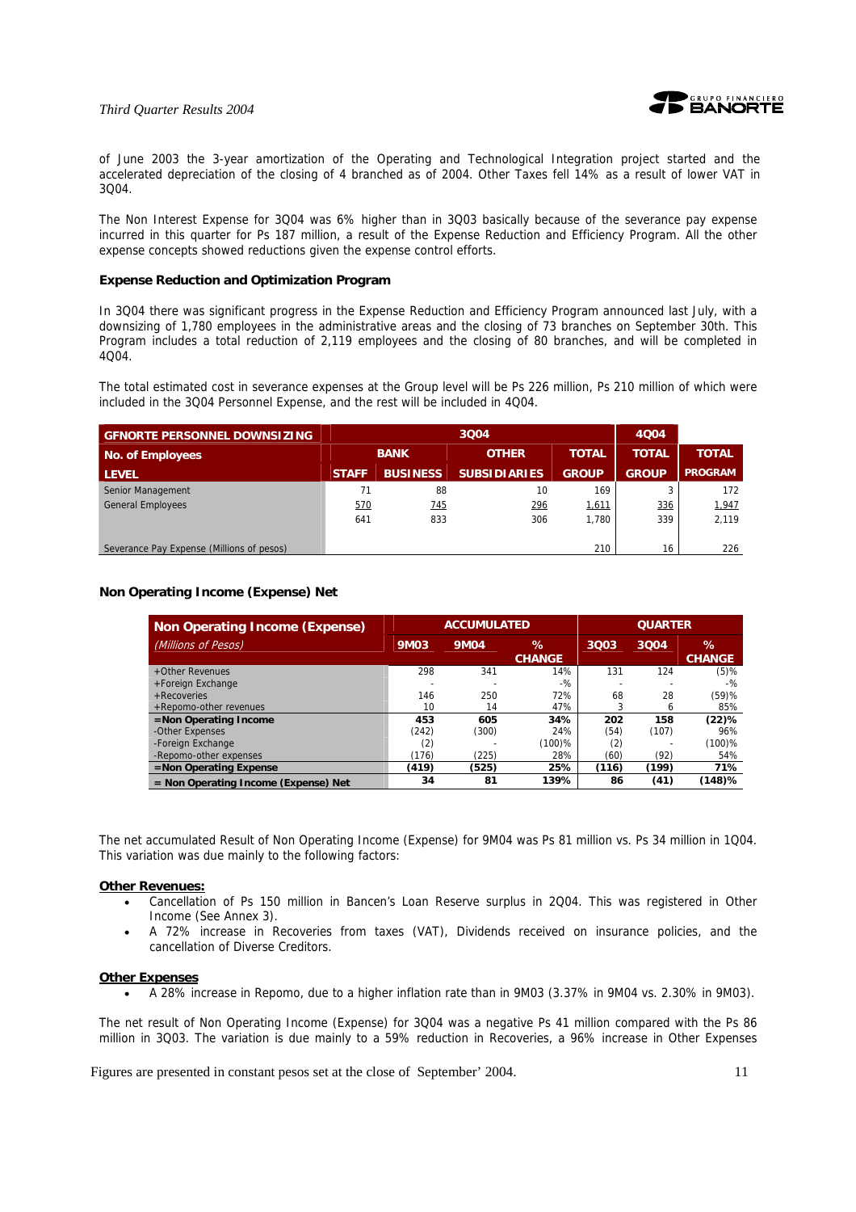

of June 2003 the 3-year amortization of the Operating and Technological Integration project started and the accelerated depreciation of the closing of 4 branched as of 2004. Other Taxes fell 14% as a result of lower VAT in 3Q04.

The Non Interest Expense for 3Q04 was 6% higher than in 3Q03 basically because of the severance pay expense incurred in this quarter for Ps 187 million, a result of the Expense Reduction and Efficiency Program. All the other expense concepts showed reductions given the expense control efforts.

#### **Expense Reduction and Optimization Program**

In 3Q04 there was significant progress in the Expense Reduction and Efficiency Program announced last July, with a downsizing of 1,780 employees in the administrative areas and the closing of 73 branches on September 30th. This Program includes a total reduction of 2,119 employees and the closing of 80 branches, and will be completed in 4Q04.

The total estimated cost in severance expenses at the Group level will be Ps 226 million, Ps 210 million of which were included in the 3Q04 Personnel Expense, and the rest will be included in 4Q04.

| <b>GENORTE PERSONNEL DOWNSIZING</b>       |              |                 | 4004                |              |              |                |              |              |
|-------------------------------------------|--------------|-----------------|---------------------|--------------|--------------|----------------|--------------|--------------|
| No. of Employees                          | <b>BANK</b>  |                 |                     |              | <b>OTHER</b> | <b>TOTAL</b>   | <b>TOTAL</b> | <b>TOTAL</b> |
| <b>LEVEL</b>                              | <b>STAFF</b> | <b>BUSINESS</b> | <b>SUBSIDIARIES</b> | <b>GROUP</b> | <b>GROUP</b> | <b>PROGRAM</b> |              |              |
| Senior Management                         | 71           | 88              | 10                  | 169          |              | 172            |              |              |
| <b>General Employees</b>                  | 570          | 745             | 296                 | 1,611        | 336          | 1,947          |              |              |
|                                           | 641          | 833             | 306                 | 1.780        | 339          | 2,119          |              |              |
|                                           |              |                 |                     |              |              |                |              |              |
| Severance Pay Expense (Millions of pesos) |              |                 |                     | 210          | 16           | 226            |              |              |

#### **Non Operating Income (Expense) Net**

| <b>Non Operating Income (Expense)</b>  | <b>ACCUMULATED</b> |             |                       | <b>QUARTER</b> |       |                    |
|----------------------------------------|--------------------|-------------|-----------------------|----------------|-------|--------------------|
| (Millions of Pesos)                    | 9M03               | <b>9M04</b> | $\%$<br><b>CHANGE</b> | 3Q03           | 3004  | ℅<br><b>CHANGE</b> |
| +Other Revenues                        | 298                | 341         | 14%                   | 131            | 124   | $(5)$ %            |
| +Foreign Exchange                      |                    |             | $-$ %                 |                |       | $-$ %              |
| $+$ Recoveries                         | 146                | 250         | 72%                   | 68             | 28    | (59)%              |
| +Repomo-other revenues                 | 10                 | 14          | 47%                   |                | 6     | 85%                |
| =Non Operating Income                  | 453                | 605         | 34%                   | 202            | 158   | (22)%              |
| -Other Expenses                        | (242)              | (300)       | 24%                   | (54)           | (107) | 96%                |
| -Foreign Exchange                      | (2)                |             | $(100)$ %             | (2)            |       | $(100)$ %          |
| -Repomo-other expenses                 | (176)              | (225)       | 28%                   | (60)           | (92)  | 54%                |
| =Non Operating Expense                 | (419)              | (525)       | 25%                   | (116)          | (199) | 71%                |
| $=$ Non Operating Income (Expense) Net | 34                 | 81          | 139%                  | 86             | (41)  | $(148)$ %          |

The net accumulated Result of Non Operating Income (Expense) for 9M04 was Ps 81 million vs. Ps 34 million in 1Q04. This variation was due mainly to the following factors:

#### **Other Revenues:**

- Cancellation of Ps 150 million in Bancen's Loan Reserve surplus in 2Q04. This was registered in Other Income (See Annex 3).
- A 72% increase in Recoveries from taxes (VAT), Dividends received on insurance policies, and the cancellation of Diverse Creditors.

#### **Other Expenses**

• A 28% increase in Repomo, due to a higher inflation rate than in 9M03 (3.37% in 9M04 vs. 2.30% in 9M03).

The net result of Non Operating Income (Expense) for 3Q04 was a negative Ps 41 million compared with the Ps 86 million in 3Q03. The variation is due mainly to a 59% reduction in Recoveries, a 96% increase in Other Expenses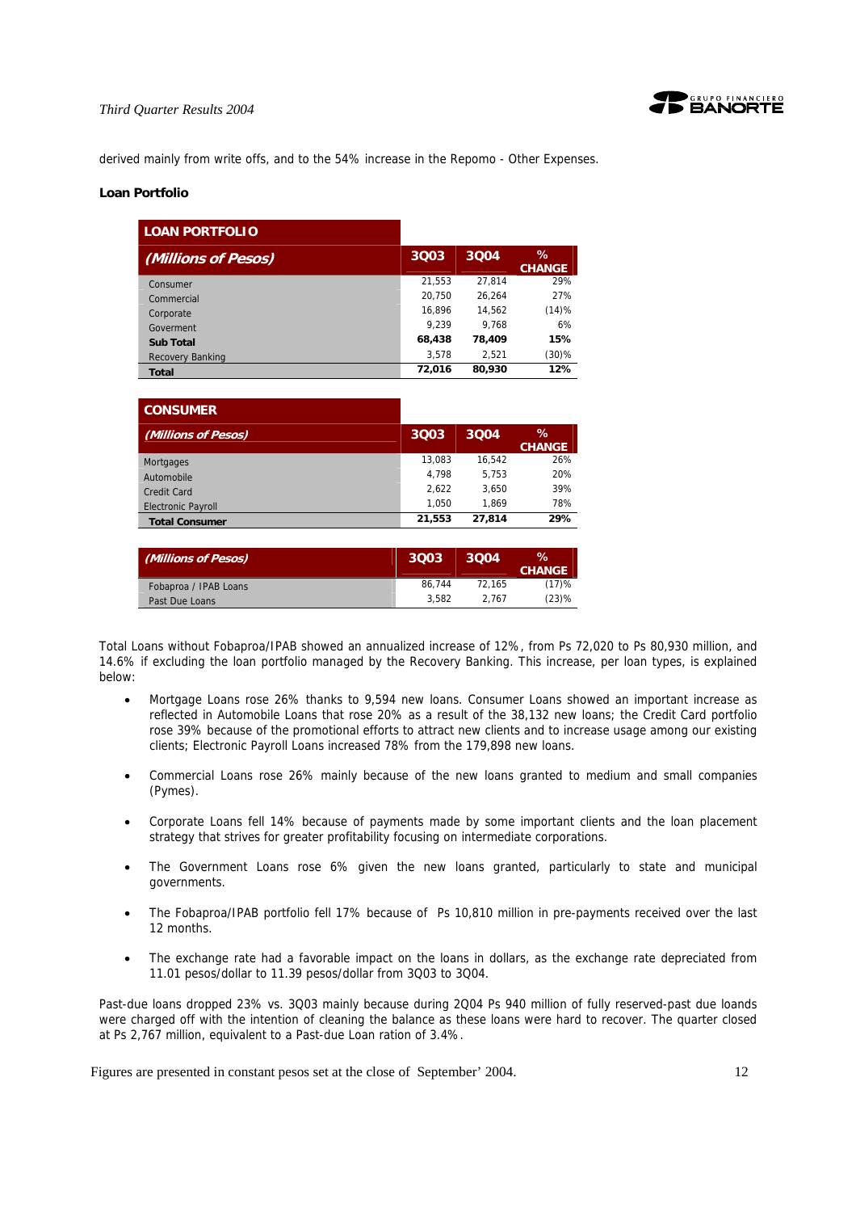

derived mainly from write offs, and to the 54% increase in the Repomo - Other Expenses.

#### **Loan Portfolio**

| <b>LOAN PORTFOLIO</b> |      |        |        |                       |
|-----------------------|------|--------|--------|-----------------------|
| (Millions of Pesos)   | 3003 |        | 3004   | $\%$<br><b>CHANGE</b> |
| Consumer              |      | 21,553 | 27.814 | 29%                   |
| Commercial            |      | 20,750 | 26.264 | 27%                   |
| Corporate             |      | 16.896 | 14.562 | (14)%                 |
| Goverment             |      | 9.239  | 9.768  | 6%                    |
| <b>Sub Total</b>      |      | 68,438 | 78,409 | 15%                   |
| Recovery Banking      |      | 3,578  | 2,521  | $(30)\%$              |
| <b>Total</b>          |      | 72,016 | 80,930 | 12%                   |

| <b>CONSUMER</b>           |        |        |                       |
|---------------------------|--------|--------|-----------------------|
| (Millions of Pesos)       | 3003   | 3004   | $\%$<br><b>CHANGE</b> |
| <b>Mortgages</b>          | 13.083 | 16.542 | 26%                   |
| Automobile                | 4.798  | 5.753  | 20%                   |
| Credit Card               | 2.622  | 3.650  | 39%                   |
| <b>Electronic Payroll</b> | 1.050  | 1.869  | 78%                   |
| <b>Total Consumer</b>     | 21.553 | 27.814 | 29%                   |

| (Millions of Pesos)   | 3003   | 3004   | ℅<br><b>CHANGE</b> |
|-----------------------|--------|--------|--------------------|
| Fobaproa / IPAB Loans | 86.744 | 72.165 | (17)%              |
| Past Due Loans        | 3.582  | 2.767  | (23)%              |

Total Loans without Fobaproa/IPAB showed an annualized increase of 12%, from Ps 72,020 to Ps 80,930 million, and 14.6% if excluding the loan portfolio managed by the Recovery Banking. This increase, per loan types, is explained below:

- Mortgage Loans rose 26% thanks to 9,594 new loans. Consumer Loans showed an important increase as reflected in Automobile Loans that rose 20% as a result of the 38,132 new loans; the Credit Card portfolio rose 39% because of the promotional efforts to attract new clients and to increase usage among our existing clients; Electronic Payroll Loans increased 78% from the 179,898 new loans.
- Commercial Loans rose 26% mainly because of the new loans granted to medium and small companies (Pymes).
- Corporate Loans fell 14% because of payments made by some important clients and the loan placement strategy that strives for greater profitability focusing on intermediate corporations.
- The Government Loans rose 6% given the new loans granted, particularly to state and municipal governments.
- The Fobaproa/IPAB portfolio fell 17% because of Ps 10,810 million in pre-payments received over the last 12 months.
- The exchange rate had a favorable impact on the loans in dollars, as the exchange rate depreciated from 11.01 pesos/dollar to 11.39 pesos/dollar from 3Q03 to 3Q04.

Past-due loans dropped 23% vs. 3Q03 mainly because during 2Q04 Ps 940 million of fully reserved-past due loands were charged off with the intention of cleaning the balance as these loans were hard to recover. The quarter closed at Ps 2,767 million, equivalent to a Past-due Loan ration of 3.4%.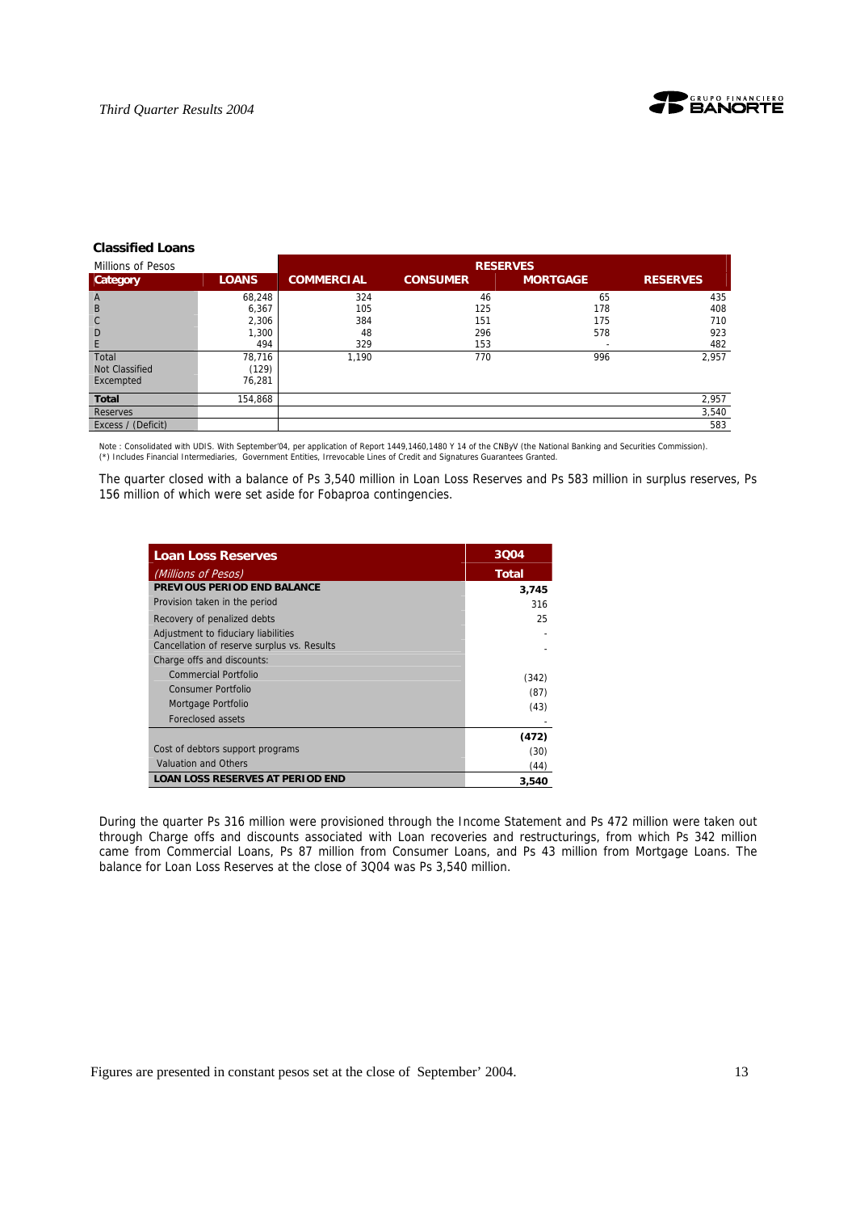

#### **Classified Loans**

| Millions of Pesos     |              | <b>RESERVES</b>   |                 |                 |                 |
|-----------------------|--------------|-------------------|-----------------|-----------------|-----------------|
| Category              | <b>LOANS</b> | <b>COMMERCIAL</b> | <b>CONSUMER</b> | <b>MORTGAGE</b> | <b>RESERVES</b> |
| $\overline{A}$        | 68,248       | 324               | 46              | 65              | 435             |
| B                     | 6,367        | 105               | 125             | 178             | 408             |
| $\mathsf{C}$          | 2,306        | 384               | 151             | 175             | 710             |
| D                     | 1,300        | 48                | 296             | 578             | 923             |
| E                     | 494          | 329               | 153             |                 | 482             |
| Total                 | 78,716       | 1,190             | 770             | 996             | 2,957           |
| <b>Not Classified</b> | (129)        |                   |                 |                 |                 |
| Excempted             | 76,281       |                   |                 |                 |                 |
| <b>Total</b>          | 154,868      |                   |                 |                 | 2,957           |
| <b>Reserves</b>       |              |                   |                 |                 | 3,540           |
| Excess / (Deficit)    |              |                   |                 |                 | 583             |

Note : Consolidated with UDIS. With September'04, per application of Report 1449,1460,1480 Y 14 of the CNByV (the National Banking and Securities Commission).<br>(\*) Includes Financial Intermediaries, Government Entities, Ir

The quarter closed with a balance of Ps 3,540 million in Loan Loss Reserves and Ps 583 million in surplus reserves, Ps 156 million of which were set aside for Fobaproa contingencies.

| <b>Loan Loss Reserves</b>                   | 3004  |
|---------------------------------------------|-------|
| (Millions of Pesos)                         | Total |
| PREVIOUS PERIOD END BALANCE                 | 3,745 |
| Provision taken in the period               | 316   |
| Recovery of penalized debts                 | 25    |
| Adjustment to fiduciary liabilities         |       |
| Cancellation of reserve surplus vs. Results |       |
| Charge offs and discounts:                  |       |
| Commercial Portfolio                        | (342) |
| Consumer Portfolio                          | (87)  |
| Mortgage Portfolio                          | (43)  |
| Foreclosed assets                           |       |
|                                             | (472) |
| Cost of debtors support programs            | (30)  |
| Valuation and Others                        | (44)  |
| <b>LOAN LOSS RESERVES AT PERIOD END</b>     | 3.540 |

During the quarter Ps 316 million were provisioned through the Income Statement and Ps 472 million were taken out through Charge offs and discounts associated with Loan recoveries and restructurings, from which Ps 342 million came from Commercial Loans, Ps 87 million from Consumer Loans, and Ps 43 million from Mortgage Loans. The balance for Loan Loss Reserves at the close of 3Q04 was Ps 3,540 million.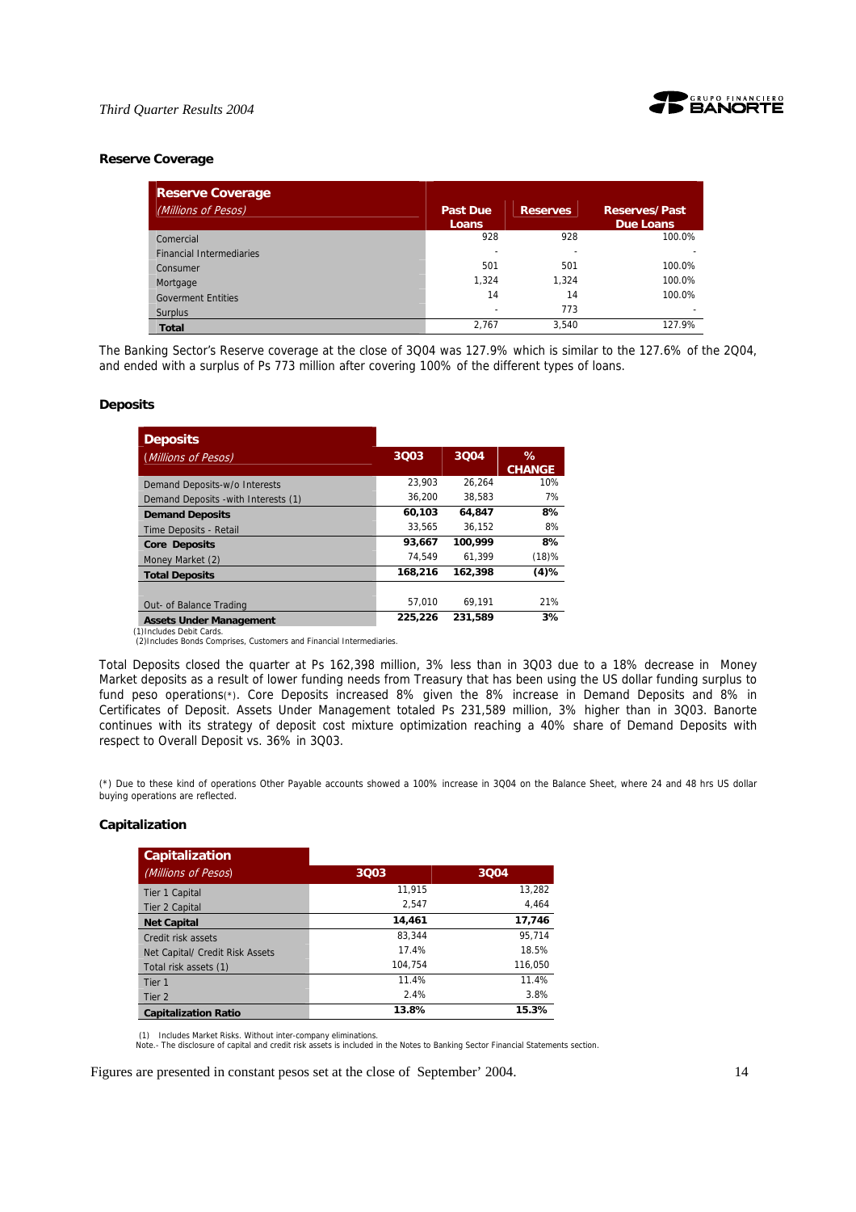

#### **Reserve Coverage**

| <b>Reserve Coverage</b>         |                                 |                 |                                   |
|---------------------------------|---------------------------------|-----------------|-----------------------------------|
| (Millions of Pesos)             | <b>Past Due</b><br><b>Loans</b> | <b>Reserves</b> | <b>Reserves/Past</b><br>Due Loans |
| Comercial                       | 928                             | 928             | 100.0%                            |
| <b>Financial Intermediaries</b> |                                 |                 |                                   |
| Consumer                        | 501                             | 501             | 100.0%                            |
| Mortgage                        | 1.324                           | 1.324           | 100.0%                            |
| <b>Goverment Entities</b>       | 14                              | 14              | 100.0%                            |
| Surplus                         |                                 | 773             |                                   |
| <b>Total</b>                    | 2.767                           | 3.540           | 127.9%                            |

The Banking Sector's Reserve coverage at the close of 3Q04 was 127.9% which is similar to the 127.6% of the 2Q04, and ended with a surplus of Ps 773 million after covering 100% of the different types of loans.

#### **Deposits**

| <b>Deposits</b>                      |         |         |               |
|--------------------------------------|---------|---------|---------------|
| (Millions of Pesos)                  | 3003    | 3004    | $\%$          |
|                                      |         |         | <b>CHANGE</b> |
| Demand Deposits-w/o Interests        | 23.903  | 26.264  | 10%           |
| Demand Deposits - with Interests (1) | 36.200  | 38.583  | 7%            |
| <b>Demand Deposits</b>               | 60,103  | 64.847  | 8%            |
| Time Deposits - Retail               | 33.565  | 36.152  | 8%            |
| <b>Core Deposits</b>                 | 93.667  | 100.999 | 8%            |
| Money Market (2)                     | 74.549  | 61.399  | (18)%         |
| <b>Total Deposits</b>                | 168,216 | 162,398 | (4)%          |
|                                      |         |         |               |
| Out- of Balance Trading              | 57.010  | 69.191  | 21%           |
| <b>Assets Under Management</b>       | 225,226 | 231,589 | 3%            |

(1)Includes Debit Cards.

(2)Includes Bonds Comprises, Customers and Financial Intermediaries.

Total Deposits closed the quarter at Ps 162,398 million, 3% less than in 3Q03 due to a 18% decrease in Money Market deposits as a result of lower funding needs from Treasury that has been using the US dollar funding surplus to fund peso operations(\*). Core Deposits increased 8% given the 8% increase in Demand Deposits and 8% in Certificates of Deposit. Assets Under Management totaled Ps 231,589 million, 3% higher than in 3Q03. Banorte continues with its strategy of deposit cost mixture optimization reaching a 40% share of Demand Deposits with respect to Overall Deposit vs. 36% in 3Q03.

(\*) Due to these kind of operations Other Payable accounts showed a 100% increase in 3Q04 on the Balance Sheet, where 24 and 48 hrs US dollar buying operations are reflected.

### **Capitalization**

| <b>Capitalization</b>           |         |         |
|---------------------------------|---------|---------|
| (Millions of Pesos)             | 3Q03    | 3004    |
| Tier 1 Capital                  | 11.915  | 13,282  |
| Tier 2 Capital                  | 2.547   | 4.464   |
| <b>Net Capital</b>              | 14.461  | 17,746  |
| Credit risk assets              | 83.344  | 95.714  |
| Net Capital/ Credit Risk Assets | 17.4%   | 18.5%   |
| Total risk assets (1)           | 104.754 | 116,050 |
| Tier 1                          | 11.4%   | 11.4%   |
| Tier 2                          | 2.4%    | 3.8%    |
| <b>Capitalization Ratio</b>     | 13.8%   | 15.3%   |

(1) Includes Market Risks. Without inter-company eliminations.

Note.- The disclosure of capital and credit risk assets is included in the Notes to Banking Sector Financial Statements section.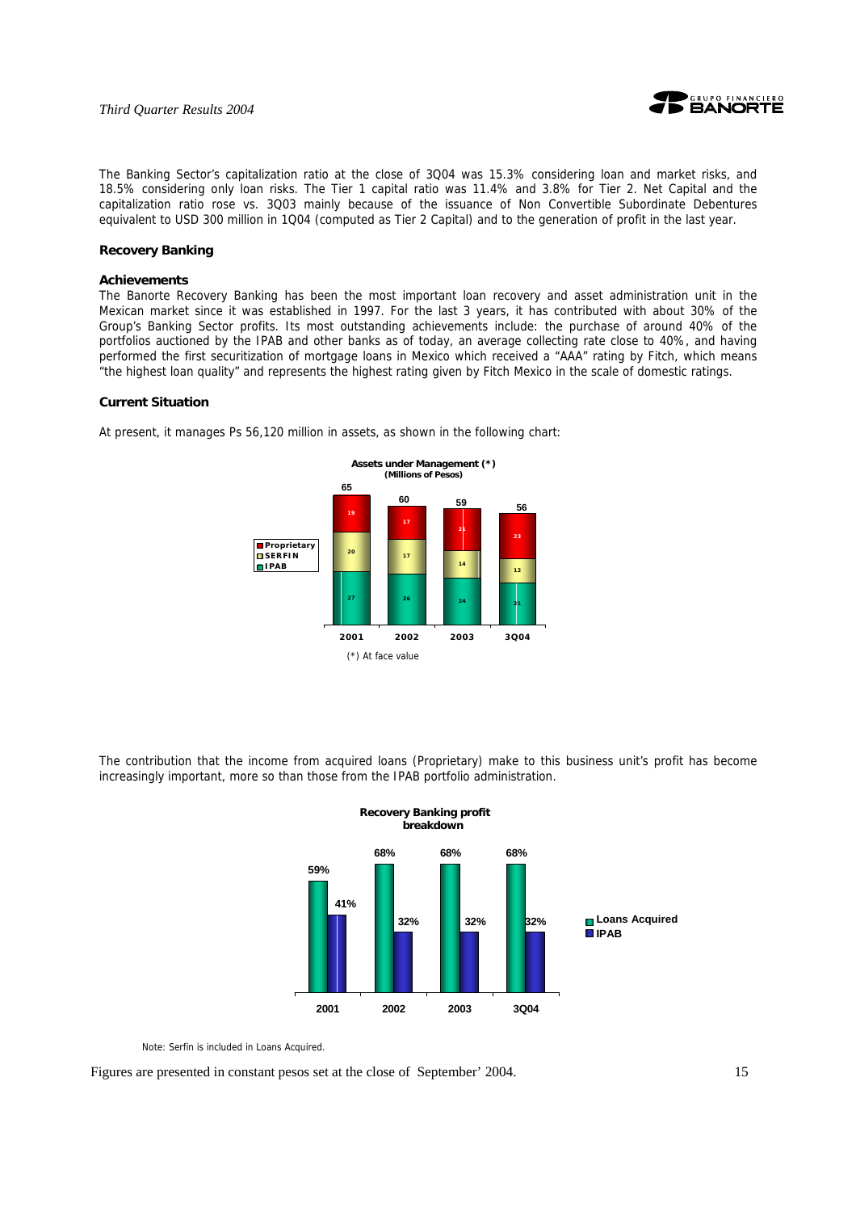

The Banking Sector's capitalization ratio at the close of 3Q04 was 15.3% considering loan and market risks, and 18.5% considering only loan risks. The Tier 1 capital ratio was 11.4% and 3.8% for Tier 2. Net Capital and the capitalization ratio rose vs. 3Q03 mainly because of the issuance of Non Convertible Subordinate Debentures equivalent to USD 300 million in 1Q04 (computed as Tier 2 Capital) and to the generation of profit in the last year.

#### **Recovery Banking**

#### **Achievements**

The Banorte Recovery Banking has been the most important loan recovery and asset administration unit in the Mexican market since it was established in 1997. For the last 3 years, it has contributed with about 30% of the Group's Banking Sector profits. Its most outstanding achievements include: the purchase of around 40% of the portfolios auctioned by the IPAB and other banks as of today, an average collecting rate close to 40%, and having performed the first securitization of mortgage loans in Mexico which received a "AAA" rating by Fitch, which means "the highest loan quality" and represents the highest rating given by Fitch Mexico in the scale of domestic ratings.

### **Current Situation**



At present, it manages Ps 56,120 million in assets, as shown in the following chart:

The contribution that the income from acquired loans (Proprietary) make to this business unit's profit has become increasingly important, more so than those from the IPAB portfolio administration.



Note: Serfin is included in Loans Acquired.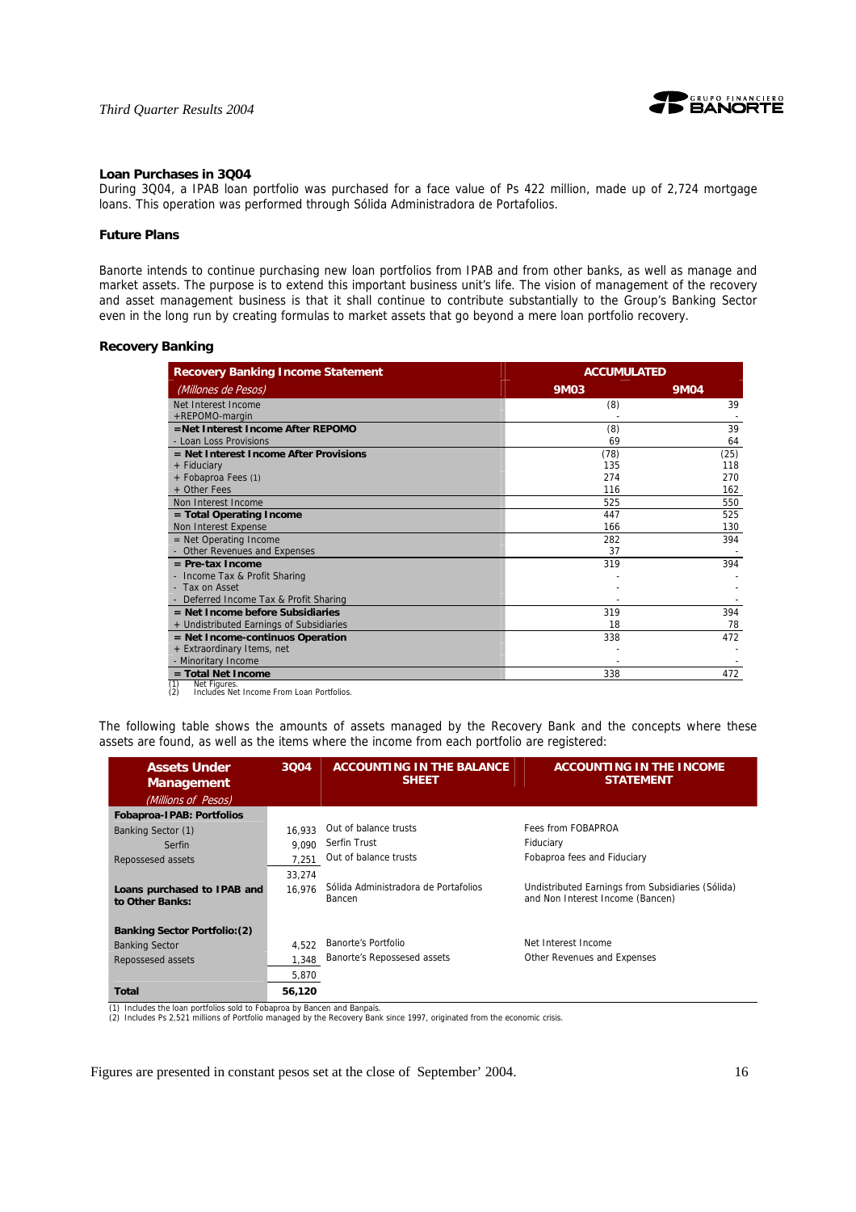



#### **Loan Purchases in 3Q04**

During 3Q04, a IPAB loan portfolio was purchased for a face value of Ps 422 million, made up of 2,724 mortgage loans. This operation was performed through Sólida Administradora de Portafolios.

#### **Future Plans**

Banorte intends to continue purchasing new loan portfolios from IPAB and from other banks, as well as manage and market assets. The purpose is to extend this important business unit's life. The vision of management of the recovery and asset management business is that it shall continue to contribute substantially to the Group's Banking Sector even in the long run by creating formulas to market assets that go beyond a mere loan portfolio recovery.

#### **Recovery Banking**

| <b>Recovery Banking Income Statement</b>   | <b>ACCUMULATED</b> |             |  |
|--------------------------------------------|--------------------|-------------|--|
| (Millones de Pesos)                        | <b>9M03</b>        | <b>9M04</b> |  |
| Net Interest Income                        | (8)                | 39          |  |
| +REPOMO-margin                             |                    |             |  |
| =Net Interest Income After REPOMO          | (8)                | 39          |  |
| - Loan Loss Provisions                     | 69                 | 64          |  |
| $=$ Net Interest Income After Provisions   | (78)               | (25)        |  |
| + Fiduciary                                | 135                | 118         |  |
| + Fobaproa Fees (1)                        | 274                | 270         |  |
| + Other Fees                               | 116                | 162         |  |
| Non Interest Income                        | 525                | 550         |  |
| = Total Operating Income                   | 447                | 525         |  |
| Non Interest Expense                       | 166                | 130         |  |
| $=$ Net Operating Income                   | 282                | 394         |  |
| Other Revenues and Expenses                | 37                 |             |  |
| $=$ Pre-tax Income                         | 319                | 394         |  |
| Income Tax & Profit Sharing                |                    |             |  |
| - Tax on Asset                             |                    |             |  |
| Deferred Income Tax & Profit Sharing       |                    |             |  |
| $=$ Net Income before Subsidiaries         | 319                | 394         |  |
| + Undistributed Earnings of Subsidiaries   | 18                 | 78          |  |
| $=$ Net Income-continuos Operation         | 338                | 472         |  |
| + Extraordinary Items, net                 |                    |             |  |
| - Minoritary Income                        |                    |             |  |
| $=$ Total Net Income<br>(1)<br>Net Figures | 338                | 472         |  |

(1) Net Figures. (2) Includes Net Income From Loan Portfolios.

The following table shows the amounts of assets managed by the Recovery Bank and the concepts where these assets are found, as well as the items where the income from each portfolio are registered:

| <b>Assets Under</b><br><b>Management</b>                                          | 3004   | <b>ACCOUNTING IN THE BALANCE</b><br><b>SHEET</b> | <b>ACCOUNTING IN THE INCOME</b><br><b>STATEMENT</b>                                   |
|-----------------------------------------------------------------------------------|--------|--------------------------------------------------|---------------------------------------------------------------------------------------|
| (Millions of Pesos)                                                               |        |                                                  |                                                                                       |
| <b>Fobaproa-IPAB: Portfolios</b>                                                  |        |                                                  |                                                                                       |
| Banking Sector (1)                                                                | 16.933 | Out of balance trusts                            | Fees from FOBAPROA                                                                    |
| Serfin                                                                            | 9.090  | Serfin Trust                                     | Fiduciary                                                                             |
| Repossesed assets                                                                 | 7.251  | Out of balance trusts                            | Fobaproa fees and Fiduciary                                                           |
|                                                                                   | 33,274 |                                                  |                                                                                       |
| Loans purchased to IPAB and<br>to Other Banks:                                    | 16.976 | Sólida Administradora de Portafolios<br>Bancen   | Undistributed Earnings from Subsidiaries (Sólida)<br>and Non Interest Income (Bancen) |
| <b>Banking Sector Portfolio: (2)</b>                                              |        |                                                  |                                                                                       |
| <b>Banking Sector</b>                                                             | 4.522  | <b>Banorte's Portfolio</b>                       | Net Interest Income                                                                   |
| Repossesed assets                                                                 | 1,348  | Banorte's Repossesed assets                      | Other Revenues and Expenses                                                           |
|                                                                                   | 5,870  |                                                  |                                                                                       |
| Total<br>(1) Includes the loss neutrilian said to February bu Danasa and Danasia. | 56,120 |                                                  |                                                                                       |

(1) Includes the loan portfolios sold to Fobaproa by Bancen and Banpaís. (2) Includes Ps 2,521 millions of Portfolio managed by the Recovery Bank since 1997, originated from the economic crisis.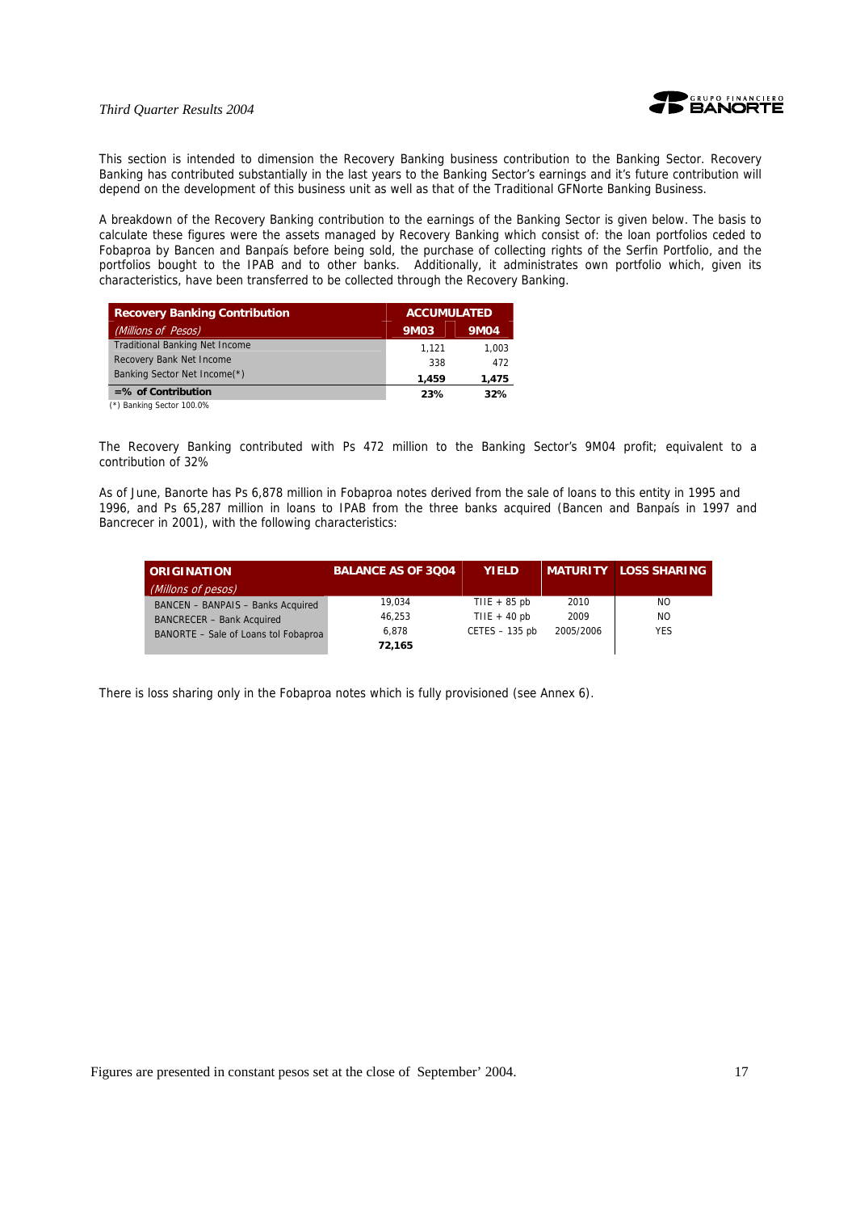



This section is intended to dimension the Recovery Banking business contribution to the Banking Sector. Recovery Banking has contributed substantially in the last years to the Banking Sector's earnings and it's future contribution will depend on the development of this business unit as well as that of the Traditional GFNorte Banking Business.

A breakdown of the Recovery Banking contribution to the earnings of the Banking Sector is given below. The basis to calculate these figures were the assets managed by Recovery Banking which consist of: the loan portfolios ceded to Fobaproa by Bancen and Banpaís before being sold, the purchase of collecting rights of the Serfin Portfolio, and the portfolios bought to the IPAB and to other banks. Additionally, it administrates own portfolio which, given its characteristics, have been transferred to be collected through the Recovery Banking.

| <b>Recovery Banking Contribution</b>  |       | <b>ACCUMULATED</b> |  |  |
|---------------------------------------|-------|--------------------|--|--|
| (Millions of Pesos)                   | 9M03  | <b>9M04</b>        |  |  |
| <b>Traditional Banking Net Income</b> | 1.121 | 1.003              |  |  |
| Recovery Bank Net Income              | 338   | 472                |  |  |
| Banking Sector Net Income(*)          | 1.459 | 1,475              |  |  |
| $=$ % of Contribution                 | 23%   | 32%                |  |  |
| $(4)$ B $-11 - 6 - 1 - 40000$         |       |                    |  |  |

(\*) Banking Sector 100.0%

The Recovery Banking contributed with Ps 472 million to the Banking Sector's 9M04 profit; equivalent to a contribution of 32%

As of June, Banorte has Ps 6,878 million in Fobaproa notes derived from the sale of loans to this entity in 1995 and 1996, and Ps 65,287 million in loans to IPAB from the three banks acquired (Bancen and Banpaís in 1997 and Bancrecer in 2001), with the following characteristics:

| <b>LORIGINATION</b>                  | <b>BALANCE AS OF 3004</b> | <b>YIELD</b>     |           | <b>MATURITY LOSS SHARING</b> |
|--------------------------------------|---------------------------|------------------|-----------|------------------------------|
| (Millons of pesos)                   |                           |                  |           |                              |
| BANCEN - BANPAIS - Banks Acquired    | 19.034                    | TIIE $+85$ pb    | 2010      | NO.                          |
| <b>BANCRECER - Bank Acquired</b>     | 46.253                    | TIIE + $40$ pb   | 2009      | NO.                          |
| BANORTE - Sale of Loans tol Fobaproa | 6.878                     | $CETES - 135$ pb | 2005/2006 | <b>YES</b>                   |
|                                      | 72.165                    |                  |           |                              |

There is loss sharing only in the Fobaproa notes which is fully provisioned (see Annex 6).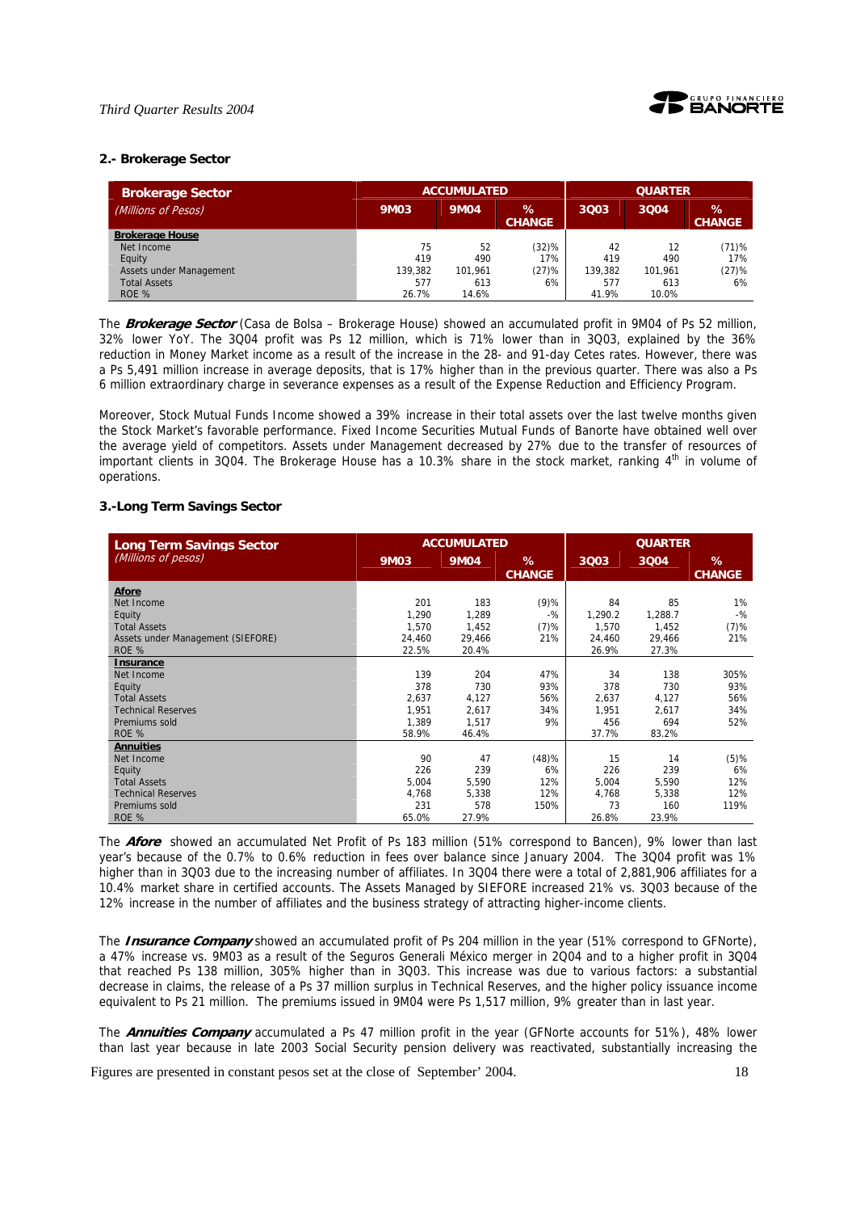

#### **2.- Brokerage Sector**

| <b>Brokerage Sector</b> |             | <b>ACCUMULATED</b> |                    |         | <b>QUARTER</b> |                       |  |
|-------------------------|-------------|--------------------|--------------------|---------|----------------|-----------------------|--|
| (Millions of Pesos)     | <b>9M03</b> | <b>9M04</b>        | %<br><b>CHANGE</b> | 3003    | 3004           | $\%$<br><b>CHANGE</b> |  |
| <b>Brokerage House</b>  |             |                    |                    |         |                |                       |  |
| Net Income              | 75          | 52                 | (32)%              | 42      | 12             | (71)%                 |  |
| Equity                  | 419         | 490                | 17%                | 419     | 490            | 17%                   |  |
| Assets under Management | 139,382     | 101.961            | (27)%              | 139,382 | 101.961        | (27)%                 |  |
| <b>Total Assets</b>     | 577         | 613                | 6%                 | 577     | 613            | 6%                    |  |
| ROE %                   | 26.7%       | 14.6%              |                    | 41.9%   | 10.0%          |                       |  |

The **Brokerage Sector** (Casa de Bolsa – Brokerage House) showed an accumulated profit in 9M04 of Ps 52 million, 32% lower YoY. The 3Q04 profit was Ps 12 million, which is 71% lower than in 3Q03, explained by the 36% reduction in Money Market income as a result of the increase in the 28- and 91-day Cetes rates. However, there was a Ps 5,491 million increase in average deposits, that is 17% higher than in the previous quarter. There was also a Ps 6 million extraordinary charge in severance expenses as a result of the Expense Reduction and Efficiency Program.

Moreover, Stock Mutual Funds Income showed a 39% increase in their total assets over the last twelve months given the Stock Market's favorable performance. Fixed Income Securities Mutual Funds of Banorte have obtained well over the average yield of competitors. Assets under Management decreased by 27% due to the transfer of resources of important clients in 3Q04. The Brokerage House has a 10.3% share in the stock market, ranking 4<sup>th</sup> in volume of operations.

#### **3.-Long Term Savings Sector**

| <b>Long Term Savings Sector</b>   |             | <b>ACCUMULATED</b> |                    | <b>QUARTER</b> |         |                    |
|-----------------------------------|-------------|--------------------|--------------------|----------------|---------|--------------------|
| (Millions of pesos)               | <b>9M03</b> | <b>9M04</b>        | %<br><b>CHANGE</b> | 3Q03           | 3004    | %<br><b>CHANGE</b> |
| Afore                             |             |                    |                    |                |         |                    |
| Net Income                        | 201         | 183                | $(9)$ %            | 84             | 85      | 1%                 |
| Equity                            | 1,290       | 1.289              | $-9/6$             | 1,290.2        | 1.288.7 | $-$ %              |
| <b>Total Assets</b>               | 1.570       | 1.452              | $(7)$ %            | 1.570          | 1.452   | $(7)$ %            |
| Assets under Management (SIEFORE) | 24,460      | 29,466             | 21%                | 24,460         | 29,466  | 21%                |
| ROE %                             | 22.5%       | 20.4%              |                    | 26.9%          | 27.3%   |                    |
| <b>Insurance</b>                  |             |                    |                    |                |         |                    |
| Net Income                        | 139         | 204                | 47%                | 34             | 138     | 305%               |
| Equity                            | 378         | 730                | 93%                | 378            | 730     | 93%                |
| <b>Total Assets</b>               | 2,637       | 4,127              | 56%                | 2,637          | 4,127   | 56%                |
| <b>Technical Reserves</b>         | 1,951       | 2,617              | 34%                | 1,951          | 2,617   | 34%                |
| Premiums sold                     | 1.389       | 1,517              | 9%                 | 456            | 694     | 52%                |
| ROE %                             | 58.9%       | 46.4%              |                    | 37.7%          | 83.2%   |                    |
| <b>Annuities</b>                  |             |                    |                    |                |         |                    |
| Net Income                        | 90          | 47                 | (48)%              | 15             | 14      | $(5)$ %            |
| Equity                            | 226         | 239                | 6%                 | 226            | 239     | 6%                 |
| <b>Total Assets</b>               | 5,004       | 5,590              | 12%                | 5,004          | 5,590   | 12%                |
| <b>Technical Reserves</b>         | 4,768       | 5,338              | 12%                | 4,768          | 5,338   | 12%                |
| Premiums sold                     | 231         | 578                | 150%               | 73             | 160     | 119%               |
| ROE %                             | 65.0%       | 27.9%              |                    | 26.8%          | 23.9%   |                    |

The **Afore** showed an accumulated Net Profit of Ps 183 million (51% correspond to Bancen), 9% lower than last year's because of the 0.7% to 0.6% reduction in fees over balance since January 2004. The 3Q04 profit was 1% higher than in 3Q03 due to the increasing number of affiliates. In 3Q04 there were a total of 2,881,906 affiliates for a 10.4% market share in certified accounts. The Assets Managed by SIEFORE increased 21% vs. 3Q03 because of the 12% increase in the number of affiliates and the business strategy of attracting higher-income clients.

The **Insurance Company** showed an accumulated profit of Ps 204 million in the year (51% correspond to GFNorte), a 47% increase vs. 9M03 as a result of the Seguros Generali México merger in 2Q04 and to a higher profit in 3Q04 that reached Ps 138 million, 305% higher than in 3Q03. This increase was due to various factors: a substantial decrease in claims, the release of a Ps 37 million surplus in Technical Reserves, and the higher policy issuance income equivalent to Ps 21 million. The premiums issued in 9M04 were Ps 1,517 million, 9% greater than in last year.

The **Annuities Company** accumulated a Ps 47 million profit in the year (GFNorte accounts for 51%), 48% lower than last year because in late 2003 Social Security pension delivery was reactivated, substantially increasing the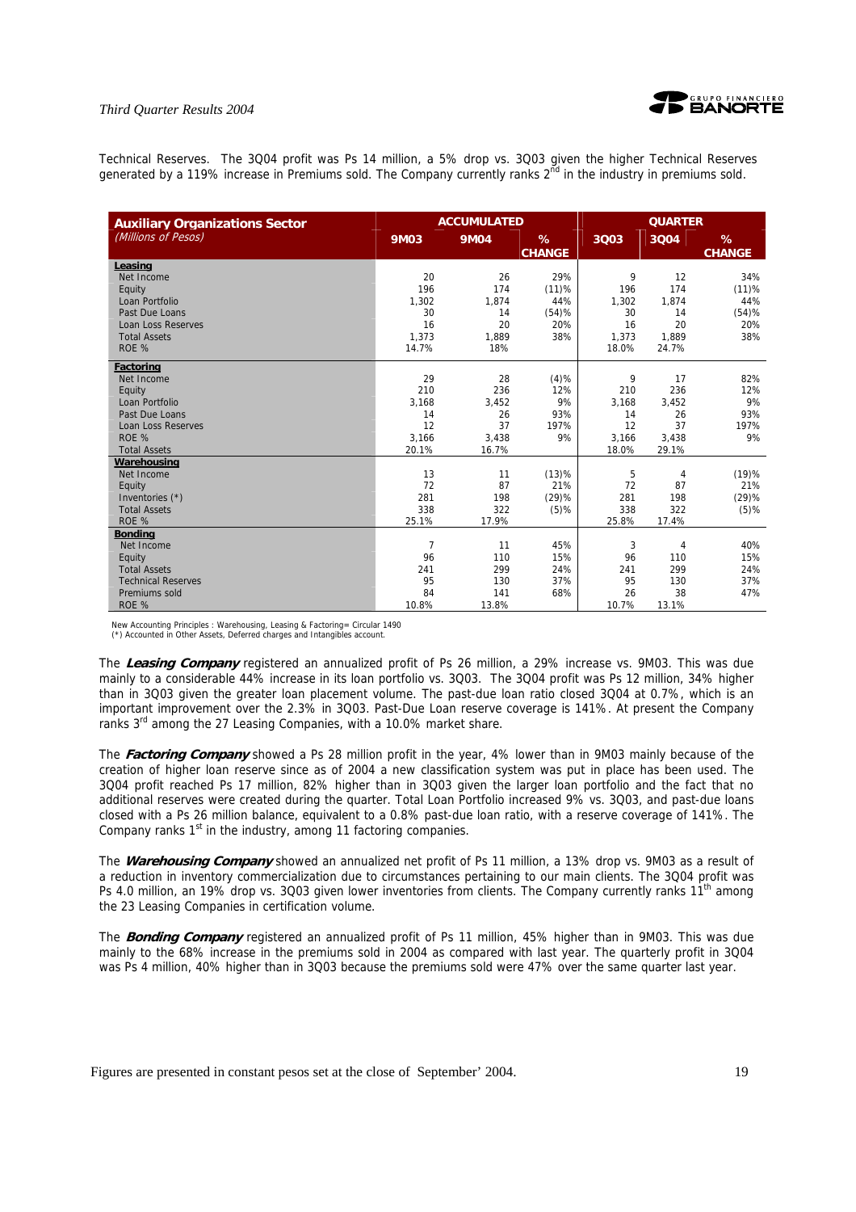

Technical Reserves. The 3Q04 profit was Ps 14 million, a 5% drop vs. 3Q03 given the higher Technical Reserves generated by a 119% increase in Premiums sold. The Company currently ranks  $2^{\bar{n}d}$  in the industry in premiums sold.

| <b>Auxiliary Organizations Sector</b> |                | <b>ACCUMULATED</b> |                    |       | <b>QUARTER</b> |                    |
|---------------------------------------|----------------|--------------------|--------------------|-------|----------------|--------------------|
| (Millions of Pesos)                   | <b>9M03</b>    | <b>9M04</b>        | %<br><b>CHANGE</b> | 3Q03  | 3Q04           | %<br><b>CHANGE</b> |
| Leasing                               |                |                    |                    |       |                |                    |
| Net Income                            | 20             | 26                 | 29%                | 9     | 12             | 34%                |
| Equity                                | 196            | 174                | (11)%              | 196   | 174            | (11)%              |
| Loan Portfolio                        | 1,302          | 1,874              | 44%                | 1,302 | 1,874          | 44%                |
| Past Due Loans                        | 30             | 14                 | (54)%              | 30    | 14             | (54)%              |
| <b>Loan Loss Reserves</b>             | 16             | 20                 | 20%                | 16    | 20             | 20%                |
| <b>Total Assets</b>                   | 1.373          | 1,889              | 38%                | 1.373 | 1,889          | 38%                |
| ROE %                                 | 14.7%          | 18%                |                    | 18.0% | 24.7%          |                    |
| <b>Factoring</b>                      |                |                    |                    |       |                |                    |
| Net Income                            | 29             | 28                 | (4)%               | 9     | 17             | 82%                |
| Equity                                | 210            | 236                | 12%                | 210   | 236            | 12%                |
| Loan Portfolio                        | 3,168          | 3,452              | 9%                 | 3,168 | 3,452          | 9%                 |
| Past Due Loans                        | 14             | 26                 | 93%                | 14    | 26             | 93%                |
| <b>Loan Loss Reserves</b>             | 12             | 37                 | 197%               | 12    | 37             | 197%               |
| ROE %                                 | 3.166          | 3.438              | 9%                 | 3,166 | 3.438          | 9%                 |
| <b>Total Assets</b>                   | 20.1%          | 16.7%              |                    | 18.0% | 29.1%          |                    |
| Warehousing                           |                |                    |                    |       |                |                    |
| Net Income                            | 13             | 11                 | (13)%              | 5     | 4              | (19)%              |
| Equity                                | 72             | 87                 | 21%                | 72    | 87             | 21%                |
| Inventories (*)                       | 281            | 198                | (29)%              | 281   | 198            | (29)%              |
| <b>Total Assets</b>                   | 338            | 322                | $(5)$ %            | 338   | 322            | $(5)$ %            |
| ROE %                                 | 25.1%          | 17.9%              |                    | 25.8% | 17.4%          |                    |
| <b>Bonding</b>                        |                |                    |                    |       |                |                    |
| Net Income                            | $\overline{7}$ | 11                 | 45%                | 3     | 4              | 40%                |
| Equity                                | 96             | 110                | 15%                | 96    | 110            | 15%                |
| <b>Total Assets</b>                   | 241            | 299                | 24%                | 241   | 299            | 24%                |
| <b>Technical Reserves</b>             | 95             | 130                | 37%                | 95    | 130            | 37%                |
| Premiums sold                         | 84             | 141                | 68%                | 26    | 38             | 47%                |
| ROE %                                 | 10.8%          | 13.8%              |                    | 10.7% | 13.1%          |                    |

New Accounting Principles : Warehousing, Leasing & Factoring= Circular 1490 (\*) Accounted in Other Assets, Deferred charges and Intangibles account.

The **Leasing Company** registered an annualized profit of Ps 26 million, a 29% increase vs. 9M03. This was due mainly to a considerable 44% increase in its loan portfolio vs. 3Q03. The 3Q04 profit was Ps 12 million, 34% higher than in 3Q03 given the greater loan placement volume. The past-due loan ratio closed 3Q04 at 0.7%, which is an important improvement over the 2.3% in 3Q03. Past-Due Loan reserve coverage is 141%. At present the Company ranks 3<sup>rd</sup> among the 27 Leasing Companies, with a 10.0% market share.

The **Factoring Company** showed a Ps 28 million profit in the year, 4% lower than in 9M03 mainly because of the creation of higher loan reserve since as of 2004 a new classification system was put in place has been used. The 3Q04 profit reached Ps 17 million, 82% higher than in 3Q03 given the larger loan portfolio and the fact that no additional reserves were created during the quarter. Total Loan Portfolio increased 9% vs. 3Q03, and past-due loans closed with a Ps 26 million balance, equivalent to a 0.8% past-due loan ratio, with a reserve coverage of 141%. The Company ranks 1<sup>st</sup> in the industry, among 11 factoring companies.

The **Warehousing Company** showed an annualized net profit of Ps 11 million, a 13% drop vs. 9M03 as a result of a reduction in inventory commercialization due to circumstances pertaining to our main clients. The 3Q04 profit was Ps 4.0 million, an 19% drop vs. 3Q03 given lower inventories from clients. The Company currently ranks 11<sup>th</sup> among the 23 Leasing Companies in certification volume.

The **Bonding Company** registered an annualized profit of Ps 11 million, 45% higher than in 9M03. This was due mainly to the 68% increase in the premiums sold in 2004 as compared with last year. The quarterly profit in 3Q04 was Ps 4 million, 40% higher than in 3Q03 because the premiums sold were 47% over the same quarter last year.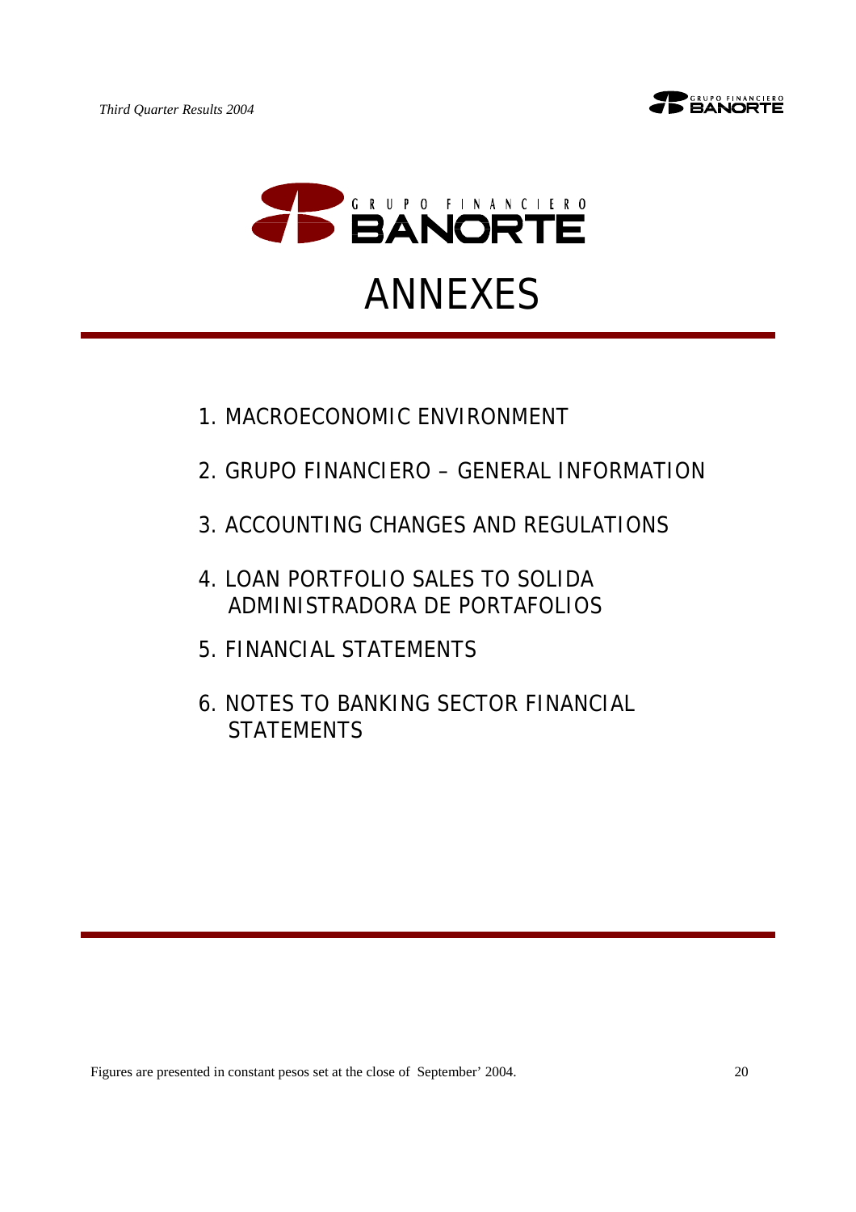



- 1.MACROECONOMIC ENVIRONMENT
- 2.GRUPO FINANCIERO GENERAL INFORMATION
- 3.ACCOUNTING CHANGES AND REGULATIONS
- 4.LOAN PORTFOLIO SALES TO SOLIDA ADMINISTRADORA DE PORTAFOLIOS
- 5.FINANCIAL STATEMENTS
- 6.NOTES TO BANKING SECTOR FINANCIAL **STATEMENTS**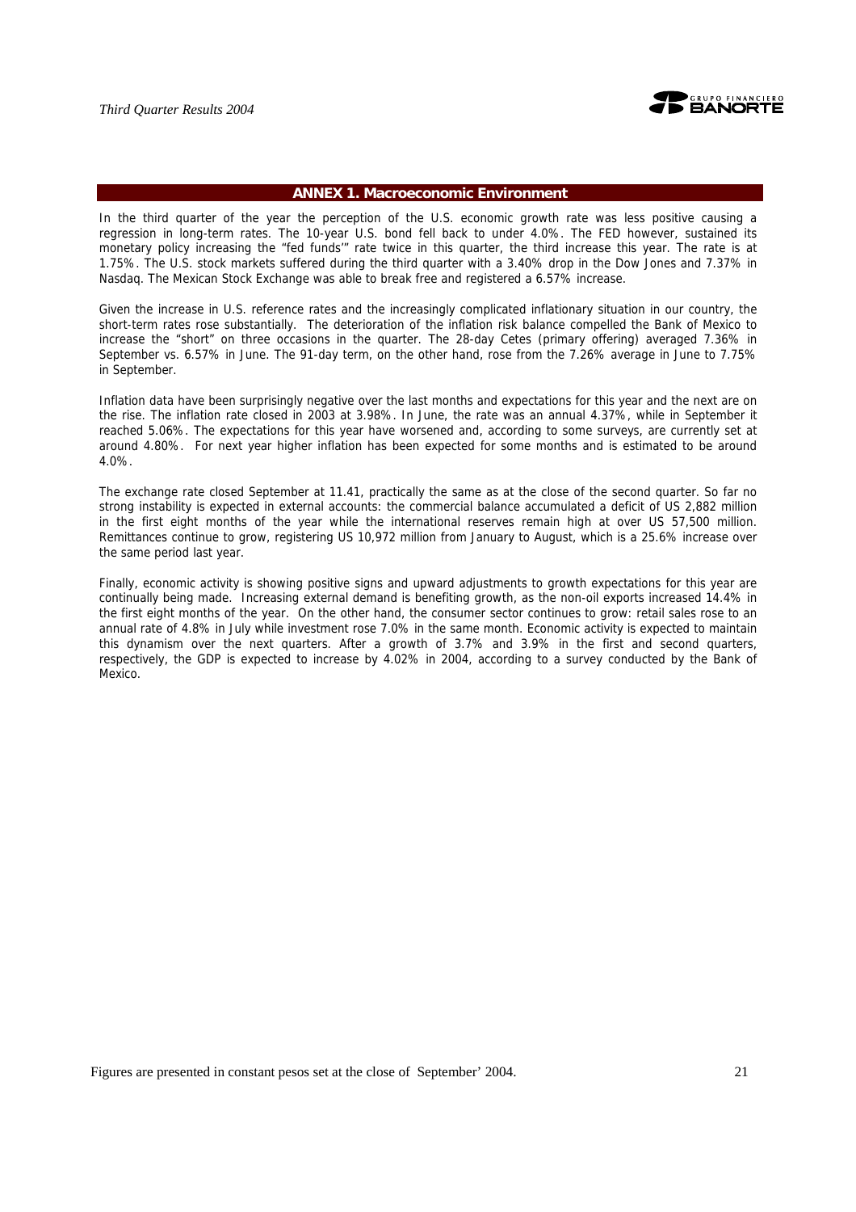

#### **ANNEX 1. Macroeconomic Environment**

In the third quarter of the year the perception of the U.S. economic growth rate was less positive causing a regression in long-term rates. The 10-year U.S. bond fell back to under 4.0%. The FED however, sustained its monetary policy increasing the "fed funds'" rate twice in this quarter, the third increase this year. The rate is at 1.75%. The U.S. stock markets suffered during the third quarter with a 3.40% drop in the Dow Jones and 7.37% in Nasdaq. The Mexican Stock Exchange was able to break free and registered a 6.57% increase.

Given the increase in U.S. reference rates and the increasingly complicated inflationary situation in our country, the short-term rates rose substantially. The deterioration of the inflation risk balance compelled the Bank of Mexico to increase the "short" on three occasions in the quarter. The 28-day Cetes (primary offering) averaged 7.36% in September vs. 6.57% in June. The 91-day term, on the other hand, rose from the 7.26% average in June to 7.75% in September.

Inflation data have been surprisingly negative over the last months and expectations for this year and the next are on the rise. The inflation rate closed in 2003 at 3.98%. In June, the rate was an annual 4.37%, while in September it reached 5.06%. The expectations for this year have worsened and, according to some surveys, are currently set at around 4.80%. For next year higher inflation has been expected for some months and is estimated to be around 4.0%.

The exchange rate closed September at 11.41, practically the same as at the close of the second quarter. So far no strong instability is expected in external accounts: the commercial balance accumulated a deficit of US 2,882 million in the first eight months of the year while the international reserves remain high at over US 57,500 million. Remittances continue to grow, registering US 10,972 million from January to August, which is a 25.6% increase over the same period last year.

Finally, economic activity is showing positive signs and upward adjustments to growth expectations for this year are continually being made. Increasing external demand is benefiting growth, as the non-oil exports increased 14.4% in the first eight months of the year. On the other hand, the consumer sector continues to grow: retail sales rose to an annual rate of 4.8% in July while investment rose 7.0% in the same month. Economic activity is expected to maintain this dynamism over the next quarters. After a growth of 3.7% and 3.9% in the first and second quarters, respectively, the GDP is expected to increase by 4.02% in 2004, according to a survey conducted by the Bank of Mexico.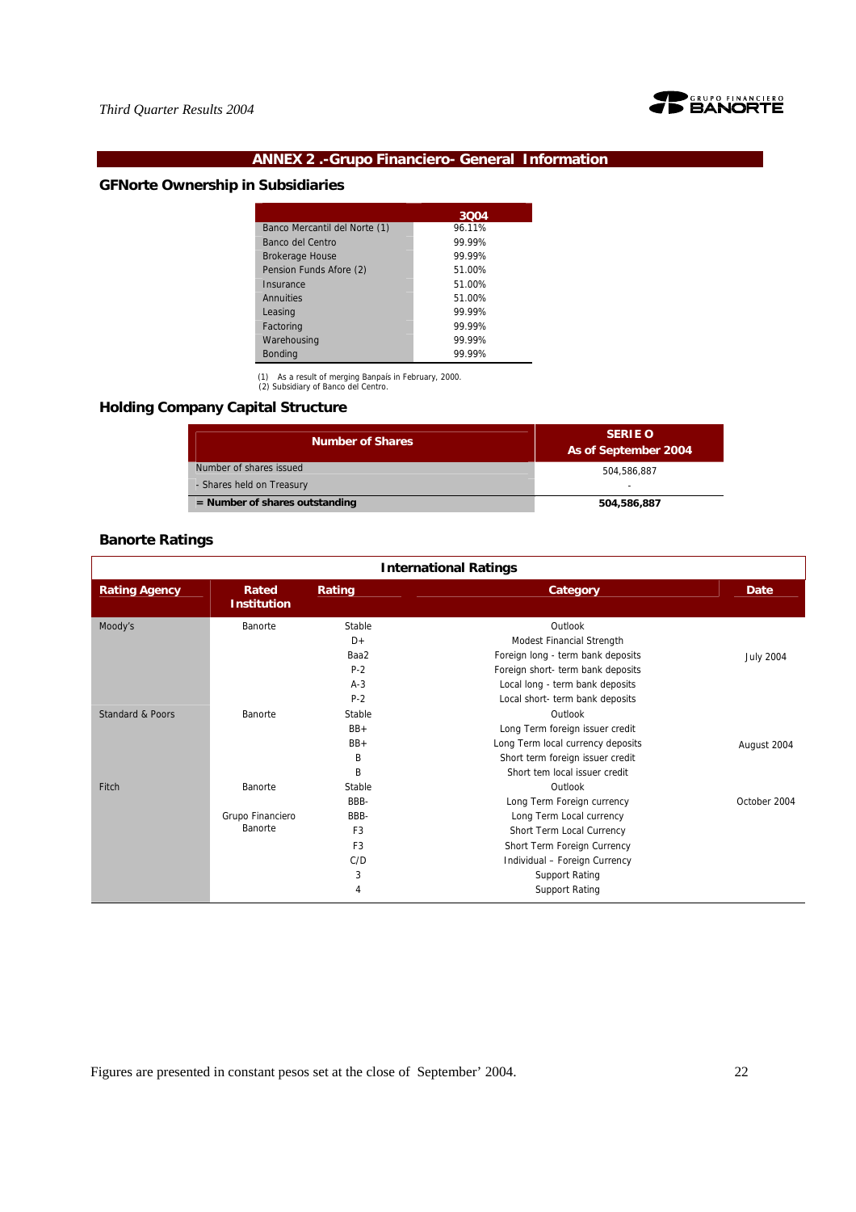

# **ANNEX 2 .-Grupo Financiero- General Information**

# **GFNorte Ownership in Subsidiaries**

|                               | 3004   |
|-------------------------------|--------|
| Banco Mercantil del Norte (1) | 96.11% |
| Banco del Centro              | 99.99% |
| <b>Brokerage House</b>        | 99.99% |
| Pension Funds Afore (2)       | 51.00% |
| Insurance                     | 51.00% |
| Annuities                     | 51.00% |
| Leasing                       | 99.99% |
| Factoring                     | 99.99% |
| Warehousing                   | 99.99% |
| <b>Bonding</b>                | 99.99% |

(1) As a result of merging Banpaís in February, 2000. (2) Subsidiary of Banco del Centro.

**Holding Company Capital Structure** 

| <b>Number of Shares</b>          | <b>SERIE O</b><br>As of September 2004 |
|----------------------------------|----------------------------------------|
| Number of shares issued          | 504.586.887                            |
| - Shares held on Treasury        | -                                      |
| $=$ Number of shares outstanding | 504,586,887                            |

# **Banorte Ratings**

| <b>International Ratings</b> |                             |                |                                   |                  |  |
|------------------------------|-----------------------------|----------------|-----------------------------------|------------------|--|
| <b>Rating Agency</b>         | Rated<br><b>Institution</b> | Rating         | Category                          | Date             |  |
| Moody's                      | Banorte                     | Stable         | Outlook                           |                  |  |
|                              |                             | $D+$           | Modest Financial Strength         |                  |  |
|                              |                             | Baa2           | Foreign long - term bank deposits | <b>July 2004</b> |  |
|                              |                             | $P-2$          | Foreign short- term bank deposits |                  |  |
|                              |                             | $A-3$          | Local long - term bank deposits   |                  |  |
|                              |                             | $P-2$          | Local short- term bank deposits   |                  |  |
| <b>Standard &amp; Poors</b>  | Banorte                     | Stable         | Outlook                           |                  |  |
|                              |                             | $BB+$          | Long Term foreign issuer credit   |                  |  |
|                              |                             | $BB+$          | Long Term local currency deposits | August 2004      |  |
|                              |                             | B              | Short term foreign issuer credit  |                  |  |
|                              |                             | B              | Short tem local issuer credit     |                  |  |
| Fitch                        | Banorte                     | Stable         | Outlook                           |                  |  |
|                              |                             | BBB-           | Long Term Foreign currency        | October 2004     |  |
|                              | Grupo Financiero            | BBB-           | Long Term Local currency          |                  |  |
|                              | Banorte                     | F <sub>3</sub> | Short Term Local Currency         |                  |  |
|                              |                             | F <sub>3</sub> | Short Term Foreign Currency       |                  |  |
|                              |                             | C/D            | Individual - Foreign Currency     |                  |  |
|                              |                             | 3              | <b>Support Rating</b>             |                  |  |
|                              |                             | 4              | <b>Support Rating</b>             |                  |  |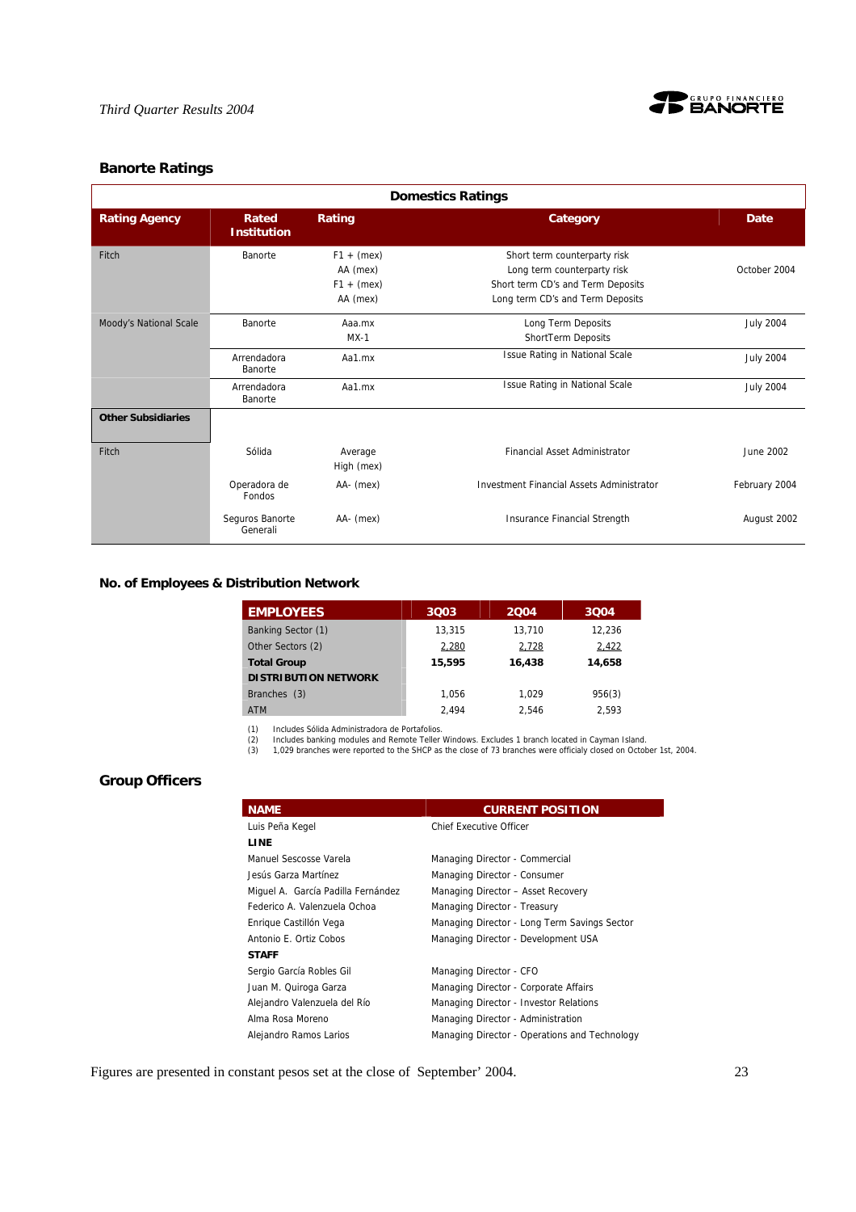

# **Banorte Ratings**

| <b>Domestics Ratings</b>  |                             |                                                      |                                                                                                                                      |                  |  |
|---------------------------|-----------------------------|------------------------------------------------------|--------------------------------------------------------------------------------------------------------------------------------------|------------------|--|
| <b>Rating Agency</b>      | Rated<br><b>Institution</b> | Rating                                               | Category                                                                                                                             | <b>Date</b>      |  |
| Fitch                     | Banorte                     | $F1 + (mex)$<br>AA (mex)<br>$F1 + (mex)$<br>AA (mex) | Short term counterparty risk<br>Long term counterparty risk<br>Short term CD's and Term Deposits<br>Long term CD's and Term Deposits | October 2004     |  |
| Moody's National Scale    | Banorte                     | Aaa.mx<br>$MX-1$                                     | Long Term Deposits<br>ShortTerm Deposits                                                                                             | <b>July 2004</b> |  |
|                           | Arrendadora<br>Banorte      | Aa1.mx                                               | <b>Issue Rating in National Scale</b>                                                                                                | <b>July 2004</b> |  |
|                           | Arrendadora<br>Banorte      | Aa1.mx                                               | Issue Rating in National Scale                                                                                                       | <b>July 2004</b> |  |
| <b>Other Subsidiaries</b> |                             |                                                      |                                                                                                                                      |                  |  |
| Fitch                     | Sólida                      | Average<br>High (mex)                                | <b>Financial Asset Administrator</b>                                                                                                 | June 2002        |  |
|                           | Operadora de<br>Fondos      | AA- (mex)                                            | Investment Financial Assets Administrator                                                                                            | February 2004    |  |
|                           | Seguros Banorte<br>Generali | AA- (mex)                                            | Insurance Financial Strength                                                                                                         | August 2002      |  |

### **No. of Employees & Distribution Network**

| <b>EMPLOYEES</b>            | 3003   | 2004   | 3004   |
|-----------------------------|--------|--------|--------|
| Banking Sector (1)          | 13.315 | 13.710 | 12.236 |
| Other Sectors (2)           | 2,280  | 2,728  | 2,422  |
| <b>Total Group</b>          | 15,595 | 16,438 | 14.658 |
| <b>DISTRIBUTION NETWORK</b> |        |        |        |
| Branches (3)                | 1.056  | 1.029  | 956(3) |
| <b>ATM</b>                  | 2.494  | 2.546  | 2.593  |

(1) Includes Sólida Administradora de Portafolios.<br>(2) Includes banking modules and Remote Teller Windows. Excludes 1 branch located in Cayman Island.<br>(3) 1,029 branches were reported to the SHCP as the close of 73 branche

# **Group Officers**

| <b>NAME</b>                        | <b>CURRENT POSITION</b>                       |
|------------------------------------|-----------------------------------------------|
| Luis Peña Kegel                    | <b>Chief Executive Officer</b>                |
| LINE                               |                                               |
| Manuel Sescosse Varela             | Managing Director - Commercial                |
| Jesús Garza Martínez               | Managing Director - Consumer                  |
| Miguel A. García Padilla Fernández | Managing Director - Asset Recovery            |
| Federico A. Valenzuela Ochoa       | Managing Director - Treasury                  |
| Enrique Castillón Vega             | Managing Director - Long Term Savings Sector  |
| Antonio E. Ortiz Cobos             | Managing Director - Development USA           |
| <b>STAFF</b>                       |                                               |
| Sergio García Robles Gil           | Managing Director - CFO                       |
| Juan M. Quiroga Garza              | Managing Director - Corporate Affairs         |
| Alejandro Valenzuela del Río       | Managing Director - Investor Relations        |
| Alma Rosa Moreno                   | Managing Director - Administration            |
| Alejandro Ramos Larios             | Managing Director - Operations and Technology |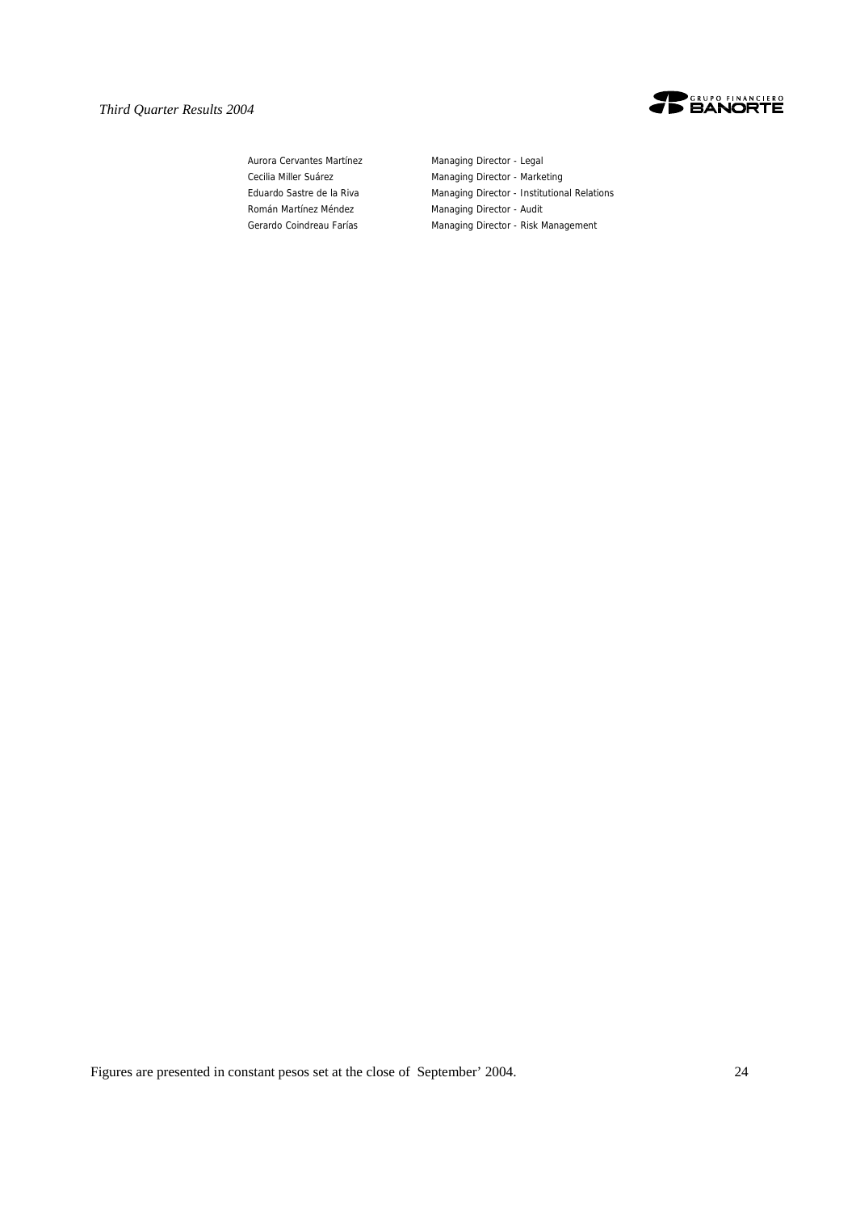

Aurora Cervantes Martínez Managing Director - Legal Román Martínez Méndez **Managing Director - Audit** 

Cecilia Miller Suárez **Managing Director - Marketing** Eduardo Sastre de la Riva Managing Director - Institutional Relations Gerardo Coindreau Farías Managing Director - Risk Management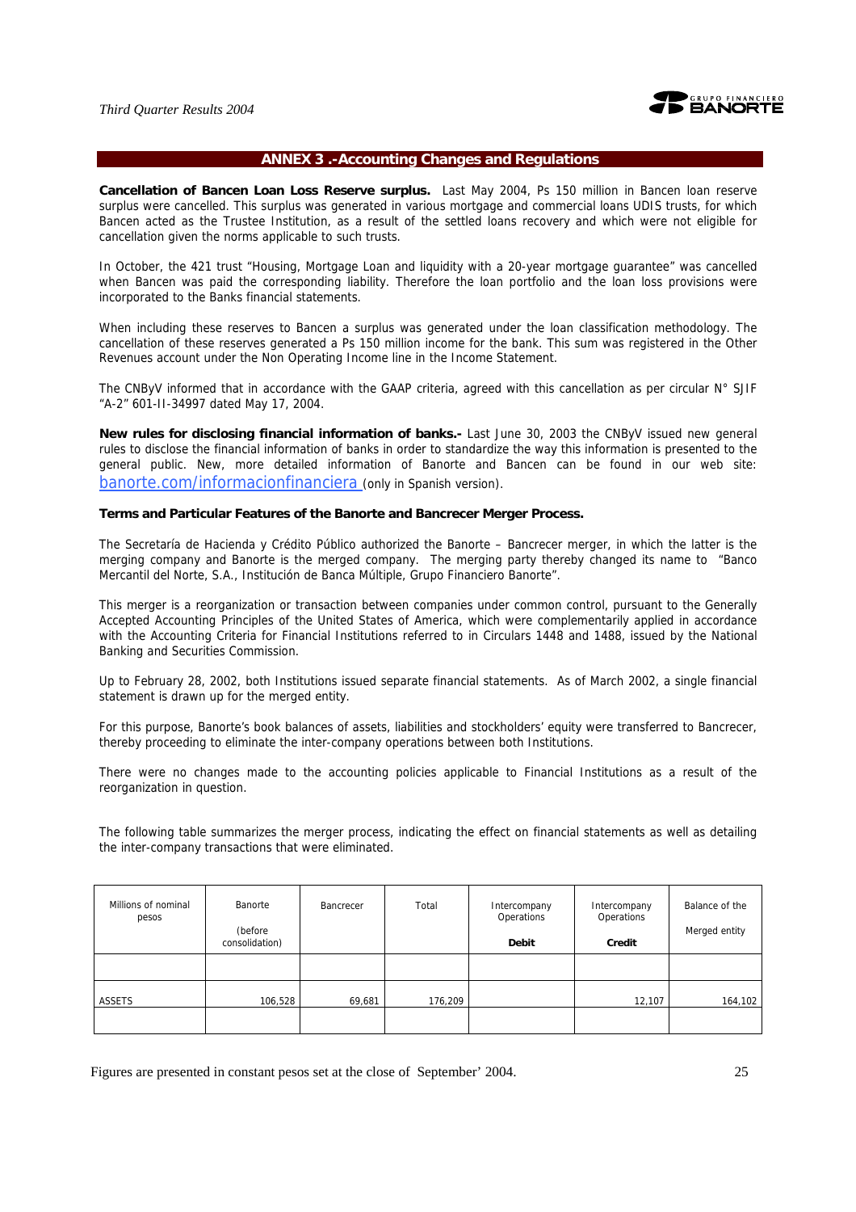

#### **ANNEX 3 .-Accounting Changes and Regulations**

**Cancellation of Bancen Loan Loss Reserve surplus.** Last May 2004, Ps 150 million in Bancen loan reserve surplus were cancelled. This surplus was generated in various mortgage and commercial loans UDIS trusts, for which Bancen acted as the Trustee Institution, as a result of the settled loans recovery and which were not eligible for cancellation given the norms applicable to such trusts.

In October, the 421 trust "Housing, Mortgage Loan and liquidity with a 20-year mortgage guarantee" was cancelled when Bancen was paid the corresponding liability. Therefore the loan portfolio and the loan loss provisions were incorporated to the Banks financial statements.

When including these reserves to Bancen a surplus was generated under the loan classification methodology. The cancellation of these reserves generated a Ps 150 million income for the bank. This sum was registered in the Other Revenues account under the Non Operating Income line in the Income Statement.

The CNByV informed that in accordance with the GAAP criteria, agreed with this cancellation as per circular  $N^{\circ}$  SJIF "A-2" 601-II-34997 dated May 17, 2004.

**New rules for disclosing financial information of banks.-** Last June 30, 2003 the CNByV issued new general rules to disclose the financial information of banks in order to standardize the way this information is presented to the general public. New, more detailed information of Banorte and Bancen can be found in our web site: banorte.com/informacionfinanciera (only in Spanish version).

#### **Terms and Particular Features of the Banorte and Bancrecer Merger Process.**

The Secretaría de Hacienda y Crédito Público authorized the Banorte – Bancrecer merger, in which the latter is the merging company and Banorte is the merged company. The merging party thereby changed its name to "Banco Mercantil del Norte, S.A., Institución de Banca Múltiple, Grupo Financiero Banorte".

This merger is a reorganization or transaction between companies under common control, pursuant to the Generally Accepted Accounting Principles of the United States of America, which were complementarily applied in accordance with the Accounting Criteria for Financial Institutions referred to in Circulars 1448 and 1488, issued by the National Banking and Securities Commission.

Up to February 28, 2002, both Institutions issued separate financial statements. As of March 2002, a single financial statement is drawn up for the merged entity.

For this purpose, Banorte's book balances of assets, liabilities and stockholders' equity were transferred to Bancrecer, thereby proceeding to eliminate the inter-company operations between both Institutions.

There were no changes made to the accounting policies applicable to Financial Institutions as a result of the reorganization in question.

The following table summarizes the merger process, indicating the effect on financial statements as well as detailing the inter-company transactions that were eliminated.

| Millions of nominal<br>pesos | Banorte<br>(before<br>consolidation) | Bancrecer | Total   | Intercompany<br>Operations<br><b>Debit</b> | Intercompany<br>Operations<br>Credit | Balance of the<br>Merged entity |
|------------------------------|--------------------------------------|-----------|---------|--------------------------------------------|--------------------------------------|---------------------------------|
|                              |                                      |           |         |                                            |                                      |                                 |
| ASSETS                       | 106,528                              | 69,681    | 176,209 |                                            | 12,107                               | 164,102                         |
|                              |                                      |           |         |                                            |                                      |                                 |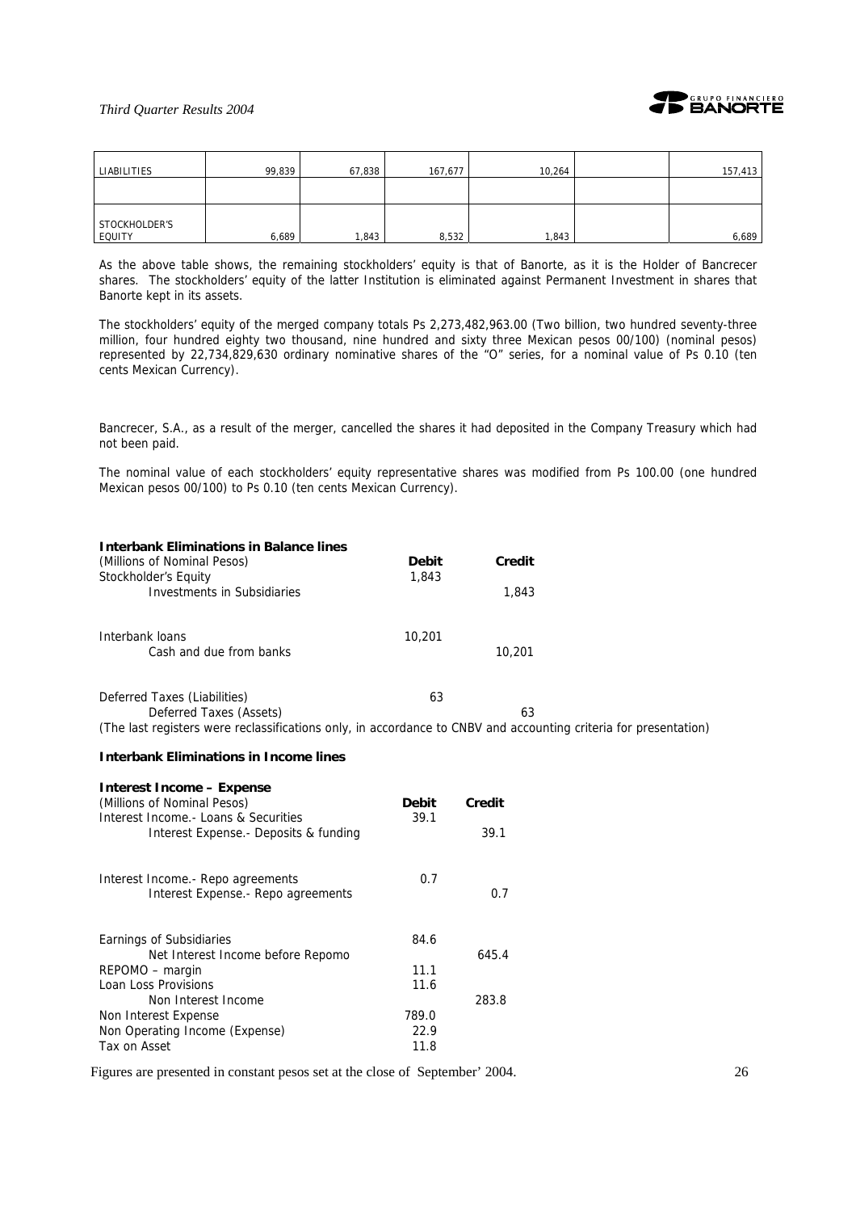

| LIABILITIES             | 99,839 | 67,838 | 167,677 | 10,264 | 157,413 |
|-------------------------|--------|--------|---------|--------|---------|
|                         |        |        |         |        |         |
| STOCKHOLDER'S<br>EQUITY | 6,689  | 1,843  | 8,532   | 1,843  | 6,689   |

As the above table shows, the remaining stockholders' equity is that of Banorte, as it is the Holder of Bancrecer shares. The stockholders' equity of the latter Institution is eliminated against Permanent Investment in shares that Banorte kept in its assets.

The stockholders' equity of the merged company totals Ps 2,273,482,963.00 (Two billion, two hundred seventy-three million, four hundred eighty two thousand, nine hundred and sixty three Mexican pesos 00/100) (nominal pesos) represented by 22,734,829,630 ordinary nominative shares of the "O" series, for a nominal value of Ps 0.10 (ten cents Mexican Currency).

Bancrecer, S.A., as a result of the merger, cancelled the shares it had deposited in the Company Treasury which had not been paid.

The nominal value of each stockholders' equity representative shares was modified from Ps 100.00 (one hundred Mexican pesos 00/100) to Ps 0.10 (ten cents Mexican Currency).

| <b>Interbank Eliminations in Balance lines</b> |              |        |  |
|------------------------------------------------|--------------|--------|--|
| (Millions of Nominal Pesos)                    | <b>Debit</b> | Credit |  |
| Stockholder's Equity                           | 1,843        |        |  |
| Investments in Subsidiaries                    |              | 1,843  |  |
| Interbank loans                                | 10,201       |        |  |
| Cash and due from banks                        |              | 10,201 |  |
| Deferred Taxes (Liabilities)                   | 63           |        |  |
| Deferred Taxes (Assets)                        |              | 63     |  |
|                                                |              |        |  |

(The last registers were reclassifications only, in accordance to CNBV and accounting criteria for presentation)

#### **Interbank Eliminations in Income lines**

| <b>Interest Income – Expense</b>       |       |        |
|----------------------------------------|-------|--------|
| (Millions of Nominal Pesos)            | Debit | Credit |
| Interest Income - Loans & Securities   | 39.1  |        |
| Interest Expense. - Deposits & funding |       | 39.1   |
| Interest Income.- Repo agreements      | 0.7   |        |
| Interest Expense. - Repo agreements    |       | 0.7    |
| Earnings of Subsidiaries               | 84.6  |        |
| Net Interest Income before Repomo      |       | 645.4  |
| REPOMO – margin                        | 11.1  |        |
| Loan Loss Provisions                   | 11.6  |        |
| Non Interest Income                    |       | 283.8  |
| Non Interest Expense                   | 789.0 |        |
| Non Operating Income (Expense)         | 22.9  |        |
| Tax on Asset                           | 11.8  |        |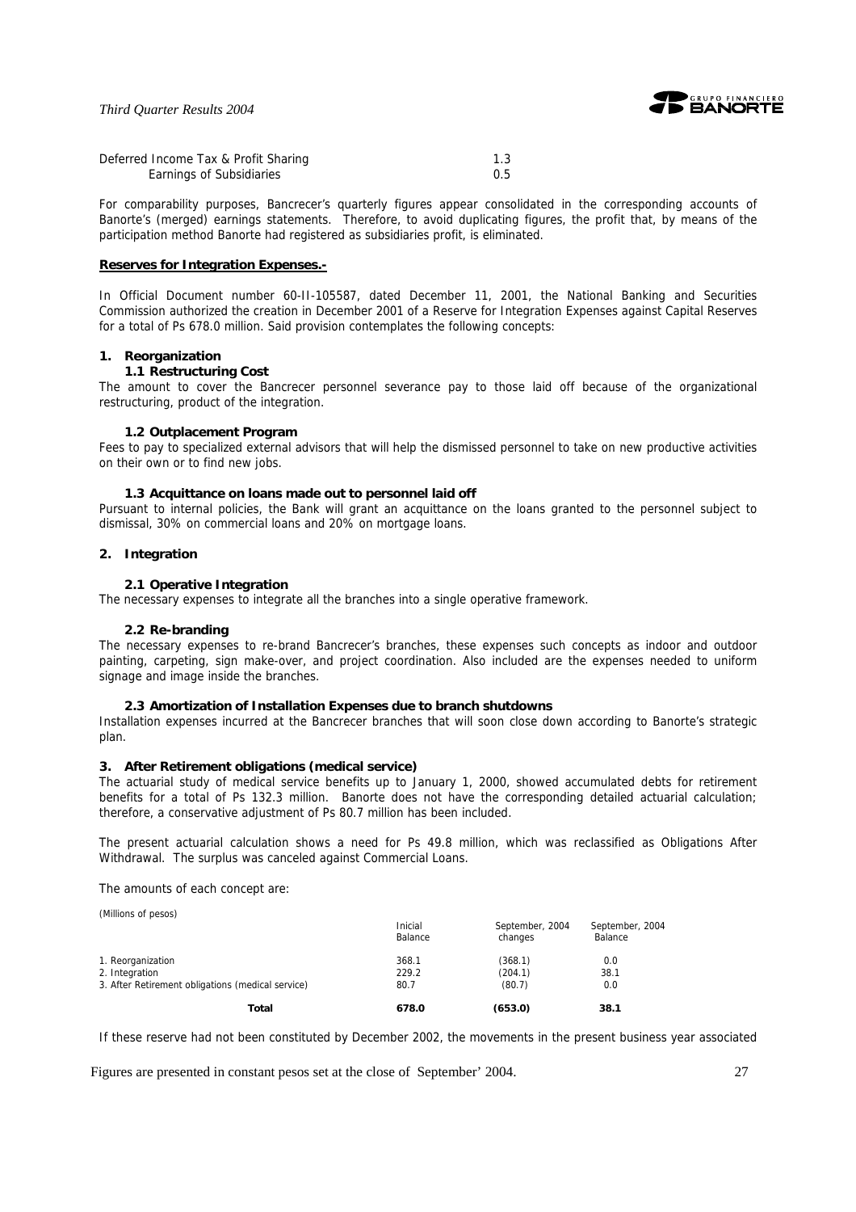

| Deferred Income Tax & Profit Sharing |  |
|--------------------------------------|--|
| Earnings of Subsidiaries             |  |

For comparability purposes, Bancrecer's quarterly figures appear consolidated in the corresponding accounts of Banorte's (merged) earnings statements. Therefore, to avoid duplicating figures, the profit that, by means of the participation method Banorte had registered as subsidiaries profit, is eliminated.

#### **Reserves for Integration Expenses.-**

In Official Document number 60-II-105587, dated December 11, 2001, the National Banking and Securities Commission authorized the creation in December 2001 of a Reserve for Integration Expenses against Capital Reserves for a total of Ps 678.0 million. Said provision contemplates the following concepts:

#### **1. Reorganization**

### **1.1 Restructuring Cost**

The amount to cover the Bancrecer personnel severance pay to those laid off because of the organizational restructuring, product of the integration.

#### **1.2 Outplacement Program**

Fees to pay to specialized external advisors that will help the dismissed personnel to take on new productive activities on their own or to find new jobs.

#### **1.3 Acquittance on loans made out to personnel laid off**

Pursuant to internal policies, the Bank will grant an acquittance on the loans granted to the personnel subject to dismissal, 30% on commercial loans and 20% on mortgage loans.

#### **2. Integration**

#### **2.1 Operative Integration**

The necessary expenses to integrate all the branches into a single operative framework.

#### **2.2 Re-branding**

The necessary expenses to re-brand Bancrecer's branches, these expenses such concepts as indoor and outdoor painting, carpeting, sign make-over, and project coordination. Also included are the expenses needed to uniform signage and image inside the branches.

#### **2.3 Amortization of Installation Expenses due to branch shutdowns**

Installation expenses incurred at the Bancrecer branches that will soon close down according to Banorte's strategic plan.

#### **3. After Retirement obligations (medical service)**

The actuarial study of medical service benefits up to January 1, 2000, showed accumulated debts for retirement benefits for a total of Ps 132.3 million. Banorte does not have the corresponding detailed actuarial calculation; therefore, a conservative adjustment of Ps 80.7 million has been included.

The present actuarial calculation shows a need for Ps 49.8 million, which was reclassified as Obligations After Withdrawal. The surplus was canceled against Commercial Loans.

The amounts of each concept are:

(Millions of pesos)

|                                                   | Inicial<br>Balance | September, 2004<br>changes | September, 2004<br>Balance |
|---------------------------------------------------|--------------------|----------------------------|----------------------------|
| 1. Reorganization                                 | 368.1              | (368.1)                    | 0.0                        |
| 2. Integration                                    | 229.2              | (204.1)                    | 38.1                       |
| 3. After Retirement obligations (medical service) | 80.7               | (80.7)                     | 0.0                        |
| Total                                             | 678.0              | (653.0)                    | 38.1                       |

If these reserve had not been constituted by December 2002, the movements in the present business year associated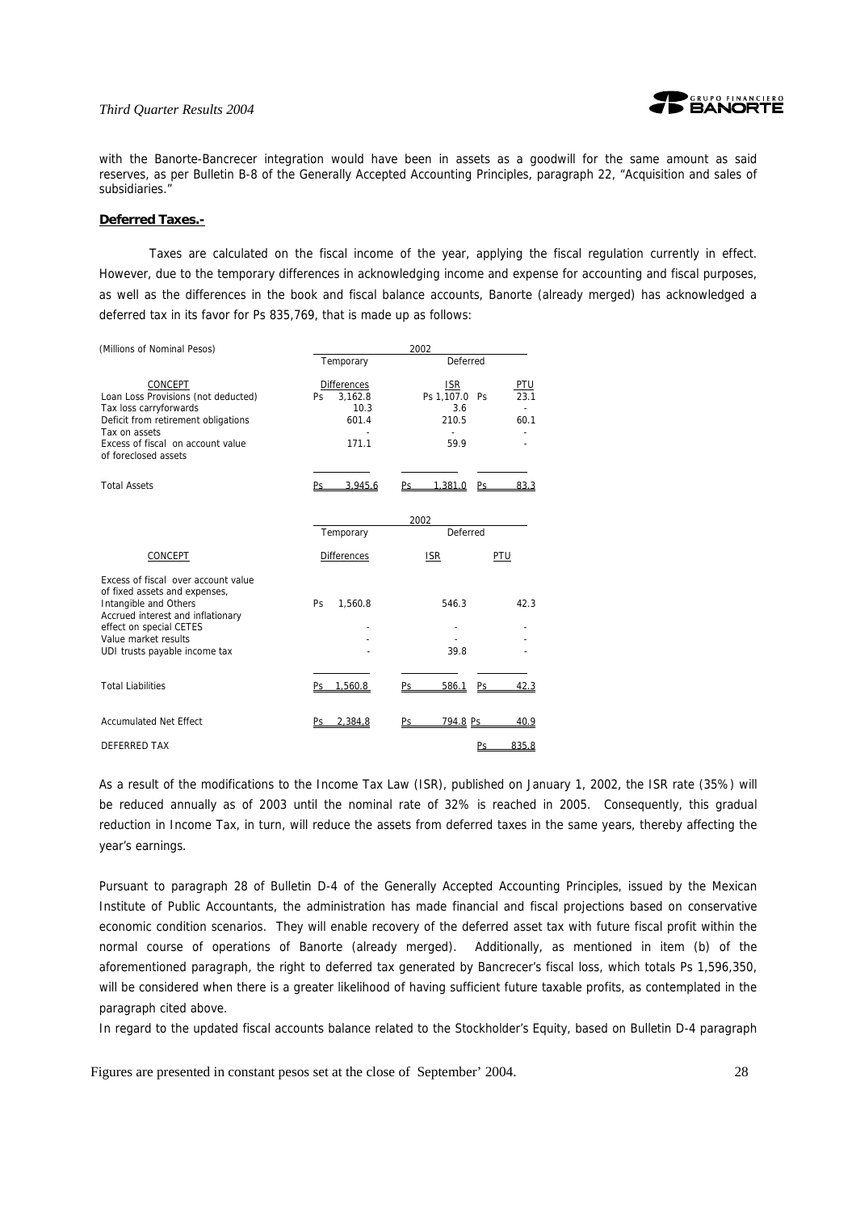

with the Banorte-Bancrecer integration would have been in assets as a goodwill for the same amount as said reserves, as per Bulletin B-8 of the Generally Accepted Accounting Principles, paragraph 22, "Acquisition and sales of subsidiaries."

#### **Deferred Taxes.-**

Taxes are calculated on the fiscal income of the year, applying the fiscal regulation currently in effect. However, due to the temporary differences in acknowledging income and expense for accounting and fiscal purposes, as well as the differences in the book and fiscal balance accounts, Banorte (already merged) has acknowledged a deferred tax in its favor for Ps 835,769, that is made up as follows:

| (Millions of Nominal Pesos)                                                                                                                                                                                            | 2002                                                           |                                                                                   |  |  |  |  |  |  |  |
|------------------------------------------------------------------------------------------------------------------------------------------------------------------------------------------------------------------------|----------------------------------------------------------------|-----------------------------------------------------------------------------------|--|--|--|--|--|--|--|
|                                                                                                                                                                                                                        | Temporary                                                      | Deferred                                                                          |  |  |  |  |  |  |  |
| CONCEPT<br>Loan Loss Provisions (not deducted)<br>Tax loss carryforwards<br>Deficit from retirement obligations<br>Tax on assets<br>Excess of fiscal on account value<br>of foreclosed assets                          | <b>Differences</b><br>3,162.8<br>Ps.<br>10.3<br>601.4<br>171.1 | <b>ISR</b><br><b>PTU</b><br>Ps 1,107.0 Ps<br>23.1<br>3.6<br>210.5<br>60.1<br>59.9 |  |  |  |  |  |  |  |
| <b>Total Assets</b>                                                                                                                                                                                                    | 3.945.6<br>Ps                                                  | 1.381.0<br>83.3<br>Ps<br>Ps                                                       |  |  |  |  |  |  |  |
|                                                                                                                                                                                                                        |                                                                | 2002                                                                              |  |  |  |  |  |  |  |
|                                                                                                                                                                                                                        | Temporary                                                      | Deferred                                                                          |  |  |  |  |  |  |  |
| <b>CONCEPT</b>                                                                                                                                                                                                         | <b>Differences</b>                                             | PTU<br><b>ISR</b>                                                                 |  |  |  |  |  |  |  |
| Excess of fiscal over account value<br>of fixed assets and expenses,<br>Intangible and Others<br>Accrued interest and inflationary<br>effect on special CETES<br>Value market results<br>UDI trusts payable income tax | Ps.<br>1,560.8                                                 | 546.3<br>42.3<br>39.8                                                             |  |  |  |  |  |  |  |
| <b>Total Liabilities</b>                                                                                                                                                                                               | Ps 1,560.8                                                     | 586.1<br>Ps<br>42.3<br>Ps                                                         |  |  |  |  |  |  |  |
| <b>Accumulated Net Effect</b>                                                                                                                                                                                          | 2.384,8<br>Ps.                                                 | 794.8 Ps<br>40.9<br>Ps                                                            |  |  |  |  |  |  |  |
| DEFERRED TAX                                                                                                                                                                                                           |                                                                | 835.8<br>Ps                                                                       |  |  |  |  |  |  |  |

As a result of the modifications to the Income Tax Law (ISR), published on January 1, 2002, the ISR rate (35%) will be reduced annually as of 2003 until the nominal rate of 32% is reached in 2005. Consequently, this gradual reduction in Income Tax, in turn, will reduce the assets from deferred taxes in the same years, thereby affecting the year's earnings.

Pursuant to paragraph 28 of Bulletin D-4 of the Generally Accepted Accounting Principles, issued by the Mexican Institute of Public Accountants, the administration has made financial and fiscal projections based on conservative economic condition scenarios. They will enable recovery of the deferred asset tax with future fiscal profit within the normal course of operations of Banorte (already merged). Additionally, as mentioned in item (b) of the aforementioned paragraph, the right to deferred tax generated by Bancrecer's fiscal loss, which totals Ps 1,596,350, will be considered when there is a greater likelihood of having sufficient future taxable profits, as contemplated in the paragraph cited above.

In regard to the updated fiscal accounts balance related to the Stockholder's Equity, based on Bulletin D-4 paragraph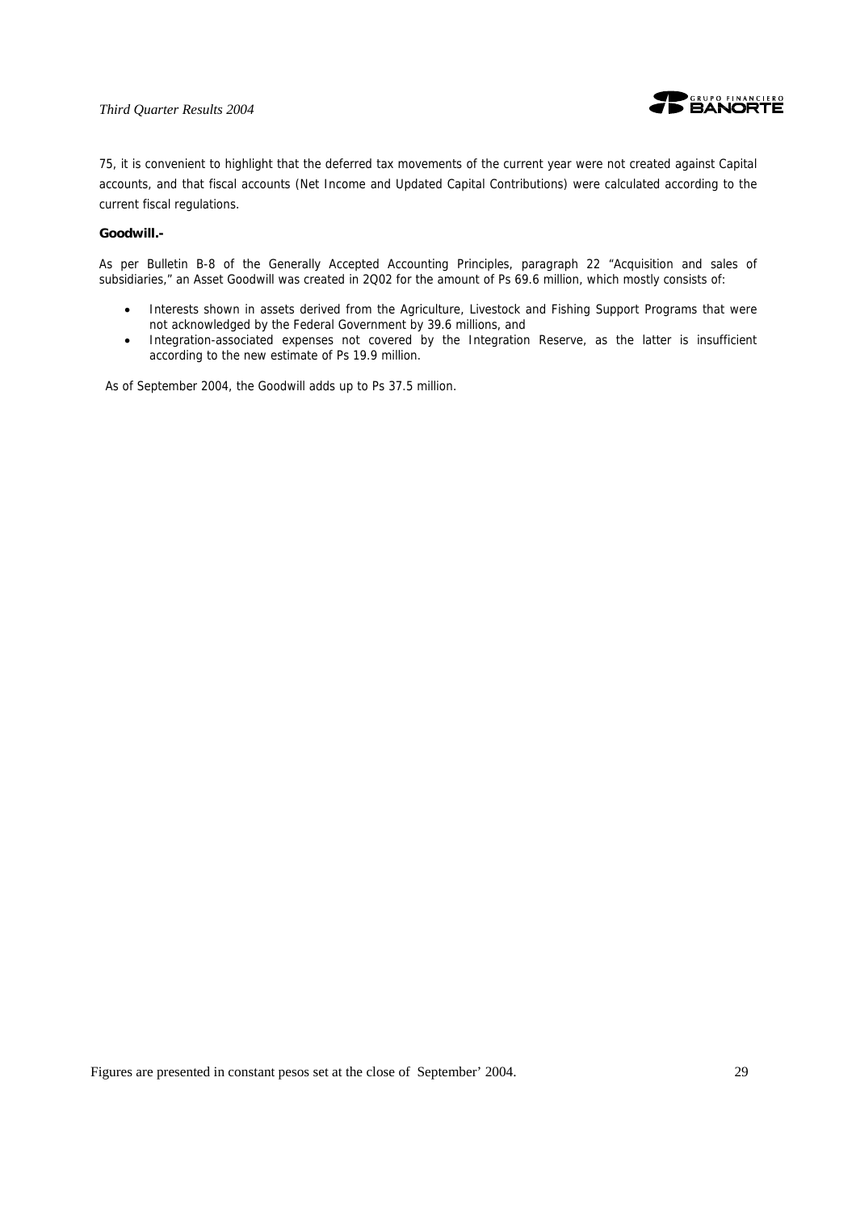

75, it is convenient to highlight that the deferred tax movements of the current year were not created against Capital accounts, and that fiscal accounts (Net Income and Updated Capital Contributions) were calculated according to the current fiscal regulations.

#### **Goodwill.-**

As per Bulletin B-8 of the Generally Accepted Accounting Principles, paragraph 22 "Acquisition and sales of subsidiaries," an Asset Goodwill was created in 2Q02 for the amount of Ps 69.6 million, which mostly consists of:

- Interests shown in assets derived from the Agriculture, Livestock and Fishing Support Programs that were not acknowledged by the Federal Government by 39.6 millions, and
- Integration-associated expenses not covered by the Integration Reserve, as the latter is insufficient according to the new estimate of Ps 19.9 million.

As of September 2004, the Goodwill adds up to Ps 37.5 million.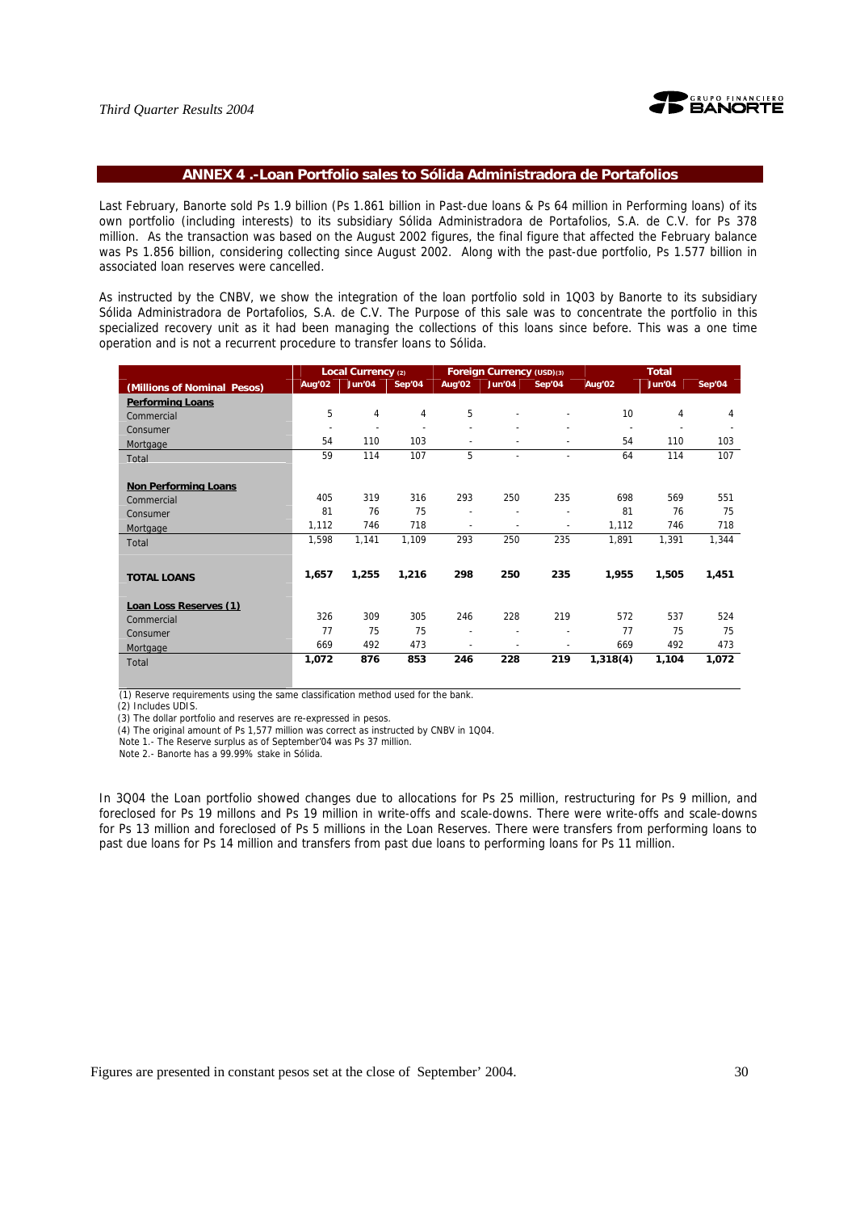

#### **ANNEX 4 .-Loan Portfolio sales to Sólida Administradora de Portafolios**

Last February, Banorte sold Ps 1.9 billion (Ps 1.861 billion in Past-due loans & Ps 64 million in Performing loans) of its own portfolio (including interests) to its subsidiary Sólida Administradora de Portafolios, S.A. de C.V. for Ps 378 million. As the transaction was based on the August 2002 figures, the final figure that affected the February balance was Ps 1.856 billion, considering collecting since August 2002. Along with the past-due portfolio, Ps 1.577 billion in associated loan reserves were cancelled.

As instructed by the CNBV, we show the integration of the loan portfolio sold in 1Q03 by Banorte to its subsidiary Sólida Administradora de Portafolios, S.A. de C.V. The Purpose of this sale was to concentrate the portfolio in this specialized recovery unit as it had been managing the collections of this loans since before. This was a one time operation and is not a recurrent procedure to transfer loans to Sólida.

|                               |                          | Local Currency (2)       |                |                          | Foreign Currency (USD)(3) |        | <b>Total</b> |        |        |  |
|-------------------------------|--------------------------|--------------------------|----------------|--------------------------|---------------------------|--------|--------------|--------|--------|--|
| (Millions of Nominal Pesos)   | Aug'02                   | Jun'04                   | Sep'04         | Aug'02                   | Jun'04                    | Sep'04 | Aug'02       | Jun'04 | Sep'04 |  |
| <b>Performing Loans</b>       |                          |                          |                |                          |                           |        |              |        |        |  |
| Commercial                    | 5                        | 4                        | 4              | 5                        |                           |        | 10           | 4      | 4      |  |
| Consumer                      | $\overline{\phantom{a}}$ | $\overline{\phantom{a}}$ | $\blacksquare$ |                          |                           |        |              |        |        |  |
| Mortgage                      | 54                       | 110                      | 103            | $\blacksquare$           |                           |        | 54           | 110    | 103    |  |
| Total                         | 59                       | 114                      | 107            | 5                        | $\blacksquare$            |        | 64           | 114    | 107    |  |
|                               |                          |                          |                |                          |                           |        |              |        |        |  |
| <b>Non Performing Loans</b>   |                          |                          |                |                          |                           |        |              |        |        |  |
| Commercial                    | 405                      | 319                      | 316            | 293                      | 250                       | 235    | 698          | 569    | 551    |  |
| Consumer                      | 81                       | 76                       | 75             |                          |                           |        | 81           | 76     | 75     |  |
| Mortgage                      | 1,112                    | 746                      | 718            | $\overline{\phantom{a}}$ |                           |        | 1,112        | 746    | 718    |  |
| Total                         | 1,598                    | 1,141                    | 1,109          | 293                      | 250                       | 235    | 1,891        | 1,391  | 1,344  |  |
|                               |                          |                          |                |                          |                           |        |              |        |        |  |
| <b>TOTAL LOANS</b>            | 1,657                    | 1,255                    | 1,216          | 298                      | 250                       | 235    | 1,955        | 1,505  | 1,451  |  |
|                               |                          |                          |                |                          |                           |        |              |        |        |  |
| <b>Loan Loss Reserves (1)</b> |                          |                          |                |                          |                           |        |              |        |        |  |
| Commercial                    | 326                      | 309                      | 305            | 246                      | 228                       | 219    | 572          | 537    | 524    |  |
| Consumer                      | 77                       | 75                       | 75             | ÷                        |                           |        | 77           | 75     | 75     |  |
| Mortgage                      | 669                      | 492                      | 473            | $\overline{\phantom{a}}$ |                           |        | 669          | 492    | 473    |  |
| Total                         | 1,072                    | 876                      | 853            | 246                      | 228                       | 219    | 1,318(4)     | 1,104  | 1,072  |  |

(1) Reserve requirements using the same classification method used for the bank.

(2) Includes UDIS.

(3) The dollar portfolio and reserves are re-expressed in pesos.

(4) The original amount of Ps 1,577 million was correct as instructed by CNBV in 1Q04.

Note 1.- The Reserve surplus as of September'04 was Ps 37 million.

Note 2.- Banorte has a 99.99% stake in Sólida.

In 3Q04 the Loan portfolio showed changes due to allocations for Ps 25 million, restructuring for Ps 9 million, and foreclosed for Ps 19 millons and Ps 19 million in write-offs and scale-downs. There were write-offs and scale-downs for Ps 13 million and foreclosed of Ps 5 millions in the Loan Reserves. There were transfers from performing loans to past due loans for Ps 14 million and transfers from past due loans to performing loans for Ps 11 million.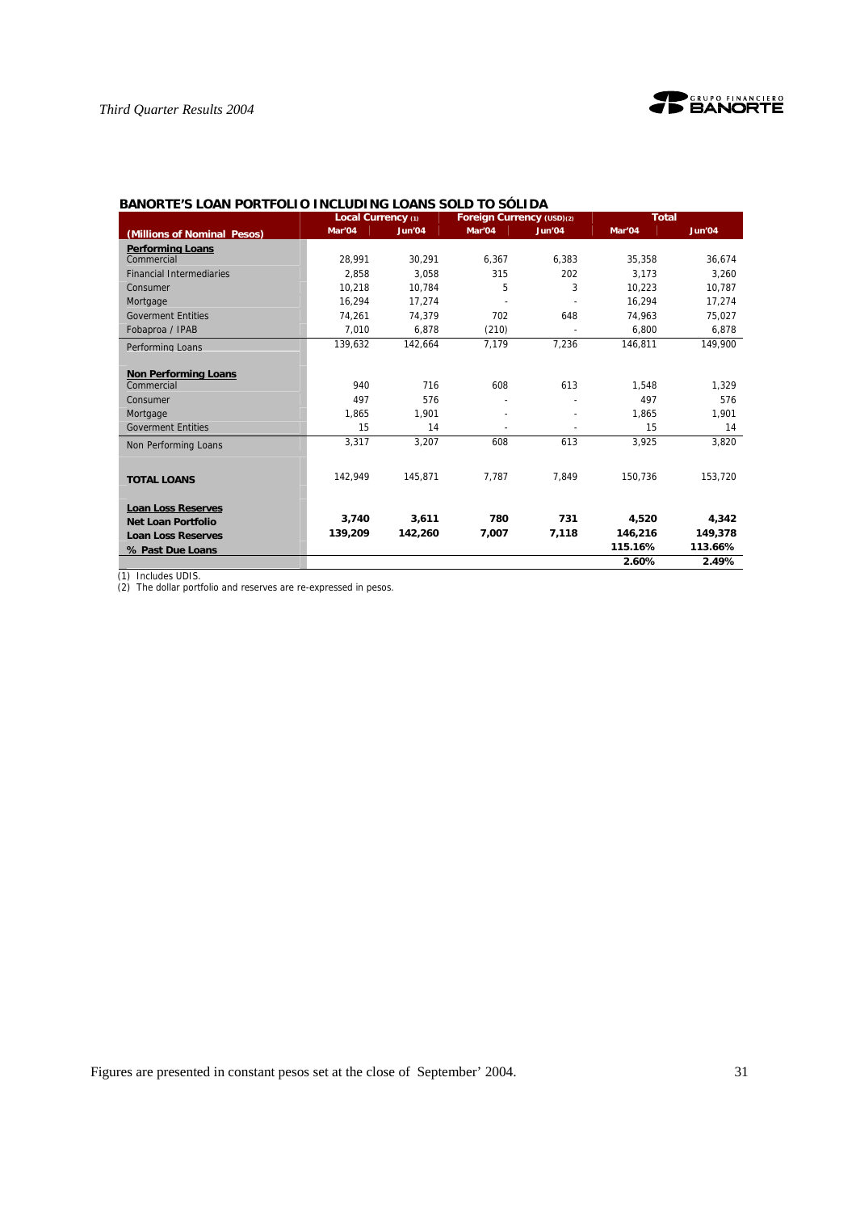

|                                 | Local Currency (1) |         | Foreign Currency (USD)(2) |        | <b>Total</b> |         |
|---------------------------------|--------------------|---------|---------------------------|--------|--------------|---------|
| (Millions of Nominal Pesos)     | Mar'04             | Jun'04  | Mar'04                    | Jun'04 | Mar'04       | Jun'04  |
| <b>Performing Loans</b>         |                    |         |                           |        |              |         |
| Commercial                      | 28.991             | 30.291  | 6.367                     | 6.383  | 35.358       | 36.674  |
| <b>Financial Intermediaries</b> | 2.858              | 3.058   | 315                       | 202    | 3.173        | 3.260   |
| Consumer                        | 10.218             | 10.784  | 5                         | 3      | 10.223       | 10.787  |
| Mortgage                        | 16.294             | 17,274  |                           |        | 16,294       | 17,274  |
| <b>Goverment Entities</b>       | 74.261             | 74.379  | 702                       | 648    | 74.963       | 75,027  |
| Fobaproa / IPAB                 | 7.010              | 6.878   | (210)                     |        | 6.800        | 6,878   |
| Performing Loans                | 139,632            | 142,664 | 7,179                     | 7.236  | 146,811      | 149,900 |
|                                 |                    |         |                           |        |              |         |
| <b>Non Performing Loans</b>     |                    |         |                           |        |              |         |
| Commercial                      | 940                | 716     | 608                       | 613    | 1,548        | 1,329   |
| Consumer                        | 497                | 576     |                           |        | 497          | 576     |
| Mortgage                        | 1,865              | 1,901   | $\blacksquare$            |        | 1,865        | 1,901   |
| <b>Goverment Entities</b>       | 15                 | 14      |                           |        | 15           | 14      |
| Non Performing Loans            | 3,317              | 3,207   | 608                       | 613    | 3,925        | 3,820   |
|                                 |                    |         |                           |        |              |         |
|                                 | 142.949            | 145,871 | 7.787                     | 7.849  | 150,736      | 153,720 |
| <b>TOTAL LOANS</b>              |                    |         |                           |        |              |         |
|                                 |                    |         |                           |        |              |         |
| <b>Loan Loss Reserves</b>       | 3.740              | 3,611   | 780                       | 731    | 4,520        | 4,342   |
| <b>Net Loan Portfolio</b>       |                    | 142,260 | 7,007                     | 7,118  | 146,216      | 149,378 |
| <b>Loan Loss Reserves</b>       | 139,209            |         |                           |        | 115.16%      | 113.66% |
| % Past Due Loans                |                    |         |                           |        |              |         |
|                                 |                    |         |                           |        | 2.60%        | 2.49%   |

# **BANORTE'S LOAN PORTFOLIO INCLUDING LOANS SOLD TO SÓLIDA**

(1) Includes UDIS.

(2) The dollar portfolio and reserves are re-expressed in pesos.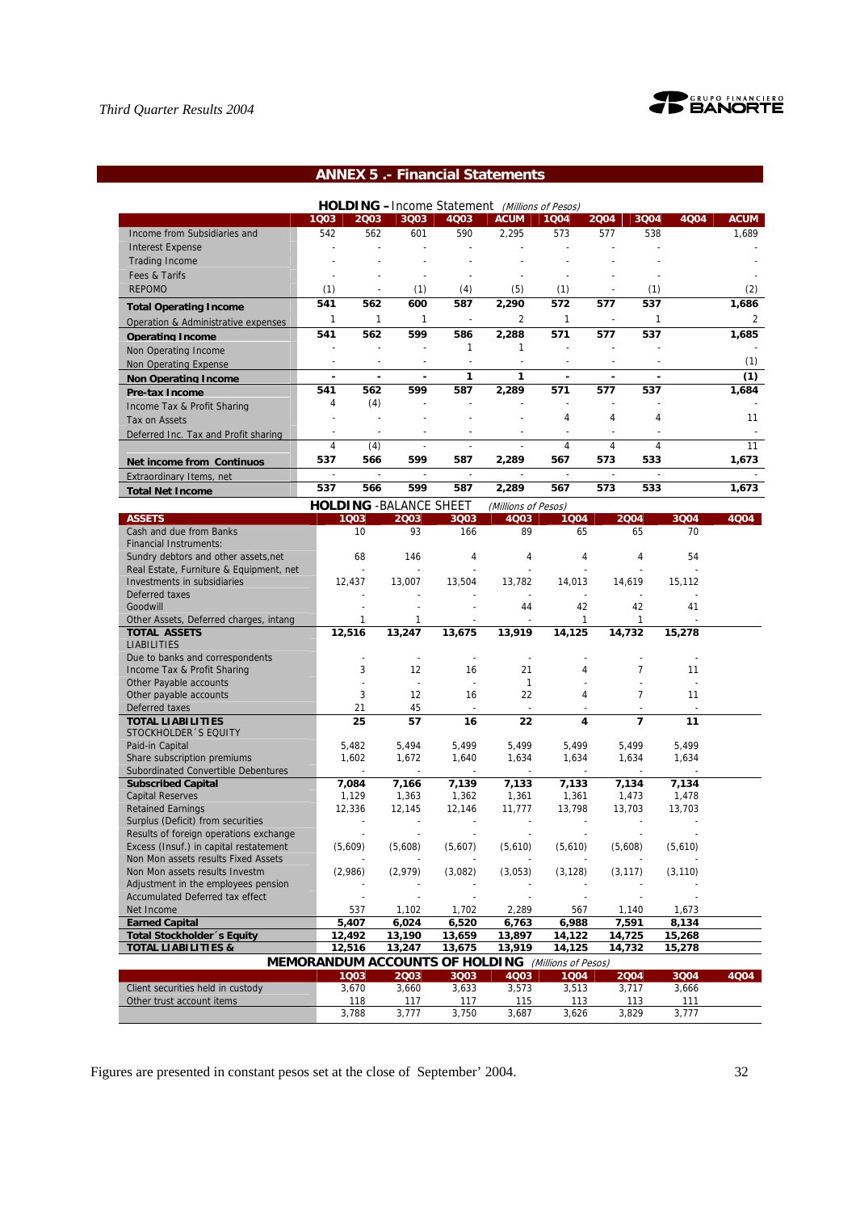

# **ANNEX 5 .- Financial Statements**

| <b>HOLDING</b> - Income Statement (Millions of Pesos) |                          |      |      |             |                |      |                          |      |      |                |
|-------------------------------------------------------|--------------------------|------|------|-------------|----------------|------|--------------------------|------|------|----------------|
|                                                       | 1003                     | 2003 | 3Q03 | <b>4Q03</b> | <b>ACUM</b>    | 1004 | 2004                     | 3004 | 4004 | <b>ACUM</b>    |
| Income from Subsidiaries and                          | 542                      | 562  | 601  | 590         | 2,295          | 573  | 577                      | 538  |      | 1,689          |
| <b>Interest Expense</b>                               |                          |      |      |             |                |      |                          |      |      |                |
| <b>Trading Income</b>                                 |                          |      |      |             |                |      |                          |      |      |                |
| Fees & Tarifs                                         |                          |      |      |             |                |      |                          |      |      |                |
| <b>REPOMO</b>                                         | (1)                      | ٠    | (1)  | (4)         | (5)            | (1)  | $\overline{\phantom{a}}$ | (1)  |      | (2)            |
| <b>Total Operating Income</b>                         | 541                      | 562  | 600  | 587         | 2,290          | 572  | 577                      | 537  |      | 1,686          |
| Operation & Administrative expenses                   |                          |      |      |             | $\overline{2}$ |      |                          |      |      | $\overline{2}$ |
| <b>Operating Income</b>                               | 541                      | 562  | 599  | 586         | 2,288          | 571  | 577                      | 537  |      | 1,685          |
| Non Operating Income                                  |                          |      |      |             |                |      |                          |      |      |                |
| Non Operating Expense                                 |                          |      |      |             |                |      |                          |      |      | (1)            |
| <b>Non Operating Income</b>                           | $\overline{\phantom{0}}$ | ۰    |      | 1           |                |      |                          |      |      | (1)            |
| <b>Pre-tax Income</b>                                 | 541                      | 562  | 599  | 587         | 2.289          | 571  | 577                      | 537  |      | 1,684          |
| Income Tax & Profit Sharing                           | 4                        | (4)  |      |             |                |      |                          |      |      |                |
| Tax on Assets                                         |                          |      |      |             |                | 4    | 4                        | 4    |      | 11             |
| Deferred Inc. Tax and Profit sharing                  |                          |      |      |             |                |      |                          |      |      |                |
|                                                       | 4                        | (4)  |      |             |                | 4    | 4                        | 4    |      | 11             |
| <b>Net income from Continuos</b>                      | 537                      | 566  | 599  | 587         | 2,289          | 567  | 573                      | 533  |      | 1,673          |
| Extraordinary Items. net                              |                          |      |      |             |                |      |                          |      |      |                |
| <b>Total Net Income</b>                               | 537                      | 566  | 599  | 587         | 2,289          | 567  | 573                      | 533  |      | 1,673          |

|                                         | <b>HOLDING - BALANCE SHEET</b>        |         |                | (Millions of Pesos)      |                     |                |          |      |
|-----------------------------------------|---------------------------------------|---------|----------------|--------------------------|---------------------|----------------|----------|------|
| <b>ASSETS</b>                           | 1003                                  | 2003    | 3Q03           | 4Q03                     | 1004                | 2004           | 3004     | 4004 |
| Cash and due from Banks                 | 10                                    | 93      | 166            | 89                       | 65                  | 65             | 70       |      |
| <b>Financial Instruments:</b>           |                                       |         |                |                          |                     |                |          |      |
| Sundry debtors and other assets, net    | 68                                    | 146     | 4              | 4                        | 4                   | 4              | 54       |      |
| Real Estate, Furniture & Equipment, net |                                       |         |                |                          |                     |                |          |      |
| Investments in subsidiaries             | 12,437                                | 13,007  | 13,504         | 13,782                   | 14,013              | 14,619         | 15,112   |      |
| Deferred taxes                          |                                       |         |                |                          |                     |                |          |      |
| Goodwill                                |                                       |         |                | 44                       | 42                  | 42             | 41       |      |
| Other Assets, Deferred charges, intang  | $\mathbf{1}$                          | 1       |                |                          | $\mathbf{1}$        | 1              |          |      |
| <b>TOTAL ASSETS</b>                     | 12,516                                | 13,247  | 13,675         | 13,919                   | 14,125              | 14,732         | 15,278   |      |
| <b>LIABILITIES</b>                      |                                       |         |                |                          |                     |                |          |      |
| Due to banks and correspondents         |                                       |         | $\overline{a}$ | $\overline{\phantom{a}}$ |                     |                |          |      |
| Income Tax & Profit Sharing             | 3                                     | 12      | 16             | 21                       | 4                   | 7              | 11       |      |
| Other Payable accounts                  |                                       |         | $\sim$         | $\mathbf{1}$             |                     |                |          |      |
| Other payable accounts                  | 3                                     | 12      | 16             | 22                       | 4                   | 7              | 11       |      |
| Deferred taxes                          | 21                                    | 45      |                |                          |                     |                |          |      |
| <b>TOTAL LIABILITIES</b>                | 25                                    | 57      | 16             | 22                       | 4                   | $\overline{7}$ | 11       |      |
| STOCKHOLDER 'S EQUITY                   |                                       |         |                |                          |                     |                |          |      |
| Paid-in Capital                         | 5,482                                 | 5,494   | 5,499          | 5,499                    | 5,499               | 5,499          | 5,499    |      |
| Share subscription premiums             | 1.602                                 | 1,672   | 1,640          | 1,634                    | 1,634               | 1,634          | 1,634    |      |
| Subordinated Convertible Debentures     |                                       |         |                |                          |                     |                |          |      |
| <b>Subscribed Capital</b>               | 7,084                                 | 7,166   | 7,139          | 7,133                    | 7,133               | 7,134          | 7,134    |      |
| <b>Capital Reserves</b>                 | 1,129                                 | 1,363   | 1,362          | 1,361                    | 1,361               | 1,473          | 1,478    |      |
| <b>Retained Earnings</b>                | 12,336                                | 12,145  | 12,146         | 11,777                   | 13,798              | 13,703         | 13,703   |      |
| Surplus (Deficit) from securities       |                                       |         |                |                          |                     |                |          |      |
| Results of foreign operations exchange  |                                       |         |                |                          |                     |                |          |      |
| Excess (Insuf.) in capital restatement  | (5,609)                               | (5,608) | (5,607)        | (5,610)                  | (5,610)             | (5,608)        | (5,610)  |      |
| Non Mon assets results Fixed Assets     |                                       |         |                |                          |                     |                |          |      |
| Non Mon assets results Investm          | (2,986)                               | (2.979) | (3,082)        | (3,053)                  | (3, 128)            | (3, 117)       | (3, 110) |      |
| Adjustment in the employees pension     |                                       |         |                |                          |                     |                |          |      |
| <b>Accumulated Deferred tax effect</b>  |                                       |         |                |                          |                     |                |          |      |
| Net Income                              | 537                                   | 1,102   | 1,702          | 2,289                    | 567                 | 1,140          | 1,673    |      |
| <b>Earned Capital</b>                   | 5,407                                 | 6,024   | 6,520          | 6,763                    | 6,988               | 7,591          | 8,134    |      |
| Total Stockholder 's Equity             | 12,492                                | 13,190  | 13,659         | 13,897                   | 14,122              | 14,725         | 15,268   |      |
| <b>TOTAL LIABILITIES &amp;</b>          | 12,516                                | 13,247  | 13,675         | 13,919                   | 14,125              | 14,732         | 15,278   |      |
|                                         | <b>MEMORANDUM ACCOUNTS OF HOLDING</b> |         |                |                          | (Millions of Pesos) |                |          |      |
|                                         | 1003                                  | 2003    | 3Q03           | 4Q03                     | 1004                | 2004           | 3004     | 4Q04 |
| Client securities held in custody       | 3,670                                 | 3,660   | 3,633          | 3,573                    | 3,513               | 3,717          | 3,666    |      |
| Other trust account items               | 118                                   | 117     | 117            | 115                      | 113                 | 113            | 111      |      |
|                                         | 3,788                                 | 3,777   | 3,750          | 3,687                    | 3,626               | 3,829          | 3,777    |      |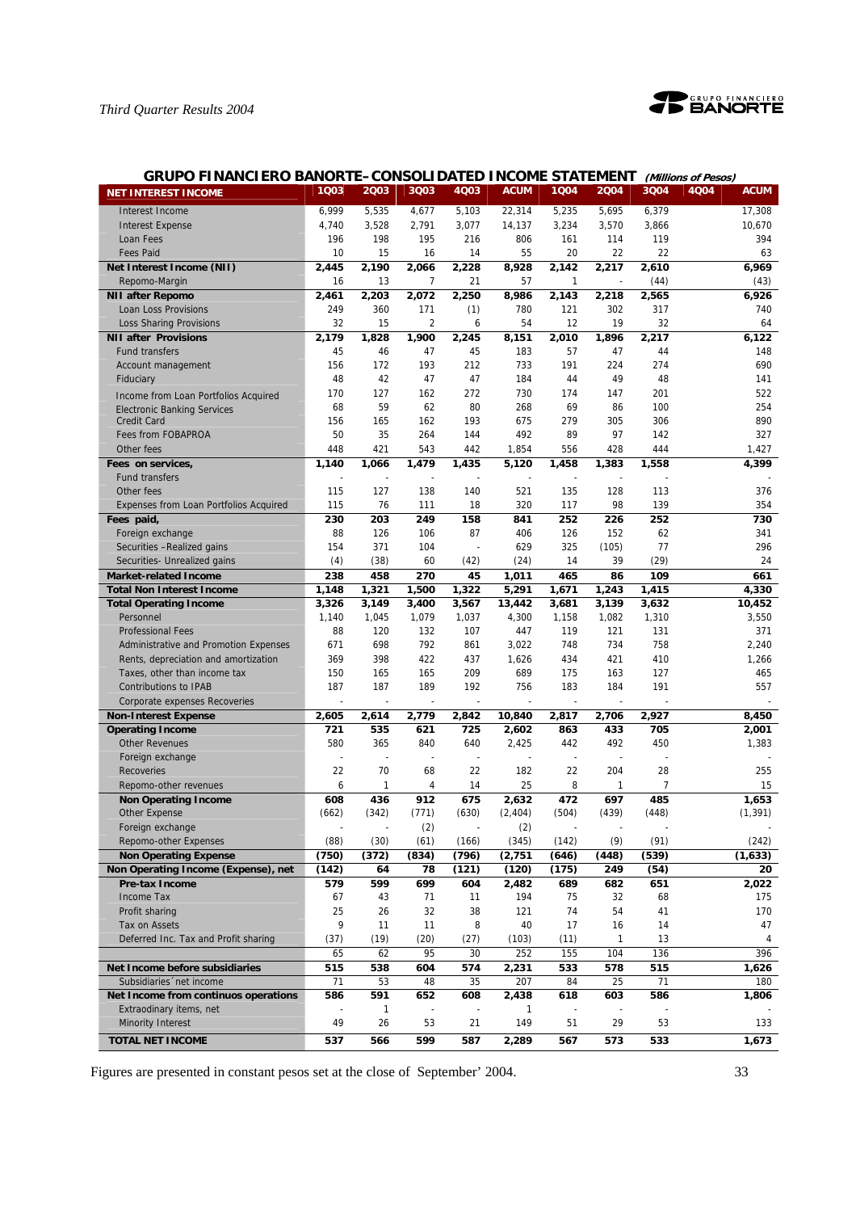

| <b>GRUPO FINANCIERO BANORTE-CONSOLIDATED INCOME STATEMENT</b> |                    |              |                |              |                 |                    |              |                | (Millions of Pesos) |                |
|---------------------------------------------------------------|--------------------|--------------|----------------|--------------|-----------------|--------------------|--------------|----------------|---------------------|----------------|
| <b>NET INTEREST INCOME</b>                                    | 1Q03               | 2003         | 3Q03           | 4Q03         | <b>ACUM</b>     | 1004               | 2004         | 3004           | 4Q04                | <b>ACUM</b>    |
| Interest Income                                               | 6,999              | 5,535        | 4,677          | 5,103        | 22,314          | 5,235              | 5,695        | 6,379          |                     | 17,308         |
| <b>Interest Expense</b>                                       | 4,740              | 3,528        | 2,791          | 3,077        | 14.137          | 3,234              | 3,570        | 3,866          |                     | 10,670         |
| Loan Fees                                                     | 196                | 198          | 195            | 216          | 806             | 161                | 114          | 119            |                     | 394            |
| <b>Fees Paid</b>                                              | 10                 | 15           | 16             | 14           | 55              | 20                 | 22           | 22             |                     | 63             |
| Net Interest Income (NII)                                     | 2,445              | 2,190        | 2,066          | 2,228        | 8,928           | 2,142              | 2,217        | 2,610          |                     | 6.969          |
| Repomo-Margin                                                 | 16                 | 13           | 7              | 21           | 57              | 1                  |              | (44)           |                     | (43)           |
| <b>NII after Repomo</b>                                       | $\overline{2,}461$ | 2,203        | 2,072          | 2,250        | 8,986           | $\overline{2,}143$ | 2,218        | 2,565          |                     | 6,926          |
| Loan Loss Provisions                                          | 249                | 360          | 171            | (1)          | 780             | 121                | 302          | 317            |                     | 740            |
| <b>Loss Sharing Provisions</b>                                | 32                 | 15           | $\overline{2}$ | 6            | 54              | 12                 | 19           | 32             |                     | 64             |
| <b>NII after Provisions</b>                                   | 2,179              | 1,828        | 1,900          | 2,245        | 8,151           | 2,010              | 1,896        | 2,217          |                     | 6,122          |
| <b>Fund transfers</b>                                         | 45                 | 46           | 47             | 45           | 183             | 57                 | 47           | 44             |                     | 148            |
| Account management                                            | 156                | 172          | 193            | 212          | 733             | 191                | 224          | 274            |                     | 690            |
| Fiduciary                                                     | 48                 | 42           | 47             | 47           | 184             | 44                 | 49           | 48             |                     | 141            |
| Income from Loan Portfolios Acquired                          | 170                | 127          | 162            | 272          | 730             | 174                | 147          | 201            |                     | 522            |
| <b>Electronic Banking Services</b>                            | 68                 | 59           | 62             | 80           | 268             | 69                 | 86           | 100            |                     | 254            |
| <b>Credit Card</b>                                            | 156                | 165          | 162            | 193          | 675             | 279                | 305          | 306            |                     | 890            |
| Fees from FOBAPROA                                            | 50                 | 35           | 264            | 144          | 492             | 89                 | 97           | 142            |                     | 327            |
| Other fees                                                    | 448                | 421          | 543<br>1,479   | 442          | 1,854           | 556                | 428          | 444            |                     | 1,427<br>4,399 |
| Fees on services,<br><b>Fund transfers</b>                    | 1,140              | 1,066        |                | 1,435        | 5,120           | 1,458              | 1,383        | 1,558          |                     |                |
| Other fees                                                    | 115                | 127          | 138            | 140          | 521             | 135                | 128          | 113            |                     | 376            |
| <b>Expenses from Loan Portfolios Acquired</b>                 | 115                | 76           | 111            | 18           | 320             | 117                | 98           | 139            |                     | 354            |
| Fees paid,                                                    | 230                | 203          | 249            | 158          | 841             | 252                | 226          | 252            |                     | 730            |
| Foreign exchange                                              | 88                 | 126          | 106            | 87           | 406             | 126                | 152          | 62             |                     | 341            |
| Securities -Realized gains                                    | 154                | 371          | 104            |              | 629             | 325                | (105)        | 77             |                     | 296            |
| Securities- Unrealized gains                                  | (4)                | (38)         | 60             | (42)         | (24)            | 14                 | 39           | (29)           |                     | 24             |
| <b>Market-related Income</b>                                  | 238                | 458          | 270            | 45           | 1,011           | 465                | 86           | 109            |                     | 661            |
| <b>Total Non Interest Income</b>                              | 1,148              | 1,321        | 1,500          | 1,322        | 5,291           | 1,671              | 1,243        | 1,415          |                     | 4,330          |
| <b>Total Operating Income</b>                                 | 3,326              | 3,149        | 3,400          | 3,567        | 13,442          | 3,681              | 3,139        | 3,632          |                     | 10,452         |
| Personnel                                                     | 1,140              | 1,045        | 1,079          | 1,037        | 4,300           | 1,158              | 1,082        | 1,310          |                     | 3,550          |
| <b>Professional Fees</b>                                      | 88                 | 120          | 132            | 107          | 447             | 119                | 121          | 131            |                     | 371            |
| Administrative and Promotion Expenses                         | 671                | 698          | 792            | 861          | 3,022           | 748                | 734          | 758            |                     | 2,240          |
| Rents, depreciation and amortization                          | 369                | 398          | 422            | 437          | 1,626           | 434                | 421          | 410            |                     | 1,266          |
| Taxes, other than income tax                                  | 150                | 165          | 165            | 209          | 689             | 175                | 163          | 127            |                     | 465            |
| <b>Contributions to IPAB</b>                                  | 187                | 187          | 189            | 192          | 756             | 183                | 184          | 191            |                     | 557            |
| Corporate expenses Recoveries                                 |                    |              |                |              |                 | ÷,                 |              |                |                     |                |
| <b>Non-Interest Expense</b><br><b>Operating Income</b>        | 2,605<br>721       | 2,614<br>535 | 2,779<br>621   | 2,842<br>725 | 10,840<br>2,602 | 2,817<br>863       | 2,706<br>433 | 2,927<br>705   |                     | 8,450<br>2,001 |
| <b>Other Revenues</b>                                         | 580                | 365          | 840            | 640          | 2,425           | 442                | 492          | 450            |                     | 1,383          |
| Foreign exchange                                              |                    |              |                |              |                 |                    |              |                |                     |                |
| <b>Recoveries</b>                                             | 22                 | 70           | 68             | 22           | 182             | 22                 | 204          | 28             |                     | 255            |
| Repomo-other revenues                                         | 6                  | $\mathbf{1}$ | 4              | 14           | 25              | 8                  | $\mathbf{1}$ | $\overline{7}$ |                     | 15             |
| <b>Non Operating Income</b>                                   | 608                | 436          | 912            | 675          | 2,632           | 472                | 697          | 485            |                     | 1,653          |
| Other Expense                                                 | (662)              | (342)        | (771)          | (630)        | (2, 404)        | (504)              | (439)        | (448)          |                     | (1, 391)       |
| Foreign exchange                                              |                    |              | (2)            |              | (2)             |                    |              |                |                     |                |
| Repomo-other Expenses                                         | (88)               | (30)         | (61)           | (166)        | (345)           | (142)              | (9)          | (91)           |                     | (242)          |
| <b>Non Operating Expense</b>                                  | (750)              | (372)        | (834)          | (796)        | (2, 751)        | (646)              | (448)        | (539)          |                     | (1,633)        |
| Non Operating Income (Expense), net                           | (142)              | 64           | 78             | (121)        | (120)           | (175)              | 249          | (54)           |                     | 20             |
| <b>Pre-tax Income</b>                                         | 579                | 599          | 699            | 604          | 2,482           | 689                | 682          | 651            |                     | 2,022          |
| Income Tax                                                    | 67                 | 43           | 71             | 11           | 194             | 75                 | 32           | 68             |                     | 175            |
| Profit sharing                                                | 25                 | 26           | 32             | 38           | 121             | 74                 | 54           | 41             |                     | 170            |
| Tax on Assets<br>Deferred Inc. Tax and Profit sharing         | 9<br>(37)          | 11<br>(19)   | 11<br>(20)     | 8<br>(27)    | 40<br>(103)     | 17<br>(11)         | 16<br>1      | 14<br>13       |                     | 47<br>4        |
|                                                               | 65                 | 62           | 95             | 30           | 252             | 155                | 104          | 136            |                     | 396            |
| Net Income before subsidiaries                                | 515                | 538          | 604            | 574          | 2,231           | 533                | 578          | 515            |                     | 1,626          |
| Subsidiaries 'net income                                      | 71                 | 53           | 48             | 35           | 207             | 84                 | 25           | 71             |                     | 180            |
| Net Income from continuos operations                          | 586                | 591          | 652            | 608          | 2,438           | 618                | 603          | 586            |                     | 1,806          |
| Extraodinary items, net                                       |                    | $\mathbf{1}$ |                |              | 1               |                    |              |                |                     |                |
| <b>Minority Interest</b>                                      | 49                 | 26           | 53             | 21           | 149             | 51                 | 29           | 53             |                     | 133            |
| <b>TOTAL NET INCOME</b>                                       | 537                | 566          | 599            | 587          | 2,289           | 567                | 573          | 533            |                     | 1,673          |
|                                                               |                    |              |                |              |                 |                    |              |                |                     |                |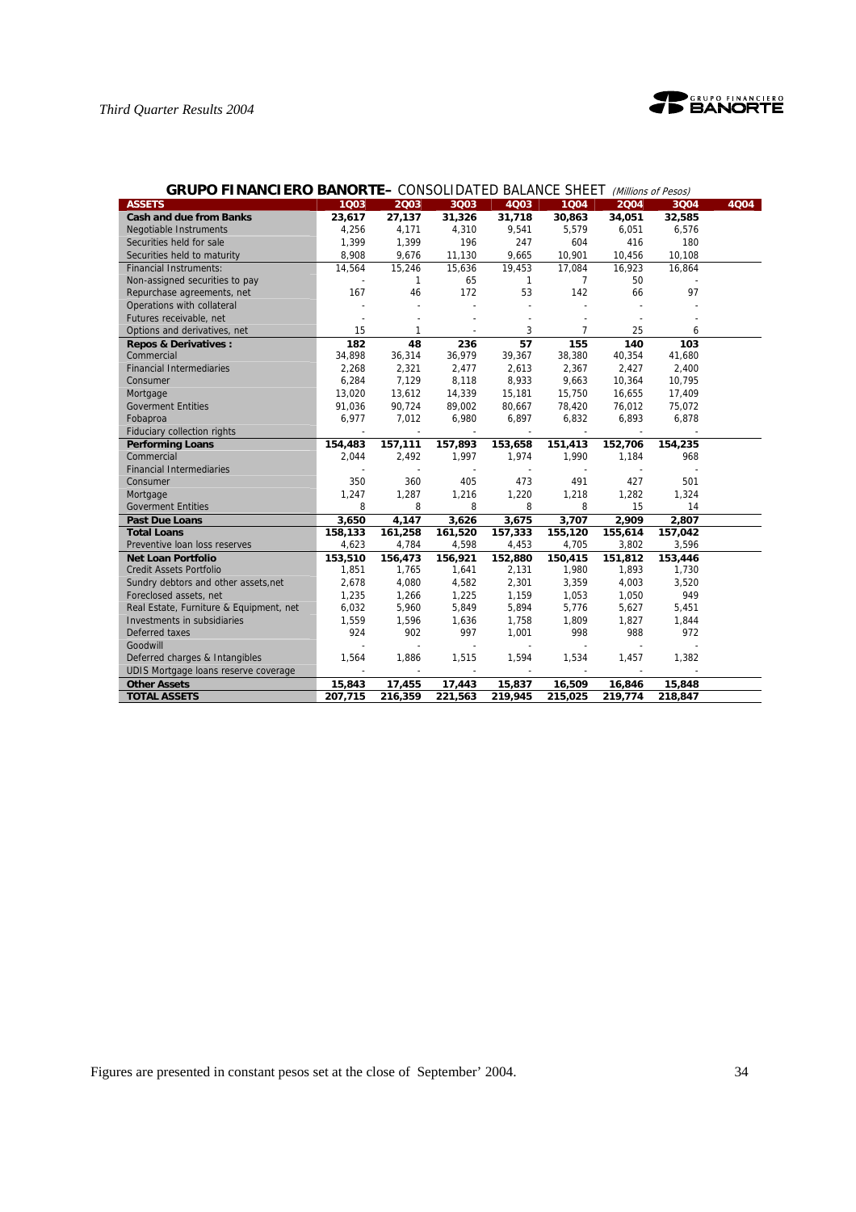

| <b>GRUPO FINANCIERO BANORTE-</b> CONSOLIDATED BALANCE SHEET (Millions of Pesos) |         |                |                |              |                |         |         |      |  |  |
|---------------------------------------------------------------------------------|---------|----------------|----------------|--------------|----------------|---------|---------|------|--|--|
| <b>ASSETS</b>                                                                   | 1003    | 2Q03           | 3Q03           | 4Q03         | 1004           | 2004    | 3Q04    | 4Q04 |  |  |
| <b>Cash and due from Banks</b>                                                  | 23,617  | 27,137         | 31,326         | 31,718       | 30,863         | 34,051  | 32,585  |      |  |  |
| <b>Negotiable Instruments</b>                                                   | 4,256   | 4,171          | 4,310          | 9,541        | 5,579          | 6,051   | 6,576   |      |  |  |
| Securities held for sale                                                        | 1,399   | 1,399          | 196            | 247          | 604            | 416     | 180     |      |  |  |
| Securities held to maturity                                                     | 8,908   | 9,676          | 11,130         | 9,665        | 10,901         | 10,456  | 10,108  |      |  |  |
| <b>Financial Instruments:</b>                                                   | 14,564  | 15,246         | 15,636         | 19,453       | 17,084         | 16,923  | 16,864  |      |  |  |
| Non-assigned securities to pay                                                  |         | 1              | 65             | $\mathbf{1}$ | $\overline{7}$ | 50      |         |      |  |  |
| Repurchase agreements, net                                                      | 167     | 46             | 172            | 53           | 142            | 66      | 97      |      |  |  |
| Operations with collateral                                                      |         |                | $\overline{a}$ |              | ä,             |         |         |      |  |  |
| Futures receivable, net                                                         |         |                |                |              |                |         |         |      |  |  |
| Options and derivatives, net                                                    | 15      | 1              |                | 3            | $\overline{7}$ | 25      | 6       |      |  |  |
| <b>Repos &amp; Derivatives:</b>                                                 | 182     | 48             | 236            | 57           | 155            | 140     | 103     |      |  |  |
| Commercial                                                                      | 34,898  | 36,314         | 36,979         | 39,367       | 38,380         | 40,354  | 41,680  |      |  |  |
| <b>Financial Intermediaries</b>                                                 | 2,268   | 2,321          | 2,477          | 2,613        | 2,367          | 2,427   | 2,400   |      |  |  |
| Consumer                                                                        | 6,284   | 7,129          | 8,118          | 8,933        | 9,663          | 10,364  | 10,795  |      |  |  |
| Mortgage                                                                        | 13,020  | 13,612         | 14,339         | 15,181       | 15,750         | 16,655  | 17,409  |      |  |  |
| <b>Goverment Entities</b>                                                       | 91,036  | 90,724         | 89,002         | 80,667       | 78,420         | 76,012  | 75,072  |      |  |  |
| Fobaproa                                                                        | 6.977   | 7,012          | 6,980          | 6,897        | 6,832          | 6,893   | 6,878   |      |  |  |
| <b>Fiduciary collection rights</b>                                              |         | $\blacksquare$ |                |              |                |         |         |      |  |  |
| <b>Performing Loans</b>                                                         | 154,483 | 157,111        | 157,893        | 153,658      | 151,413        | 152,706 | 154,235 |      |  |  |
| Commercial                                                                      | 2.044   | 2,492          | 1,997          | 1,974        | 1,990          | 1,184   | 968     |      |  |  |
| <b>Financial Intermediaries</b>                                                 |         |                |                |              |                |         |         |      |  |  |
| Consumer                                                                        | 350     | 360            | 405            | 473          | 491            | 427     | 501     |      |  |  |
| Mortgage                                                                        | 1,247   | 1,287          | 1,216          | 1,220        | 1,218          | 1,282   | 1,324   |      |  |  |
| <b>Goverment Entities</b>                                                       | 8       | 8              | 8              | 8            | 8              | 15      | 14      |      |  |  |
| <b>Past Due Loans</b>                                                           | 3,650   | 4,147          | 3,626          | 3,675        | 3,707          | 2,909   | 2,807   |      |  |  |
| <b>Total Loans</b>                                                              | 158,133 | 161,258        | 161,520        | 157,333      | 155,120        | 155,614 | 157,042 |      |  |  |
| Preventive Ioan loss reserves                                                   | 4,623   | 4,784          | 4,598          | 4,453        | 4,705          | 3,802   | 3,596   |      |  |  |
| <b>Net Loan Portfolio</b>                                                       | 153,510 | 156,473        | 156,921        | 152,880      | 150,415        | 151,812 | 153,446 |      |  |  |
| <b>Credit Assets Portfolio</b>                                                  | 1,851   | 1,765          | 1,641          | 2,131        | 1,980          | 1,893   | 1,730   |      |  |  |
| Sundry debtors and other assets, net                                            | 2,678   | 4,080          | 4,582          | 2,301        | 3,359          | 4,003   | 3,520   |      |  |  |
| Foreclosed assets, net                                                          | 1,235   | 1,266          | 1,225          | 1,159        | 1,053          | 1,050   | 949     |      |  |  |
| Real Estate, Furniture & Equipment, net                                         | 6,032   | 5,960          | 5,849          | 5,894        | 5,776          | 5,627   | 5,451   |      |  |  |
| Investments in subsidiaries                                                     | 1,559   | 1,596          | 1,636          | 1,758        | 1,809          | 1,827   | 1,844   |      |  |  |
| Deferred taxes                                                                  | 924     | 902            | 997            | 1,001        | 998            | 988     | 972     |      |  |  |
| Goodwill                                                                        |         |                | $\sim$         |              |                |         |         |      |  |  |
| Deferred charges & Intangibles                                                  | 1,564   | 1,886          | 1,515          | 1,594        | 1,534          | 1,457   | 1,382   |      |  |  |
| UDIS Mortgage loans reserve coverage                                            | ÷,      | ä,             | $\sim$         |              | $\overline{a}$ |         | $\sim$  |      |  |  |
| <b>Other Assets</b>                                                             | 15,843  | 17,455         | 17,443         | 15,837       | 16,509         | 16,846  | 15,848  |      |  |  |
| <b>TOTAL ASSETS</b>                                                             | 207,715 | 216,359        | 221,563        | 219,945      | 215,025        | 219,774 | 218,847 |      |  |  |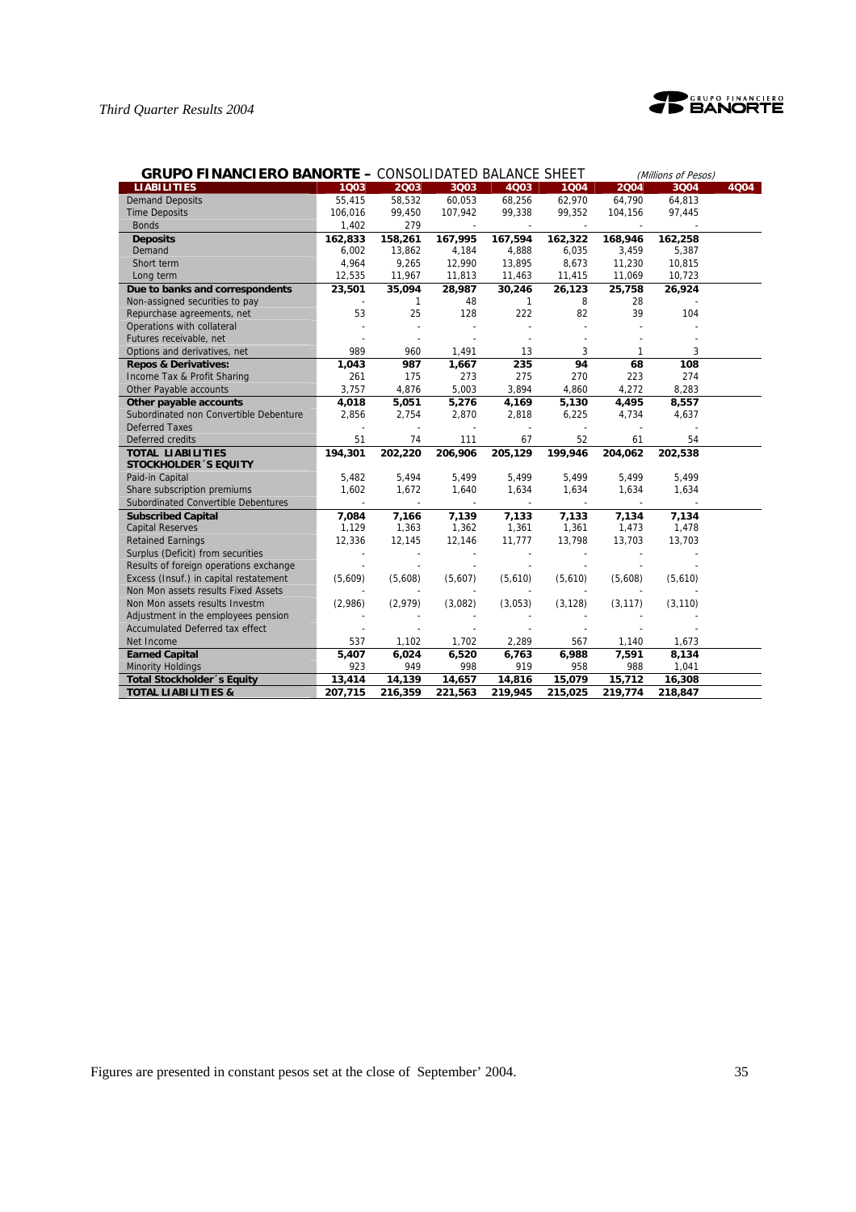

| <b>GRUPO FINANCIERO BANORTE - CONSOLIDATED BALANCE SHEET</b><br>(Millions of Pesos) |         |         |         |              |          |              |          |      |  |
|-------------------------------------------------------------------------------------|---------|---------|---------|--------------|----------|--------------|----------|------|--|
| <b>LIABILITIES</b>                                                                  | 1003    | 2003    | 3Q03    | 4003         | 1004     | 2004         | 3Q04     | 4Q04 |  |
| <b>Demand Deposits</b>                                                              | 55,415  | 58,532  | 60,053  | 68,256       | 62,970   | 64,790       | 64,813   |      |  |
| <b>Time Deposits</b>                                                                | 106,016 | 99,450  | 107,942 | 99,338       | 99,352   | 104,156      | 97,445   |      |  |
| <b>Bonds</b>                                                                        | 1,402   | 279     |         |              |          |              |          |      |  |
| <b>Deposits</b>                                                                     | 162,833 | 158,261 | 167,995 | 167,594      | 162,322  | 168,946      | 162,258  |      |  |
| Demand                                                                              | 6,002   | 13,862  | 4,184   | 4,888        | 6,035    | 3,459        | 5,387    |      |  |
| Short term                                                                          | 4,964   | 9,265   | 12,990  | 13,895       | 8,673    | 11,230       | 10,815   |      |  |
| Long term                                                                           | 12,535  | 11,967  | 11,813  | 11,463       | 11,415   | 11,069       | 10,723   |      |  |
| Due to banks and correspondents                                                     | 23,501  | 35,094  | 28,987  | 30,246       | 26,123   | 25,758       | 26,924   |      |  |
| Non-assigned securities to pay                                                      |         | 1       | 48      | $\mathbf{1}$ | 8        | 28           |          |      |  |
| Repurchase agreements, net                                                          | 53      | 25      | 128     | 222          | 82       | 39           | 104      |      |  |
| Operations with collateral                                                          |         |         |         |              |          |              |          |      |  |
| Futures receivable, net                                                             |         |         |         |              |          |              |          |      |  |
| Options and derivatives, net                                                        | 989     | 960     | 1,491   | 13           | 3        | $\mathbf{1}$ | 3        |      |  |
| <b>Repos &amp; Derivatives:</b>                                                     | 1,043   | 987     | 1.667   | 235          | 94       | 68           | 108      |      |  |
| Income Tax & Profit Sharing                                                         | 261     | 175     | 273     | 275          | 270      | 223          | 274      |      |  |
| Other Payable accounts                                                              | 3,757   | 4,876   | 5,003   | 3,894        | 4,860    | 4,272        | 8,283    |      |  |
| Other payable accounts                                                              | 4,018   | 5,051   | 5,276   | 4,169        | 5,130    | 4,495        | 8,557    |      |  |
| Subordinated non Convertible Debenture                                              | 2,856   | 2,754   | 2,870   | 2,818        | 6,225    | 4,734        | 4,637    |      |  |
| <b>Deferred Taxes</b>                                                               |         |         |         |              |          |              |          |      |  |
| Deferred credits                                                                    | 51      | 74      | 111     | 67           | 52       | 61           | 54       |      |  |
| <b>TOTAL LIABILITIES</b>                                                            | 194,301 | 202,220 | 206,906 | 205,129      | 199,946  | 204,062      | 202,538  |      |  |
| <b>STOCKHOLDER 'S EQUITY</b>                                                        |         |         |         |              |          |              |          |      |  |
| Paid-in Capital                                                                     | 5,482   | 5,494   | 5,499   | 5,499        | 5,499    | 5,499        | 5,499    |      |  |
| Share subscription premiums                                                         | 1,602   | 1,672   | 1,640   | 1,634        | 1,634    | 1,634        | 1,634    |      |  |
| Subordinated Convertible Debentures                                                 |         |         |         |              |          |              |          |      |  |
| <b>Subscribed Capital</b>                                                           | 7.084   | 7,166   | 7,139   | 7,133        | 7,133    | 7,134        | 7,134    |      |  |
| <b>Capital Reserves</b>                                                             | 1,129   | 1,363   | 1,362   | 1,361        | 1,361    | 1,473        | 1,478    |      |  |
| <b>Retained Earnings</b>                                                            | 12,336  | 12,145  | 12,146  | 11,777       | 13,798   | 13,703       | 13,703   |      |  |
| Surplus (Deficit) from securities                                                   |         |         |         |              |          |              |          |      |  |
| Results of foreign operations exchange                                              |         |         |         |              |          |              |          |      |  |
| Excess (Insuf.) in capital restatement                                              | (5,609) | (5,608) | (5,607) | (5,610)      | (5,610)  | (5,608)      | (5,610)  |      |  |
| Non Mon assets results Fixed Assets                                                 |         |         |         |              |          |              |          |      |  |
| Non Mon assets results Investm                                                      | (2,986) | (2,979) | (3,082) | (3,053)      | (3, 128) | (3, 117)     | (3, 110) |      |  |
| Adjustment in the employees pension                                                 |         |         |         |              |          |              |          |      |  |
| <b>Accumulated Deferred tax effect</b>                                              |         |         |         |              |          |              |          |      |  |
| Net Income                                                                          | 537     | 1,102   | 1,702   | 2,289        | 567      | 1,140        | 1,673    |      |  |
| <b>Earned Capital</b>                                                               | 5,407   | 6,024   | 6,520   | 6,763        | 6,988    | 7,591        | 8,134    |      |  |
| <b>Minority Holdings</b>                                                            | 923     | 949     | 998     | 919          | 958      | 988          | 1,041    |      |  |
| Total Stockholder 's Equity                                                         | 13,414  | 14,139  | 14,657  | 14,816       | 15,079   | 15,712       | 16,308   |      |  |
| <b>TOTAL LIABILITIES &amp;</b>                                                      | 207,715 | 216,359 | 221,563 | 219,945      | 215,025  | 219,774      | 218,847  |      |  |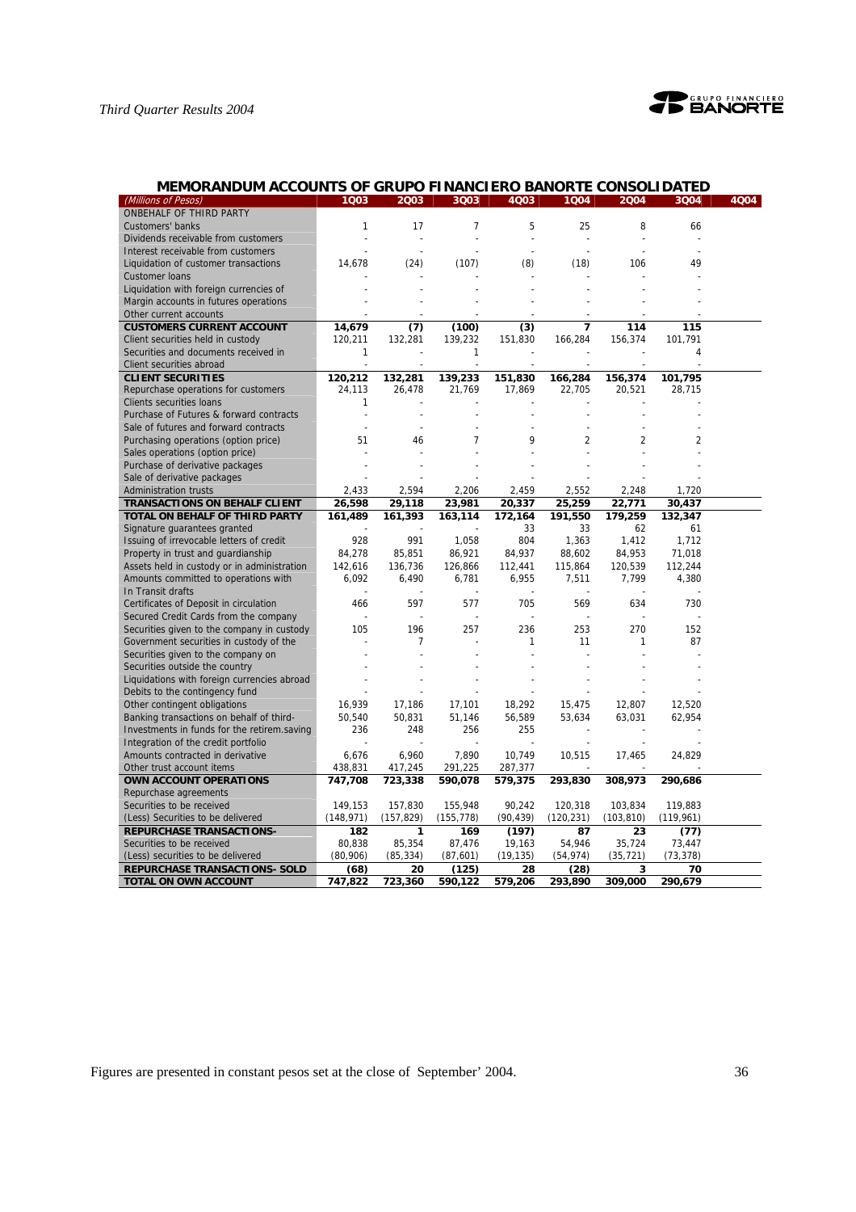

| MEMORANDUM ACCOUNTS OF GRUPO FINANCIERO BANORTE CONSOLIDATED |  |  |
|--------------------------------------------------------------|--|--|
|                                                              |  |  |

| (Millions of Pesos)                         | 1 <sub>Q03</sub> | 2003           | 3Q03           | 4Q03      | 1004           | 2004           | 3Q04           | 4Q04 |
|---------------------------------------------|------------------|----------------|----------------|-----------|----------------|----------------|----------------|------|
| ONBEHALF OF THIRD PARTY                     |                  |                |                |           |                |                |                |      |
| Customers' banks                            | 1                | 17             | 7              | 5         | 25             | 8              | 66             |      |
| Dividends receivable from customers         |                  |                |                |           |                |                |                |      |
| Interest receivable from customers          |                  |                |                |           |                |                |                |      |
| Liquidation of customer transactions        | 14,678           | (24)           | (107)          | (8)       | (18)           | 106            | 49             |      |
| <b>Customer loans</b>                       |                  |                |                |           |                |                |                |      |
| Liquidation with foreign currencies of      |                  |                |                |           |                |                |                |      |
| Margin accounts in futures operations       |                  |                |                |           |                |                |                |      |
| Other current accounts                      |                  |                |                |           |                |                |                |      |
| <b>CUSTOMERS CURRENT ACCOUNT</b>            | 14,679           | (7)            | (100)          | (3)       | 7              | 114            | 115            |      |
| Client securities held in custody           | 120,211          | 132,281        | 139,232        | 151,830   | 166,284        | 156,374        | 101,791        |      |
| Securities and documents received in        | 1                |                | 1              |           |                |                | 4              |      |
| Client securities abroad                    |                  |                |                |           |                |                |                |      |
| <b>CLIENT SECURITIES</b>                    | 120,212          | 132,281        | 139,233        | 151,830   | 166,284        | 156,374        | 101,795        |      |
| Repurchase operations for customers         | 24,113           | 26,478         | 21,769         | 17,869    | 22,705         | 20,521         | 28,715         |      |
| <b>Clients securities loans</b>             | $\mathbf{1}$     |                |                |           |                |                |                |      |
| Purchase of Futures & forward contracts     |                  |                |                |           |                |                |                |      |
| Sale of futures and forward contracts       |                  | $\overline{a}$ |                |           |                |                |                |      |
| Purchasing operations (option price)        | 51               | 46             | $\overline{7}$ | 9         | $\overline{2}$ | $\overline{2}$ | $\overline{2}$ |      |
| Sales operations (option price)             |                  |                |                |           |                |                |                |      |
| Purchase of derivative packages             |                  |                |                |           |                |                |                |      |
| Sale of derivative packages                 |                  |                |                |           |                |                |                |      |
| <b>Administration trusts</b>                | 2,433            | 2,594          | 2,206          | 2,459     | 2,552          | 2,248          | 1,720          |      |
| <b>TRANSACTIONS ON BEHALF CLIENT</b>        | 26,598           | 29,118         | 23,981         | 20,337    | 25,259         | 22,771         | 30,437         |      |
| TOTAL ON BEHALF OF THIRD PARTY              | 161,489          | 161,393        | 163,114        | 172,164   | 191,550        | 179,259        | 132,347        |      |
| Signature guarantees granted                |                  |                |                | 33        | 33             | 62             | 61             |      |
| Issuing of irrevocable letters of credit    | 928              | 991            | 1,058          | 804       | 1,363          | 1,412          | 1,712          |      |
| Property in trust and guardianship          | 84,278           | 85,851         | 86,921         | 84,937    | 88,602         | 84,953         | 71,018         |      |
| Assets held in custody or in administration | 142,616          | 136,736        | 126,866        | 112,441   | 115,864        | 120,539        | 112,244        |      |
| Amounts committed to operations with        | 6,092            | 6,490          | 6,781          | 6,955     | 7,511          | 7,799          | 4,380          |      |
| In Transit drafts                           |                  |                |                |           |                |                |                |      |
| Certificates of Deposit in circulation      | 466              | 597            | 577            | 705       | 569            | 634            | 730            |      |
| Secured Credit Cards from the company       |                  |                |                |           |                |                |                |      |
| Securities given to the company in custody  | 105              | 196            | 257            | 236       | 253            | 270            | 152            |      |
| Government securities in custody of the     |                  | 7              |                | 1         | 11             | 1              | 87             |      |
| Securities given to the company on          |                  |                |                |           |                |                |                |      |
| Securities outside the country              |                  |                |                |           |                |                |                |      |
| Liquidations with foreign currencies abroad |                  |                |                |           |                |                |                |      |
| Debits to the contingency fund              |                  |                |                |           |                |                |                |      |
| Other contingent obligations                | 16,939           | 17,186         | 17,101         | 18,292    | 15,475         | 12,807         | 12,520         |      |
| Banking transactions on behalf of third-    | 50,540           | 50,831         | 51,146         | 56,589    | 53,634         | 63,031         | 62,954         |      |
| Investments in funds for the retirem.saving | 236              | 248            | 256            | 255       |                |                |                |      |
| Integration of the credit portfolio         |                  |                |                |           |                |                |                |      |
| Amounts contracted in derivative            | 6,676            | 6,960          | 7,890          | 10,749    | 10,515         | 17,465         | 24,829         |      |
| Other trust account items                   | 438,831          | 417,245        | 291,225        | 287,377   |                |                |                |      |
| <b>OWN ACCOUNT OPERATIONS</b>               | 747,708          | 723,338        | 590,078        | 579,375   | 293,830        | 308,973        | 290,686        |      |
| Repurchase agreements                       |                  |                |                |           |                |                |                |      |
| Securities to be received                   | 149,153          | 157,830        | 155,948        | 90,242    | 120,318        | 103,834        | 119,883        |      |
| (Less) Securities to be delivered           | (148, 971)       | (157, 829)     | (155, 778)     | (90, 439) | (120, 231)     | (103, 810)     | (119, 961)     |      |
| <b>REPURCHASE TRANSACTIONS-</b>             | 182              | 1              | 169            | (197)     | 87             | 23             | (77)           |      |
| Securities to be received                   | 80,838           | 85,354         | 87,476         | 19,163    | 54,946         | 35,724         | 73,447         |      |
| (Less) securities to be delivered           | (80,906)         | (85, 334)      | (87, 601)      | (19, 135) | (54, 974)      | (35, 721)      | (73, 378)      |      |
| <b>REPURCHASE TRANSACTIONS- SOLD</b>        | (68)             | 20             | (125)          | 28        | (28)           | 3              | 70             |      |
| TOTAL ON OWN ACCOUNT                        | 747,822          | 723,360        | 590,122        | 579,206   | 293,890        | 309,000        | 290,679        |      |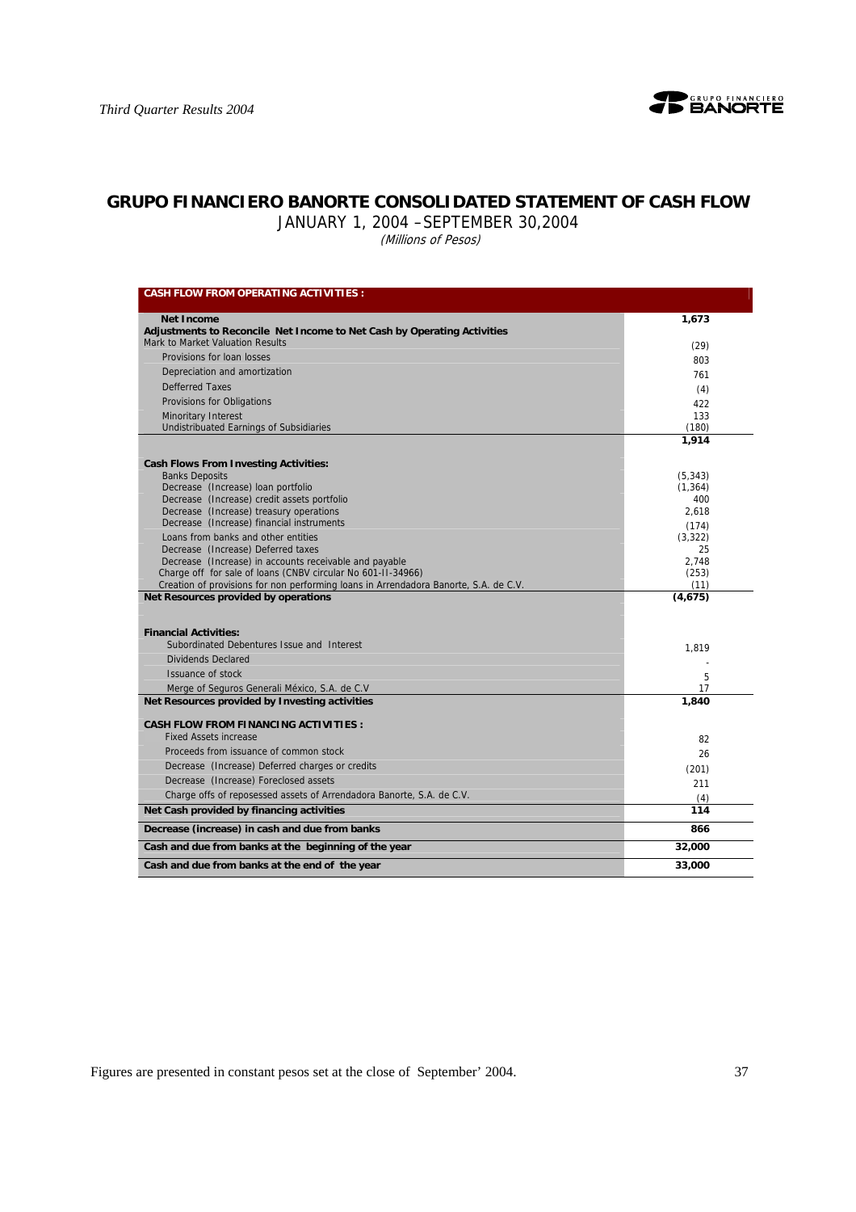

# **GRUPO FINANCIERO BANORTE CONSOLIDATED STATEMENT OF CASH FLOW**

JANUARY 1, 2004 –SEPTEMBER 30,2004

(Millions of Pesos)

| <b>CASH FLOW FROM OPERATING ACTIVITIES :</b>                                         |               |
|--------------------------------------------------------------------------------------|---------------|
| <b>Net Income</b>                                                                    | 1,673         |
| Adjustments to Reconcile Net Income to Net Cash by Operating Activities              |               |
| Mark to Market Valuation Results                                                     | (29)          |
| Provisions for loan losses                                                           | 803           |
| Depreciation and amortization                                                        | 761           |
| <b>Defferred Taxes</b>                                                               |               |
| Provisions for Obligations                                                           | (4)<br>422    |
| Minoritary Interest                                                                  | 133           |
| Undistribuated Earnings of Subsidiaries                                              | (180)         |
|                                                                                      | 1,914         |
| <b>Cash Flows From Investing Activities:</b>                                         |               |
| <b>Banks Deposits</b>                                                                | (5, 343)      |
| Decrease (Increase) Ioan portfolio                                                   | (1, 364)      |
| Decrease (Increase) credit assets portfolio                                          | 400           |
| Decrease (Increase) treasury operations<br>Decrease (Increase) financial instruments | 2,618         |
|                                                                                      | (174)         |
| Loans from banks and other entities<br>Decrease (Increase) Deferred taxes            | (3,322)<br>25 |
| Decrease (Increase) in accounts receivable and payable                               | 2.748         |
| Charge off for sale of loans (CNBV circular No 601-II-34966)                         | (253)         |
| Creation of provisions for non performing loans in Arrendadora Banorte, S.A. de C.V. | (11)          |
| Net Resources provided by operations                                                 | (4,675)       |
| <b>Financial Activities:</b>                                                         |               |
| Subordinated Debentures Issue and Interest                                           | 1,819         |
| Dividends Declared                                                                   |               |
| Issuance of stock                                                                    | 5             |
| Merge of Seguros Generali México, S.A. de C.V.                                       | 17            |
| Net Resources provided by Investing activities                                       | 1,840         |
| <b>CASH FLOW FROM FINANCING ACTIVITIES:</b>                                          |               |
| <b>Fixed Assets increase</b>                                                         | 82            |
| Proceeds from issuance of common stock                                               | 26            |
| Decrease (Increase) Deferred charges or credits                                      | (201)         |
| Decrease (Increase) Foreclosed assets                                                | 211           |
| Charge offs of reposessed assets of Arrendadora Banorte, S.A. de C.V.                | (4)           |
| Net Cash provided by financing activities                                            | 114           |
| Decrease (increase) in cash and due from banks                                       | 866           |
| Cash and due from banks at the beginning of the year                                 | 32,000        |
| Cash and due from banks at the end of the year                                       | 33,000        |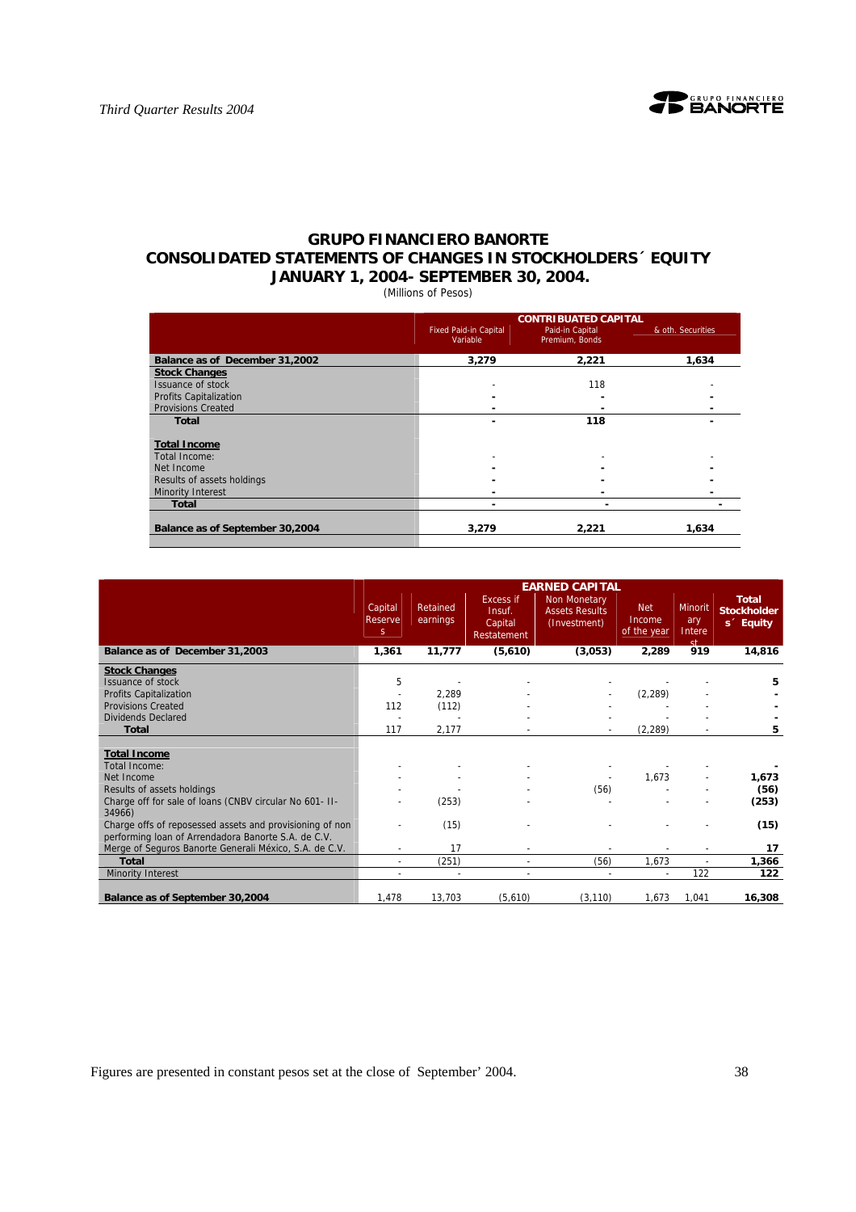# **GRUPO FINANCIERO BANORTE CONSOLIDATED STATEMENTS OF CHANGES IN STOCKHOLDERS´ EQUITY JANUARY 1, 2004- SEPTEMBER 30, 2004.**

(Millions of Pesos)

|                                 |                                          | <b>CONTRIBUATED CAPITAL</b>       |                   |
|---------------------------------|------------------------------------------|-----------------------------------|-------------------|
|                                 | <b>Fixed Paid-in Capital</b><br>Variable | Paid-in Capital<br>Premium, Bonds | & oth. Securities |
| Balance as of December 31,2002  | 3,279                                    | 2,221                             | 1,634             |
| <b>Stock Changes</b>            |                                          |                                   |                   |
| Issuance of stock               |                                          | 118                               |                   |
| <b>Profits Capitalization</b>   |                                          |                                   |                   |
| <b>Provisions Created</b>       |                                          |                                   |                   |
| <b>Total</b>                    |                                          | 118                               |                   |
| <b>Total Income</b>             |                                          |                                   |                   |
| Total Income:                   |                                          |                                   |                   |
| Net Income                      |                                          |                                   |                   |
| Results of assets holdings      |                                          |                                   |                   |
| <b>Minority Interest</b>        |                                          |                                   |                   |
| Total                           |                                          |                                   |                   |
| Balance as of September 30,2004 | 3.279                                    | 2.221                             | 1.634             |

|                                                                                                                 |                          |                          |                                                      | <b>EARNED CAPITAL</b>                                        |                                     |                                       |                                                             |
|-----------------------------------------------------------------------------------------------------------------|--------------------------|--------------------------|------------------------------------------------------|--------------------------------------------------------------|-------------------------------------|---------------------------------------|-------------------------------------------------------------|
|                                                                                                                 | Capital<br>Reserve<br>S. | Retained<br>earnings     | <b>Excess if</b><br>Insuf.<br>Capital<br>Restatement | <b>Non Monetary</b><br><b>Assets Results</b><br>(Investment) | <b>Net</b><br>Income<br>of the year | <b>Minorit</b><br>ary<br>Intere<br>st | <b>Total</b><br><b>Stockholder</b><br>s <sup>2</sup> Equity |
| Balance as of December 31,2003                                                                                  | 1,361                    | 11,777                   | (5,610)                                              | (3,053)                                                      | 2,289                               | 919                                   | 14,816                                                      |
| <b>Stock Changes</b>                                                                                            |                          |                          |                                                      |                                                              |                                     |                                       |                                                             |
| Issuance of stock                                                                                               | 5                        |                          |                                                      |                                                              |                                     |                                       | 5                                                           |
| Profits Capitalization                                                                                          |                          | 2,289                    |                                                      |                                                              | (2, 289)                            |                                       |                                                             |
| <b>Provisions Created</b>                                                                                       | 112                      | (112)                    |                                                      |                                                              |                                     |                                       |                                                             |
| <b>Dividends Declared</b>                                                                                       |                          |                          |                                                      |                                                              |                                     |                                       |                                                             |
| <b>Total</b>                                                                                                    | 117                      | 2,177                    |                                                      |                                                              | (2, 289)                            | ٠                                     | 5                                                           |
|                                                                                                                 |                          |                          |                                                      |                                                              |                                     |                                       |                                                             |
| <b>Total Income</b>                                                                                             |                          |                          |                                                      |                                                              |                                     |                                       |                                                             |
| Total Income:                                                                                                   |                          |                          |                                                      |                                                              |                                     |                                       |                                                             |
| Net Income                                                                                                      |                          |                          |                                                      |                                                              | 1,673                               |                                       | 1,673                                                       |
| Results of assets holdings                                                                                      |                          |                          |                                                      | (56)                                                         |                                     |                                       | (56)                                                        |
| Charge off for sale of loans (CNBV circular No 601- II-<br>34966)                                               |                          | (253)                    |                                                      |                                                              |                                     |                                       | (253)                                                       |
| Charge offs of reposessed assets and provisioning of non<br>performing Ioan of Arrendadora Banorte S.A. de C.V. |                          | (15)                     |                                                      |                                                              |                                     |                                       | (15)                                                        |
| Merge of Seguros Banorte Generali México, S.A. de C.V.                                                          |                          | 17                       |                                                      |                                                              |                                     |                                       | 17                                                          |
| <b>Total</b>                                                                                                    | $\overline{a}$           | (251)                    | ٠                                                    | (56)                                                         | 1,673                               |                                       | 1,366                                                       |
| <b>Minority Interest</b>                                                                                        |                          | $\overline{\phantom{a}}$ | ٠                                                    |                                                              | $\sim$                              | 122                                   | 122                                                         |
|                                                                                                                 |                          |                          |                                                      |                                                              |                                     |                                       |                                                             |
| Balance as of September 30,2004                                                                                 | 1,478                    | 13,703                   | (5,610)                                              | (3, 110)                                                     | 1,673                               | 1,041                                 | 16,308                                                      |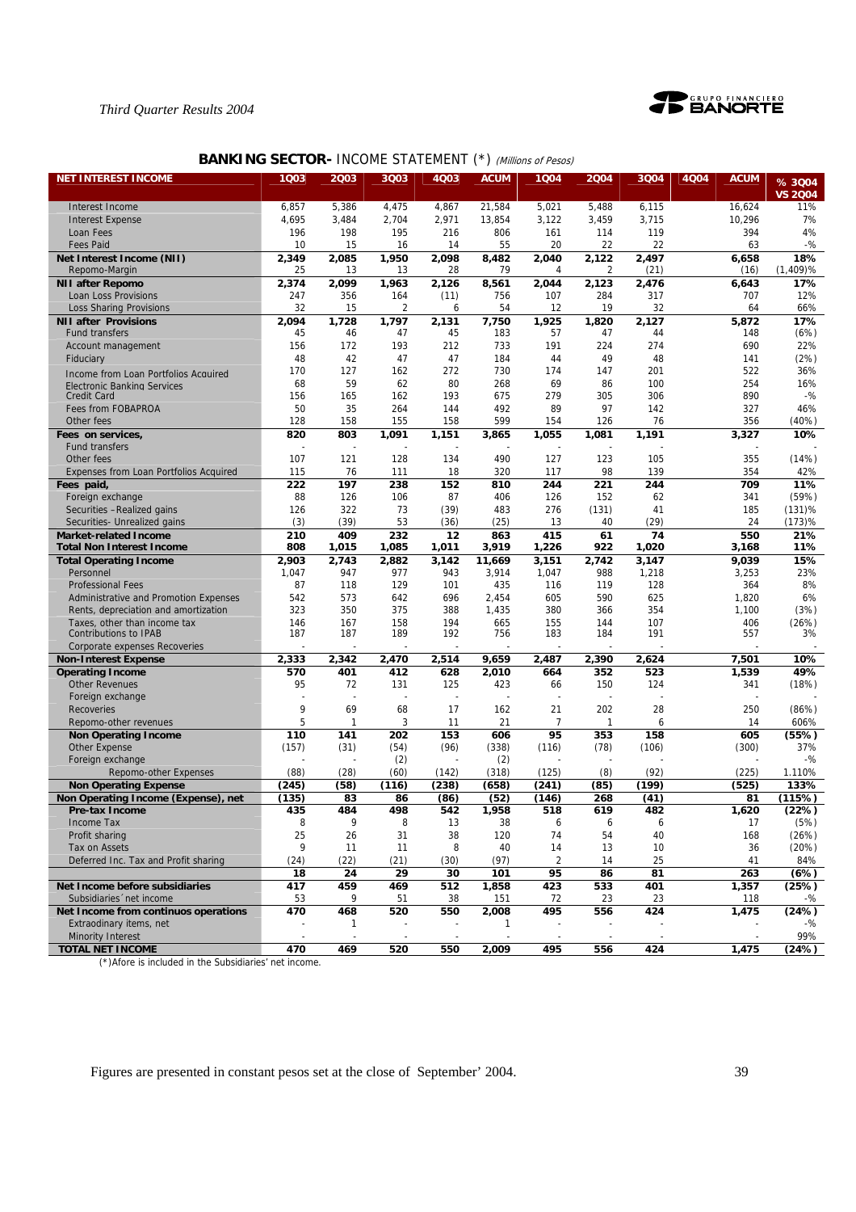



# **BANKING SECTOR- INCOME STATEMENT (\*) (Millions of Pesos)**

| <b>NET INTEREST INCOME</b>                                      | 1Q03           | 2003         | 3Q03         | 4Q03         | <b>ACUM</b>     | 1004           | 2004         | 3Q04           | 4Q04<br><b>ACUM</b> | %3004          |
|-----------------------------------------------------------------|----------------|--------------|--------------|--------------|-----------------|----------------|--------------|----------------|---------------------|----------------|
|                                                                 |                |              |              |              |                 |                |              |                |                     | <b>VS 2004</b> |
| Interest Income                                                 | 6,857          | 5,386        | 4,475        | 4,867        | 21,584          | 5,021          | 5,488        | 6,115          | 16,624              | 11%            |
| <b>Interest Expense</b>                                         | 4,695          | 3,484        | 2,704        | 2,971        | 13,854          | 3,122          | 3,459        | 3,715          | 10,296              | 7%             |
| Loan Fees                                                       | 196            | 198          | 195          | 216          | 806             | 161            | 114          | 119            | 394                 | 4%             |
| <b>Fees Paid</b>                                                | 10             | 15           | 16           | 14           | 55              | 20             | 22           | 22             | 63                  | $-$ %          |
| Net Interest Income (NII)                                       | 2,349          | 2,085        | 1,950        | 2,098        | 8,482           | 2,040          | 2,122        | 2,497          | 6,658               | 18%            |
| Repomo-Margin                                                   | 25             | 13           | 13           | 28           | 79              | 4              | 2            | (21)           | (16)                | $(1,409)$ %    |
| <b>NII after Repomo</b>                                         | 2,374          | 2,099        | 1,963        | 2,126        | 8,561           | 2,044          | 2,123        | 2,476          | 6,643               | 17%            |
| Loan Loss Provisions                                            | 247            | 356          | 164          | (11)         | 756             | 107            | 284          | 317            | 707                 | 12%            |
| <b>Loss Sharing Provisions</b>                                  | 32             | 15           | 2            | 6            | 54              | 12             | 19           | 32             | 64                  | 66%            |
| <b>NII after Provisions</b>                                     | 2,094          | 1,728        | 1,797        | 2,131        | 7,750           | 1,925          | 1,820        | 2,127          | 5,872               | 17%            |
| Fund transfers                                                  | 45             | 46           | 47           | 45           | 183             | 57             | 47           | 44             | 148                 | (6%)           |
| Account management                                              | 156            | 172          | 193          | 212          | 733             | 191            | 224          | 274            | 690                 | 22%            |
| Fiduciary                                                       | 48<br>170      | 42<br>127    | 47<br>162    | 47<br>272    | 184<br>730      | 44<br>174      | 49<br>147    | 48<br>201      | 141<br>522          | (2%)<br>36%    |
| Income from Loan Portfolios Acquired                            | 68             | 59           | 62           | 80           | 268             | 69             | 86           | 100            | 254                 | 16%            |
| Electronic Banking Services<br><b>Credit Card</b>               | 156            | 165          | 162          | 193          | 675             | 279            | 305          | 306            | 890                 | $-%$           |
| Fees from FOBAPROA                                              | 50             | 35           | 264          | 144          | 492             | 89             | 97           | 142            | 327                 | 46%            |
| Other fees                                                      | 128            | 158          | 155          | 158          | 599             | 154            | 126          | 76             | 356                 | (40%)          |
| Fees on services,                                               | 820            | 803          | 1,091        | 1,151        | 3,865           | 1,055          | 1,081        | 1,191          | 3,327               | 10%            |
| <b>Fund transfers</b>                                           |                |              |              |              |                 |                |              |                |                     |                |
| Other fees                                                      | 107            | 121          | 128          | 134          | 490             | 127            | 123          | 105            | 355                 | (14%)          |
| <b>Expenses from Loan Portfolios Acquired</b>                   | 115            | 76           | 111          | 18           | 320             | 117            | 98           | 139            | 354                 | 42%            |
| Fees paid,                                                      | 222            | 197          | 238          | 152          | 810             | 244            | 221          | 244            | 709                 | 11%            |
| Foreign exchange                                                | 88             | 126          | 106          | 87           | 406             | 126            | 152          | 62             | 341                 | (59%)          |
| Securities -Realized gains                                      | 126            | 322          | 73           | (39)         | 483             | 276            | (131)        | 41             | 185                 | $(131)$ %      |
| Securities- Unrealized gains                                    | (3)            | (39)         | 53           | (36)         | (25)            | 13             | 40           | (29)           | 24                  | (173)%         |
| <b>Market-related Income</b>                                    | 210            | 409          | 232          | 12           | 863             | 415            | 61           | 74             | 550                 | 21%            |
| <b>Total Non Interest Income</b>                                | 808            | 1,015        | 1,085        | 1,011        | 3,919           | 1,226          | 922          | 1,020          | 3,168               | 11%            |
| <b>Total Operating Income</b><br>Personnel                      | 2,903<br>1,047 | 2,743<br>947 | 2,882<br>977 | 3,142<br>943 | 11,669<br>3,914 | 3,151<br>1,047 | 2,742<br>988 | 3,147<br>1,218 | 9,039<br>3,253      | 15%<br>23%     |
| <b>Professional Fees</b>                                        | 87             | 118          | 129          | 101          | 435             | 116            | 119          | 128            | 364                 | 8%             |
| Administrative and Promotion Expenses                           | 542            | 573          | 642          | 696          | 2,454           | 605            | 590          | 625            | 1,820               | 6%             |
| Rents, depreciation and amortization                            | 323            | 350          | 375          | 388          | 1,435           | 380            | 366          | 354            | 1,100               | (3%)           |
| Taxes, other than income tax                                    | 146            | 167          | 158          | 194          | 665             | 155            | 144          | 107            | 406                 | (26%)          |
| Contributions to IPAB                                           | 187            | 187          | 189          | 192          | 756             | 183            | 184          | 191            | 557                 | 3%             |
| Corporate expenses Recoveries                                   |                |              |              |              |                 |                |              |                |                     |                |
| <b>Non-Interest Expense</b>                                     | 2,333          | 2,342        | 2,470        | 2,514        | 9,659           | 2,487          | 2,390        | 2,624          | 7,501               | 10%            |
| <b>Operating Income</b>                                         | 570            | 401          | 412          | 628          | 2,010           | 664            | 352          | 523            | 1,539               | 49%            |
| <b>Other Revenues</b>                                           | 95             | 72           | 131          | 125          | 423             | 66             | 150          | 124            | 341                 | (18%)          |
| Foreign exchange                                                |                |              |              |              |                 |                |              |                |                     |                |
| Recoveries                                                      | 9              | 69           | 68           | 17           | 162             | 21             | 202          | 28             | 250                 | (86%)          |
| Repomo-other revenues                                           | 5<br>110       | 1<br>141     | 3<br>202     | 11<br>153    | 21              | 7<br>95        | 1<br>353     | 6<br>158       | 14<br>605           | 606%           |
| <b>Non Operating Income</b><br>Other Expense                    | (157)          | (31)         | (54)         | (96)         | 606<br>(338)    | (116)          | (78)         | (106)          | (300)               | (55%)<br>37%   |
| Foreign exchange                                                |                |              | (2)          |              | (2)             |                |              |                |                     | $-$ %          |
| Repomo-other Expenses                                           | (88)           | (28)         | (60)         | (142)        | (318)           | (125)          | (8)          | (92)           | (225)               | 1.110%         |
| <b>Non Operating Expense</b>                                    | (245)          | (58)         | (116)        | (238)        | (658)           | (241)          | (85)         | (199)          | (525)               | 133%           |
| Non Operating Income (Expense), net                             | (135)          | 83           | 86           | (86)         | (52)            | (146)          | 268          | (41)           | 81                  | (115%)         |
| <b>Pre-tax Income</b>                                           | 435            | 484          | 498          | 542          | 1,958           | 518            | 619          | 482            | 1,620               | (22%)          |
| Income Tax                                                      | 8              | 9            | 8            | 13           | 38              | 6              | 6            | 6              | 17                  | (5%)           |
| Profit sharing                                                  | 25             | 26           | 31           | 38           | 120             | 74             | 54           | 40             | 168                 | (26%)          |
| Tax on Assets                                                   | 9              | 11           | 11           | 8            | 40              | 14             | 13           | 10             | 36                  | (20%)          |
| Deferred Inc. Tax and Profit sharing                            | (24)           | (22)         | (21)         | (30)         | (97)            | 2              | 14           | 25             | 41                  | 84%            |
|                                                                 | 18             | 24           | 29           | 30           | 101             | 95             | 86           | 81             | 263                 | (6%)           |
| Net Income before subsidiaries                                  | 417            | 459          | 469          | 512          | 1,858           | 423            | 533          | 401            | 1,357               | (25%)          |
| Subsidiaries 'net income                                        | 53<br>470      | 9            | 51<br>520    | 38<br>550    | 151<br>2,008    | 72             | 23           | 23<br>424      | 118                 | -%             |
| Net Income from continuos operations<br>Extraodinary items, net |                | 468          |              |              |                 | 495            | 556          |                | 1,475               | (24%)          |
|                                                                 |                |              |              |              |                 |                |              |                |                     |                |
| <b>Minority Interest</b>                                        |                | 1            |              |              | 1               |                |              |                |                     | $-$ %<br>99%   |

(\*)Afore is included in the Subsidiaries' net income.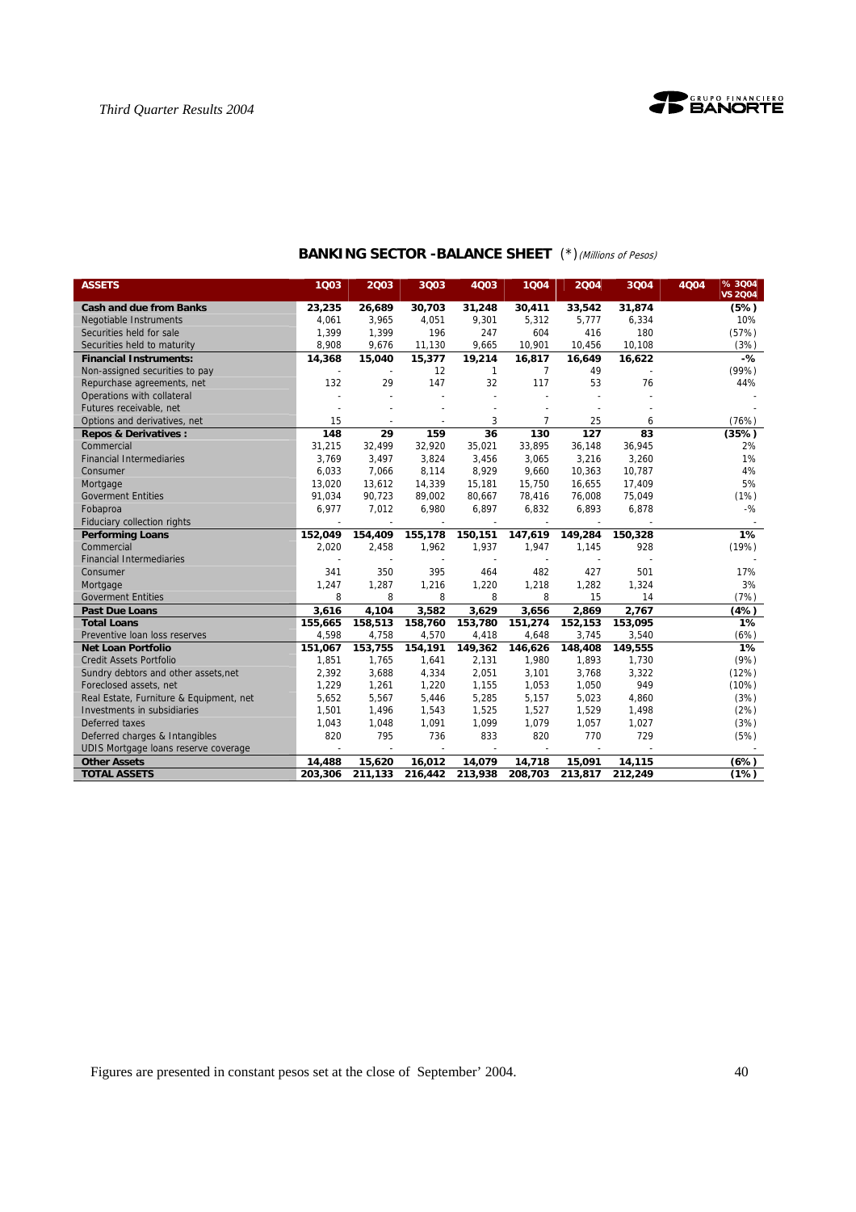

| <b>ASSETS</b>                           | 1Q03    | 2003    | 3Q03                     | 4Q03            | 1004    | 2004             | 3004    | 4Q04 | % 3004<br><b>VS 2004</b> |
|-----------------------------------------|---------|---------|--------------------------|-----------------|---------|------------------|---------|------|--------------------------|
| <b>Cash and due from Banks</b>          | 23,235  | 26,689  | 30,703                   | 31,248          | 30,411  | 33,542           | 31,874  |      | (5%)                     |
| <b>Negotiable Instruments</b>           | 4,061   | 3,965   | 4,051                    | 9,301           | 5,312   | 5,777            | 6,334   |      | 10%                      |
| Securities held for sale                | 1,399   | 1,399   | 196                      | 247             | 604     | 416              | 180     |      | (57%)                    |
| Securities held to maturity             | 8,908   | 9,676   | 11,130                   | 9,665           | 10,901  | 10,456           | 10,108  |      | (3%)                     |
| <b>Financial Instruments:</b>           | 14,368  | 15,040  | 15,377                   | 19,214          | 16,817  | 16,649           | 16,622  |      | $-\frac{9}{6}$           |
| Non-assigned securities to pay          |         |         | 12                       | $\mathbf{1}$    | 7       | 49               |         |      | (99%)                    |
| Repurchase agreements, net              | 132     | 29      | 147                      | 32              | 117     | 53               | 76      |      | 44%                      |
| Operations with collateral              |         |         |                          |                 |         |                  |         |      |                          |
| Futures receivable, net                 |         |         |                          |                 |         |                  |         |      |                          |
| Options and derivatives, net            | 15      |         |                          | 3               | 7       | 25               | 6       |      | (76%)                    |
| <b>Repos &amp; Derivatives:</b>         | 148     | 29      | 159                      | $\overline{36}$ | 130     | $\overline{127}$ | 83      |      | (35%)                    |
| Commercial                              | 31,215  | 32,499  | 32,920                   | 35,021          | 33,895  | 36,148           | 36,945  |      | 2%                       |
| <b>Financial Intermediaries</b>         | 3.769   | 3,497   | 3,824                    | 3,456           | 3.065   | 3,216            | 3,260   |      | 1%                       |
| Consumer                                | 6,033   | 7,066   | 8,114                    | 8,929           | 9,660   | 10,363           | 10,787  |      | 4%                       |
| Mortgage                                | 13,020  | 13,612  | 14,339                   | 15,181          | 15,750  | 16,655           | 17,409  |      | 5%                       |
| <b>Goverment Entities</b>               | 91,034  | 90,723  | 89,002                   | 80,667          | 78,416  | 76,008           | 75,049  |      | (1%)                     |
| Fobaproa                                | 6,977   | 7,012   | 6,980                    | 6,897           | 6,832   | 6,893            | 6,878   |      | $-$ %                    |
| Fiduciary collection rights             |         | $\sim$  | $\overline{\phantom{a}}$ | $\sim$          | $\sim$  |                  |         |      |                          |
| <b>Performing Loans</b>                 | 152,049 | 154,409 | 155,178                  | 150,151         | 147,619 | 149,284          | 150,328 |      | 1%                       |
| Commercial                              | 2,020   | 2,458   | 1,962                    | 1,937           | 1,947   | 1,145            | 928     |      | (19%)                    |
| <b>Financial Intermediaries</b>         |         |         |                          |                 |         |                  |         |      |                          |
| Consumer                                | 341     | 350     | 395                      | 464             | 482     | 427              | 501     |      | 17%                      |
| Mortgage                                | 1,247   | 1,287   | 1,216                    | 1,220           | 1,218   | 1,282            | 1,324   |      | 3%                       |
| <b>Goverment Entities</b>               | 8       | 8       | 8                        | 8               | 8       | 15               | 14      |      | (7%)                     |
| <b>Past Due Loans</b>                   | 3,616   | 4,104   | 3,582                    | 3,629           | 3,656   | 2,869            | 2,767   |      | (4%)                     |
| <b>Total Loans</b>                      | 155,665 | 158,513 | 158,760                  | 153,780         | 151,274 | 152,153          | 153,095 |      | 1%                       |
| Preventive loan loss reserves           | 4.598   | 4,758   | 4,570                    | 4,418           | 4,648   | 3,745            | 3,540   |      | (6%)                     |
| <b>Net Loan Portfolio</b>               | 151.067 | 153.755 | 154,191                  | 149.362         | 146.626 | 148,408          | 149,555 |      | 1%                       |
| <b>Credit Assets Portfolio</b>          | 1,851   | 1,765   | 1,641                    | 2,131           | 1,980   | 1,893            | 1,730   |      | (9%)                     |
| Sundry debtors and other assets, net    | 2,392   | 3,688   | 4,334                    | 2,051           | 3,101   | 3,768            | 3,322   |      | (12%)                    |
| Foreclosed assets, net                  | 1.229   | 1,261   | 1,220                    | 1,155           | 1,053   | 1,050            | 949     |      | (10%)                    |
| Real Estate, Furniture & Equipment, net | 5,652   | 5,567   | 5,446                    | 5,285           | 5,157   | 5,023            | 4,860   |      | (3%)                     |
| Investments in subsidiaries             | 1,501   | 1,496   | 1,543                    | 1,525           | 1,527   | 1,529            | 1,498   |      | (2%)                     |
| Deferred taxes                          | 1,043   | 1,048   | 1,091                    | 1,099           | 1,079   | 1,057            | 1,027   |      | (3%)                     |
| Deferred charges & Intangibles          | 820     | 795     | 736                      | 833             | 820     | 770              | 729     |      | (5%)                     |
| UDIS Mortgage loans reserve coverage    |         |         |                          |                 |         |                  |         |      |                          |
| <b>Other Assets</b>                     | 14,488  | 15,620  | 16,012                   | 14,079          | 14,718  | 15,091           | 14,115  |      | (6%)                     |
| <b>TOTAL ASSETS</b>                     | 203,306 | 211,133 | 216,442                  | 213,938         | 208,703 | 213,817          | 212,249 |      | (1%)                     |

# **BANKING SECTOR -BALANCE SHEET** (\*)(Millions of Pesos)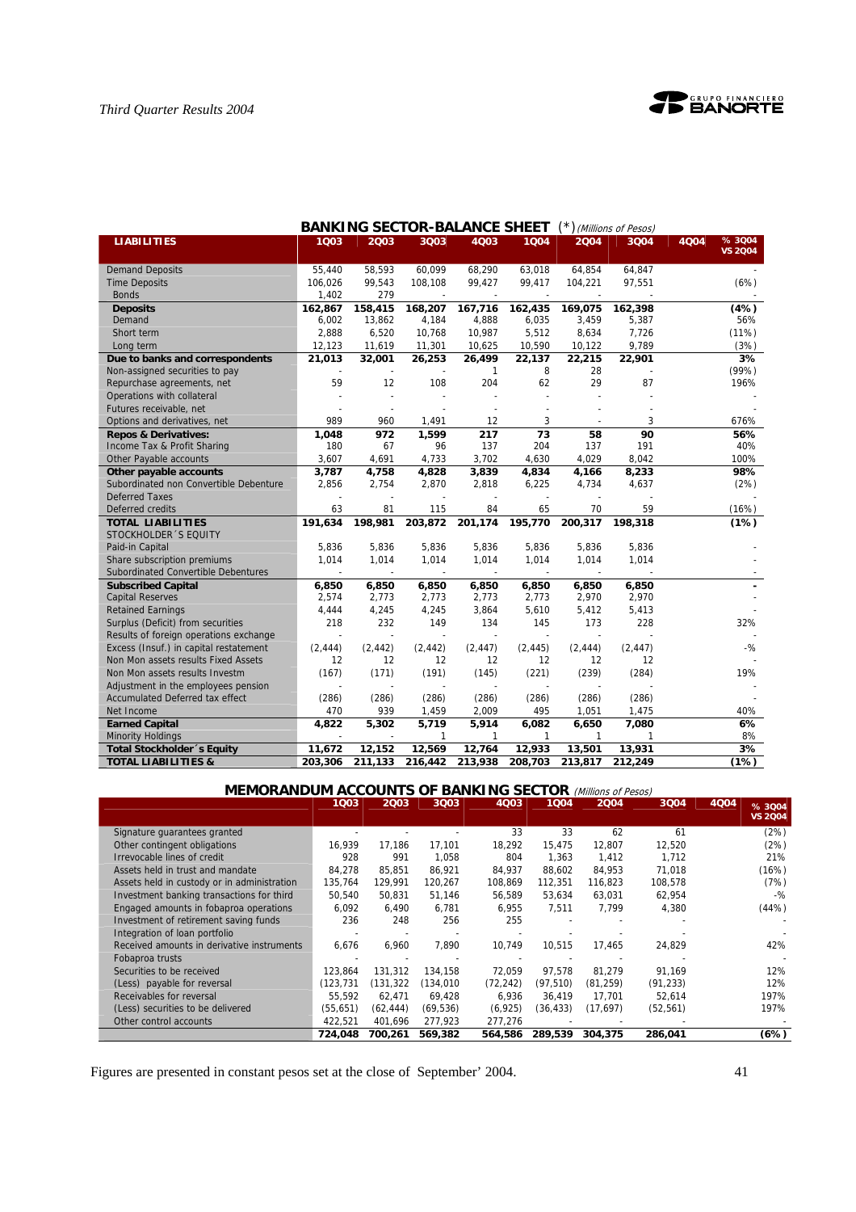

| <b>BANKING SECTOR-BALANCE SHEET</b><br>(*) (Millions of Pesos) |          |          |          |          |              |          |          |                                 |  |  |  |
|----------------------------------------------------------------|----------|----------|----------|----------|--------------|----------|----------|---------------------------------|--|--|--|
| <b>LIABILITIES</b>                                             | 1003     | 2003     | 3003     | 4003     | 1004         | 2004     | 3Q04     | %3004<br>4004<br><b>VS 2004</b> |  |  |  |
|                                                                |          |          |          |          |              |          |          |                                 |  |  |  |
| <b>Demand Deposits</b>                                         | 55.440   | 58,593   | 60.099   | 68,290   | 63,018       | 64,854   | 64,847   |                                 |  |  |  |
| <b>Time Deposits</b>                                           | 106,026  | 99,543   | 108,108  | 99,427   | 99,417       | 104,221  | 97,551   | (6%)                            |  |  |  |
| <b>Bonds</b>                                                   | 1,402    | 279      |          |          |              |          |          |                                 |  |  |  |
| <b>Deposits</b>                                                | 162,867  | 158,415  | 168,207  | 167,716  | 162,435      | 169,075  | 162, 398 | (4%)                            |  |  |  |
| Demand                                                         | 6,002    | 13,862   | 4,184    | 4,888    | 6,035        | 3,459    | 5,387    | 56%                             |  |  |  |
| Short term                                                     | 2,888    | 6,520    | 10,768   | 10,987   | 5,512        | 8,634    | 7,726    | (11%)                           |  |  |  |
| Long term                                                      | 12,123   | 11,619   | 11,301   | 10,625   | 10,590       | 10,122   | 9,789    | (3%)                            |  |  |  |
| Due to banks and correspondents                                | 21,013   | 32,001   | 26,253   | 26,499   | 22,137       | 22,215   | 22,901   | 3%                              |  |  |  |
| Non-assigned securities to pay                                 |          |          |          | 1        | 8            | 28       |          | (99%)                           |  |  |  |
| Repurchase agreements, net                                     | 59       | 12       | 108      | 204      | 62           | 29       | 87       | 196%                            |  |  |  |
| Operations with collateral                                     |          |          |          |          |              |          |          |                                 |  |  |  |
| Futures receivable, net                                        |          |          |          |          |              |          |          |                                 |  |  |  |
| Options and derivatives, net                                   | 989      | 960      | 1,491    | 12       | 3            |          | 3        | 676%                            |  |  |  |
| <b>Repos &amp; Derivatives:</b>                                | 1,048    | 972      | 1,599    | 217      | 73           | 58       | 90       | 56%                             |  |  |  |
| Income Tax & Profit Sharing                                    | 180      | 67       | 96       | 137      | 204          | 137      | 191      | 40%                             |  |  |  |
| Other Payable accounts                                         | 3,607    | 4,691    | 4,733    | 3,702    | 4,630        | 4,029    | 8,042    | 100%                            |  |  |  |
| Other payable accounts                                         | 3,787    | 4,758    | 4,828    | 3,839    | 4,834        | 4,166    | 8,233    | 98%                             |  |  |  |
| Subordinated non Convertible Debenture                         | 2,856    | 2,754    | 2,870    | 2,818    | 6,225        | 4,734    | 4,637    | (2%)                            |  |  |  |
| <b>Deferred Taxes</b>                                          |          |          |          |          |              |          |          |                                 |  |  |  |
| Deferred credits                                               | 63       | 81       | 115      | 84       | 65           | 70       | 59       | (16%)                           |  |  |  |
| <b>TOTAL LIABILITIES</b>                                       | 191,634  | 198,981  | 203,872  | 201,174  | 195,770      | 200,317  | 198,318  | (1%)                            |  |  |  |
| STOCKHOLDER 'S EQUITY                                          |          |          |          |          |              |          |          |                                 |  |  |  |
| Paid-in Capital                                                | 5,836    | 5,836    | 5,836    | 5,836    | 5,836        | 5,836    | 5,836    |                                 |  |  |  |
| Share subscription premiums                                    | 1,014    | 1,014    | 1,014    | 1,014    | 1,014        | 1,014    | 1,014    |                                 |  |  |  |
| Subordinated Convertible Debentures                            |          |          |          |          |              |          |          |                                 |  |  |  |
| <b>Subscribed Capital</b>                                      | 6,850    | 6,850    | 6,850    | 6,850    | 6,850        | 6,850    | 6,850    |                                 |  |  |  |
| <b>Capital Reserves</b>                                        | 2,574    | 2,773    | 2,773    | 2,773    | 2,773        | 2,970    | 2,970    |                                 |  |  |  |
| <b>Retained Earnings</b>                                       | 4,444    | 4,245    | 4,245    | 3,864    | 5,610        | 5,412    | 5,413    |                                 |  |  |  |
| Surplus (Deficit) from securities                              | 218      | 232      | 149      | 134      | 145          | 173      | 228      | 32%                             |  |  |  |
| Results of foreign operations exchange                         |          |          |          |          |              |          |          |                                 |  |  |  |
| Excess (Insuf.) in capital restatement                         | (2, 444) | (2, 442) | (2, 442) | (2, 447) | (2, 445)     | (2, 444) | (2, 447) | $-$ %                           |  |  |  |
| Non Mon assets results Fixed Assets                            | 12       | 12       | 12       | 12       | 12           | 12       | 12       |                                 |  |  |  |
| Non Mon assets results Investm                                 | (167)    | (171)    | (191)    | (145)    | (221)        | (239)    | (284)    | 19%                             |  |  |  |
| Adjustment in the employees pension                            |          |          |          |          |              |          |          |                                 |  |  |  |
| <b>Accumulated Deferred tax effect</b>                         | (286)    | (286)    | (286)    | (286)    | (286)        | (286)    | (286)    |                                 |  |  |  |
| Net Income                                                     | 470      | 939      | 1,459    | 2,009    | 495          | 1,051    | 1,475    | 40%                             |  |  |  |
| <b>Earned Capital</b>                                          | 4,822    | 5,302    | 5,719    | 5,914    | 6,082        | 6,650    | 7,080    | 6%                              |  |  |  |
| <b>Minority Holdings</b>                                       |          |          | 1        | 1        | $\mathbf{1}$ | 1        | 1        | 8%                              |  |  |  |
| <b>Total Stockholder</b> 's Equity                             | 11,672   | 12,152   | 12,569   | 12,764   | 12,933       | 13,501   | 13,931   | 3%                              |  |  |  |
| <b>TOTAL LIABILITIES &amp;</b>                                 | 203,306  | 211,133  | 216,442  | 213,938  | 208,703      | 213,817  | 212,249  | (1%)                            |  |  |  |

# **MEMORANDUM ACCOUNTS OF BANKING SECTOR** (Millions of Pesos)

|                                             | 1003       | 2003      | 3Q03       | 4003      | 1004      | 2004      | 3004      | 4Q04 | % 3004         |
|---------------------------------------------|------------|-----------|------------|-----------|-----------|-----------|-----------|------|----------------|
|                                             |            |           |            |           |           |           |           |      | <b>VS 2004</b> |
| Signature guarantees granted                |            |           |            | 33        | 33        | 62        | 61        |      | (2%)           |
| Other contingent obligations                | 16.939     | 17.186    | 17.101     | 18,292    | 15.475    | 12.807    | 12,520    |      | (2%)           |
| Irrevocable lines of credit                 | 928        | 991       | 1.058      | 804       | 1.363     | 1.412     | 1.712     |      | 21%            |
| Assets held in trust and mandate            | 84.278     | 85.851    | 86.921     | 84,937    | 88.602    | 84,953    | 71.018    |      | (16%)          |
| Assets held in custody or in administration | 135,764    | 129.991   | 120,267    | 108,869   | 112.351   | 116,823   | 108,578   |      | (7%)           |
| Investment banking transactions for third   | 50,540     | 50.831    | 51,146     | 56,589    | 53,634    | 63,031    | 62,954    |      | $-$ %          |
| Engaged amounts in fobaproa operations      | 6,092      | 6,490     | 6,781      | 6,955     | 7,511     | 7.799     | 4,380     |      | (44%)          |
| Investment of retirement saving funds       | 236        | 248       | 256        | 255       |           |           |           |      |                |
| Integration of loan portfolio               |            |           |            |           |           |           |           |      |                |
| Received amounts in derivative instruments  | 6,676      | 6.960     | 7.890      | 10.749    | 10.515    | 17,465    | 24,829    |      | 42%            |
| Fobaproa trusts                             |            |           |            |           |           |           |           |      |                |
| Securities to be received                   | 123.864    | 131.312   | 134.158    | 72,059    | 97.578    | 81,279    | 91,169    |      | 12%            |
| (Less) payable for reversal                 | (123, 731) | (131,322  | (134, 010) | (72, 242) | (97, 510) | (81, 259) | (91, 233) |      | 12%            |
| Receivables for reversal                    | 55.592     | 62,471    | 69.428     | 6,936     | 36,419    | 17,701    | 52,614    |      | 197%           |
| (Less) securities to be delivered           | (55, 651)  | (62, 444) | (69, 536)  | (6, 925)  | (36, 433) | (17,697)  | (52, 561) |      | 197%           |
| Other control accounts                      | 422,521    | 401,696   | 277,923    | 277,276   |           |           |           |      |                |
|                                             | 724,048    | 700.261   | 569,382    | 564.586   | 289.539   | 304,375   | 286.041   |      | (6%)           |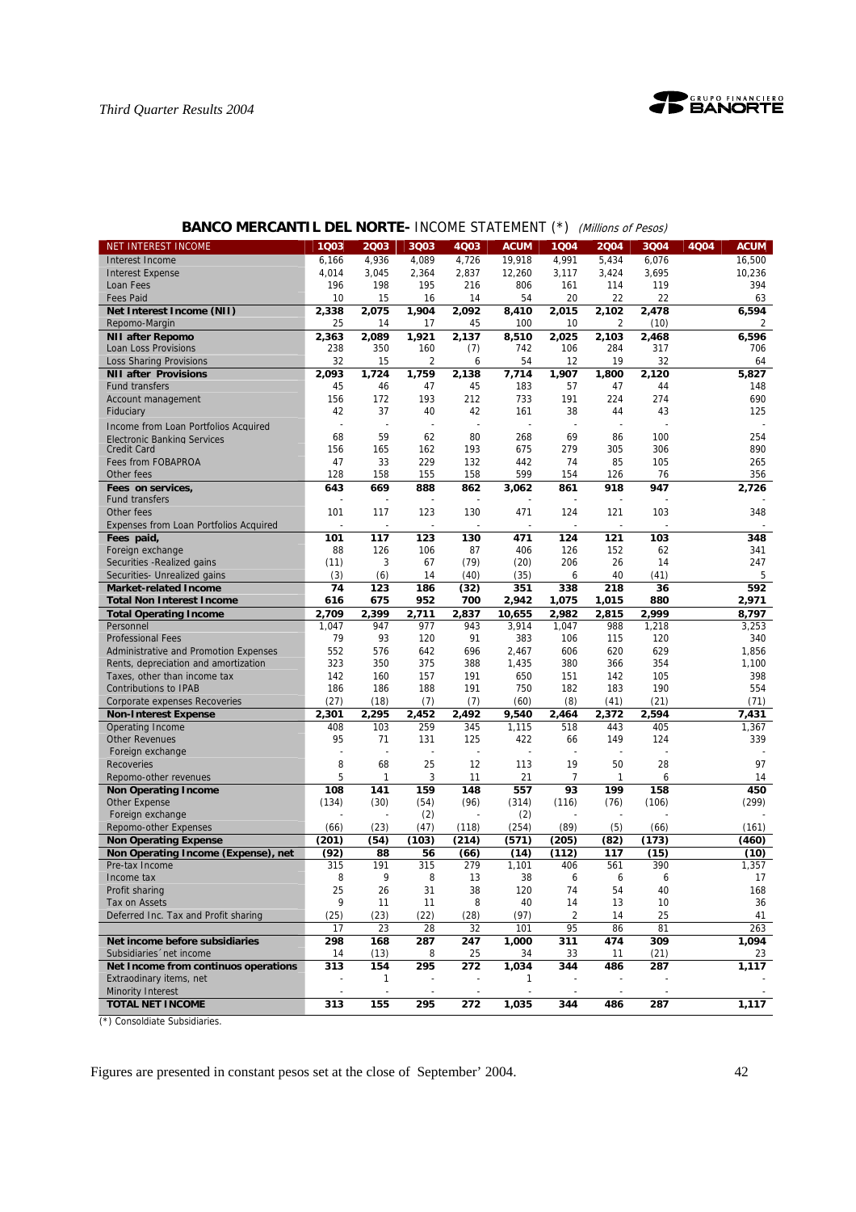

| NET INTEREST INCOME                    | 1Q03           | 2003           | 3Q03           | 4Q03  | <b>ACUM</b> | 1Q04  | 2004         | 3Q04  | 4Q04 | <b>ACUM</b> |
|----------------------------------------|----------------|----------------|----------------|-------|-------------|-------|--------------|-------|------|-------------|
| Interest Income                        | 6,166          | 4,936          | 4,089          | 4,726 | 19,918      | 4,991 | 5,434        | 6,076 |      | 16,500      |
| <b>Interest Expense</b>                | 4,014          | 3,045          | 2,364          | 2,837 | 12,260      | 3,117 | 3,424        | 3,695 |      | 10,236      |
| Loan Fees                              | 196            | 198            | 195            | 216   | 806         | 161   | 114          | 119   |      | 394         |
| <b>Fees Paid</b>                       | 10             | 15             | 16             | 14    | 54          | 20    | 22           | 22    |      | 63          |
| Net Interest Income (NII)              | 2,338          | 2,075          | 1,904          | 2,092 | 8,410       | 2,015 | 2,102        | 2,478 |      | 6,594       |
| Repomo-Margin                          | 25             | 14             | 17             | 45    | 100         | 10    | 2            | (10)  |      | 2           |
| <b>NII after Repomo</b>                | 2,363          | 2,089          | 1,921          | 2,137 | 8,510       | 2,025 | 2,103        | 2,468 |      | 6.596       |
| Loan Loss Provisions                   | 238            | 350            | 160            | (7)   | 742         | 106   | 284          | 317   |      | 706         |
| <b>Loss Sharing Provisions</b>         | 32             | 15             | $\overline{c}$ | 6     | 54          | 12    | 19           | 32    |      | 64          |
| <b>NII after Provisions</b>            | 2,093          | 1,724          | 1,759          | 2,138 | 7,714       | 1,907 | 1,800        | 2,120 |      | 5,827       |
| <b>Fund transfers</b>                  | 45             | 46             | 47             | 45    | 183         | 57    | 47           | 44    |      | 148         |
| Account management                     | 156            | 172            | 193            | 212   | 733         | 191   | 224          | 274   |      | 690         |
| Fiduciary                              | 42             | 37             | 40             | 42    | 161         | 38    | 44           | 43    |      | 125         |
|                                        | $\overline{a}$ | $\overline{a}$ | $\overline{a}$ |       |             | L,    |              |       |      |             |
| Income from Loan Portfolios Acquired   | 68             | 59             | 62             | 80    | 268         | 69    | 86           | 100   |      | 254         |
| <b>Electronic Banking Services</b>     |                |                |                |       |             |       |              |       |      | 890         |
| <b>Credit Card</b>                     | 156            | 165            | 162            | 193   | 675         | 279   | 305          | 306   |      |             |
| Fees from FOBAPROA                     | 47             | 33             | 229            | 132   | 442         | 74    | 85           | 105   |      | 265         |
| Other fees                             | 128            | 158            | 155            | 158   | 599         | 154   | 126          | 76    |      | 356         |
| Fees on services,                      | 643            | 669            | 888            | 862   | 3,062       | 861   | 918          | 947   |      | 2,726       |
| <b>Fund transfers</b>                  |                |                | $\overline{a}$ |       |             |       |              |       |      |             |
| Other fees                             | 101            | 117            | 123            | 130   | 471         | 124   | 121          | 103   |      | 348         |
| Expenses from Loan Portfolios Acquired |                |                |                |       |             |       |              |       |      |             |
| Fees paid,                             | 101            | 117            | 123            | 130   | 471         | 124   | 121          | 103   |      | 348         |
| Foreign exchange                       | 88             | 126            | 106            | 87    | 406         | 126   | 152          | 62    |      | 341         |
| Securities - Realized gains            | (11)           | 3              | 67             | (79)  | (20)        | 206   | 26           | 14    |      | 247         |
| Securities- Unrealized gains           | (3)            | (6)            | 14             | (40)  | (35)        | 6     | 40           | (41)  |      | 5           |
| <b>Market-related Income</b>           | 74             | 123            | 186            | (32)  | 351         | 338   | 218          | 36    |      | 592         |
| <b>Total Non Interest Income</b>       | 616            | 675            | 952            | 700   | 2,942       | 1,075 | 1,015        | 880   |      | 2,971       |
| <b>Total Operating Income</b>          | 2.709          | 2,399          | 2,711          | 2,837 | 10,655      | 2,982 | 2,815        | 2,999 |      | 8,797       |
| Personnel                              | 1,047          | 947            | 977            | 943   | 3,914       | 1,047 | 988          | 1,218 |      | 3,253       |
| <b>Professional Fees</b>               | 79             | 93             | 120            | 91    | 383         | 106   | 115          | 120   |      | 340         |
| Administrative and Promotion Expenses  | 552            | 576            | 642            | 696   | 2,467       | 606   | 620          | 629   |      | 1,856       |
| Rents, depreciation and amortization   | 323            | 350            | 375            | 388   | 1,435       | 380   | 366          | 354   |      | 1,100       |
| Taxes, other than income tax           | 142            | 160            | 157            | 191   | 650         | 151   | 142          | 105   |      | 398         |
| <b>Contributions to IPAB</b>           | 186            | 186            | 188            | 191   | 750         | 182   | 183          | 190   |      | 554         |
| Corporate expenses Recoveries          | (27)           | (18)           | (7)            | (7)   | (60)        | (8)   | (41)         | (21)  |      | (71)        |
| <b>Non-Interest Expense</b>            | 2,301          | 2,295          | 2,452          | 2,492 | 9,540       | 2,464 | 2,372        | 2,594 |      | 7,431       |
| Operating Income                       | 408            | 103            | 259            | 345   | 1,115       | 518   | 443          | 405   |      | 1,367       |
| <b>Other Revenues</b>                  | 95             | 71             | 131            | 125   | 422         | 66    | 149          | 124   |      | 339         |
| Foreign exchange                       | ÷,             |                | ÷,             |       |             |       |              |       |      |             |
| <b>Recoveries</b>                      | 8              | 68             | 25             | 12    | 113         | 19    | 50           | 28    |      | 97          |
| Repomo-other revenues                  | 5              | 1              | 3              | 11    | 21          | 7     | $\mathbf{1}$ | 6     |      | 14          |
| <b>Non Operating Income</b>            | 108            | 141            | 159            | 148   | 557         | 93    | 199          | 158   |      | 450         |
| <b>Other Expense</b>                   | (134)          | (30)           | (54)           | (96)  | (314)       | (116) | (76)         | (106) |      | (299)       |
| Foreign exchange                       |                |                | (2)            |       | (2)         |       |              |       |      |             |
| Repomo-other Expenses                  | (66)           | (23)           | (47)           | (118) | (254)       | (89)  | (5)          | (66)  |      | (161)       |
| <b>Non Operating Expense</b>           | (201)          | (54)           | (103)          | (214) | (571)       | (205) | (82)         | (173) |      | (460)       |
| Non Operating Income (Expense), net    | (92)           | 88             | 56             | (66)  | (14)        | (112) | 117          | (15)  |      | (10)        |
| Pre-tax Income                         | 315            | 191            | 315            | 279   | 1,101       | 406   | 561          | 390   |      | 1,357       |
| Income tax                             | 8              | 9              | 8              | 13    | 38          | 6     | 6            | 6     |      | 17          |
| Profit sharing                         | 25             | 26             | 31             | 38    | 120         | 74    | 54           | 40    |      | 168         |
| Tax on Assets                          | 9              | 11             | 11             | 8     | 40          | 14    | 13           | 10    |      | 36          |
| Deferred Inc. Tax and Profit sharing   | (25)           | (23)           | (22)           | (28)  | (97)        | 2     | 14           | 25    |      | 41          |
|                                        |                |                |                |       |             |       |              |       |      | 263         |
|                                        | 17             | 23             | 28             | 32    | 101         | 95    | 86           | 81    |      |             |
| Net income before subsidiaries         | 298            | 168            | 287            | 247   | 1,000       | 311   | 474          | 309   |      | 1,094       |
| Subsidiaries 'net income               | 14             | (13)           | 8              | 25    | 34          | 33    | 11           | (21)  |      | 23          |
| Net Income from continuos operations   | 313            | 154            | 295            | 272   | 1,034       | 344   | 486          | 287   |      | 1,117       |
| Extraodinary items, net                |                | 1              |                |       | 1           |       |              |       |      |             |
| <b>Minority Interest</b>               |                |                |                |       |             |       |              |       |      |             |
| <b>TOTAL NET INCOME</b>                | 313            | 155            | 295            | 272   | 1,035       | 344   | 486          | 287   |      | 1,117       |

# **BANCO MERCANTIL DEL NORTE- INCOME STATEMENT (\*)** (Millions of Pesos)

(\*) Consoldiate Subsidiaries.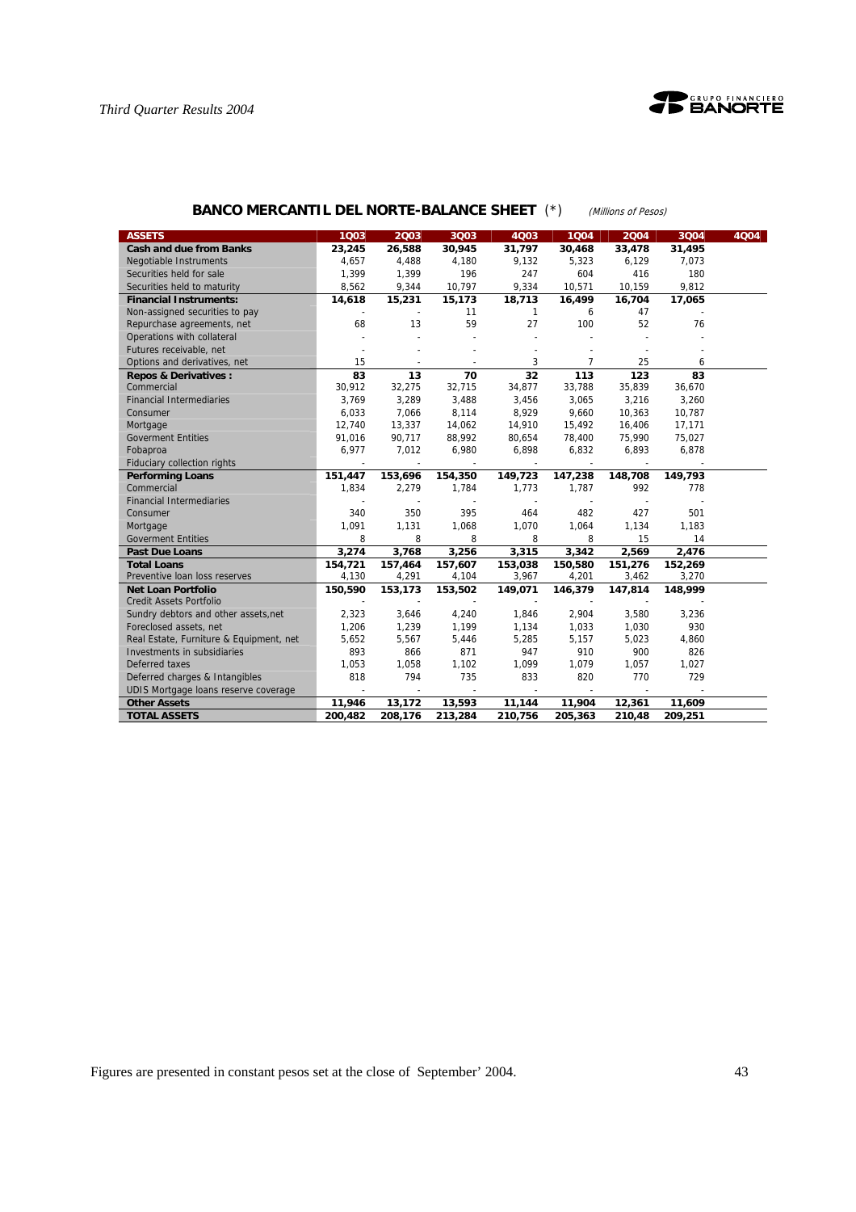



# **BANCO MERCANTIL DEL NORTE-BALANCE SHEET** (\*) (Millions of Pesos)

| <b>ASSETS</b>                           | 1003    | 2003    | 3Q03    | 4Q03         | 1004    | 2004    | 3Q04    | 4Q04 |
|-----------------------------------------|---------|---------|---------|--------------|---------|---------|---------|------|
| <b>Cash and due from Banks</b>          | 23,245  | 26,588  | 30,945  | 31,797       | 30,468  | 33,478  | 31,495  |      |
| Negotiable Instruments                  | 4.657   | 4,488   | 4,180   | 9,132        | 5,323   | 6.129   | 7.073   |      |
| Securities held for sale                | 1,399   | 1,399   | 196     | 247          | 604     | 416     | 180     |      |
| Securities held to maturity             | 8,562   | 9,344   | 10,797  | 9,334        | 10,571  | 10,159  | 9,812   |      |
| <b>Financial Instruments:</b>           | 14,618  | 15,231  | 15,173  | 18,713       | 16,499  | 16,704  | 17,065  |      |
| Non-assigned securities to pay          |         |         | 11      | $\mathbf{1}$ | 6       | 47      |         |      |
| Repurchase agreements, net              | 68      | 13      | 59      | 27           | 100     | 52      | 76      |      |
| Operations with collateral              |         |         |         |              |         |         |         |      |
| Futures receivable, net                 |         |         |         |              |         |         |         |      |
| Options and derivatives, net            | 15      |         |         | 3            | 7       | 25      | 6       |      |
| <b>Repos &amp; Derivatives:</b>         | 83      | 13      | 70      | 32           | 113     | 123     | 83      |      |
| Commercial                              | 30,912  | 32,275  | 32,715  | 34,877       | 33,788  | 35,839  | 36,670  |      |
| <b>Financial Intermediaries</b>         | 3,769   | 3,289   | 3,488   | 3,456        | 3,065   | 3,216   | 3,260   |      |
| Consumer                                | 6,033   | 7,066   | 8,114   | 8,929        | 9,660   | 10,363  | 10,787  |      |
| Mortgage                                | 12.740  | 13,337  | 14,062  | 14,910       | 15,492  | 16.406  | 17,171  |      |
| <b>Goverment Entities</b>               | 91,016  | 90,717  | 88,992  | 80,654       | 78,400  | 75,990  | 75,027  |      |
| Fobaproa                                | 6,977   | 7,012   | 6,980   | 6,898        | 6,832   | 6,893   | 6,878   |      |
| <b>Fiduciary collection rights</b>      |         |         |         |              |         |         |         |      |
| <b>Performing Loans</b>                 | 151,447 | 153,696 | 154,350 | 149,723      | 147,238 | 148.708 | 149,793 |      |
| Commercial                              | 1,834   | 2,279   | 1,784   | 1,773        | 1,787   | 992     | 778     |      |
| <b>Financial Intermediaries</b>         |         |         |         |              |         |         |         |      |
| Consumer                                | 340     | 350     | 395     | 464          | 482     | 427     | 501     |      |
| Mortgage                                | 1,091   | 1,131   | 1,068   | 1,070        | 1,064   | 1,134   | 1,183   |      |
| <b>Goverment Entities</b>               | 8       | 8       | 8       | 8            | 8       | 15      | 14      |      |
| <b>Past Due Loans</b>                   | 3.274   | 3,768   | 3.256   | 3.315        | 3,342   | 2.569   | 2,476   |      |
| <b>Total Loans</b>                      | 154.721 | 157,464 | 157,607 | 153,038      | 150,580 | 151,276 | 152,269 |      |
| Preventive Ioan loss reserves           | 4,130   | 4,291   | 4,104   | 3,967        | 4,201   | 3,462   | 3,270   |      |
| <b>Net Loan Portfolio</b>               | 150,590 | 153,173 | 153,502 | 149,071      | 146,379 | 147,814 | 148,999 |      |
| <b>Credit Assets Portfolio</b>          |         |         |         |              |         |         |         |      |
| Sundry debtors and other assets, net    | 2,323   | 3.646   | 4,240   | 1,846        | 2,904   | 3,580   | 3,236   |      |
| Foreclosed assets, net                  | 1,206   | 1,239   | 1,199   | 1,134        | 1,033   | 1,030   | 930     |      |
| Real Estate, Furniture & Equipment, net | 5,652   | 5,567   | 5,446   | 5,285        | 5,157   | 5,023   | 4,860   |      |
| Investments in subsidiaries             | 893     | 866     | 871     | 947          | 910     | 900     | 826     |      |
| Deferred taxes                          | 1,053   | 1,058   | 1,102   | 1,099        | 1,079   | 1,057   | 1,027   |      |
| Deferred charges & Intangibles          | 818     | 794     | 735     | 833          | 820     | 770     | 729     |      |
| UDIS Mortgage loans reserve coverage    |         |         |         |              |         |         |         |      |
| <b>Other Assets</b>                     | 11,946  | 13,172  | 13,593  | 11,144       | 11,904  | 12,361  | 11,609  |      |
| <b>TOTAL ASSETS</b>                     | 200,482 | 208,176 | 213,284 | 210,756      | 205,363 | 210,48  | 209,251 |      |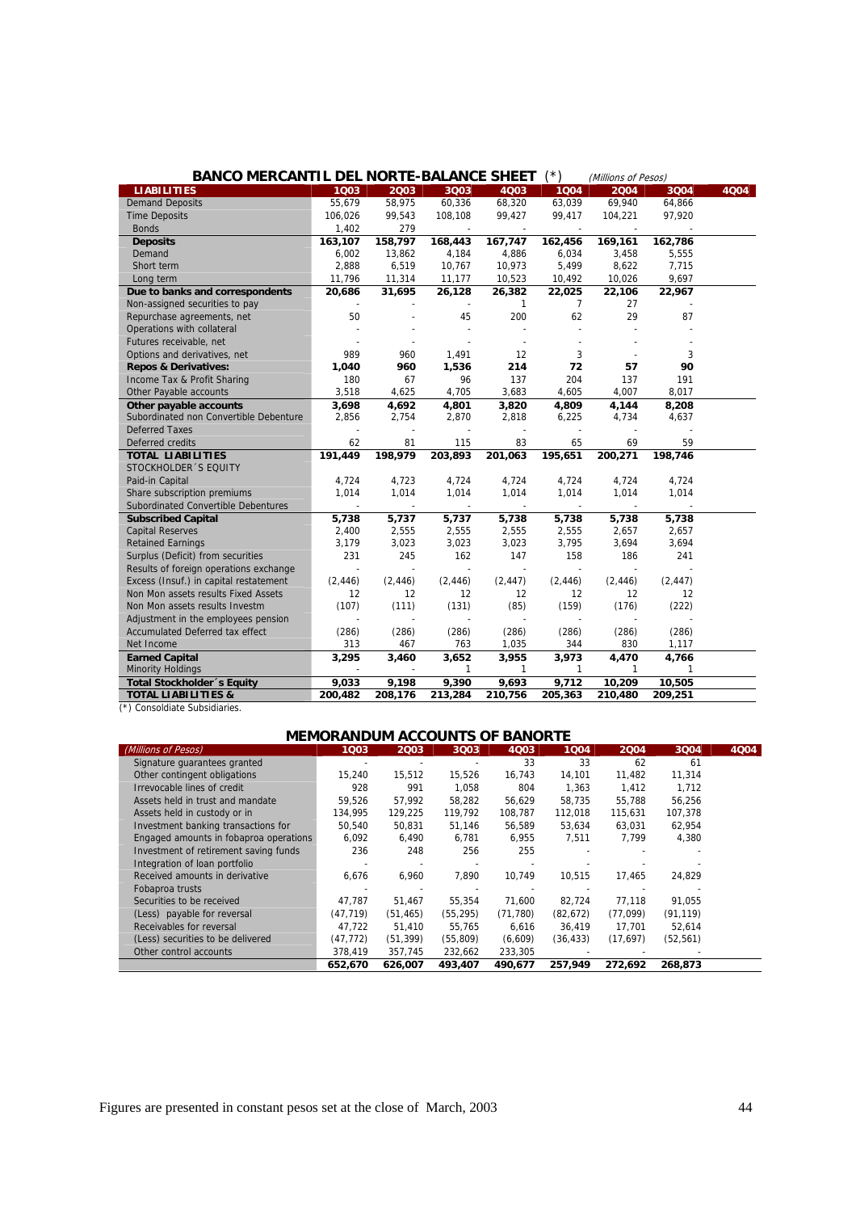| <b>BANCO MERCANTIL DEL NORTE-BALANCE SHEET</b> |                |                |                          |              | (*)            | (Millions of Pesos) |                          |      |
|------------------------------------------------|----------------|----------------|--------------------------|--------------|----------------|---------------------|--------------------------|------|
| <b>LIABILITIES</b>                             | 1003           | 2003           | 3Q03                     | 4Q03         | 1004           | 2004                | 3Q04                     | 4Q04 |
| <b>Demand Deposits</b>                         | 55,679         | 58,975         | 60,336                   | 68,320       | 63,039         | 69,940              | 64,866                   |      |
| <b>Time Deposits</b>                           | 106,026        | 99,543         | 108,108                  | 99,427       | 99,417         | 104,221             | 97,920                   |      |
| <b>Bonds</b>                                   | 1,402          | 279            | $\sim$                   |              |                |                     |                          |      |
| <b>Deposits</b>                                | 163,107        | 158,797        | 168,443                  | 167,747      | 162,456        | 169,161             | 162,786                  |      |
| Demand                                         | 6,002          | 13,862         | 4,184                    | 4,886        | 6,034          | 3,458               | 5,555                    |      |
| Short term                                     | 2,888          | 6,519          | 10,767                   | 10,973       | 5,499          | 8,622               | 7,715                    |      |
| Long term                                      | 11,796         | 11,314         | 11,177                   | 10,523       | 10,492         | 10,026              | 9,697                    |      |
| Due to banks and correspondents                | 20,686         | 31,695         | 26,128                   | 26,382       | 22,025         | 22,106              | 22,967                   |      |
| Non-assigned securities to pay                 |                |                | $\overline{\phantom{a}}$ | $\mathbf{1}$ | $\overline{7}$ | 27                  | $\overline{\phantom{a}}$ |      |
| Repurchase agreements, net                     | 50             |                | 45                       | 200          | 62             | 29                  | 87                       |      |
| Operations with collateral                     |                |                |                          |              |                |                     |                          |      |
| Futures receivable, net                        |                |                | $\overline{a}$           | $\sim$       |                |                     |                          |      |
| Options and derivatives, net                   | 989            | 960            | 1,491                    | 12           | 3              |                     | 3                        |      |
| <b>Repos &amp; Derivatives:</b>                | 1,040          | 960            | 1,536                    | 214          | 72             | 57                  | 90                       |      |
| Income Tax & Profit Sharing                    | 180            | 67             | 96                       | 137          | 204            | 137                 | 191                      |      |
| Other Payable accounts                         | 3,518          | 4,625          | 4,705                    | 3,683        | 4,605          | 4,007               | 8,017                    |      |
| Other payable accounts                         | 3,698          | 4,692          | 4,801                    | 3,820        | 4,809          | 4,144               | 8,208                    |      |
| Subordinated non Convertible Debenture         | 2,856          | 2,754          | 2,870                    | 2,818        | 6,225          | 4,734               | 4,637                    |      |
| <b>Deferred Taxes</b>                          |                |                |                          |              |                |                     |                          |      |
| Deferred credits                               | 62             | 81             | 115                      | 83           | 65             | 69                  | 59                       |      |
| <b>TOTAL LIABILITIES</b>                       | 191,449        | 198,979        | 203,893                  | 201,063      | 195,651        | 200,271             | 198,746                  |      |
| STOCKHOLDER 'S EQUITY                          |                |                |                          |              |                |                     |                          |      |
| Paid-in Capital                                | 4,724          | 4,723          | 4,724                    | 4,724        | 4,724          | 4.724               | 4,724                    |      |
| Share subscription premiums                    | 1,014          | 1,014          | 1,014                    | 1,014        | 1,014          | 1,014               | 1,014                    |      |
| Subordinated Convertible Debentures            |                | $\blacksquare$ | $\sim$                   |              | $\sim$         | $\sim$              |                          |      |
| <b>Subscribed Capital</b>                      | 5,738          | 5,737          | 5,737                    | 5,738        | 5,738          | 5,738               | 5,738                    |      |
| <b>Capital Reserves</b>                        | 2,400          | 2,555          | 2,555                    | 2,555        | 2,555          | 2,657               | 2,657                    |      |
| <b>Retained Earnings</b>                       | 3,179          | 3,023          | 3,023                    | 3,023        | 3,795          | 3,694               | 3,694                    |      |
| Surplus (Deficit) from securities              | 231            | 245            | 162                      | 147          | 158            | 186                 | 241                      |      |
| Results of foreign operations exchange         | $\overline{a}$ |                | $\overline{a}$           | $\sim$       | $\overline{a}$ |                     |                          |      |
| Excess (Insuf.) in capital restatement         | (2, 446)       | (2, 446)       | (2, 446)                 | (2, 447)     | (2, 446)       | (2, 446)            | (2, 447)                 |      |
| Non Mon assets results Fixed Assets            | 12             | 12             | 12                       | 12           | 12             | 12                  | 12                       |      |
| Non Mon assets results Investm                 | (107)          | (111)          | (131)                    | (85)         | (159)          | (176)               | (222)                    |      |
| Adjustment in the employees pension            |                |                | $\sim$                   |              | $\sim$         |                     |                          |      |
| <b>Accumulated Deferred tax effect</b>         | (286)          | (286)          | (286)                    | (286)        | (286)          | (286)               | (286)                    |      |
| Net Income                                     | 313            | 467            | 763                      | 1,035        | 344            | 830                 | 1,117                    |      |
| <b>Earned Capital</b>                          | 3,295          | 3,460          | 3,652                    | 3,955        | 3,973          | 4,470               | 4,766                    |      |
| <b>Minority Holdings</b>                       |                |                | $\mathbf{1}$             | $\mathbf{1}$ | 1              | $\mathbf{1}$        | $\mathbf{1}$             |      |
| Total Stockholder 's Equity                    | 9,033          | 9,198          | 9,390                    | 9,693        | 9,712          | 10,209              | 10,505                   |      |
| <b>TOTAL LIABILITIES &amp;</b>                 | 200,482        | 208,176        | 213,284                  | 210,756      | 205,363        | 210,480             | 209,251                  |      |
| (*) Consoldiate Subsidiaries.                  |                |                |                          |              |                |                     |                          |      |

# **MEMORANDUM ACCOUNTS OF BANORTE**

|                                        | MEMORANDOM ACCOUNTS OF BANORTE |           |           |           |           |             |           |      |  |
|----------------------------------------|--------------------------------|-----------|-----------|-----------|-----------|-------------|-----------|------|--|
| (Millions of Pesos)                    | 1003                           | 2003      | 3Q03      | 4Q03      | 1004      | <b>2004</b> | 3Q04      | 4004 |  |
| Signature quarantees granted           |                                |           |           | 33        | 33        | 62          | 61        |      |  |
| Other contingent obligations           | 15,240                         | 15,512    | 15,526    | 16.743    | 14,101    | 11,482      | 11,314    |      |  |
| Irrevocable lines of credit            | 928                            | 991       | 1.058     | 804       | 1,363     | 1.412       | 1.712     |      |  |
| Assets held in trust and mandate       | 59.526                         | 57.992    | 58.282    | 56.629    | 58,735    | 55.788      | 56.256    |      |  |
| Assets held in custody or in           | 134.995                        | 129,225   | 119,792   | 108,787   | 112,018   | 115,631     | 107,378   |      |  |
| Investment banking transactions for    | 50,540                         | 50,831    | 51,146    | 56,589    | 53,634    | 63,031      | 62,954    |      |  |
| Engaged amounts in fobaproa operations | 6.092                          | 6.490     | 6,781     | 6,955     | 7.511     | 7.799       | 4.380     |      |  |
| Investment of retirement saving funds  | 236                            | 248       | 256       | 255       |           |             |           |      |  |
| Integration of loan portfolio          |                                |           |           |           |           |             |           |      |  |
| Received amounts in derivative         | 6.676                          | 6.960     | 7.890     | 10.749    | 10,515    | 17.465      | 24.829    |      |  |
| Fobaproa trusts                        |                                |           |           |           |           |             |           |      |  |
| Securities to be received              | 47.787                         | 51.467    | 55.354    | 71.600    | 82.724    | 77.118      | 91.055    |      |  |
| (Less) payable for reversal            | (47, 719)                      | (51, 465) | (55, 295) | (71, 780) | (82, 672) | (77,099)    | (91, 119) |      |  |
| Receivables for reversal               | 47.722                         | 51.410    | 55.765    | 6,616     | 36,419    | 17.701      | 52,614    |      |  |
| (Less) securities to be delivered      | (47, 772)                      | (51, 399) | (55, 809) | (6,609)   | (36,433)  | (17,697)    | (52, 561) |      |  |
| Other control accounts                 | 378,419                        | 357,745   | 232,662   | 233,305   |           |             |           |      |  |
|                                        | 652,670                        | 626,007   | 493.407   | 490,677   | 257,949   | 272.692     | 268,873   |      |  |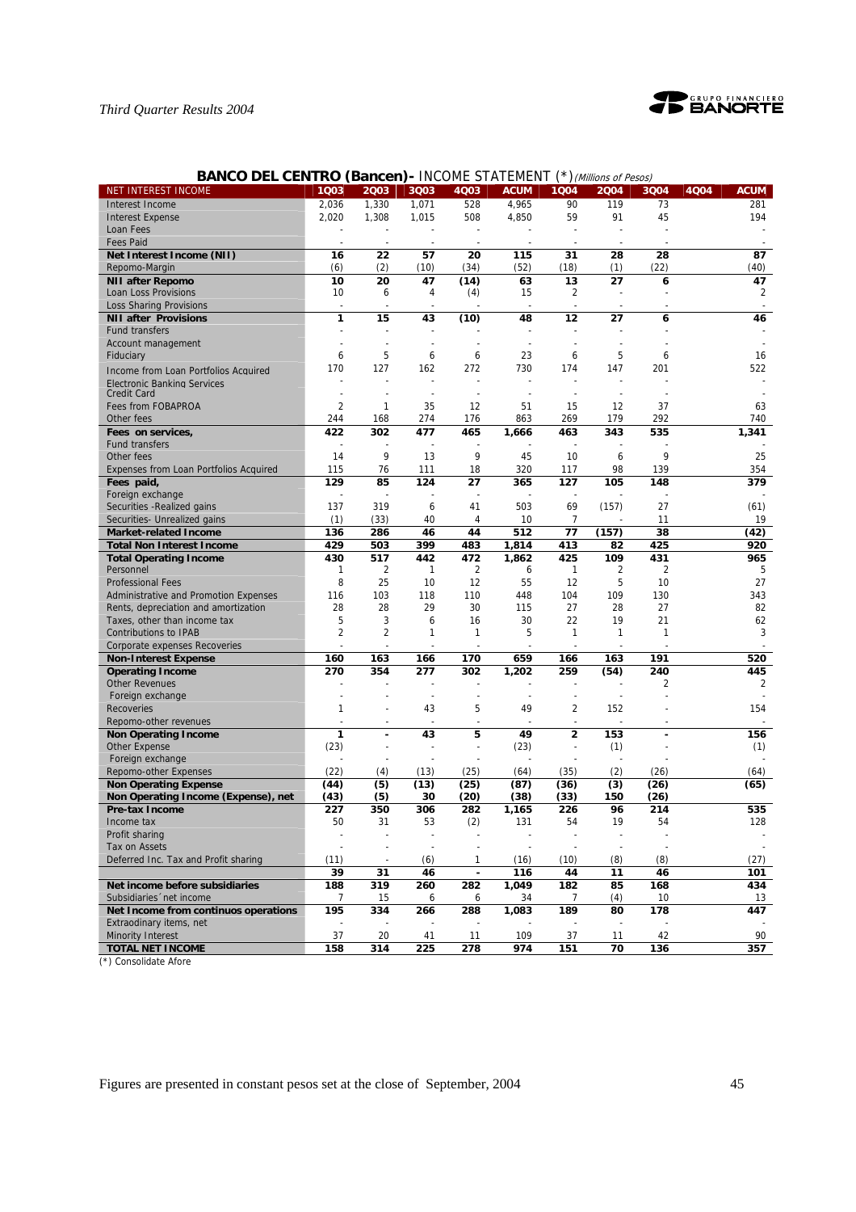

|  | <b>BANCO DEL CENTRO (Bancen) - INCOME STATEMENT (*) (Millions of Pesos)</b> |  |
|--|-----------------------------------------------------------------------------|--|
|--|-----------------------------------------------------------------------------|--|

| NET INTEREST INCOME                          | 1Q03           | 2003                     | 3Q03                 | 4Q03                          | <b>ACUM</b> | 1Q04                          | 2004                    | 3Q04           | 4Q04<br><b>ACUM</b> |
|----------------------------------------------|----------------|--------------------------|----------------------|-------------------------------|-------------|-------------------------------|-------------------------|----------------|---------------------|
| Interest Income                              | 2,036          | 1,330                    | 1,071                | 528                           | 4,965       | 90                            | 119                     | 73             | 281                 |
| <b>Interest Expense</b>                      | 2,020          | 1,308                    | 1,015                | 508                           | 4,850       | 59                            | 91                      | 45             | 194                 |
| Loan Fees                                    |                |                          |                      | $\overline{a}$                |             |                               |                         |                |                     |
| <b>Fees Paid</b>                             |                | $\blacksquare$           | $\sim$               | $\overline{\phantom{a}}$      |             |                               |                         |                |                     |
| Net Interest Income (NII)                    | 16             | 22                       | 57                   | 20                            | 115         | 31                            | 28                      | 28             | 87                  |
| Repomo-Margin                                | (6)            | (2)                      | (10)                 | (34)                          | (52)        | (18)                          | (1)                     | (22)           | (40)                |
| <b>NII after Repomo</b>                      | 10             | 20                       | 47                   | (14)                          | 63          | 13                            | 27                      | 6              | 47                  |
| Loan Loss Provisions                         | 10             | 6                        | 4                    | (4)                           | 15          | 2                             |                         |                | $\overline{2}$      |
| <b>Loss Sharing Provisions</b>               | $\overline{a}$ |                          |                      |                               |             |                               |                         |                |                     |
| <b>NII after Provisions</b>                  | 1              | 15                       | 43                   | (10)                          | 48          | 12                            | 27                      | 6              | 46                  |
| Fund transfers                               |                |                          |                      |                               |             |                               |                         |                |                     |
| Account management                           |                |                          |                      |                               |             |                               |                         |                |                     |
| Fiduciary                                    | 6              | 5                        | 6                    | 6                             | 23          | 6                             | 5                       | 6              | 16                  |
| Income from Loan Portfolios Acquired         | 170            | 127                      | 162                  | 272                           | 730         | 174                           | 147                     | 201            | 522                 |
| <b>Electronic Banking Services</b>           |                |                          |                      | ÷                             |             |                               |                         |                |                     |
| <b>Credit Card</b>                           | ٠              |                          | $\blacksquare$       |                               |             |                               |                         |                |                     |
| Fees from FOBAPROA                           | $\overline{2}$ | 1                        | 35                   | 12                            | 51          | 15                            | 12                      | 37             | 63                  |
| Other fees                                   | 244            | 168                      | 274                  | 176                           | 863         | 269                           | 179                     | 292            | 740                 |
| Fees on services,                            | 422            | 302                      | 477                  | 465                           | 1,666       | 463                           | 343                     | 535            | 1,341               |
| Fund transfers                               | ÷,             |                          |                      |                               |             |                               |                         |                |                     |
| Other fees                                   | 14             | 9                        | 13                   | 9                             | 45          | 10                            | 6                       | 9              | 25                  |
| Expenses from Loan Portfolios Acquired       | 115            | 76                       | 111                  | 18                            | 320         | 117                           | 98                      | 139            | 354                 |
| Fees paid,                                   | 129            | 85                       | 124                  | 27                            | 365         | 127                           | 105                     | 148            | 379                 |
| Foreign exchange                             |                |                          |                      |                               |             |                               |                         |                |                     |
| Securities - Realized gains                  | 137            | 319                      | 6                    | 41                            | 503         | 69                            | (157)                   | 27             | (61)                |
| Securities- Unrealized gains                 | (1)            | (33)                     | 40                   | 4                             | 10          | 7                             |                         | 11             | 19                  |
| <b>Market-related Income</b>                 | 136            | 286                      | 46                   | 44                            | 512         | 77                            | (157)                   | 38             | (42)                |
| <b>Total Non Interest Income</b>             | 429            | 503                      | 399                  | 483                           | 1,814       | 413                           | 82                      | 425            | 920                 |
| <b>Total Operating Income</b>                | 430            | 517                      | 442                  | 472                           | 1,862       | 425                           | 109                     | 431            | 965                 |
| Personnel                                    | 1              | $\overline{2}$           | $\mathbf{1}$         | $\overline{2}$                | 6           | 1                             | $\overline{\mathbf{c}}$ | $\overline{2}$ | 5                   |
| <b>Professional Fees</b>                     | 8              | 25                       | 10                   | 12                            | 55          | 12                            | 5                       | 10             | 27                  |
| Administrative and Promotion Expenses        | 116            | 103                      | 118                  | 110                           | 448         | 104                           | 109                     | 130            | 343                 |
| Rents, depreciation and amortization         | 28             | 28                       | 29                   | 30                            | 115         | 27                            | 28                      | 27             | 82                  |
| Taxes, other than income tax                 | 5              | 3                        | 6                    | 16                            | 30          | 22                            | 19                      | 21             | 62                  |
| <b>Contributions to IPAB</b>                 | 2              | 2                        | 1                    | 1                             | 5           | $\mathbf{1}$                  | 1                       | 1              | 3                   |
| Corporate expenses Recoveries                |                |                          |                      |                               |             |                               |                         |                |                     |
| <b>Non-Interest Expense</b>                  | 160            | 163                      | 166                  | 170                           | 659         | 166                           | 163                     | 191            | 520                 |
| <b>Operating Income</b>                      | 270            | 354                      | 277                  | 302<br>÷                      | 1,202       | 259<br>÷                      | (54)                    | 240            | 445                 |
| <b>Other Revenues</b>                        |                |                          |                      |                               |             | $\sim$                        |                         | 2              | $\overline{2}$      |
| Foreign exchange<br><b>Recoveries</b>        | ٠              |                          | $\overline{a}$<br>43 | $\overline{\phantom{a}}$<br>5 | 49          |                               | 152                     |                |                     |
| Repomo-other revenues                        | 1              | $\overline{\phantom{a}}$ | $\overline{a}$       | $\overline{\phantom{a}}$      |             | 2<br>$\overline{\phantom{a}}$ |                         | $\overline{a}$ | 154                 |
|                                              | 1              |                          | 43                   | 5                             | 49          | $\overline{\mathbf{c}}$       | 153                     |                | 156                 |
| <b>Non Operating Income</b><br>Other Expense | (23)           |                          |                      | ÷,                            | (23)        | $\overline{\phantom{a}}$      | (1)                     |                | (1)                 |
| Foreign exchange                             |                |                          |                      |                               |             |                               |                         |                |                     |
| Repomo-other Expenses                        | (22)           | (4)                      | (13)                 | (25)                          | (64)        | (35)                          | (2)                     | (26)           | (64)                |
| <b>Non Operating Expense</b>                 | (44)           | (5)                      | (13)                 | (25)                          | (87)        | (36)                          | (3)                     | (26)           | (65)                |
| Non Operating Income (Expense), net          | (43)           | (5)                      | 30                   | (20)                          | (38)        | (33)                          | 150                     | (26)           |                     |
| Pre-tax Income                               | 227            | 350                      | 306                  | 282                           | 1,165       | 226                           | 96                      | 214            | 535                 |
| Income tax                                   | 50             | 31                       | 53                   | (2)                           | 131         | 54                            | 19                      | 54             | 128                 |
| Profit sharing                               |                |                          |                      |                               |             |                               |                         |                |                     |
| Tax on Assets                                |                |                          |                      |                               |             |                               |                         |                |                     |
| Deferred Inc. Tax and Profit sharing         | (11)           | $\overline{\phantom{a}}$ | (6)                  | 1                             | (16)        | (10)                          | (8)                     | (8)            | (27)                |
|                                              | 39             | 31                       | 46                   | $\overline{\phantom{a}}$      | 116         | 44                            | 11                      | 46             | 101                 |
| Net income before subsidiaries               | 188            | 319                      | 260                  | 282                           | 1,049       | 182                           | 85                      | 168            | 434                 |
| Subsidiaries 'net income                     | 7              | 15                       | 6                    | 6                             | 34          | 7                             | (4)                     | 10             | 13                  |
| Net Income from continuos operations         | 195            | 334                      | 266                  | 288                           | 1,083       | 189                           | 80                      | 178            | 447                 |
| Extraodinary items, net                      |                |                          |                      |                               |             |                               |                         |                |                     |
| Minority Interest                            | 37             | 20                       | 41                   | 11                            | 109         | 37                            | 11                      | 42             | 90                  |
| <b>TOTAL NET INCOME</b>                      | 158            | 314                      | 225                  | 278                           | 974         | 151                           | 70                      | 136            | 357                 |

(\*) Consolidate Afore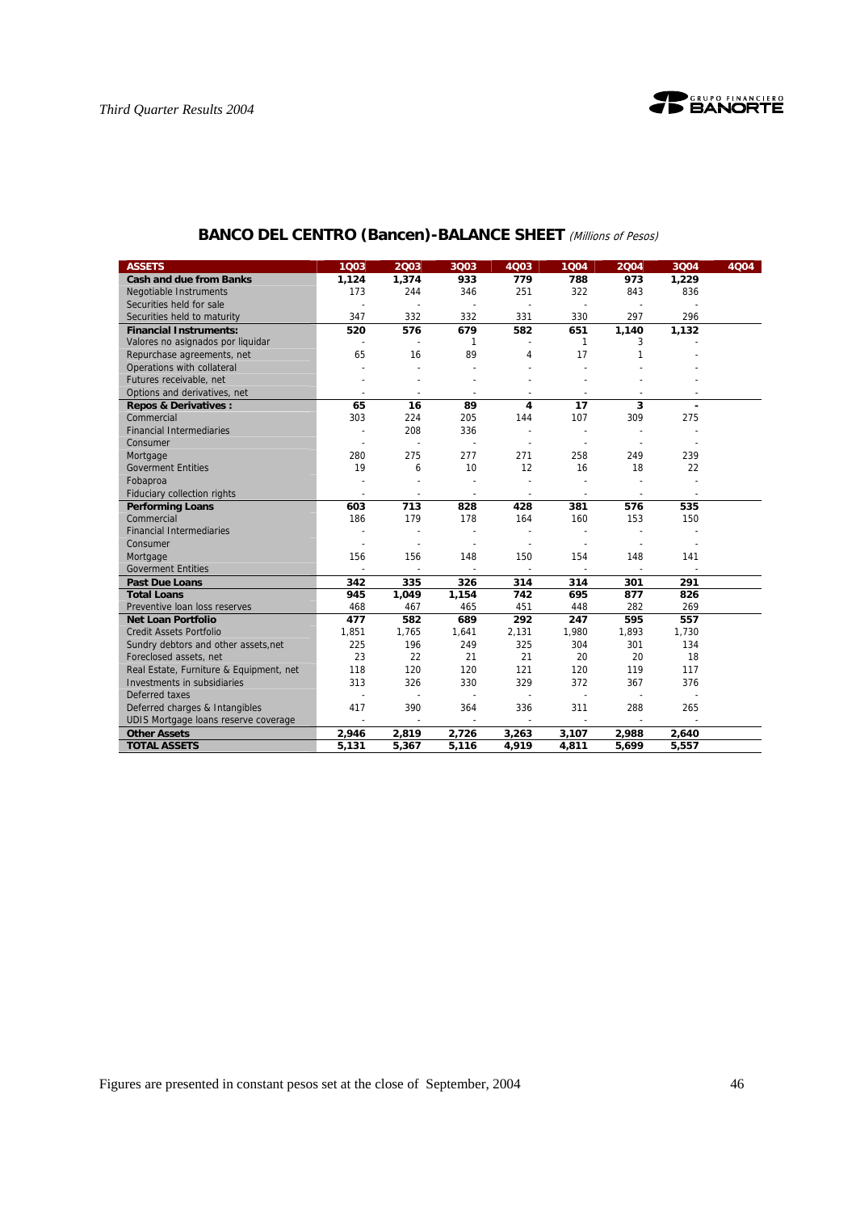

| <b>ASSETS</b>                           | 1Q03                     | 2003                     | 3Q03           | 4Q03                     | 1004                     | 2004                     | 3Q04                     | 4Q04 |
|-----------------------------------------|--------------------------|--------------------------|----------------|--------------------------|--------------------------|--------------------------|--------------------------|------|
| <b>Cash and due from Banks</b>          | 1,124                    | 1,374                    | 933            | 779                      | 788                      | 973                      | 1,229                    |      |
| <b>Negotiable Instruments</b>           | 173                      | 244                      | 346            | 251                      | 322                      | 843                      | 836                      |      |
| Securities held for sale                |                          |                          | $\overline{a}$ | $\blacksquare$           | $\overline{a}$           |                          |                          |      |
| Securities held to maturity             | 347                      | 332                      | 332            | 331                      | 330                      | 297                      | 296                      |      |
| <b>Financial Instruments:</b>           | 520                      | 576                      | 679            | 582                      | 651                      | 1,140                    | 1,132                    |      |
| Valores no asignados por liquidar       | $\sim$                   | $\overline{\phantom{a}}$ | 1              | $\overline{\phantom{a}}$ | 1                        | 3                        |                          |      |
| Repurchase agreements, net              | 65                       | 16                       | 89             | 4                        | 17                       | 1                        |                          |      |
| Operations with collateral              |                          |                          |                |                          |                          |                          |                          |      |
| Futures receivable, net                 |                          | $\overline{a}$           |                |                          |                          |                          |                          |      |
| Options and derivatives, net            |                          |                          | $\overline{a}$ |                          |                          |                          |                          |      |
| <b>Repos &amp; Derivatives:</b>         | 65                       | 16                       | 89             | 4                        | 17                       | 3                        |                          |      |
| Commercial                              | 303                      | 224                      | 205            | 144                      | 107                      | 309                      | 275                      |      |
| <b>Financial Intermediaries</b>         | $\sim$                   | 208                      | 336            |                          | $\blacksquare$           | $\sim$                   |                          |      |
| Consumer                                |                          |                          | $\blacksquare$ |                          |                          |                          |                          |      |
| Mortgage                                | 280                      | 275                      | 277            | 271                      | 258                      | 249                      | 239                      |      |
| <b>Goverment Entities</b>               | 19                       | 6                        | 10             | 12                       | 16                       | 18                       | 22                       |      |
| Fobaproa                                |                          |                          |                |                          |                          |                          |                          |      |
| Fiduciary collection rights             | $\overline{\phantom{a}}$ | $\overline{\phantom{a}}$ | $\blacksquare$ | $\overline{\phantom{a}}$ | $\overline{\phantom{a}}$ | $\overline{\phantom{a}}$ | $\overline{\phantom{a}}$ |      |
| <b>Performing Loans</b>                 | 603                      | 713                      | 828            | 428                      | 381                      | 576                      | 535                      |      |
| Commercial                              | 186                      | 179                      | 178            | 164                      | 160                      | 153                      | 150                      |      |
| <b>Financial Intermediaries</b>         |                          |                          |                |                          |                          |                          |                          |      |
| Consumer                                |                          |                          |                |                          |                          | $\overline{\phantom{a}}$ |                          |      |
| Mortgage                                | 156                      | 156                      | 148            | 150                      | 154                      | 148                      | 141                      |      |
| <b>Goverment Entities</b>               | $\overline{a}$           |                          |                |                          |                          | $\blacksquare$           |                          |      |
| <b>Past Due Loans</b>                   | 342                      | 335                      | 326            | 314                      | 314                      | 301                      | 291                      |      |
| <b>Total Loans</b>                      | 945                      | 1,049                    | 1,154          | 742                      | 695                      | 877                      | 826                      |      |
| Preventive Ioan loss reserves           | 468                      | 467                      | 465            | 451                      | 448                      | 282                      | 269                      |      |
| <b>Net Loan Portfolio</b>               | 477                      | 582                      | 689            | 292                      | 247                      | 595                      | 557                      |      |
| <b>Credit Assets Portfolio</b>          | 1,851                    | 1,765                    | 1,641          | 2,131                    | 1,980                    | 1,893                    | 1,730                    |      |
| Sundry debtors and other assets, net    | 225                      | 196                      | 249            | 325                      | 304                      | 301                      | 134                      |      |
| Foreclosed assets, net                  | 23                       | 22                       | 21             | 21                       | 20                       | 20                       | 18                       |      |
| Real Estate, Furniture & Equipment, net | 118                      | 120                      | 120            | 121                      | 120                      | 119                      | 117                      |      |
| Investments in subsidiaries             | 313                      | 326                      | 330            | 329                      | 372                      | 367                      | 376                      |      |
| Deferred taxes                          |                          | ٠                        | $\blacksquare$ |                          |                          | $\blacksquare$           |                          |      |
| Deferred charges & Intangibles          | 417                      | 390                      | 364            | 336                      | 311                      | 288                      | 265                      |      |
| UDIS Mortgage loans reserve coverage    | $\mathbf{r}$             | $\sim$                   | $\mathbf{r}$   | $\mathbf{r}$             | $\sim$                   | $\sim$                   | $\mathbf{r}$             |      |
| <b>Other Assets</b>                     | 2,946                    | 2,819                    | 2,726          | 3,263                    | 3,107                    | 2,988                    | 2,640                    |      |
| <b>TOTAL ASSETS</b>                     | 5,131                    | 5,367                    | 5,116          | 4,919                    | 4,811                    | 5.699                    | 5,557                    |      |

# **BANCO DEL CENTRO (Bancen)-BALANCE SHEET** (Millions of Pesos)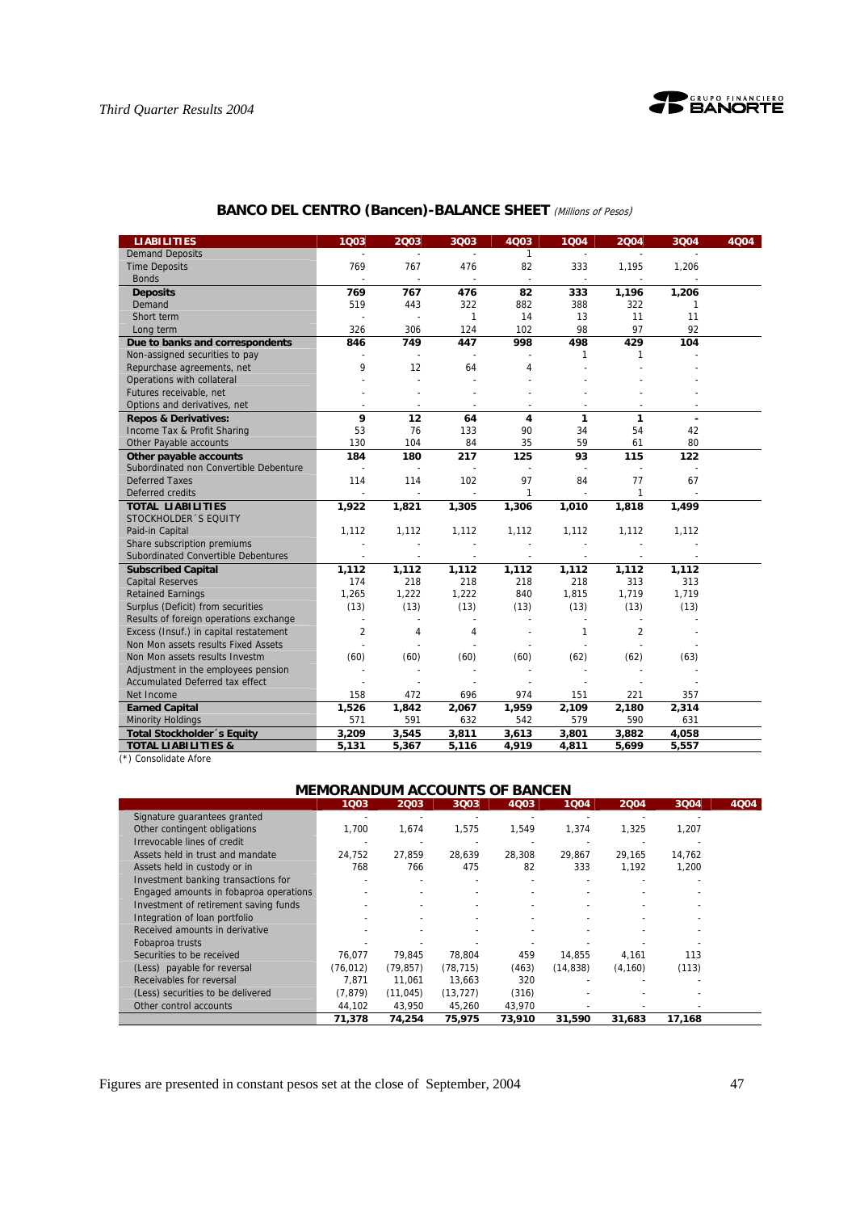

| <b>BANCO DEL CENTRO (Bancen)-BALANCE SHEET</b> (Millions of Pesos) |  |  |  |
|--------------------------------------------------------------------|--|--|--|
|--------------------------------------------------------------------|--|--|--|

| <b>LIABILITIES</b>                     | 1003                     | 2003                     | 3Q03                     | 4Q03                     | 1Q04                     | 2004                     | 3Q04         | 4Q04 |
|----------------------------------------|--------------------------|--------------------------|--------------------------|--------------------------|--------------------------|--------------------------|--------------|------|
| <b>Demand Deposits</b>                 | $\overline{\phantom{a}}$ | $\overline{a}$           | ÷,                       | $\mathbf{1}$             | $\blacksquare$           |                          |              |      |
| <b>Time Deposits</b>                   | 769                      | 767                      | 476                      | 82                       | 333                      | 1,195                    | 1,206        |      |
| <b>Bonds</b>                           | $\overline{\phantom{a}}$ | $\overline{\phantom{a}}$ | $\overline{\phantom{a}}$ | $\overline{\phantom{a}}$ | $\overline{\phantom{a}}$ | $\sim$                   |              |      |
| <b>Deposits</b>                        | 769                      | 767                      | 476                      | 82                       | 333                      | 1,196                    | 1,206        |      |
| Demand                                 | 519                      | 443                      | 322                      | 882                      | 388                      | 322                      | $\mathbf{1}$ |      |
| Short term                             |                          | $\overline{\phantom{a}}$ | $\mathbf{1}$             | 14                       | 13                       | 11                       | 11           |      |
| Long term                              | 326                      | 306                      | 124                      | 102                      | 98                       | 97                       | 92           |      |
| Due to banks and correspondents        | 846                      | 749                      | 447                      | 998                      | 498                      | 429                      | 104          |      |
| Non-assigned securities to pay         |                          |                          |                          |                          | 1                        | 1                        |              |      |
| Repurchase agreements, net             | 9                        | 12                       | 64                       | $\overline{4}$           |                          |                          |              |      |
| Operations with collateral             |                          |                          |                          |                          |                          |                          |              |      |
| Futures receivable, net                |                          |                          |                          |                          |                          |                          |              |      |
| Options and derivatives, net           |                          |                          |                          |                          |                          |                          |              |      |
| <b>Repos &amp; Derivatives:</b>        | 9                        | 12                       | 64                       | $\overline{\mathbf{4}}$  | 1                        | 1                        |              |      |
| Income Tax & Profit Sharing            | 53                       | 76                       | 133                      | 90                       | 34                       | 54                       | 42           |      |
| Other Payable accounts                 | 130                      | 104                      | 84                       | 35                       | 59                       | 61                       | 80           |      |
| Other payable accounts                 | 184                      | 180                      | 217                      | 125                      | 93                       | 115                      | 122          |      |
| Subordinated non Convertible Debenture |                          | $\overline{a}$           | $\overline{a}$           |                          | $\overline{\phantom{a}}$ | $\overline{\phantom{a}}$ |              |      |
| <b>Deferred Taxes</b>                  | 114                      | 114                      | 102                      | 97                       | 84                       | 77                       | 67           |      |
| Deferred credits                       |                          |                          | $\overline{\phantom{a}}$ | $\mathbf{1}$             | $\overline{a}$           | $\mathbf{1}$             |              |      |
| <b>TOTAL LIABILITIES</b>               | 1,922                    | 1,821                    | 1,305                    | 1,306                    | 1,010                    | 1,818                    | 1,499        |      |
| STOCKHOLDER 'S EQUITY                  |                          |                          |                          |                          |                          |                          |              |      |
| Paid-in Capital                        | 1,112                    | 1,112                    | 1,112                    | 1,112                    | 1,112                    | 1,112                    | 1,112        |      |
| Share subscription premiums            |                          |                          |                          |                          |                          |                          |              |      |
| Subordinated Convertible Debentures    |                          | $\overline{\phantom{a}}$ | $\overline{a}$           | $\sim$                   |                          |                          |              |      |
| <b>Subscribed Capital</b>              | 1,112                    | 1,112                    | 1,112                    | 1,112                    | 1,112                    | 1,112                    | 1,112        |      |
| <b>Capital Reserves</b>                | 174                      | 218                      | 218                      | 218                      | 218                      | 313                      | 313          |      |
| <b>Retained Earnings</b>               | 1,265                    | 1,222                    | 1,222                    | 840                      | 1,815                    | 1,719                    | 1,719        |      |
| Surplus (Deficit) from securities      | (13)                     | (13)                     | (13)                     | (13)                     | (13)                     | (13)                     | (13)         |      |
| Results of foreign operations exchange | ÷,                       |                          |                          |                          |                          |                          |              |      |
| Excess (Insuf.) in capital restatement | $\overline{2}$           | 4                        | 4                        |                          | 1                        | $\overline{2}$           |              |      |
| Non Mon assets results Fixed Assets    |                          |                          |                          |                          |                          |                          |              |      |
| Non Mon assets results Investm         | (60)                     | (60)                     | (60)                     | (60)                     | (62)                     | (62)                     | (63)         |      |
| Adjustment in the employees pension    |                          |                          |                          |                          |                          |                          |              |      |
| Accumulated Deferred tax effect        |                          |                          |                          |                          |                          |                          |              |      |
| Net Income                             | 158                      | 472                      | 696                      | 974                      | 151                      | 221                      | 357          |      |
| <b>Earned Capital</b>                  | 1,526                    | 1,842                    | 2,067                    | 1,959                    | 2,109                    | 2,180                    | 2,314        |      |
| <b>Minority Holdings</b>               | 571                      | 591                      | 632                      | 542                      | 579                      | 590                      | 631          |      |
| Total Stockholder 's Equity            | 3,209                    | 3,545                    | 3,811                    | 3,613                    | 3,801                    | 3,882                    | 4,058        |      |
| <b>TOTAL LIABILITIES &amp;</b>         | 5,131                    | 5,367                    | 5,116                    | 4,919                    | 4,811                    | 5,699                    | 5,557        |      |

(\*) Consolidate Afore

# **MEMORANDUM ACCOUNTS OF BANCEN**

|                                        | 1003     | 2003      | 3003                     | 4Q03   | 1Q04      | 2004     | 3Q04   | 4Q04 |
|----------------------------------------|----------|-----------|--------------------------|--------|-----------|----------|--------|------|
| Signature quarantees granted           |          |           |                          |        |           |          |        |      |
| Other contingent obligations           | 1,700    | 1,674     | 1,575                    | 1,549  | 1,374     | 1,325    | 1,207  |      |
| Irrevocable lines of credit            |          |           |                          |        |           |          |        |      |
| Assets held in trust and mandate       | 24,752   | 27.859    | 28,639                   | 28.308 | 29,867    | 29,165   | 14,762 |      |
| Assets held in custody or in           | 768      | 766       | 475                      | 82     | 333       | 1,192    | 1,200  |      |
| Investment banking transactions for    |          |           |                          |        |           |          |        |      |
| Engaged amounts in fobaproa operations |          |           |                          |        |           |          |        |      |
| Investment of retirement saving funds  |          |           | ٠                        |        |           |          |        |      |
| Integration of loan portfolio          |          |           | $\overline{\phantom{a}}$ |        |           |          |        |      |
| Received amounts in derivative         |          |           |                          |        |           |          |        |      |
| Fobaproa trusts                        |          |           |                          |        |           |          |        |      |
| Securities to be received              | 76.077   | 79.845    | 78.804                   | 459    | 14.855    | 4,161    | 113    |      |
| (Less) payable for reversal            | (76.012) | (79, 857) | (78, 715)                | (463)  | (14, 838) | (4, 160) | (113)  |      |
| Receivables for reversal               | 7.871    | 11.061    | 13.663                   | 320    |           |          |        |      |
| (Less) securities to be delivered      | (7.879)  | (11, 045) | (13, 727)                | (316)  |           |          |        |      |
| Other control accounts                 | 44,102   | 43,950    | 45,260                   | 43,970 |           |          |        |      |
|                                        | 71,378   | 74.254    | 75.975                   | 73,910 | 31.590    | 31,683   | 17.168 |      |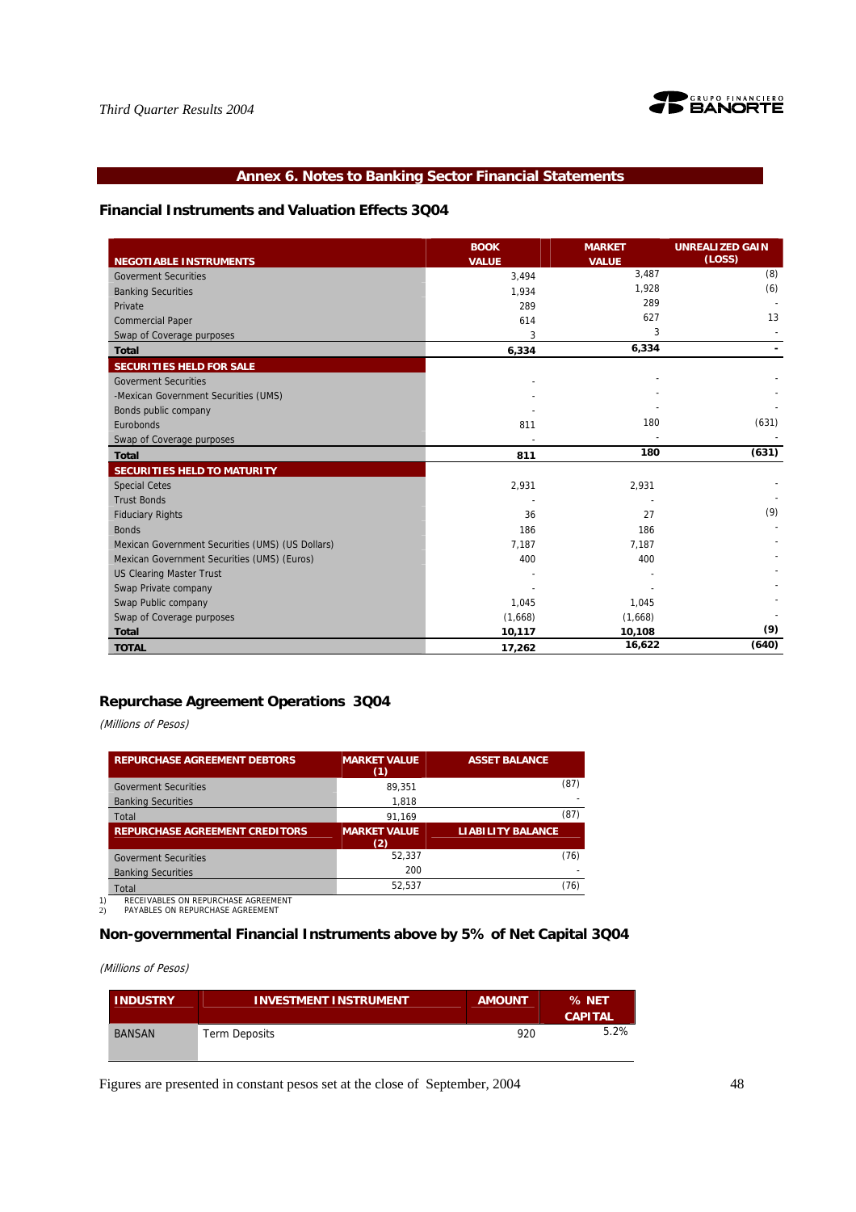

# **Annex 6. Notes to Banking Sector Financial Statements**

### **Financial Instruments and Valuation Effects 3Q04**

|                                                  | <b>BOOK</b>  | <b>MARKET</b> | <b>UNREALIZED GAIN</b> |
|--------------------------------------------------|--------------|---------------|------------------------|
| <b>NEGOTIABLE INSTRUMENTS</b>                    | <b>VALUE</b> | <b>VALUE</b>  | (LOSS)                 |
| <b>Goverment Securities</b>                      | 3,494        | 3,487         | (8)                    |
| <b>Banking Securities</b>                        | 1,934        | 1,928         | (6)                    |
| Private                                          | 289          | 289           |                        |
| <b>Commercial Paper</b>                          | 614          | 627           | 13                     |
| Swap of Coverage purposes                        | 3            | 3             |                        |
| <b>Total</b>                                     | 6,334        | 6,334         |                        |
| SECURITIES HELD FOR SALE                         |              |               |                        |
| <b>Goverment Securities</b>                      |              |               |                        |
| -Mexican Government Securities (UMS)             |              |               |                        |
| Bonds public company                             |              |               |                        |
| Eurobonds                                        | 811          | 180           | (631)                  |
| Swap of Coverage purposes                        |              |               |                        |
| <b>Total</b>                                     | 811          | 180           | (631)                  |
| <b>SECURITIES HELD TO MATURITY</b>               |              |               |                        |
| <b>Special Cetes</b>                             | 2,931        | 2,931         |                        |
| <b>Trust Bonds</b>                               |              |               |                        |
| <b>Fiduciary Rights</b>                          | 36           | 27            | (9)                    |
| <b>Bonds</b>                                     | 186          | 186           |                        |
| Mexican Government Securities (UMS) (US Dollars) | 7.187        | 7,187         |                        |
| Mexican Government Securities (UMS) (Euros)      | 400          | 400           |                        |
| <b>US Clearing Master Trust</b>                  |              |               |                        |
| Swap Private company                             |              |               |                        |
| Swap Public company                              | 1,045        | 1,045         |                        |
| Swap of Coverage purposes                        | (1,668)      | (1,668)       |                        |
| <b>Total</b>                                     | 10,117       | 10,108        | (9)                    |
| <b>TOTAL</b>                                     | 17,262       | 16,622        | (640)                  |

# **Repurchase Agreement Operations 3Q04**

(Millions of Pesos)

| <b>REPURCHASE AGREEMENT DEBTORS</b>   | <b>MARKET VALUE</b><br>(1) | <b>ASSET BALANCE</b>     |
|---------------------------------------|----------------------------|--------------------------|
| <b>Goverment Securities</b>           | 89.351                     | (87)                     |
| <b>Banking Securities</b>             | 1,818                      |                          |
| Total                                 | 91,169                     | (87)                     |
| <b>REPURCHASE AGREEMENT CREDITORS</b> | <b>MARKET VALUE</b><br>(2) | <b>LIABILITY BALANCE</b> |
| <b>Goverment Securities</b>           | 52.337                     | (76)                     |
| <b>Banking Securities</b>             | 200                        |                          |
| Total                                 | 52.537                     | 76)                      |

1) RECEIVABLES ON REPURCHASE AGREEMENT 2) PAYABLES ON REPURCHASE AGREEMENT

# **Non-governmental Financial Instruments above by 5% of Net Capital 3Q04**

(Millions of Pesos)

| <b>INDUSTRY</b> | <b>INVESTMENT INSTRUMENT</b> | <b>AMOUNT</b> | % NET<br><b>CAPITAL</b> |
|-----------------|------------------------------|---------------|-------------------------|
| <b>BANSAN</b>   | <b>Term Deposits</b>         | 920           | 5.2%                    |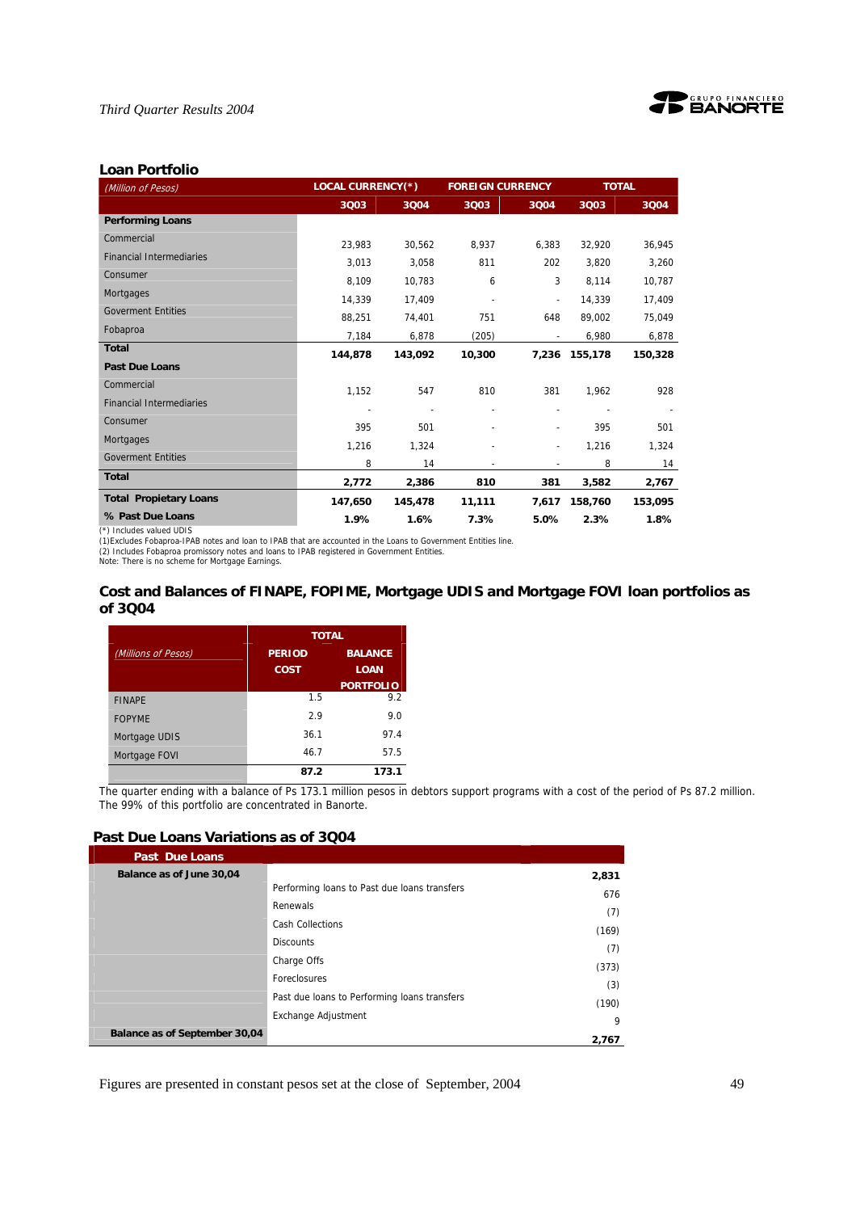



## **Loan Portfolio**

| (Million of Pesos)                                                                                                                         | <b>LOCAL CURRENCY(*)</b> |         | <b>FOREIGN CURRENCY</b> |                          | <b>TOTAL</b>  |         |  |
|--------------------------------------------------------------------------------------------------------------------------------------------|--------------------------|---------|-------------------------|--------------------------|---------------|---------|--|
|                                                                                                                                            | 3Q03                     | 3004    | 3Q03                    | 3Q04                     | 3Q03          | 3Q04    |  |
| <b>Performing Loans</b>                                                                                                                    |                          |         |                         |                          |               |         |  |
| Commercial                                                                                                                                 | 23,983                   | 30,562  | 8,937                   | 6,383                    | 32,920        | 36,945  |  |
| <b>Financial Intermediaries</b>                                                                                                            | 3,013                    | 3,058   | 811                     | 202                      | 3,820         | 3,260   |  |
| Consumer                                                                                                                                   | 8,109                    | 10,783  | 6                       | 3                        | 8,114         | 10,787  |  |
| Mortgages                                                                                                                                  | 14,339                   | 17.409  |                         |                          | 14.339        | 17,409  |  |
| <b>Goverment Entities</b>                                                                                                                  | 88,251                   | 74,401  | 751                     | 648                      | 89.002        | 75,049  |  |
| Fobaproa                                                                                                                                   | 7,184                    | 6,878   | (205)                   |                          | 6,980         | 6,878   |  |
| <b>Total</b>                                                                                                                               | 144,878                  | 143,092 | 10,300                  |                          | 7,236 155,178 | 150,328 |  |
| <b>Past Due Loans</b>                                                                                                                      |                          |         |                         |                          |               |         |  |
| Commercial                                                                                                                                 | 1,152                    | 547     | 810                     | 381                      | 1.962         | 928     |  |
| <b>Financial Intermediaries</b>                                                                                                            |                          |         |                         |                          |               |         |  |
| Consumer                                                                                                                                   | 395                      | 501     |                         | $\tilde{\phantom{a}}$    | 395           | 501     |  |
| <b>Mortgages</b>                                                                                                                           | 1,216                    | 1,324   |                         | $\overline{\phantom{a}}$ | 1,216         | 1,324   |  |
| <b>Goverment Entities</b>                                                                                                                  | 8                        | 14      |                         |                          | 8             | 14      |  |
| <b>Total</b>                                                                                                                               | 2,772                    | 2,386   | 810                     | 381                      | 3,582         | 2,767   |  |
| <b>Total Propietary Loans</b>                                                                                                              | 147,650                  | 145,478 | 11,111                  | 7,617                    | 158,760       | 153,095 |  |
| % Past Due Loans                                                                                                                           | 1.9%                     | 1.6%    | 7.3%                    | 5.0%                     | 2.3%          | 1.8%    |  |
| (*) Includes valued UDIS<br>(1) Excludes Fobaproa-IPAB notes and loan to IPAB that are accounted in the Loans to Government Entities line. |                          |         |                         |                          |               |         |  |

(2) Includes Fobaproa promissory notes and loans to IPAB registered in Government Entities. Note: There is no scheme for Mortgage Earnings.

### **Cost and Balances of FINAPE, FOPIME, Mortgage UDIS and Mortgage FOVI loan portfolios as of 3Q04**

|                     | <b>TOTAL</b>  |                  |
|---------------------|---------------|------------------|
| (Millions of Pesos) | <b>PERIOD</b> | <b>BALANCE</b>   |
|                     | <b>COST</b>   | <b>LOAN</b>      |
|                     |               | <b>PORTFOLIO</b> |
| <b>FINAPE</b>       | 1.5           | 9.2              |
| <b>FOPYME</b>       | 2.9           | 9.0              |
| Mortgage UDIS       | 36.1          | 97.4             |
| Mortgage FOVI       | 46.7          | 57.5             |
|                     | 87.2          | 173.1            |

The quarter ending with a balance of Ps 173.1 million pesos in debtors support programs with a cost of the period of Ps 87.2 million. The 99% of this portfolio are concentrated in Banorte.

## **Past Due Loans Variations as of 3Q04**

| <b>Past Due Loans</b>         |                                              |       |
|-------------------------------|----------------------------------------------|-------|
| Balance as of June 30,04      |                                              | 2,831 |
|                               | Performing loans to Past due loans transfers | 676   |
|                               | Renewals                                     | (7)   |
|                               | <b>Cash Collections</b>                      | (169) |
|                               | <b>Discounts</b>                             | (7)   |
|                               | Charge Offs                                  | (373) |
|                               | Foreclosures                                 |       |
|                               | Past due loans to Performing loans transfers | (3)   |
|                               | Exchange Adjustment                          | (190) |
| Balance as of September 30,04 |                                              | 9     |
|                               |                                              | 2,767 |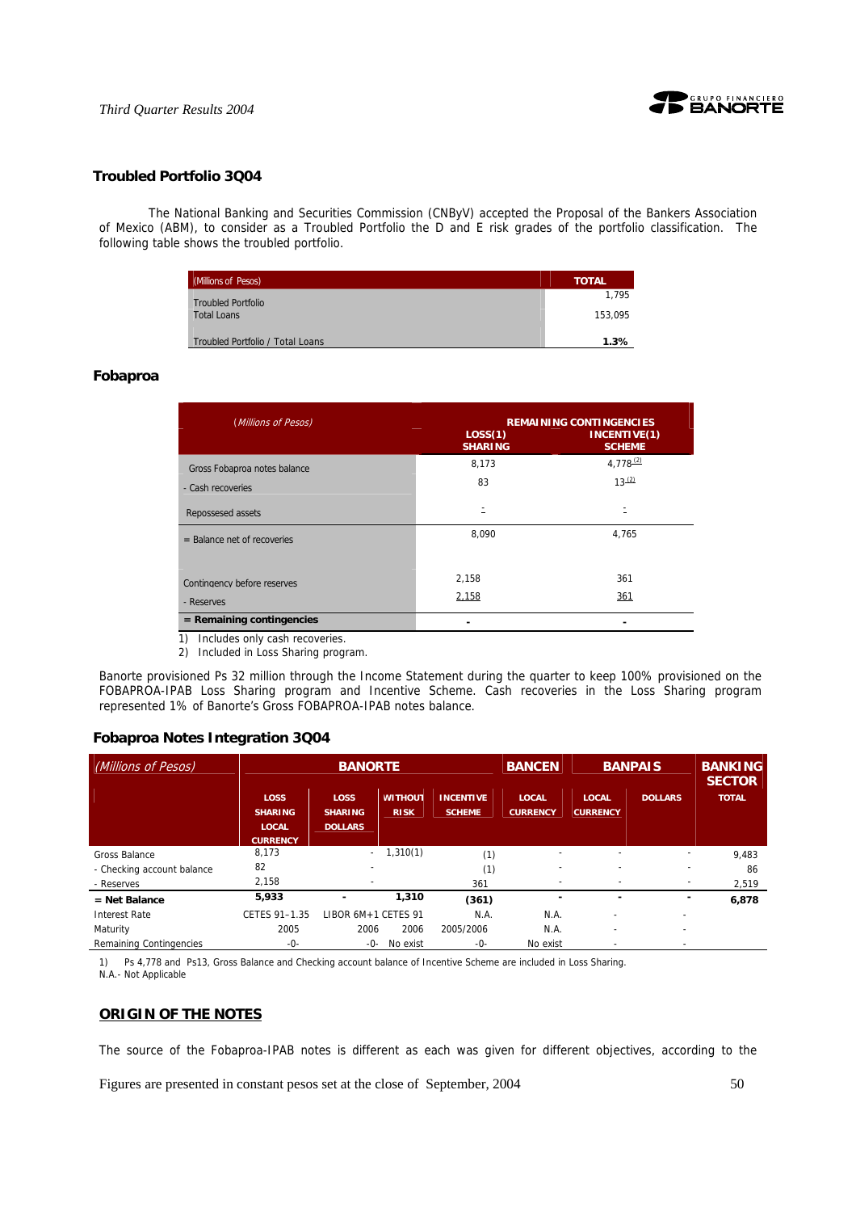

### **Troubled Portfolio 3Q04**

 The National Banking and Securities Commission (CNByV) accepted the Proposal of the Bankers Association of Mexico (ABM), to consider as a Troubled Portfolio the D and E risk grades of the portfolio classification. The following table shows the troubled portfolio.

| (Millions of Pesos)              | <b>TOTAL</b> |
|----------------------------------|--------------|
| <b>Troubled Portfolio</b>        | 1.795        |
| <b>Total Loans</b>               | 153.095      |
| Troubled Portfolio / Total Loans | 1.3%         |

### **Fobaproa**

| (Millions of Pesos)                                                                                                                                                                                                                                            | <b>REMAINING CONTINGENCIES</b> |                               |  |  |  |  |
|----------------------------------------------------------------------------------------------------------------------------------------------------------------------------------------------------------------------------------------------------------------|--------------------------------|-------------------------------|--|--|--|--|
|                                                                                                                                                                                                                                                                | LOS(1)<br><b>SHARING</b>       | INCENTIVE(1)<br><b>SCHEME</b> |  |  |  |  |
| Gross Fobaproa notes balance                                                                                                                                                                                                                                   | 8,173                          | $4.778^{(2)}$                 |  |  |  |  |
| - Cash recoveries                                                                                                                                                                                                                                              | 83                             | $13^{(2)}$                    |  |  |  |  |
| Repossesed assets                                                                                                                                                                                                                                              | Ξ                              | Ξ                             |  |  |  |  |
| $=$ Balance net of recoveries                                                                                                                                                                                                                                  | 8,090                          | 4,765                         |  |  |  |  |
| Contingency before reserves<br>- Reserves                                                                                                                                                                                                                      | 2,158<br>2,158                 | 361<br>361                    |  |  |  |  |
| $=$ Remaining contingencies<br>$\sim$ . The set of the set of the set of the set of the set of the set of the set of the set of the set of the set of the set of the set of the set of the set of the set of the set of the set of the set of the set of the s |                                |                               |  |  |  |  |

1) Includes only cash recoveries.

2) Included in Loss Sharing program.

Banorte provisioned Ps 32 million through the Income Statement during the quarter to keep 100% provisioned on the FOBAPROA-IPAB Loss Sharing program and Incentive Scheme. Cash recoveries in the Loss Sharing program represented 1% of Banorte's Gross FOBAPROA-IPAB notes balance.

#### **Fobaproa Notes Integration 3Q04**

| (Millions of Pesos)                                       | <b>BANORTE</b>                                                   |                                                 |                               |                                   | <b>BANCEN</b>                   |                                 | <b>BANPAIS</b>                | <b>BANKING</b><br><b>SECTOR</b> |
|-----------------------------------------------------------|------------------------------------------------------------------|-------------------------------------------------|-------------------------------|-----------------------------------|---------------------------------|---------------------------------|-------------------------------|---------------------------------|
|                                                           | <b>LOSS</b><br><b>SHARING</b><br><b>LOCAL</b><br><b>CURRENCY</b> | <b>LOSS</b><br><b>SHARING</b><br><b>DOLLARS</b> | <b>WITHOUT</b><br><b>RISK</b> | <b>INCENTIVE</b><br><b>SCHEME</b> | <b>LOCAL</b><br><b>CURRENCY</b> | <b>LOCAL</b><br><b>CURRENCY</b> | <b>DOLLARS</b>                | <b>TOTAL</b>                    |
| Gross Balance<br>- Checking account balance<br>- Reserves | 8,173<br>82<br>2,158                                             | $\sim$                                          | 1,310(1)                      | (1)<br>(1)<br>361                 | -                               | ٠<br>$\overline{\phantom{a}}$   | ٠<br>$\overline{\phantom{a}}$ | 9,483<br>86<br>2,519            |
| $=$ Net Balance<br><b>Interest Rate</b>                   | 5,933<br>CETES 91-1.35                                           | LIBOR 6M+1 CETES 91                             | 1,310                         | (361)<br>N.A.                     | N.A.                            | ٠                               | ٠                             | 6,878                           |
| Maturity<br>Remaining Contingencies                       | 2005<br>-0-                                                      | 2006<br>-0-                                     | 2006<br>No exist              | 2005/2006<br>-0-                  | N.A.<br>No exist                | $\overline{\phantom{a}}$        | -                             |                                 |

1) Ps 4,778 and Ps13, Gross Balance and Checking account balance of Incentive Scheme are included in Loss Sharing. N.A.- Not Applicable

#### **ORIGIN OF THE NOTES**

The source of the Fobaproa-IPAB notes is different as each was given for different objectives, according to the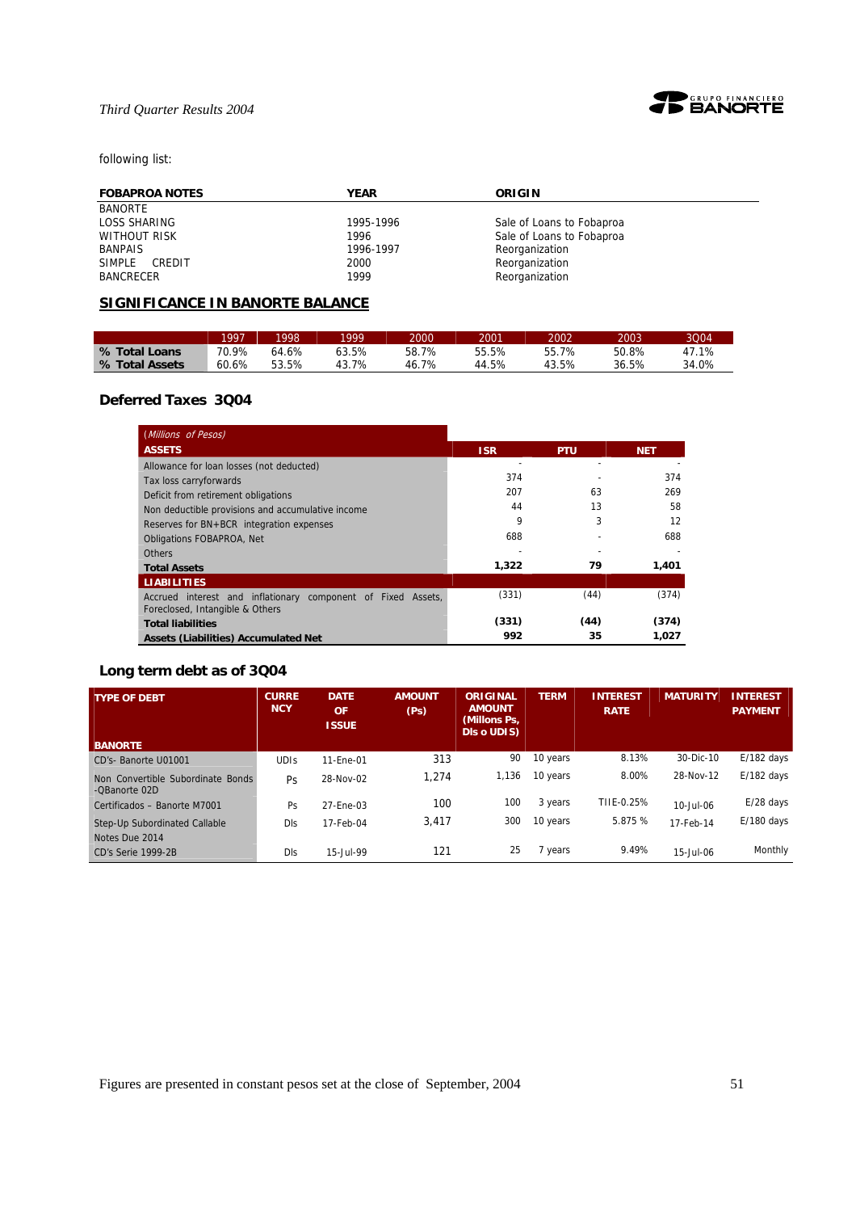

# following list:

| <b>FOBAPROA NOTES</b> | <b>YEAR</b> | ORIGIN                    |
|-----------------------|-------------|---------------------------|
| <b>BANORTE</b>        |             |                           |
| LOSS SHARING          | 1995-1996   | Sale of Loans to Fobaproa |
| WITHOUT RISK          | 1996        | Sale of Loans to Fobaproa |
| <b>BANPAIS</b>        | 1996-1997   | Reorganization            |
| SIMPLE CREDIT         | 2000        | Reorganization            |
| BANCRECER             | 1999        | Reorganization            |

# **SIGNIFICANCE IN BANORTE BALANCE**

|                | 1997  | 1998  | 1999  | 2000  | 2001  | 2002  | 2003  | 3004  |
|----------------|-------|-------|-------|-------|-------|-------|-------|-------|
| % Total Loans  | 70.9% | 64.6% | 63.5% | 58.7% | 55.5% | 55.7% | 50.8% | 47.1% |
| % Total Assets | 60.6% | 53.5% | 43.7% | 46.7% | 44.5% | 43.5% | 36.5% | 34.0% |

# **Deferred Taxes 3Q04**

| (Millions of Pesos)                                                                             |            |            |            |
|-------------------------------------------------------------------------------------------------|------------|------------|------------|
| <b>ASSETS</b>                                                                                   | <b>ISR</b> | <b>PTU</b> | <b>NET</b> |
| Allowance for loan losses (not deducted)                                                        |            |            |            |
| Tax loss carryforwards                                                                          | 374        |            | 374        |
| Deficit from retirement obligations                                                             | 207        | 63         | 269        |
| Non deductible provisions and accumulative income                                               | 44         | 13         | 58         |
| Reserves for BN+BCR integration expenses                                                        | 9          | 3          | 12         |
| <b>Obligations FOBAPROA, Net</b>                                                                | 688        |            | 688        |
| <b>Others</b>                                                                                   |            |            |            |
| <b>Total Assets</b>                                                                             | 1,322      | 79         | 1,401      |
| <b>LIABILITIES</b>                                                                              |            |            |            |
| Accrued interest and inflationary component of Fixed Assets,<br>Foreclosed, Intangible & Others | (331)      | (44)       | (374)      |
| <b>Total liabilities</b>                                                                        | (331)      | (44)       | (374)      |
| Assets (Liabilities) Accumulated Net                                                            | 992        | 35         | 1.027      |

# **Long term debt as of 3Q04**

| <b>TYPE OF DEBT</b>                                | <b>CURRE</b><br><b>NCY</b> | <b>DATE</b><br><b>OF</b><br><b>ISSUE</b> | <b>AMOUNT</b><br>(P <sub>S</sub> ) | ORIGINAL<br><b>AMOUNT</b><br>(Millons Ps.<br><b>DIS o UDIS)</b> | <b>TERM</b> | <b>INTEREST</b><br><b>RATE</b> | <b>MATURITY</b> | <b>INTEREST</b><br><b>PAYMENT</b> |
|----------------------------------------------------|----------------------------|------------------------------------------|------------------------------------|-----------------------------------------------------------------|-------------|--------------------------------|-----------------|-----------------------------------|
| <b>BANORTE</b>                                     |                            |                                          |                                    |                                                                 |             |                                |                 |                                   |
| CD's- Banorte U01001                               | <b>UDIS</b>                | 11-Ene-01                                | 313                                | 90                                                              | 10 years    | 8.13%                          | 30-Dic-10       | $E/182$ days                      |
| Non Convertible Subordinate Bonds<br>-OBanorte 02D | Ps                         | 28-Nov-02                                | 1.274                              | 1,136                                                           | 10 years    | 8.00%                          | 28-Nov-12       | $E/182$ days                      |
| Certificados - Banorte M7001                       | Ps                         | 27-Ene-03                                | 100                                | 100                                                             | 3 years     | TIIE-0.25%                     | 10-Jul-06       | $E/28$ days                       |
| Step-Up Subordinated Callable<br>Notes Due 2014    | DIs                        | 17-Feb-04                                | 3,417                              | 300                                                             | 10 years    | 5.875 %                        | 17-Feb-14       | $E/180$ days                      |
| CD's Serie 1999-2B                                 | DIs                        | 15-Jul-99                                | 121                                | 25                                                              | 7 years     | 9.49%                          | $15 -$ Jul-06   | Monthly                           |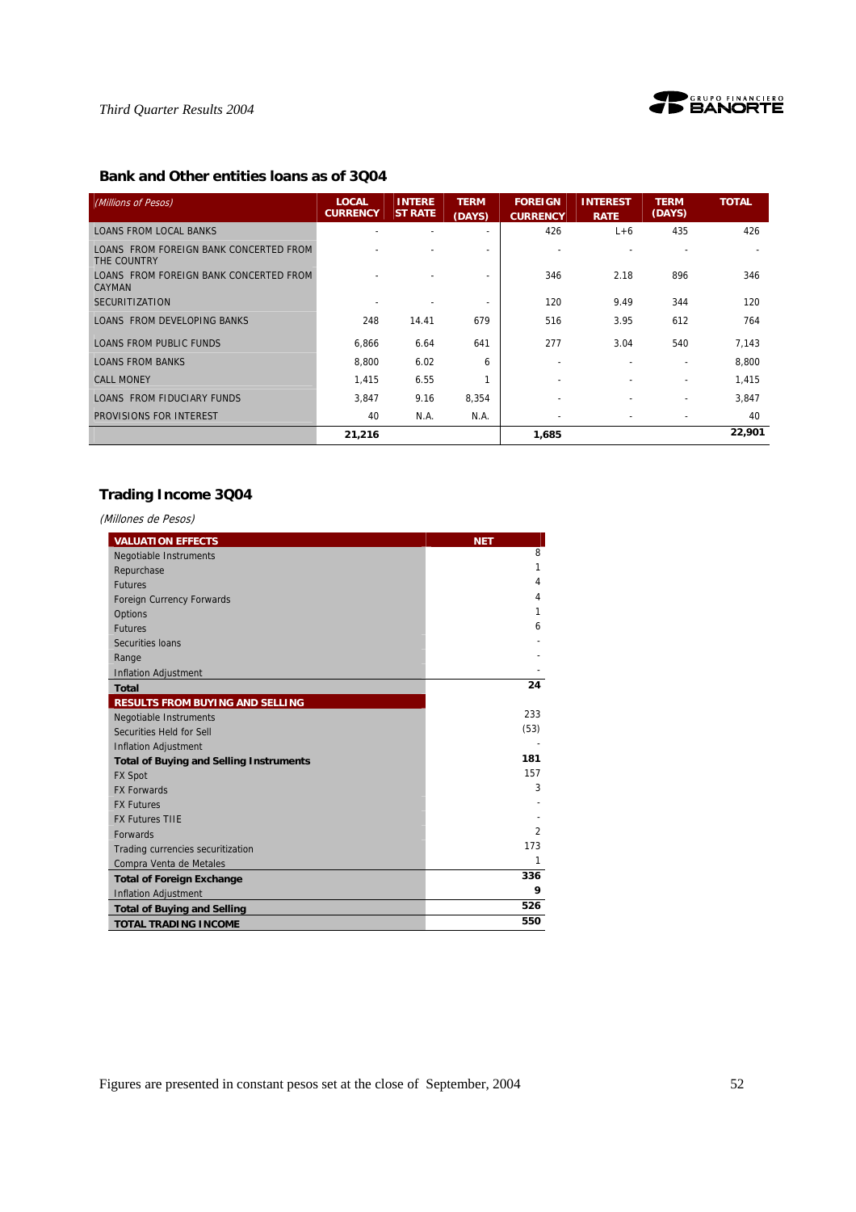



# **Bank and Other entities loans as of 3Q04**

| (Millions of Pesos)                                     | <b>LOCAL</b><br><b>CURRENCY</b> | <b>INTERE</b><br><b>ST RATE</b> | <b>TERM</b><br>(DAYS) | <b>FOREIGN</b><br><b>CURRENCY</b> | <b>INTEREST</b><br><b>RATE</b> | <b>TERM</b><br>(DAYS)    | <b>TOTAL</b> |
|---------------------------------------------------------|---------------------------------|---------------------------------|-----------------------|-----------------------------------|--------------------------------|--------------------------|--------------|
| <b>LOANS FROM LOCAL BANKS</b>                           |                                 |                                 |                       | 426                               | $L+6$                          | 435                      | 426          |
| LOANS FROM FOREIGN BANK CONCERTED FROM<br>THE COUNTRY   |                                 |                                 |                       |                                   |                                |                          |              |
| LOANS FROM FOREIGN BANK CONCERTED FROM<br><b>CAYMAN</b> |                                 |                                 |                       | 346                               | 2.18                           | 896                      | 346          |
| <b>SECURITIZATION</b>                                   |                                 |                                 |                       | 120                               | 9.49                           | 344                      | 120          |
| <b>LOANS FROM DEVELOPING BANKS</b>                      | 248                             | 14.41                           | 679                   | 516                               | 3.95                           | 612                      | 764          |
| <b>LOANS FROM PUBLIC FUNDS</b>                          | 6,866                           | 6.64                            | 641                   | 277                               | 3.04                           | 540                      | 7,143        |
| <b>LOANS FROM BANKS</b>                                 | 8.800                           | 6.02                            | 6                     | $\overline{\phantom{a}}$          | $\overline{\phantom{a}}$       | $\overline{\phantom{a}}$ | 8,800        |
| <b>CALL MONEY</b>                                       | 1,415                           | 6.55                            |                       |                                   |                                |                          | 1,415        |
| LOANS FROM FIDUCIARY FUNDS                              | 3,847                           | 9.16                            | 8,354                 |                                   |                                |                          | 3,847        |
| PROVISIONS FOR INTEREST                                 | 40                              | N.A.                            | N.A.                  | $\overline{\phantom{a}}$          | $\overline{\phantom{a}}$       | $\overline{\phantom{a}}$ | 40           |
|                                                         | 21,216                          |                                 |                       | 1,685                             |                                |                          | 22,901       |

# **Trading Income 3Q04**

(Millones de Pesos)

| <b>VALUATION EFFECTS</b>                       | <b>NET</b>     |
|------------------------------------------------|----------------|
| Negotiable Instruments                         | 8              |
| Repurchase                                     | $\mathbf{1}$   |
| <b>Futures</b>                                 | $\overline{4}$ |
| Foreign Currency Forwards                      | $\overline{4}$ |
| Options                                        | 1              |
| <b>Futures</b>                                 | 6              |
| Securities Ioans                               |                |
| Range                                          |                |
| <b>Inflation Adjustment</b>                    |                |
| <b>Total</b>                                   | 24             |
| <b>RESULTS FROM BUYING AND SELLING</b>         |                |
| <b>Negotiable Instruments</b>                  | 233            |
| Securities Held for Sell                       | (53)           |
| <b>Inflation Adjustment</b>                    |                |
| <b>Total of Buying and Selling Instruments</b> | 181            |
| <b>FX Spot</b>                                 | 157            |
| <b>FX Forwards</b>                             | 3              |
| <b>FX Futures</b>                              |                |
| <b>FX Futures TIIE</b>                         |                |
| <b>Forwards</b>                                | $\mathfrak{D}$ |
| Trading currencies securitization              | 173            |
| Compra Venta de Metales                        | 1              |
| <b>Total of Foreign Exchange</b>               | 336            |
| <b>Inflation Adjustment</b>                    | 9              |
| <b>Total of Buying and Selling</b>             | 526            |
| <b>TOTAL TRADING INCOME</b>                    | 550            |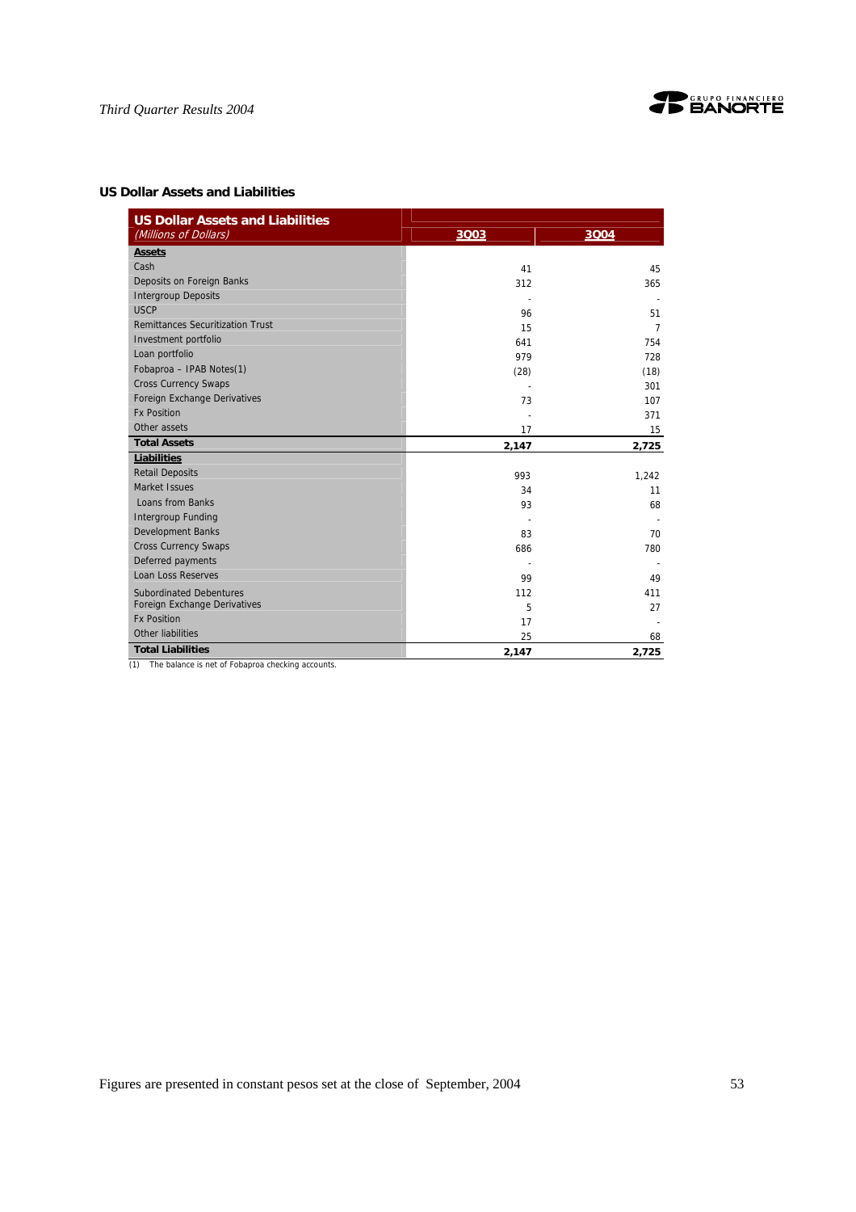

# **US Dollar Assets and Liabilities**

| <b>US Dollar Assets and Liabilities</b><br>(Millions of Dollars) | 3003  | 3004  |
|------------------------------------------------------------------|-------|-------|
| <b>Assets</b>                                                    |       |       |
| Cash                                                             | 41    | 45    |
| Deposits on Foreign Banks                                        | 312   | 365   |
| <b>Intergroup Deposits</b>                                       |       |       |
| <b>USCP</b>                                                      | 96    | 51    |
| <b>Remittances Securitization Trust</b>                          | 15    | 7     |
| Investment portfolio                                             | 641   | 754   |
| Loan portfolio                                                   | 979   | 728   |
| Fobaproa - IPAB Notes(1)                                         | (28)  | (18)  |
| <b>Cross Currency Swaps</b>                                      |       | 301   |
| Foreign Exchange Derivatives                                     | 73    | 107   |
| <b>Fx Position</b>                                               |       | 371   |
| Other assets                                                     | 17    | 15    |
| <b>Total Assets</b>                                              | 2,147 | 2,725 |
| Liabilities                                                      |       |       |
| <b>Retail Deposits</b>                                           | 993   | 1,242 |
| Market Issues                                                    | 34    | 11    |
| Loans from Banks                                                 | 93    | 68    |
| <b>Intergroup Funding</b>                                        |       |       |
| <b>Development Banks</b>                                         | 83    | 70    |
| <b>Cross Currency Swaps</b>                                      | 686   | 780   |
| Deferred payments                                                |       |       |
| <b>Loan Loss Reserves</b>                                        | 99    | 49    |
| <b>Subordinated Debentures</b>                                   | 112   | 411   |
| Foreign Exchange Derivatives                                     | 5     | 27    |
| <b>Fx Position</b>                                               | 17    |       |
| Other liabilities                                                | 25    | 68    |
| <b>Total Liabilities</b>                                         | 2,147 | 2,725 |

(1) The balance is net of Fobaproa checking accounts.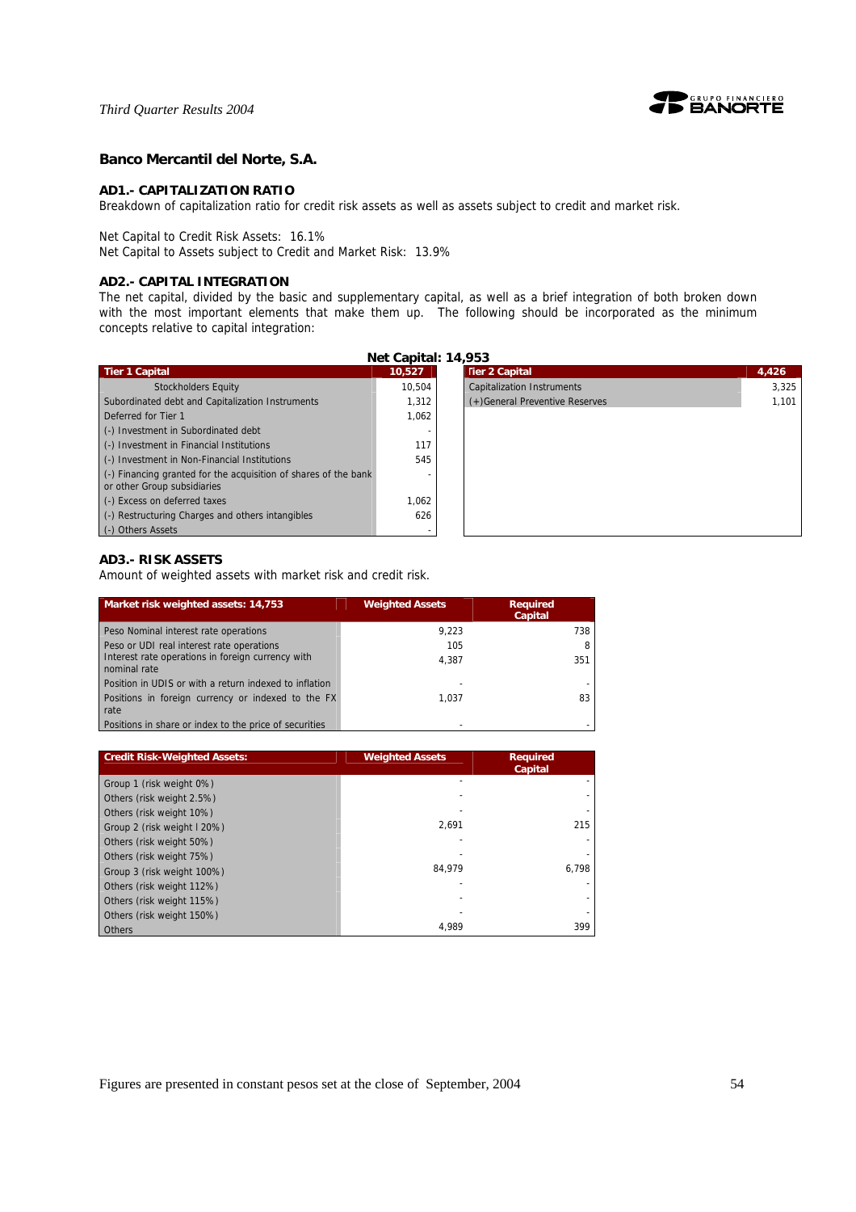

#### **Banco Mercantil del Norte, S.A.**

#### **AD1.- CAPITALIZATION RATIO**

Breakdown of capitalization ratio for credit risk assets as well as assets subject to credit and market risk.

Net Capital to Credit Risk Assets: 16.1%

Net Capital to Assets subject to Credit and Market Risk: 13.9%

### **AD2.- CAPITAL INTEGRATION**

The net capital, divided by the basic and supplementary capital, as well as a brief integration of both broken down with the most important elements that make them up. The following should be incorporated as the minimum concepts relative to capital integration:

| Net Capital: 14,953                                                                                    |        |                                   |       |  |
|--------------------------------------------------------------------------------------------------------|--------|-----------------------------------|-------|--|
| <b>Tier 1 Capital</b>                                                                                  | 10.527 | <b>Tier 2 Capital</b>             | 4,426 |  |
| <b>Stockholders Equity</b>                                                                             | 10.504 | <b>Capitalization Instruments</b> | 3,325 |  |
| Subordinated debt and Capitalization Instruments                                                       | 1.312  | (+) General Preventive Reserves   | 1,101 |  |
| Deferred for Tier 1                                                                                    | 1,062  |                                   |       |  |
| (-) Investment in Subordinated debt                                                                    |        |                                   |       |  |
| (-) Investment in Financial Institutions                                                               | 117    |                                   |       |  |
| (-) Investment in Non-Financial Institutions                                                           | 545    |                                   |       |  |
| $\left($ .) Financing granted for the acquisition of shares of the bank<br>or other Group subsidiaries |        |                                   |       |  |
| (-) Excess on deferred taxes                                                                           | 1,062  |                                   |       |  |
| (-) Restructuring Charges and others intangibles                                                       | 626    |                                   |       |  |
| (-) Others Assets                                                                                      |        |                                   |       |  |

# **AD3.- RISK ASSETS**

Amount of weighted assets with market risk and credit risk.

| Market risk weighted assets: 14,753                               | <b>Weighted Assets</b> | <b>Required</b><br>Capital |
|-------------------------------------------------------------------|------------------------|----------------------------|
| Peso Nominal interest rate operations                             | 9.223                  | 738                        |
| Peso or UDI real interest rate operations                         | 105                    |                            |
| Interest rate operations in foreign currency with<br>nominal rate | 4.387                  | 351                        |
| Position in UDIS or with a return indexed to inflation            |                        |                            |
| Positions in foreign currency or indexed to the FX<br>rate        | 1.037                  | 83                         |
| Positions in share or index to the price of securities            |                        |                            |

| <b>Credit Risk-Weighted Assets:</b> | <b>Weighted Assets</b> | <b>Required</b><br>Capital |
|-------------------------------------|------------------------|----------------------------|
| Group 1 (risk weight 0%)            |                        |                            |
| Others (risk weight 2.5%)           |                        |                            |
| Others (risk weight 10%)            |                        |                            |
| Group 2 (risk weight I 20%)         | 2.691                  | 215                        |
| Others (risk weight 50%)            |                        |                            |
| Others (risk weight 75%)            |                        |                            |
| Group 3 (risk weight 100%)          | 84.979                 | 6.798                      |
| Others (risk weight 112%)           |                        |                            |
| Others (risk weight 115%)           |                        |                            |
| Others (risk weight 150%)           |                        |                            |
| Others                              | 4.989                  | 399                        |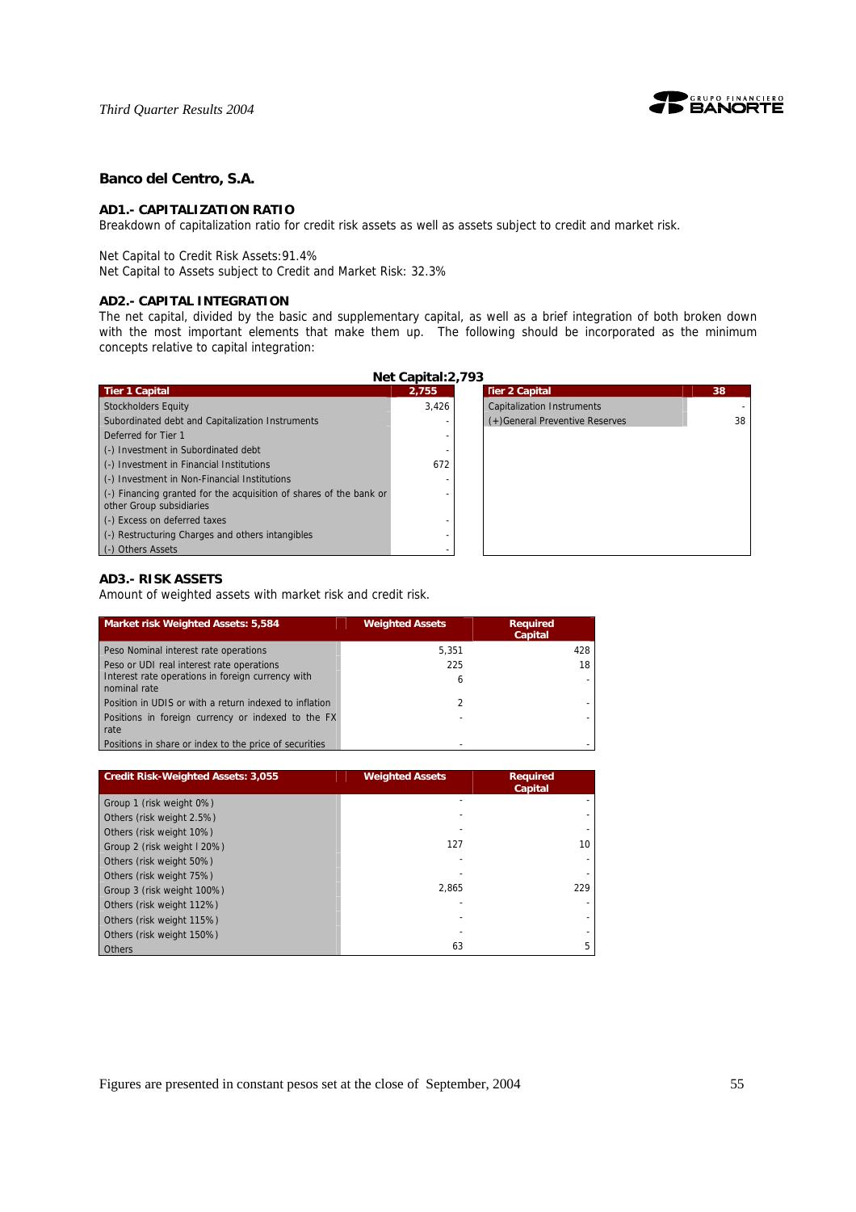

### **Banco del Centro, S.A.**

#### **AD1.- CAPITALIZATION RATIO**

Breakdown of capitalization ratio for credit risk assets as well as assets subject to credit and market risk.

Net Capital to Credit Risk Assets:91.4%

Net Capital to Assets subject to Credit and Market Risk: 32.3%

#### **AD2.- CAPITAL INTEGRATION**

The net capital, divided by the basic and supplementary capital, as well as a brief integration of both broken down with the most important elements that make them up. The following should be incorporated as the minimum concepts relative to capital integration:

| Net Capital: 2,793                                                                                     |       |                                   |  |  |
|--------------------------------------------------------------------------------------------------------|-------|-----------------------------------|--|--|
| <b>Tier 1 Capital</b>                                                                                  | 2,755 | <b>Tier 2 Capital</b>             |  |  |
| Stockholders Equity                                                                                    | 3,426 | <b>Capitalization Instruments</b> |  |  |
| Subordinated debt and Capitalization Instruments                                                       |       | (+) General Preventive Reserves   |  |  |
| Deferred for Tier 1                                                                                    |       |                                   |  |  |
| (-) Investment in Subordinated debt                                                                    |       |                                   |  |  |
| (-) Investment in Financial Institutions                                                               | 672   |                                   |  |  |
| (-) Investment in Non-Financial Institutions                                                           |       |                                   |  |  |
| $\left($ .) Financing granted for the acquisition of shares of the bank or<br>other Group subsidiaries |       |                                   |  |  |
| (-) Excess on deferred taxes                                                                           |       |                                   |  |  |
| (-) Restructuring Charges and others intangibles                                                       |       |                                   |  |  |
| (-) Others Assets                                                                                      |       |                                   |  |  |

### **AD3.- RISK ASSETS**

Amount of weighted assets with market risk and credit risk.

| Market risk Weighted Assets: 5,584                                | <b>Weighted Assets</b> | <b>Required</b><br>Capital |
|-------------------------------------------------------------------|------------------------|----------------------------|
| Peso Nominal interest rate operations                             | 5.351                  | 428                        |
| Peso or UDI real interest rate operations                         | 225                    | 18                         |
| Interest rate operations in foreign currency with<br>nominal rate | 6                      |                            |
| Position in UDIS or with a return indexed to inflation            | $\mathcal{P}$          |                            |
| Positions in foreign currency or indexed to the FX<br>rate        | -                      |                            |
| Positions in share or index to the price of securities            |                        |                            |

| <b>Credit Risk-Weighted Assets: 3,055</b> | <b>Weighted Assets</b> | <b>Required</b><br>Capital |
|-------------------------------------------|------------------------|----------------------------|
| Group 1 (risk weight 0%)                  |                        |                            |
| Others (risk weight 2.5%)                 |                        |                            |
| Others (risk weight 10%)                  |                        |                            |
| Group 2 (risk weight I 20%)               | 127                    | 10                         |
| Others (risk weight 50%)                  |                        |                            |
| Others (risk weight 75%)                  |                        |                            |
| Group 3 (risk weight 100%)                | 2.865                  | 229                        |
| Others (risk weight 112%)                 |                        |                            |
| Others (risk weight 115%)                 |                        |                            |
| Others (risk weight 150%)                 |                        |                            |
| Others                                    | 63                     |                            |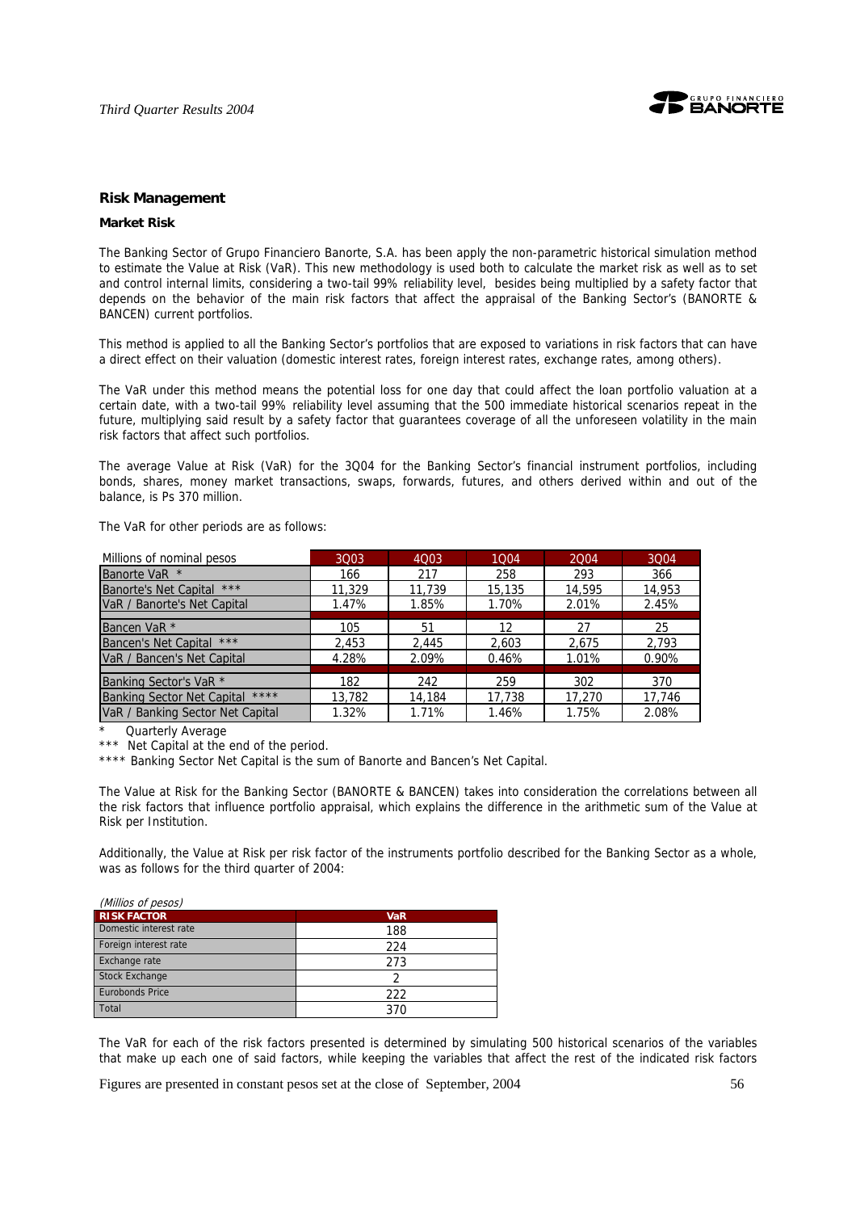

#### **Risk Management**

#### **Market Risk**

The Banking Sector of Grupo Financiero Banorte, S.A. has been apply the non-parametric historical simulation method to estimate the Value at Risk (VaR). This new methodology is used both to calculate the market risk as well as to set and control internal limits, considering a two-tail 99% reliability level, besides being multiplied by a safety factor that depends on the behavior of the main risk factors that affect the appraisal of the Banking Sector's (BANORTE & BANCEN) current portfolios.

This method is applied to all the Banking Sector's portfolios that are exposed to variations in risk factors that can have a direct effect on their valuation (domestic interest rates, foreign interest rates, exchange rates, among others).

The VaR under this method means the potential loss for one day that could affect the loan portfolio valuation at a certain date, with a two-tail 99% reliability level assuming that the 500 immediate historical scenarios repeat in the future, multiplying said result by a safety factor that guarantees coverage of all the unforeseen volatility in the main risk factors that affect such portfolios.

The average Value at Risk (VaR) for the 3Q04 for the Banking Sector's financial instrument portfolios, including bonds, shares, money market transactions, swaps, forwards, futures, and others derived within and out of the balance, is Ps 370 million.

The VaR for other periods are as follows:

| Millions of nominal pesos         | 3Q03   | 4003   | 1004   | 2004   | 3004   |
|-----------------------------------|--------|--------|--------|--------|--------|
| Banorte VaR *                     | 166    | 217    | 258    | 293    | 366    |
| Banorte's Net Capital ***         | 11,329 | 11,739 | 15,135 | 14,595 | 14,953 |
| VaR / Banorte's Net Capital       | 1.47%  | 1.85%  | 1.70%  | 2.01%  | 2.45%  |
|                                   |        |        |        |        |        |
| Bancen VaR <sup>*</sup>           | 105    | 51     | 12     | 27     | 25     |
| Bancen's Net Capital ***          | 2,453  | 2.445  | 2.603  | 2,675  | 2,793  |
| VaR / Bancen's Net Capital        | 4.28%  | 2.09%  | 0.46%  | 1.01%  | 0.90%  |
|                                   |        |        |        |        |        |
| Banking Sector's VaR <sup>*</sup> | 182    | 242    | 259    | 302    | 370    |
| Banking Sector Net Capital ****   | 13,782 | 14,184 | 17,738 | 17,270 | 17.746 |
| VaR / Banking Sector Net Capital  | 1.32%  | 1.71%  | 1.46%  | 1.75%  | 2.08%  |

Quarterly Average

\*\*\* Net Capital at the end of the period.

\*\*\*\* Banking Sector Net Capital is the sum of Banorte and Bancen's Net Capital.

The Value at Risk for the Banking Sector (BANORTE & BANCEN) takes into consideration the correlations between all the risk factors that influence portfolio appraisal, which explains the difference in the arithmetic sum of the Value at Risk per Institution.

Additionally, the Value at Risk per risk factor of the instruments portfolio described for the Banking Sector as a whole, was as follows for the third quarter of 2004:

| (Millios of pesos)     |            |
|------------------------|------------|
| <b>RISK FACTOR</b>     | <b>VaR</b> |
| Domestic interest rate | 188        |
| Foreign interest rate  | 224        |
| Exchange rate          | 273        |
| <b>Stock Exchange</b>  |            |
| <b>Eurobonds Price</b> | 222        |
| Total                  | 370        |

The VaR for each of the risk factors presented is determined by simulating 500 historical scenarios of the variables that make up each one of said factors, while keeping the variables that affect the rest of the indicated risk factors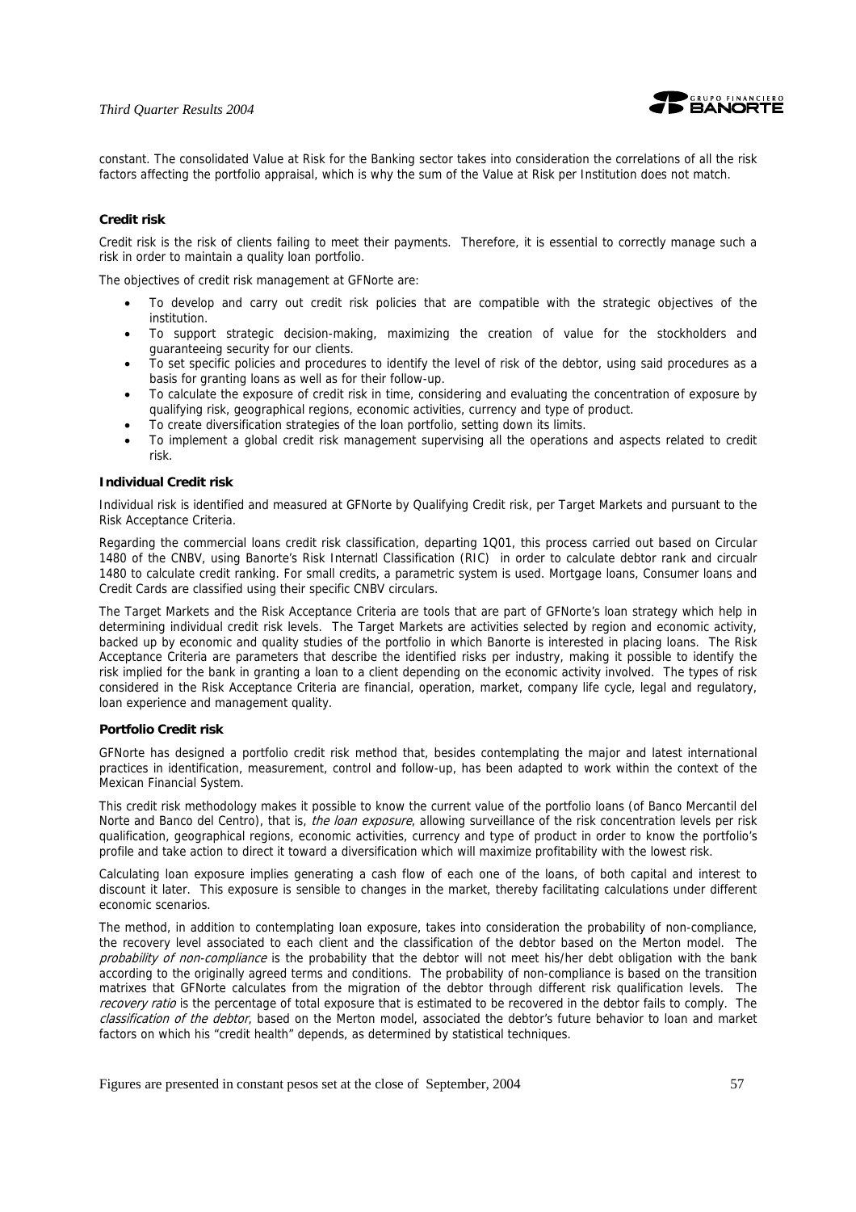

constant. The consolidated Value at Risk for the Banking sector takes into consideration the correlations of all the risk factors affecting the portfolio appraisal, which is why the sum of the Value at Risk per Institution does not match.

#### **Credit risk**

Credit risk is the risk of clients failing to meet their payments. Therefore, it is essential to correctly manage such a risk in order to maintain a quality loan portfolio.

The objectives of credit risk management at GFNorte are:

- To develop and carry out credit risk policies that are compatible with the strategic objectives of the institution.
- To support strategic decision-making, maximizing the creation of value for the stockholders and guaranteeing security for our clients.
- To set specific policies and procedures to identify the level of risk of the debtor, using said procedures as a basis for granting loans as well as for their follow-up.
- To calculate the exposure of credit risk in time, considering and evaluating the concentration of exposure by qualifying risk, geographical regions, economic activities, currency and type of product.
- To create diversification strategies of the loan portfolio, setting down its limits.
- To implement a global credit risk management supervising all the operations and aspects related to credit risk.

#### **Individual Credit risk**

Individual risk is identified and measured at GFNorte by Qualifying Credit risk, per Target Markets and pursuant to the Risk Acceptance Criteria.

Regarding the commercial loans credit risk classification, departing 1Q01, this process carried out based on Circular 1480 of the CNBV, using Banorte's Risk Internatl Classification (RIC) in order to calculate debtor rank and circualr 1480 to calculate credit ranking. For small credits, a parametric system is used. Mortgage loans, Consumer loans and Credit Cards are classified using their specific CNBV circulars.

The Target Markets and the Risk Acceptance Criteria are tools that are part of GFNorte's loan strategy which help in determining individual credit risk levels. The Target Markets are activities selected by region and economic activity, backed up by economic and quality studies of the portfolio in which Banorte is interested in placing loans. The Risk Acceptance Criteria are parameters that describe the identified risks per industry, making it possible to identify the risk implied for the bank in granting a loan to a client depending on the economic activity involved. The types of risk considered in the Risk Acceptance Criteria are financial, operation, market, company life cycle, legal and regulatory, loan experience and management quality.

#### **Portfolio Credit risk**

GFNorte has designed a portfolio credit risk method that, besides contemplating the major and latest international practices in identification, measurement, control and follow-up, has been adapted to work within the context of the Mexican Financial System.

This credit risk methodology makes it possible to know the current value of the portfolio loans (of Banco Mercantil del Norte and Banco del Centro), that is, *the loan exposure*, allowing surveillance of the risk concentration levels per risk qualification, geographical regions, economic activities, currency and type of product in order to know the portfolio's profile and take action to direct it toward a diversification which will maximize profitability with the lowest risk.

Calculating loan exposure implies generating a cash flow of each one of the loans, of both capital and interest to discount it later. This exposure is sensible to changes in the market, thereby facilitating calculations under different economic scenarios.

The method, in addition to contemplating loan exposure, takes into consideration the probability of non-compliance, the recovery level associated to each client and the classification of the debtor based on the Merton model. The probability of non-compliance is the probability that the debtor will not meet his/her debt obligation with the bank according to the originally agreed terms and conditions. The probability of non-compliance is based on the transition matrixes that GFNorte calculates from the migration of the debtor through different risk qualification levels. The recovery ratio is the percentage of total exposure that is estimated to be recovered in the debtor fails to comply. The classification of the debtor, based on the Merton model, associated the debtor's future behavior to loan and market factors on which his "credit health" depends, as determined by statistical techniques.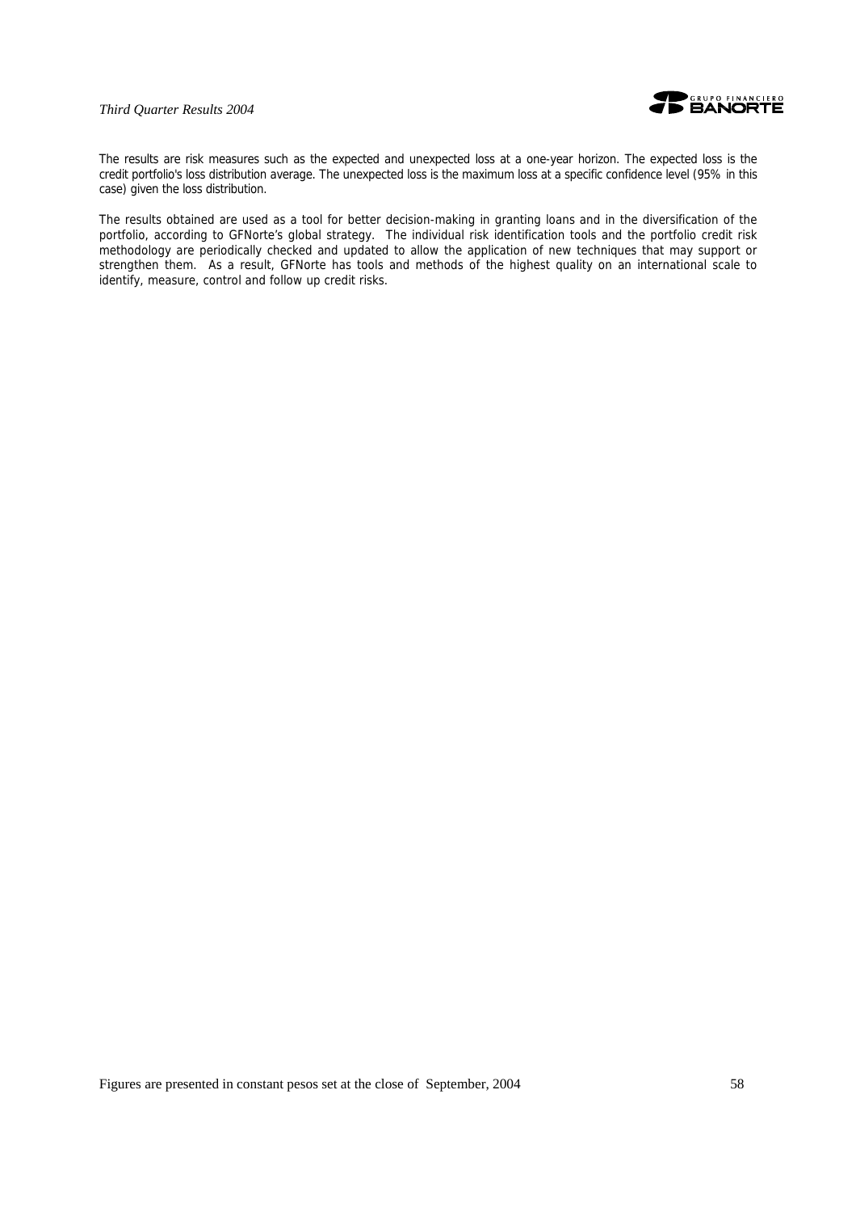

The results are risk measures such as the expected and unexpected loss at a one-year horizon. The expected loss is the credit portfolio's loss distribution average. The unexpected loss is the maximum loss at a specific confidence level (95% in this case) given the loss distribution.

The results obtained are used as a tool for better decision-making in granting loans and in the diversification of the portfolio, according to GFNorte's global strategy. The individual risk identification tools and the portfolio credit risk methodology are periodically checked and updated to allow the application of new techniques that may support or strengthen them. As a result, GFNorte has tools and methods of the highest quality on an international scale to identify, measure, control and follow up credit risks.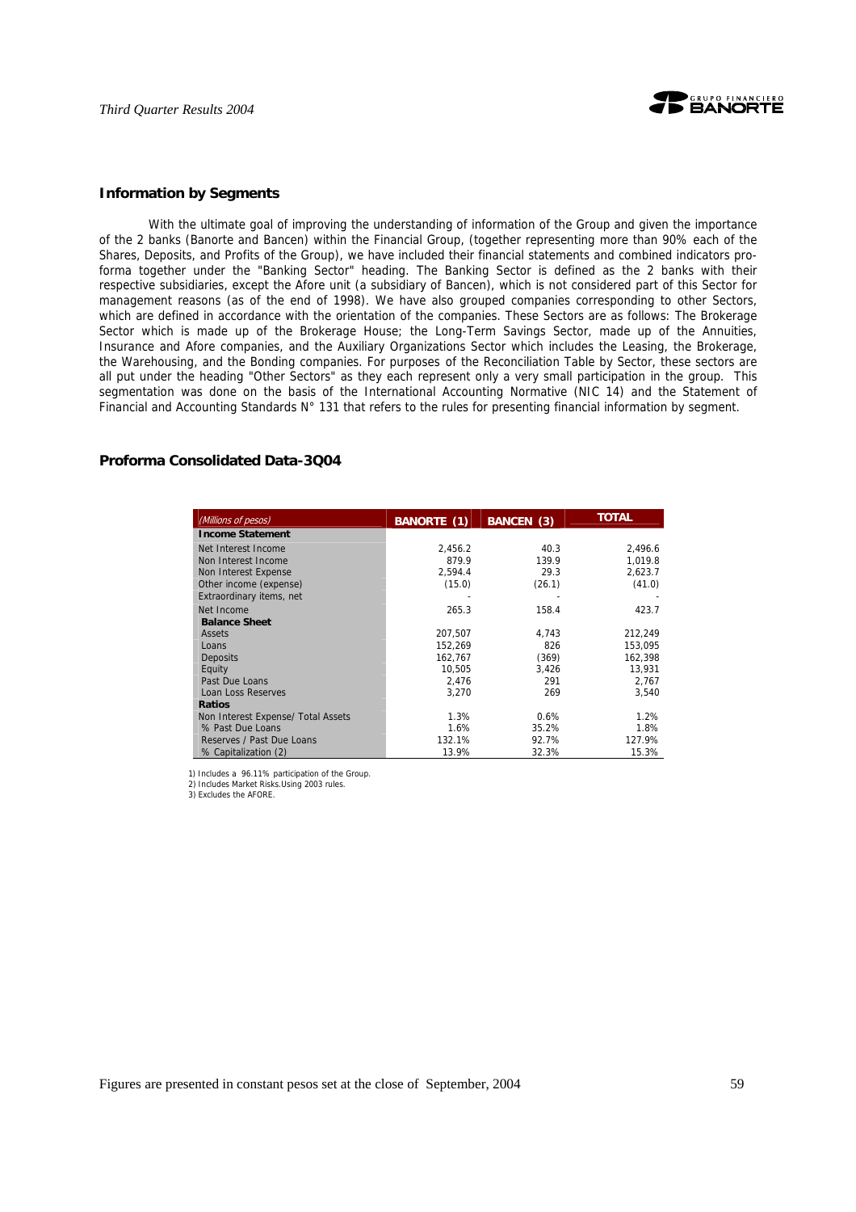

#### **Information by Segments**

With the ultimate goal of improving the understanding of information of the Group and given the importance of the 2 banks (Banorte and Bancen) within the Financial Group, (together representing more than 90% each of the Shares, Deposits, and Profits of the Group), we have included their financial statements and combined indicators proforma together under the "Banking Sector" heading. The Banking Sector is defined as the 2 banks with their respective subsidiaries, except the Afore unit (a subsidiary of Bancen), which is not considered part of this Sector for management reasons (as of the end of 1998). We have also grouped companies corresponding to other Sectors, which are defined in accordance with the orientation of the companies. These Sectors are as follows: The Brokerage Sector which is made up of the Brokerage House; the Long-Term Savings Sector, made up of the Annuities, Insurance and Afore companies, and the Auxiliary Organizations Sector which includes the Leasing, the Brokerage, the Warehousing, and the Bonding companies. For purposes of the Reconciliation Table by Sector, these sectors are all put under the heading "Other Sectors" as they each represent only a very small participation in the group. This segmentation was done on the basis of the International Accounting Normative (NIC 14) and the Statement of Financial and Accounting Standards N° 131 that refers to the rules for presenting financial information by segment.

#### **Proforma Consolidated Data-3Q04**

| (Millions of pesos)                | <b>BANORTE (1)</b> | <b>BANCEN</b> (3) | <b>TOTAL</b> |
|------------------------------------|--------------------|-------------------|--------------|
| <b>Income Statement</b>            |                    |                   |              |
| Net Interest Income                | 2.456.2            | 40.3              | 2,496.6      |
| Non Interest Income                | 879.9              | 139.9             | 1,019.8      |
| Non Interest Expense               | 2,594.4            | 29.3              | 2,623.7      |
| Other income (expense)             | (15.0)             | (26.1)            | (41.0)       |
| Extraordinary items, net           |                    |                   |              |
| Net Income                         | 265.3              | 158.4             | 423.7        |
| <b>Balance Sheet</b>               |                    |                   |              |
| Assets                             | 207.507            | 4.743             | 212,249      |
| Loans                              | 152,269            | 826               | 153,095      |
| <b>Deposits</b>                    | 162.767            | (369)             | 162,398      |
| Equity                             | 10,505             | 3,426             | 13,931       |
| Past Due Loans                     | 2.476              | 291               | 2,767        |
| Loan Loss Reserves                 | 3,270              | 269               | 3,540        |
| <b>Ratios</b>                      |                    |                   |              |
| Non Interest Expense/ Total Assets | 1.3%               | 0.6%              | 1.2%         |
| % Past Due Loans                   | 1.6%               | 35.2%             | 1.8%         |
| Reserves / Past Due Loans          | 132.1%             | 92.7%             | 127.9%       |
| % Capitalization (2)               | 13.9%              | 32.3%             | 15.3%        |

 1) Includes a 96.11% participation of the Group. 2) Includes Market Risks.Using 2003 rules.

3) Excludes the AFORE.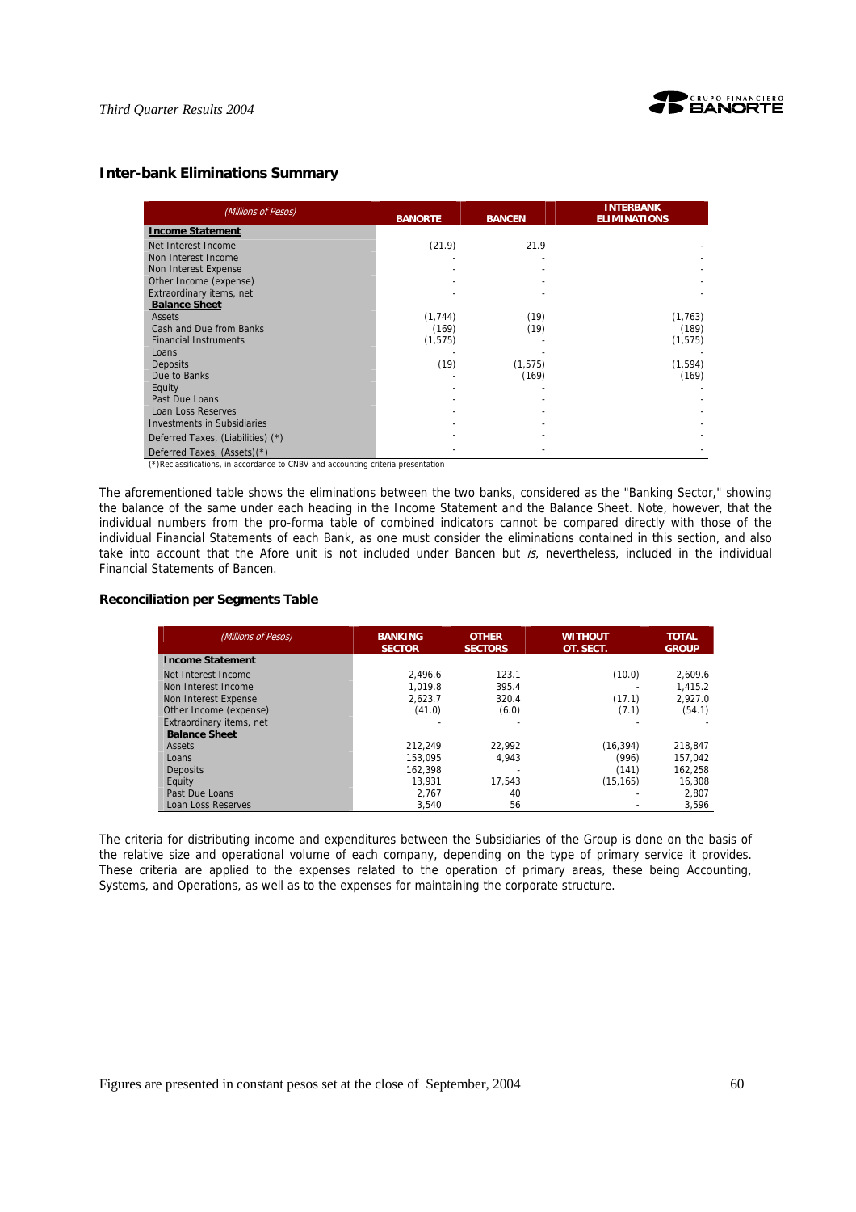

# **Inter-bank Eliminations Summary**

| (Millions of Pesos)               | <b>BANORTE</b> | <b>BANCEN</b> | <b>INTERBANK</b><br><b>ELIMINATIONS</b> |
|-----------------------------------|----------------|---------------|-----------------------------------------|
| <b>Income Statement</b>           |                |               |                                         |
| Net Interest Income               | (21.9)         | 21.9          |                                         |
| Non Interest Income               |                |               |                                         |
| Non Interest Expense              |                |               |                                         |
| Other Income (expense)            |                |               |                                         |
| Extraordinary items, net          |                |               |                                         |
| <b>Balance Sheet</b>              |                |               |                                         |
| Assets                            | (1, 744)       | (19)          | (1, 763)                                |
| Cash and Due from Banks           | (169)          | (19)          | (189)                                   |
| <b>Financial Instruments</b>      | (1, 575)       |               | (1, 575)                                |
| Loans                             |                |               |                                         |
| <b>Deposits</b>                   | (19)           | (1, 575)      | (1, 594)                                |
| Due to Banks                      |                | (169)         | (169)                                   |
| Equity                            |                |               |                                         |
| Past Due Loans                    |                |               |                                         |
| Loan Loss Reserves                |                |               |                                         |
| Investments in Subsidiaries       |                |               |                                         |
| Deferred Taxes, (Liabilities) (*) |                |               |                                         |
| Deferred Taxes, (Assets)(*)       |                |               |                                         |

(\*)Reclassifications, in accordance to CNBV and accounting criteria presentation

The aforementioned table shows the eliminations between the two banks, considered as the "Banking Sector," showing the balance of the same under each heading in the Income Statement and the Balance Sheet. Note, however, that the individual numbers from the pro-forma table of combined indicators cannot be compared directly with those of the individual Financial Statements of each Bank, as one must consider the eliminations contained in this section, and also take into account that the Afore unit is not included under Bancen but  $is$ , nevertheless, included in the individual Financial Statements of Bancen.

#### **Reconciliation per Segments Table**

| (Millions of Pesos)      | <b>BANKING</b><br><b>SECTOR</b> | <b>OTHER</b><br><b>SECTORS</b> | <b>WITHOUT</b><br>OT. SECT. | <b>TOTAL</b><br><b>GROUP</b> |
|--------------------------|---------------------------------|--------------------------------|-----------------------------|------------------------------|
| <b>Income Statement</b>  |                                 |                                |                             |                              |
| Net Interest Income      | 2.496.6                         | 123.1                          | (10.0)                      | 2.609.6                      |
| Non Interest Income      | 1.019.8                         | 395.4                          |                             | 1.415.2                      |
| Non Interest Expense     | 2.623.7                         | 320.4                          | (17.1)                      | 2.927.0                      |
| Other Income (expense)   | (41.0)                          | (6.0)                          | (7.1)                       | (54.1)                       |
| Extraordinary items, net |                                 |                                |                             |                              |
| <b>Balance Sheet</b>     |                                 |                                |                             |                              |
| Assets                   | 212.249                         | 22.992                         | (16, 394)                   | 218.847                      |
| Loans                    | 153.095                         | 4.943                          | (996)                       | 157.042                      |
| Deposits                 | 162.398                         |                                | (141)                       | 162.258                      |
| Equity                   | 13.931                          | 17.543                         | (15, 165)                   | 16.308                       |
| Past Due Loans           | 2.767                           | 40                             |                             | 2.807                        |
| Loan Loss Reserves       | 3.540                           | 56                             |                             | 3,596                        |

The criteria for distributing income and expenditures between the Subsidiaries of the Group is done on the basis of the relative size and operational volume of each company, depending on the type of primary service it provides. These criteria are applied to the expenses related to the operation of primary areas, these being Accounting, Systems, and Operations, as well as to the expenses for maintaining the corporate structure.